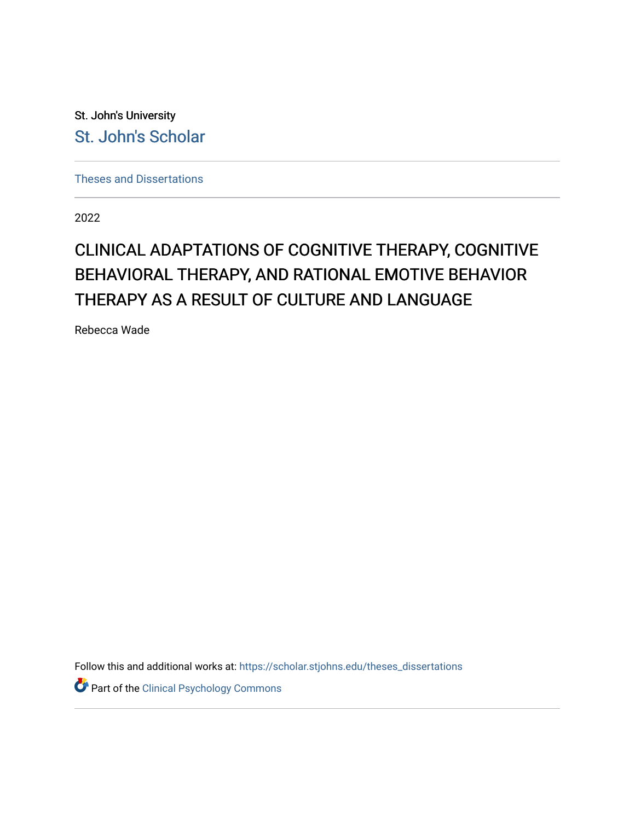St. John's University [St. John's Scholar](https://scholar.stjohns.edu/) 

[Theses and Dissertations](https://scholar.stjohns.edu/theses_dissertations)

2022

# CLINICAL ADAPTATIONS OF COGNITIVE THERAPY, COGNITIVE BEHAVIORAL THERAPY, AND RATIONAL EMOTIVE BEHAVIOR THERAPY AS A RESULT OF CULTURE AND LANGUAGE

Rebecca Wade

Follow this and additional works at: [https://scholar.stjohns.edu/theses\\_dissertations](https://scholar.stjohns.edu/theses_dissertations?utm_source=scholar.stjohns.edu%2Ftheses_dissertations%2F420&utm_medium=PDF&utm_campaign=PDFCoverPages)

Part of the [Clinical Psychology Commons](https://network.bepress.com/hgg/discipline/406?utm_source=scholar.stjohns.edu%2Ftheses_dissertations%2F420&utm_medium=PDF&utm_campaign=PDFCoverPages)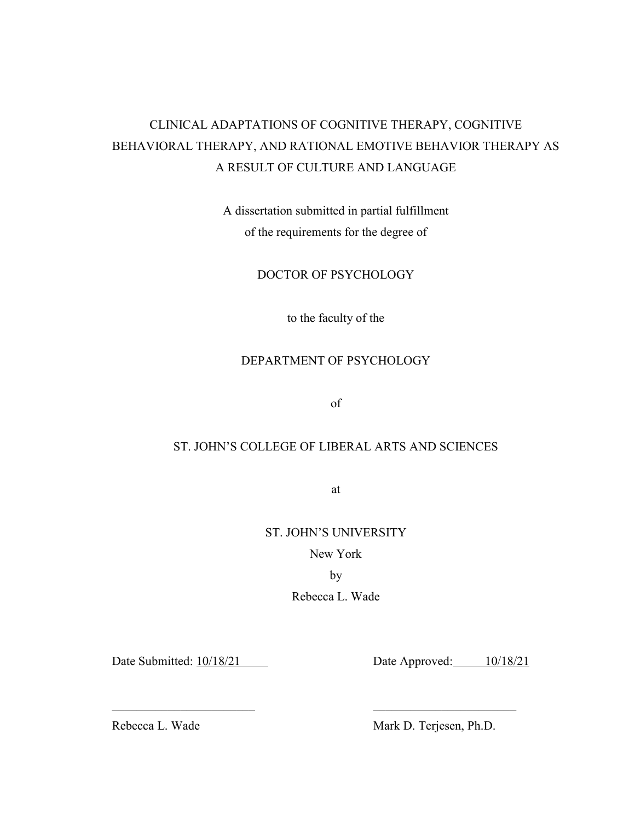## CLINICAL ADAPTATIONS OF COGNITIVE THERAPY, COGNITIVE BEHAVIORAL THERAPY, AND RATIONAL EMOTIVE BEHAVIOR THERAPY AS A RESULT OF CULTURE AND LANGUAGE

A dissertation submitted in partial fulfillment of the requirements for the degree of

#### DOCTOR OF PSYCHOLOGY

to the faculty of the

## DEPARTMENT OF PSYCHOLOGY

of

## ST. JOHN'S COLLEGE OF LIBERAL ARTS AND SCIENCES

at

#### ST. JOHN'S UNIVERSITY

New York

by

Rebecca L. Wade

 $\_$  , and the contribution of  $\overline{a}$  , and  $\overline{a}$  , and  $\overline{a}$  , and  $\overline{a}$  , and  $\overline{a}$  , and  $\overline{a}$ 

Date Submitted:  $\frac{10}{18/21}$  Date Approved: 10/18/21

Rebecca L. Wade Mark D. Terjesen, Ph.D.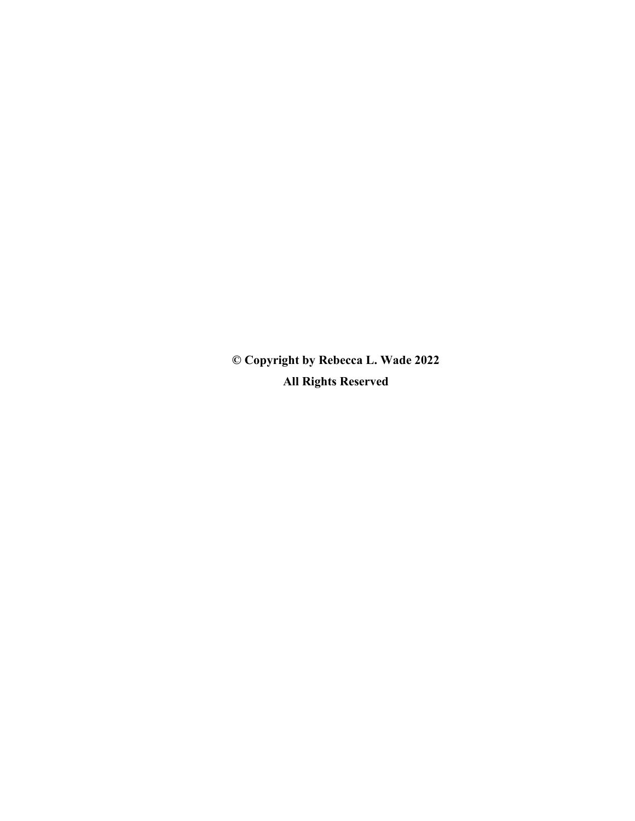**© Copyright by Rebecca L. Wade 2022 All Rights Reserved**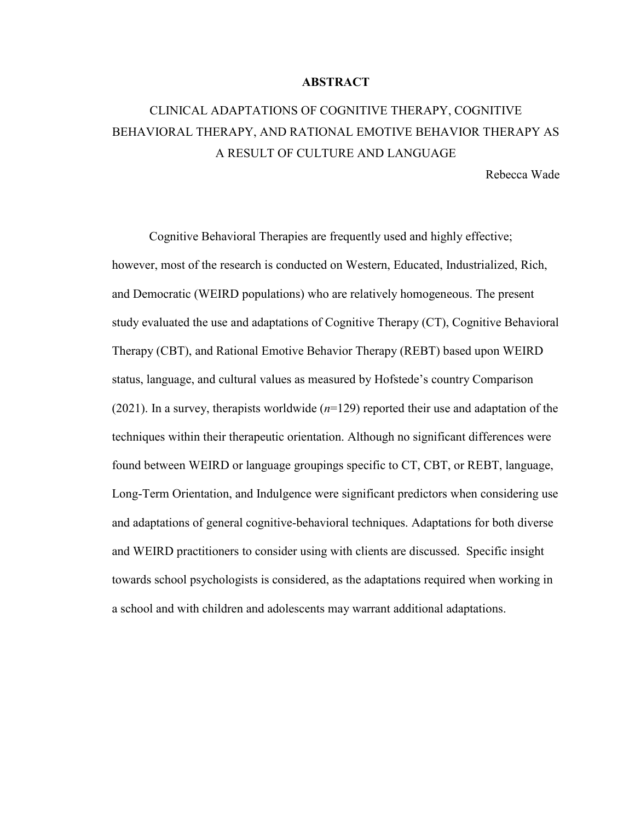#### **ABSTRACT**

## CLINICAL ADAPTATIONS OF COGNITIVE THERAPY, COGNITIVE BEHAVIORAL THERAPY, AND RATIONAL EMOTIVE BEHAVIOR THERAPY AS A RESULT OF CULTURE AND LANGUAGE

Rebecca Wade

Cognitive Behavioral Therapies are frequently used and highly effective; however, most of the research is conducted on Western, Educated, Industrialized, Rich, and Democratic (WEIRD populations) who are relatively homogeneous. The present study evaluated the use and adaptations of Cognitive Therapy (CT), Cognitive Behavioral Therapy (CBT), and Rational Emotive Behavior Therapy (REBT) based upon WEIRD status, language, and cultural values as measured by Hofstede's country Comparison (2021). In a survey, therapists worldwide  $(n=129)$  reported their use and adaptation of the techniques within their therapeutic orientation. Although no significant differences were found between WEIRD or language groupings specific to CT, CBT, or REBT, language, Long-Term Orientation, and Indulgence were significant predictors when considering use and adaptations of general cognitive-behavioral techniques. Adaptations for both diverse and WEIRD practitioners to consider using with clients are discussed. Specific insight towards school psychologists is considered, as the adaptations required when working in a school and with children and adolescents may warrant additional adaptations.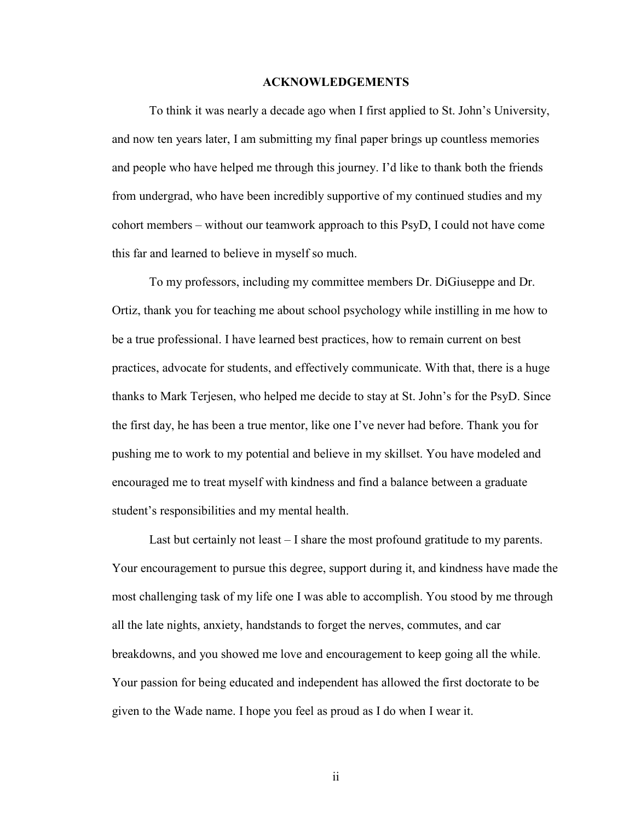#### **ACKNOWLEDGEMENTS**

 To think it was nearly a decade ago when I first applied to St. John's University, and now ten years later, I am submitting my final paper brings up countless memories and people who have helped me through this journey. I'd like to thank both the friends from undergrad, who have been incredibly supportive of my continued studies and my cohort members – without our teamwork approach to this PsyD, I could not have come this far and learned to believe in myself so much.

 To my professors, including my committee members Dr. DiGiuseppe and Dr. Ortiz, thank you for teaching me about school psychology while instilling in me how to be a true professional. I have learned best practices, how to remain current on best practices, advocate for students, and effectively communicate. With that, there is a huge thanks to Mark Terjesen, who helped me decide to stay at St. John's for the PsyD. Since the first day, he has been a true mentor, like one I've never had before. Thank you for pushing me to work to my potential and believe in my skillset. You have modeled and encouraged me to treat myself with kindness and find a balance between a graduate student's responsibilities and my mental health.

 Last but certainly not least – I share the most profound gratitude to my parents. Your encouragement to pursue this degree, support during it, and kindness have made the most challenging task of my life one I was able to accomplish. You stood by me through all the late nights, anxiety, handstands to forget the nerves, commutes, and car breakdowns, and you showed me love and encouragement to keep going all the while. Your passion for being educated and independent has allowed the first doctorate to be given to the Wade name. I hope you feel as proud as I do when I wear it.

ii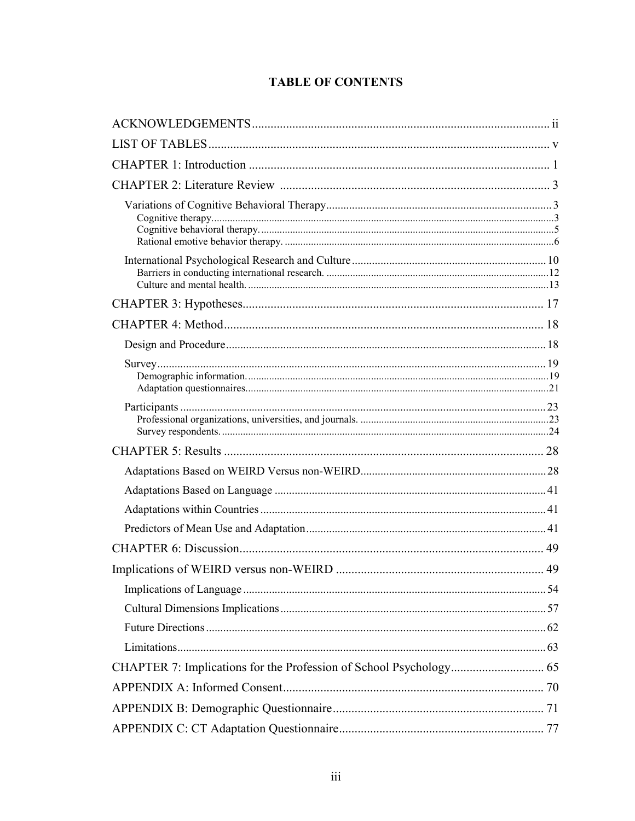## **TABLE OF CONTENTS**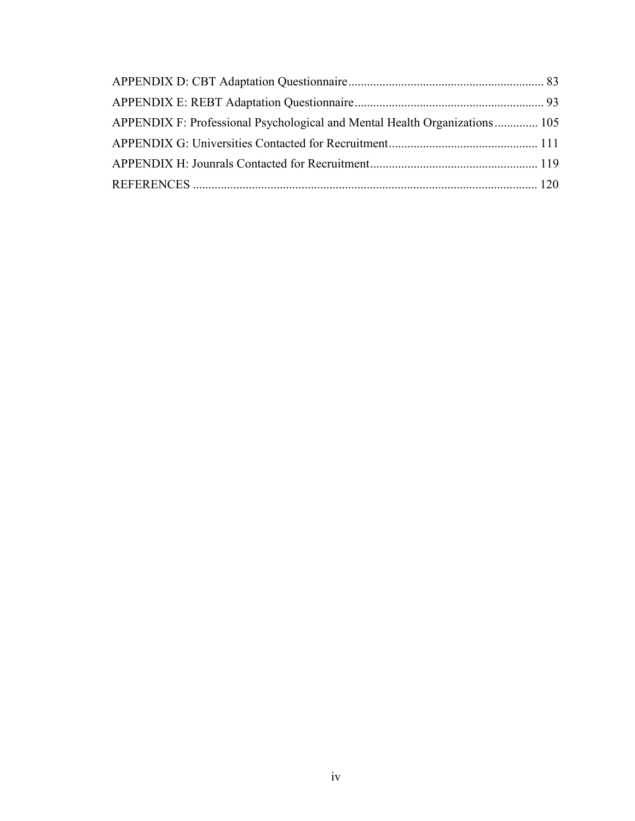| APPENDIX F: Professional Psychological and Mental Health Organizations 105 |  |
|----------------------------------------------------------------------------|--|
|                                                                            |  |
|                                                                            |  |
|                                                                            |  |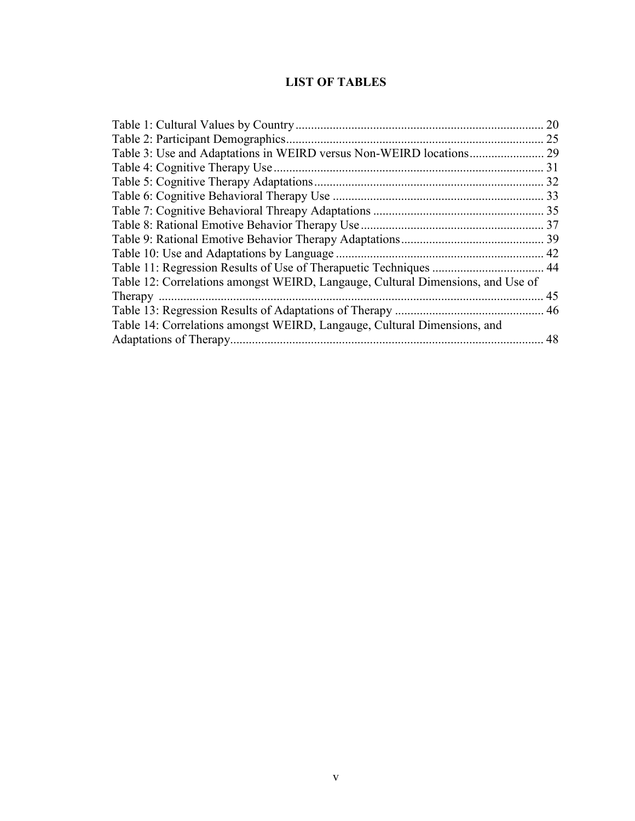## **LIST OF TABLES**

|                                                                                 | 20 |
|---------------------------------------------------------------------------------|----|
|                                                                                 | 25 |
|                                                                                 |    |
|                                                                                 |    |
|                                                                                 |    |
|                                                                                 |    |
|                                                                                 |    |
|                                                                                 |    |
|                                                                                 |    |
|                                                                                 |    |
|                                                                                 |    |
| Table 12: Correlations amongst WEIRD, Langauge, Cultural Dimensions, and Use of |    |
|                                                                                 |    |
|                                                                                 |    |
| Table 14: Correlations amongst WEIRD, Langauge, Cultural Dimensions, and        |    |
|                                                                                 |    |
|                                                                                 |    |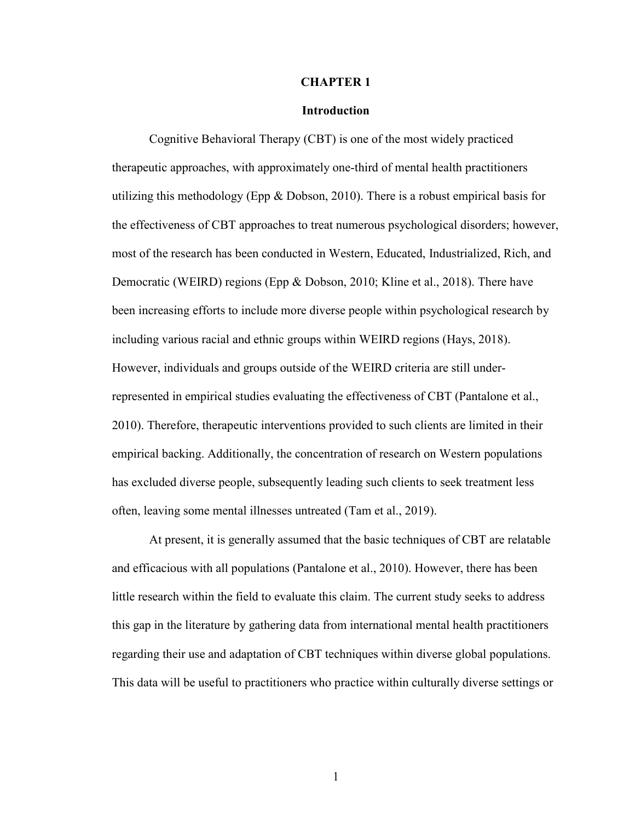#### **CHAPTER 1**

#### **Introduction**

Cognitive Behavioral Therapy (CBT) is one of the most widely practiced therapeutic approaches, with approximately one-third of mental health practitioners utilizing this methodology (Epp  $\&$  Dobson, 2010). There is a robust empirical basis for the effectiveness of CBT approaches to treat numerous psychological disorders; however, most of the research has been conducted in Western, Educated, Industrialized, Rich, and Democratic (WEIRD) regions (Epp & Dobson, 2010; Kline et al., 2018). There have been increasing efforts to include more diverse people within psychological research by including various racial and ethnic groups within WEIRD regions (Hays, 2018). However, individuals and groups outside of the WEIRD criteria are still underrepresented in empirical studies evaluating the effectiveness of CBT (Pantalone et al., 2010). Therefore, therapeutic interventions provided to such clients are limited in their empirical backing. Additionally, the concentration of research on Western populations has excluded diverse people, subsequently leading such clients to seek treatment less often, leaving some mental illnesses untreated (Tam et al., 2019).

At present, it is generally assumed that the basic techniques of CBT are relatable and efficacious with all populations (Pantalone et al., 2010). However, there has been little research within the field to evaluate this claim. The current study seeks to address this gap in the literature by gathering data from international mental health practitioners regarding their use and adaptation of CBT techniques within diverse global populations. This data will be useful to practitioners who practice within culturally diverse settings or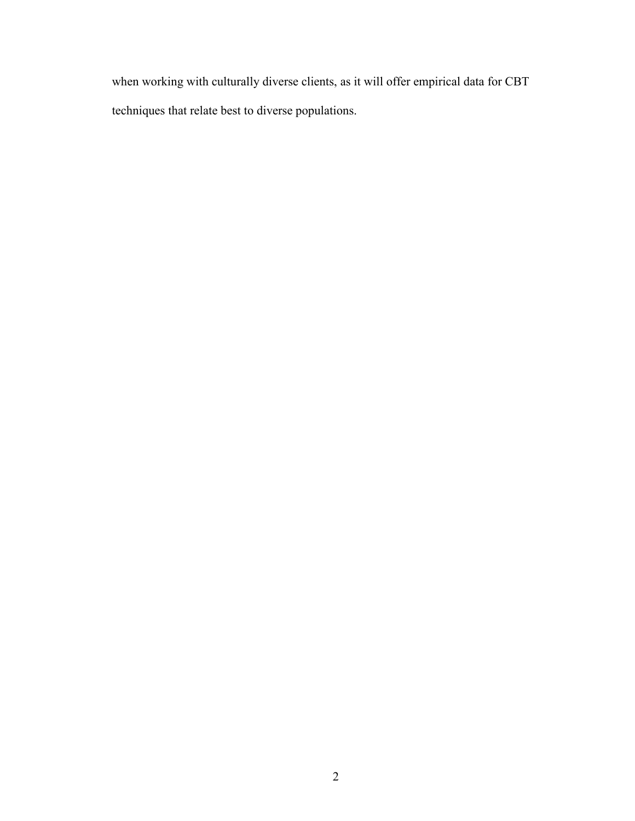when working with culturally diverse clients, as it will offer empirical data for CBT techniques that relate best to diverse populations.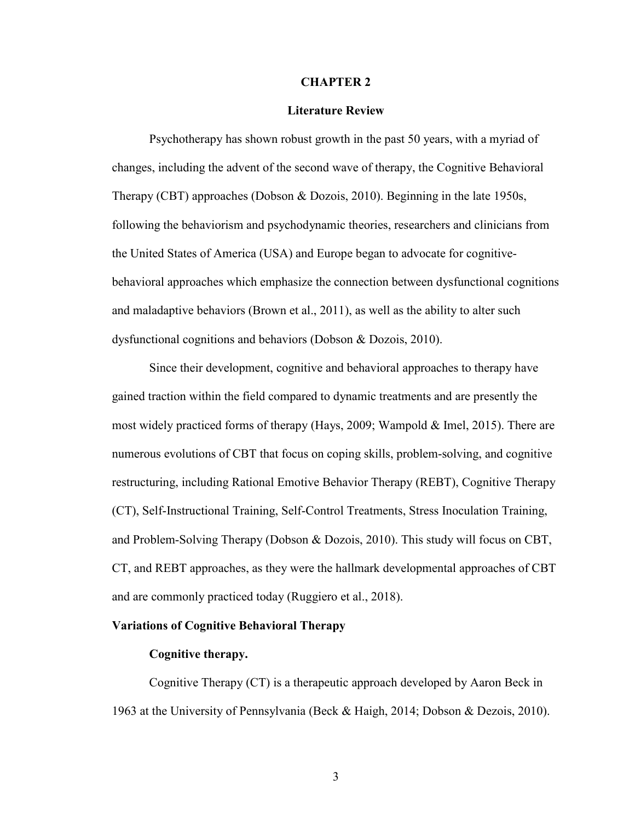#### **CHAPTER 2**

#### **Literature Review**

 Psychotherapy has shown robust growth in the past 50 years, with a myriad of changes, including the advent of the second wave of therapy, the Cognitive Behavioral Therapy (CBT) approaches (Dobson & Dozois, 2010). Beginning in the late 1950s, following the behaviorism and psychodynamic theories, researchers and clinicians from the United States of America (USA) and Europe began to advocate for cognitivebehavioral approaches which emphasize the connection between dysfunctional cognitions and maladaptive behaviors (Brown et al., 2011), as well as the ability to alter such dysfunctional cognitions and behaviors (Dobson & Dozois, 2010).

Since their development, cognitive and behavioral approaches to therapy have gained traction within the field compared to dynamic treatments and are presently the most widely practiced forms of therapy (Hays, 2009; Wampold & Imel, 2015). There are numerous evolutions of CBT that focus on coping skills, problem-solving, and cognitive restructuring, including Rational Emotive Behavior Therapy (REBT), Cognitive Therapy (CT), Self-Instructional Training, Self-Control Treatments, Stress Inoculation Training, and Problem-Solving Therapy (Dobson & Dozois, 2010). This study will focus on CBT, CT, and REBT approaches, as they were the hallmark developmental approaches of CBT and are commonly practiced today (Ruggiero et al., 2018).

#### **Variations of Cognitive Behavioral Therapy**

#### **Cognitive therapy.**

Cognitive Therapy (CT) is a therapeutic approach developed by Aaron Beck in 1963 at the University of Pennsylvania (Beck & Haigh, 2014; Dobson & Dezois, 2010).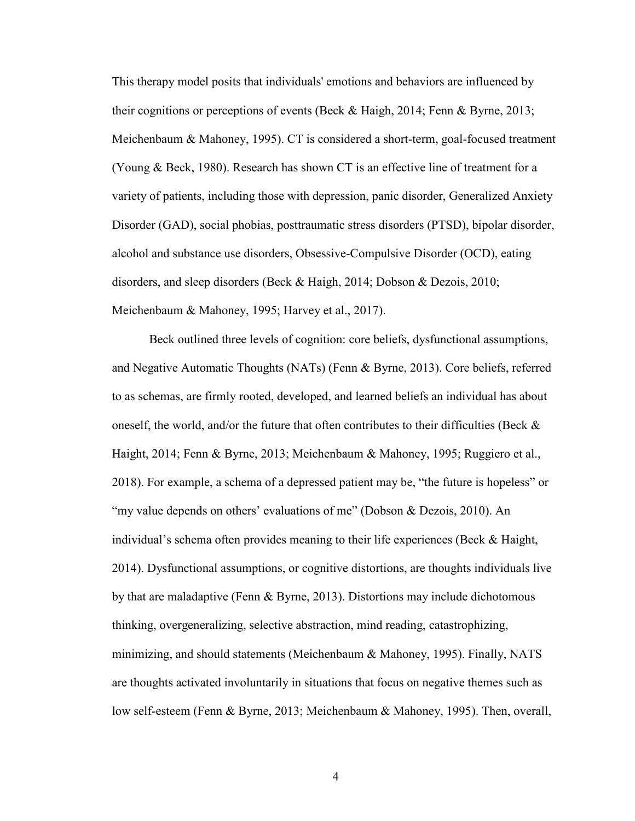This therapy model posits that individuals' emotions and behaviors are influenced by their cognitions or perceptions of events (Beck & Haigh, 2014; Fenn & Byrne, 2013; Meichenbaum & Mahoney, 1995). CT is considered a short-term, goal-focused treatment (Young & Beck, 1980). Research has shown CT is an effective line of treatment for a variety of patients, including those with depression, panic disorder, Generalized Anxiety Disorder (GAD), social phobias, posttraumatic stress disorders (PTSD), bipolar disorder, alcohol and substance use disorders, Obsessive-Compulsive Disorder (OCD), eating disorders, and sleep disorders (Beck & Haigh, 2014; Dobson & Dezois, 2010; Meichenbaum & Mahoney, 1995; Harvey et al., 2017).

Beck outlined three levels of cognition: core beliefs, dysfunctional assumptions, and Negative Automatic Thoughts (NATs) (Fenn & Byrne, 2013). Core beliefs, referred to as schemas, are firmly rooted, developed, and learned beliefs an individual has about oneself, the world, and/or the future that often contributes to their difficulties (Beck  $\&$ Haight, 2014; Fenn & Byrne, 2013; Meichenbaum & Mahoney, 1995; Ruggiero et al., 2018). For example, a schema of a depressed patient may be, "the future is hopeless" or "my value depends on others' evaluations of me" (Dobson & Dezois, 2010). An individual's schema often provides meaning to their life experiences (Beck & Haight, 2014). Dysfunctional assumptions, or cognitive distortions, are thoughts individuals live by that are maladaptive (Fenn & Byrne, 2013). Distortions may include dichotomous thinking, overgeneralizing, selective abstraction, mind reading, catastrophizing, minimizing, and should statements (Meichenbaum & Mahoney, 1995). Finally, NATS are thoughts activated involuntarily in situations that focus on negative themes such as low self-esteem (Fenn & Byrne, 2013; Meichenbaum & Mahoney, 1995). Then, overall,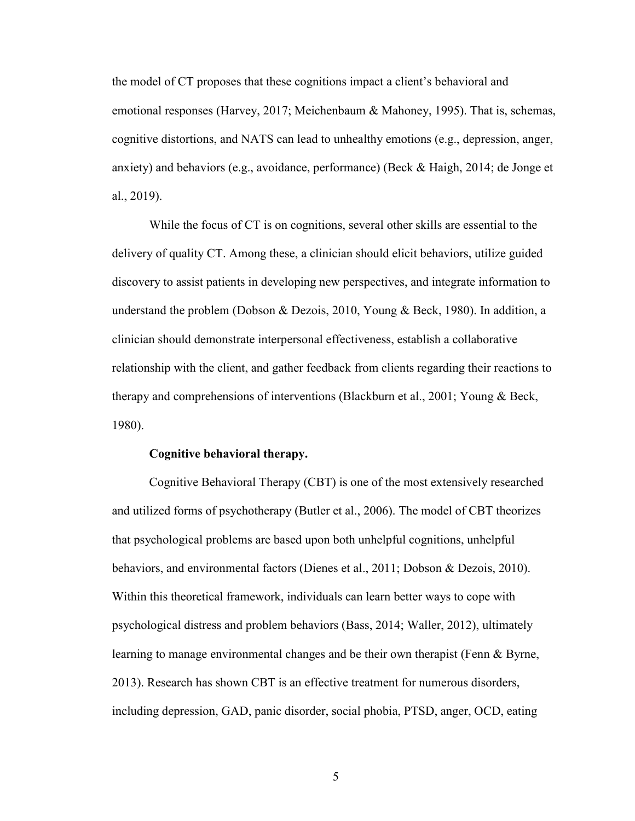the model of CT proposes that these cognitions impact a client's behavioral and emotional responses (Harvey, 2017; Meichenbaum & Mahoney, 1995). That is, schemas, cognitive distortions, and NATS can lead to unhealthy emotions (e.g., depression, anger, anxiety) and behaviors (e.g., avoidance, performance) (Beck & Haigh, 2014; de Jonge et al., 2019).

While the focus of CT is on cognitions, several other skills are essential to the delivery of quality CT. Among these, a clinician should elicit behaviors, utilize guided discovery to assist patients in developing new perspectives, and integrate information to understand the problem (Dobson & Dezois, 2010, Young & Beck, 1980). In addition, a clinician should demonstrate interpersonal effectiveness, establish a collaborative relationship with the client, and gather feedback from clients regarding their reactions to therapy and comprehensions of interventions (Blackburn et al., 2001; Young & Beck, 1980).

#### **Cognitive behavioral therapy.**

Cognitive Behavioral Therapy (CBT) is one of the most extensively researched and utilized forms of psychotherapy (Butler et al., 2006). The model of CBT theorizes that psychological problems are based upon both unhelpful cognitions, unhelpful behaviors, and environmental factors (Dienes et al., 2011; Dobson & Dezois, 2010). Within this theoretical framework, individuals can learn better ways to cope with psychological distress and problem behaviors (Bass, 2014; Waller, 2012), ultimately learning to manage environmental changes and be their own therapist (Fenn & Byrne, 2013). Research has shown CBT is an effective treatment for numerous disorders, including depression, GAD, panic disorder, social phobia, PTSD, anger, OCD, eating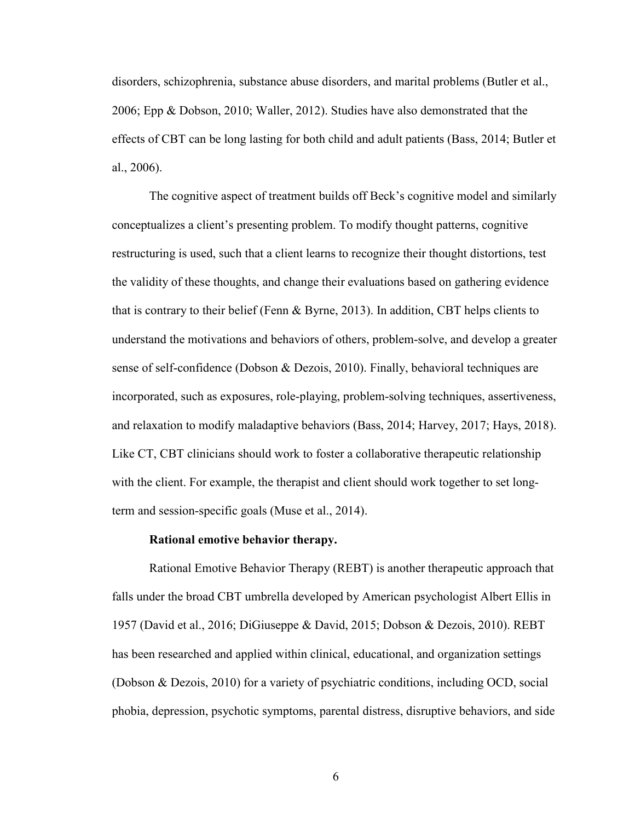disorders, schizophrenia, substance abuse disorders, and marital problems (Butler et al., 2006; Epp & Dobson, 2010; Waller, 2012). Studies have also demonstrated that the effects of CBT can be long lasting for both child and adult patients (Bass, 2014; Butler et al., 2006).

The cognitive aspect of treatment builds off Beck's cognitive model and similarly conceptualizes a client's presenting problem. To modify thought patterns, cognitive restructuring is used, such that a client learns to recognize their thought distortions, test the validity of these thoughts, and change their evaluations based on gathering evidence that is contrary to their belief (Fenn & Byrne, 2013). In addition, CBT helps clients to understand the motivations and behaviors of others, problem-solve, and develop a greater sense of self-confidence (Dobson & Dezois, 2010). Finally, behavioral techniques are incorporated, such as exposures, role-playing, problem-solving techniques, assertiveness, and relaxation to modify maladaptive behaviors (Bass, 2014; Harvey, 2017; Hays, 2018). Like CT, CBT clinicians should work to foster a collaborative therapeutic relationship with the client. For example, the therapist and client should work together to set longterm and session-specific goals (Muse et al., 2014).

#### **Rational emotive behavior therapy.**

Rational Emotive Behavior Therapy (REBT) is another therapeutic approach that falls under the broad CBT umbrella developed by American psychologist Albert Ellis in 1957 (David et al., 2016; DiGiuseppe & David, 2015; Dobson & Dezois, 2010). REBT has been researched and applied within clinical, educational, and organization settings (Dobson & Dezois, 2010) for a variety of psychiatric conditions, including OCD, social phobia, depression, psychotic symptoms, parental distress, disruptive behaviors, and side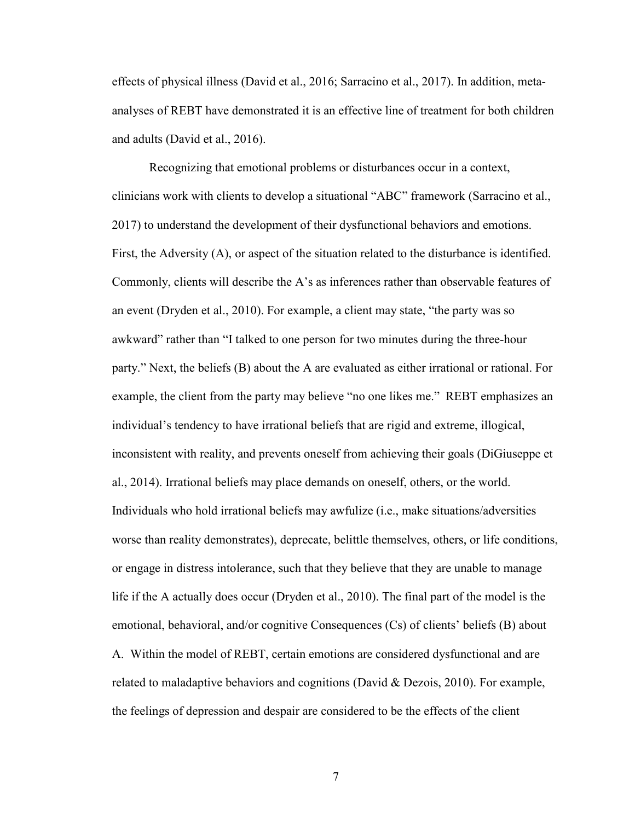effects of physical illness (David et al., 2016; Sarracino et al., 2017). In addition, metaanalyses of REBT have demonstrated it is an effective line of treatment for both children and adults (David et al., 2016).

Recognizing that emotional problems or disturbances occur in a context, clinicians work with clients to develop a situational "ABC" framework (Sarracino et al., 2017) to understand the development of their dysfunctional behaviors and emotions. First, the Adversity (A), or aspect of the situation related to the disturbance is identified. Commonly, clients will describe the A's as inferences rather than observable features of an event (Dryden et al., 2010). For example, a client may state, "the party was so awkward" rather than "I talked to one person for two minutes during the three-hour party." Next, the beliefs (B) about the A are evaluated as either irrational or rational. For example, the client from the party may believe "no one likes me." REBT emphasizes an individual's tendency to have irrational beliefs that are rigid and extreme, illogical, inconsistent with reality, and prevents oneself from achieving their goals (DiGiuseppe et al., 2014). Irrational beliefs may place demands on oneself, others, or the world. Individuals who hold irrational beliefs may awfulize (i.e., make situations/adversities worse than reality demonstrates), deprecate, belittle themselves, others, or life conditions, or engage in distress intolerance, such that they believe that they are unable to manage life if the A actually does occur (Dryden et al., 2010). The final part of the model is the emotional, behavioral, and/or cognitive Consequences (Cs) of clients' beliefs (B) about A. Within the model of REBT, certain emotions are considered dysfunctional and are related to maladaptive behaviors and cognitions (David & Dezois, 2010). For example, the feelings of depression and despair are considered to be the effects of the client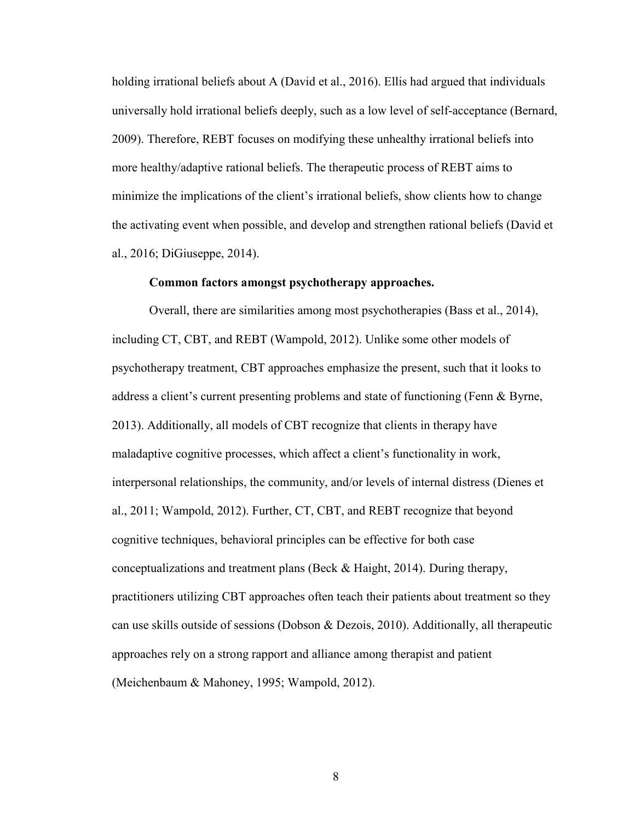holding irrational beliefs about A (David et al., 2016). Ellis had argued that individuals universally hold irrational beliefs deeply, such as a low level of self-acceptance (Bernard, 2009). Therefore, REBT focuses on modifying these unhealthy irrational beliefs into more healthy/adaptive rational beliefs. The therapeutic process of REBT aims to minimize the implications of the client's irrational beliefs, show clients how to change the activating event when possible, and develop and strengthen rational beliefs (David et al., 2016; DiGiuseppe, 2014).

#### **Common factors amongst psychotherapy approaches.**

Overall, there are similarities among most psychotherapies (Bass et al., 2014), including CT, CBT, and REBT (Wampold, 2012). Unlike some other models of psychotherapy treatment, CBT approaches emphasize the present, such that it looks to address a client's current presenting problems and state of functioning (Fenn & Byrne, 2013). Additionally, all models of CBT recognize that clients in therapy have maladaptive cognitive processes, which affect a client's functionality in work, interpersonal relationships, the community, and/or levels of internal distress (Dienes et al., 2011; Wampold, 2012). Further, CT, CBT, and REBT recognize that beyond cognitive techniques, behavioral principles can be effective for both case conceptualizations and treatment plans (Beck  $\&$  Haight, 2014). During therapy, practitioners utilizing CBT approaches often teach their patients about treatment so they can use skills outside of sessions (Dobson & Dezois, 2010). Additionally, all therapeutic approaches rely on a strong rapport and alliance among therapist and patient (Meichenbaum & Mahoney, 1995; Wampold, 2012).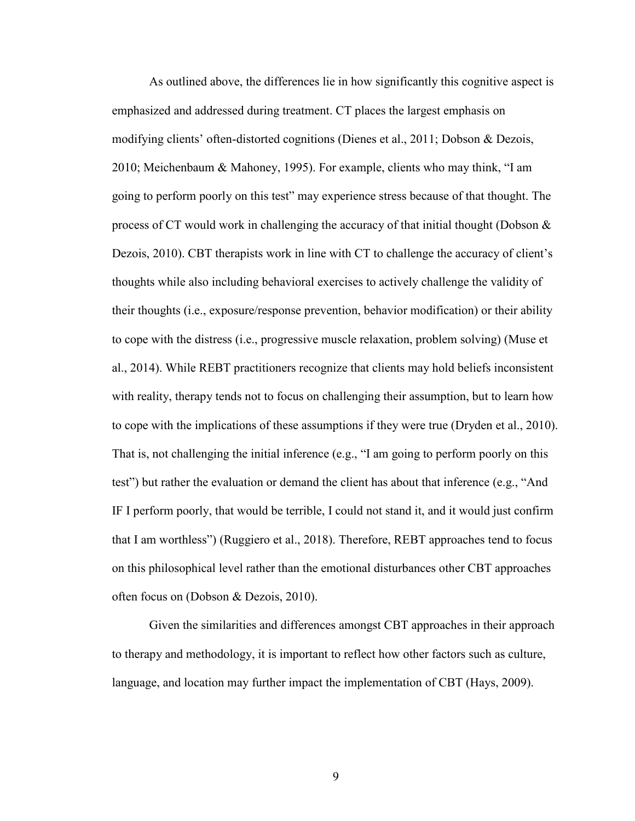As outlined above, the differences lie in how significantly this cognitive aspect is emphasized and addressed during treatment. CT places the largest emphasis on modifying clients' often-distorted cognitions (Dienes et al., 2011; Dobson & Dezois, 2010; Meichenbaum & Mahoney, 1995). For example, clients who may think, "I am going to perform poorly on this test" may experience stress because of that thought. The process of CT would work in challenging the accuracy of that initial thought (Dobson & Dezois, 2010). CBT therapists work in line with CT to challenge the accuracy of client's thoughts while also including behavioral exercises to actively challenge the validity of their thoughts (i.e., exposure/response prevention, behavior modification) or their ability to cope with the distress (i.e., progressive muscle relaxation, problem solving) (Muse et al., 2014). While REBT practitioners recognize that clients may hold beliefs inconsistent with reality, therapy tends not to focus on challenging their assumption, but to learn how to cope with the implications of these assumptions if they were true (Dryden et al., 2010). That is, not challenging the initial inference (e.g., "I am going to perform poorly on this test") but rather the evaluation or demand the client has about that inference (e.g., "And IF I perform poorly, that would be terrible, I could not stand it, and it would just confirm that I am worthless") (Ruggiero et al., 2018). Therefore, REBT approaches tend to focus on this philosophical level rather than the emotional disturbances other CBT approaches often focus on (Dobson & Dezois, 2010).

Given the similarities and differences amongst CBT approaches in their approach to therapy and methodology, it is important to reflect how other factors such as culture, language, and location may further impact the implementation of CBT (Hays, 2009).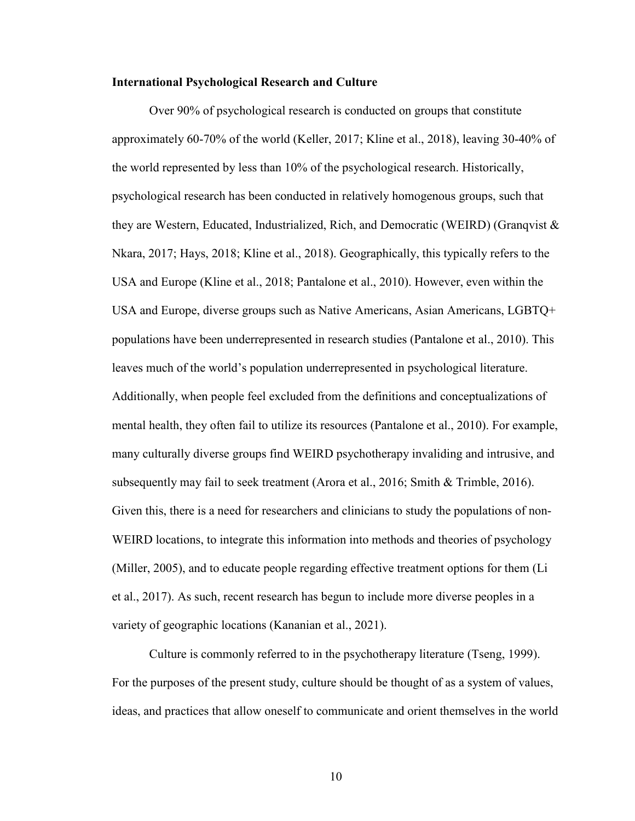#### **International Psychological Research and Culture**

Over 90% of psychological research is conducted on groups that constitute approximately 60-70% of the world (Keller, 2017; Kline et al., 2018), leaving 30-40% of the world represented by less than 10% of the psychological research. Historically, psychological research has been conducted in relatively homogenous groups, such that they are Western, Educated, Industrialized, Rich, and Democratic (WEIRD) (Granqvist & Nkara, 2017; Hays, 2018; Kline et al., 2018). Geographically, this typically refers to the USA and Europe (Kline et al., 2018; Pantalone et al., 2010). However, even within the USA and Europe, diverse groups such as Native Americans, Asian Americans, LGBTQ+ populations have been underrepresented in research studies (Pantalone et al., 2010). This leaves much of the world's population underrepresented in psychological literature. Additionally, when people feel excluded from the definitions and conceptualizations of mental health, they often fail to utilize its resources (Pantalone et al., 2010). For example, many culturally diverse groups find WEIRD psychotherapy invaliding and intrusive, and subsequently may fail to seek treatment (Arora et al., 2016; Smith & Trimble, 2016). Given this, there is a need for researchers and clinicians to study the populations of non-WEIRD locations, to integrate this information into methods and theories of psychology (Miller, 2005), and to educate people regarding effective treatment options for them (Li et al., 2017). As such, recent research has begun to include more diverse peoples in a variety of geographic locations (Kananian et al., 2021).

Culture is commonly referred to in the psychotherapy literature (Tseng, 1999). For the purposes of the present study, culture should be thought of as a system of values, ideas, and practices that allow oneself to communicate and orient themselves in the world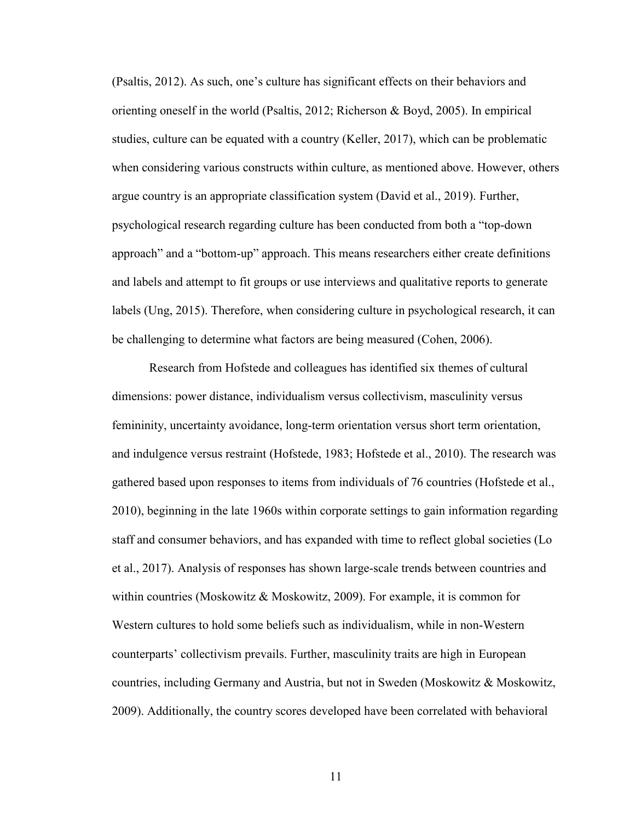(Psaltis, 2012). As such, one's culture has significant effects on their behaviors and orienting oneself in the world (Psaltis, 2012; Richerson & Boyd, 2005). In empirical studies, culture can be equated with a country (Keller, 2017), which can be problematic when considering various constructs within culture, as mentioned above. However, others argue country is an appropriate classification system (David et al., 2019). Further, psychological research regarding culture has been conducted from both a "top-down approach" and a "bottom-up" approach. This means researchers either create definitions and labels and attempt to fit groups or use interviews and qualitative reports to generate labels (Ung, 2015). Therefore, when considering culture in psychological research, it can be challenging to determine what factors are being measured (Cohen, 2006).

Research from Hofstede and colleagues has identified six themes of cultural dimensions: power distance, individualism versus collectivism, masculinity versus femininity, uncertainty avoidance, long-term orientation versus short term orientation, and indulgence versus restraint (Hofstede, 1983; Hofstede et al., 2010). The research was gathered based upon responses to items from individuals of 76 countries (Hofstede et al., 2010), beginning in the late 1960s within corporate settings to gain information regarding staff and consumer behaviors, and has expanded with time to reflect global societies (Lo et al., 2017). Analysis of responses has shown large-scale trends between countries and within countries (Moskowitz & Moskowitz, 2009). For example, it is common for Western cultures to hold some beliefs such as individualism, while in non-Western counterparts' collectivism prevails. Further, masculinity traits are high in European countries, including Germany and Austria, but not in Sweden (Moskowitz & Moskowitz, 2009). Additionally, the country scores developed have been correlated with behavioral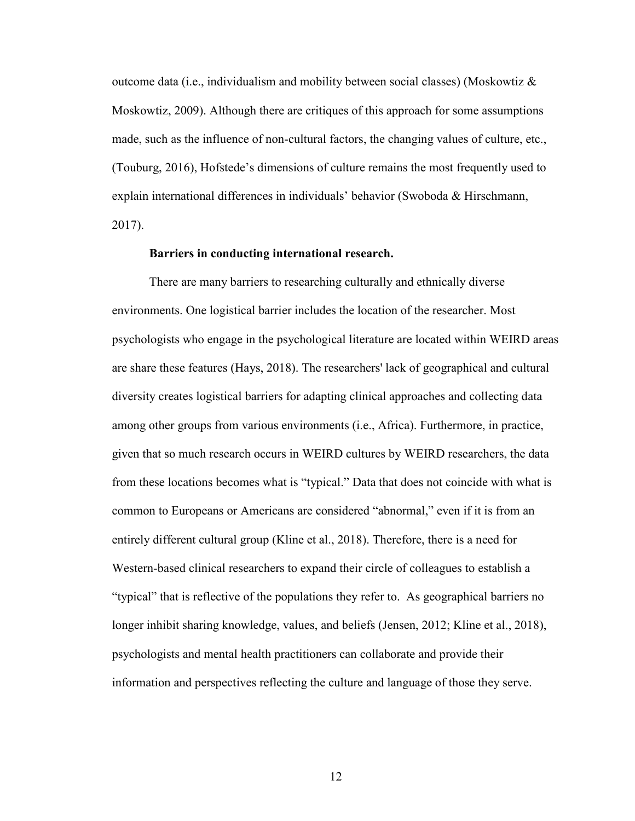outcome data (i.e., individualism and mobility between social classes) (Moskowtiz  $\&$ Moskowtiz, 2009). Although there are critiques of this approach for some assumptions made, such as the influence of non-cultural factors, the changing values of culture, etc., (Touburg, 2016), Hofstede's dimensions of culture remains the most frequently used to explain international differences in individuals' behavior (Swoboda & Hirschmann, 2017).

#### **Barriers in conducting international research.**

There are many barriers to researching culturally and ethnically diverse environments. One logistical barrier includes the location of the researcher. Most psychologists who engage in the psychological literature are located within WEIRD areas are share these features (Hays, 2018). The researchers' lack of geographical and cultural diversity creates logistical barriers for adapting clinical approaches and collecting data among other groups from various environments (i.e., Africa). Furthermore, in practice, given that so much research occurs in WEIRD cultures by WEIRD researchers, the data from these locations becomes what is "typical." Data that does not coincide with what is common to Europeans or Americans are considered "abnormal," even if it is from an entirely different cultural group (Kline et al., 2018). Therefore, there is a need for Western-based clinical researchers to expand their circle of colleagues to establish a "typical" that is reflective of the populations they refer to. As geographical barriers no longer inhibit sharing knowledge, values, and beliefs (Jensen, 2012; Kline et al., 2018), psychologists and mental health practitioners can collaborate and provide their information and perspectives reflecting the culture and language of those they serve.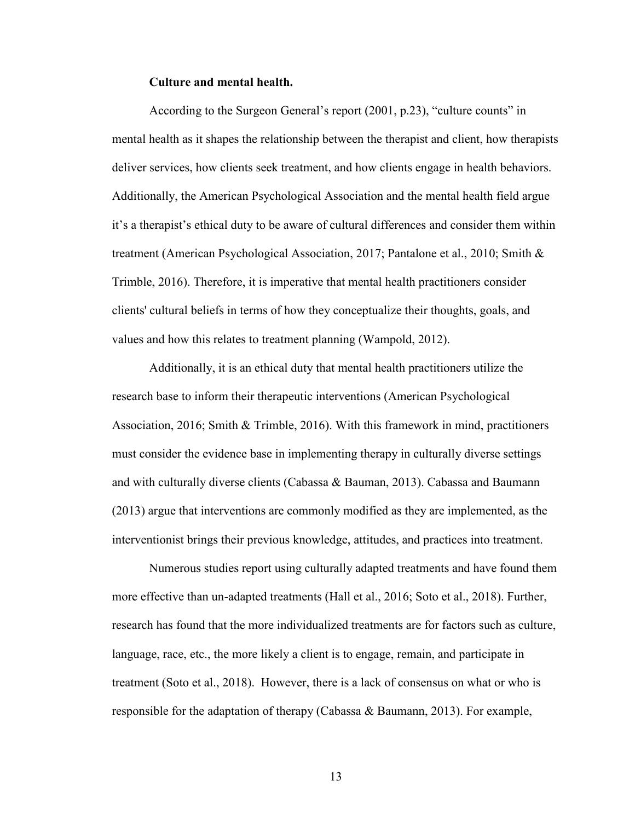#### **Culture and mental health.**

According to the Surgeon General's report (2001, p.23), "culture counts" in mental health as it shapes the relationship between the therapist and client, how therapists deliver services, how clients seek treatment, and how clients engage in health behaviors. Additionally, the American Psychological Association and the mental health field argue it's a therapist's ethical duty to be aware of cultural differences and consider them within treatment (American Psychological Association, 2017; Pantalone et al., 2010; Smith & Trimble, 2016). Therefore, it is imperative that mental health practitioners consider clients' cultural beliefs in terms of how they conceptualize their thoughts, goals, and values and how this relates to treatment planning (Wampold, 2012).

Additionally, it is an ethical duty that mental health practitioners utilize the research base to inform their therapeutic interventions (American Psychological Association, 2016; Smith & Trimble, 2016). With this framework in mind, practitioners must consider the evidence base in implementing therapy in culturally diverse settings and with culturally diverse clients (Cabassa & Bauman, 2013). Cabassa and Baumann (2013) argue that interventions are commonly modified as they are implemented, as the interventionist brings their previous knowledge, attitudes, and practices into treatment.

Numerous studies report using culturally adapted treatments and have found them more effective than un-adapted treatments (Hall et al., 2016; Soto et al., 2018). Further, research has found that the more individualized treatments are for factors such as culture, language, race, etc., the more likely a client is to engage, remain, and participate in treatment (Soto et al., 2018). However, there is a lack of consensus on what or who is responsible for the adaptation of therapy (Cabassa & Baumann, 2013). For example,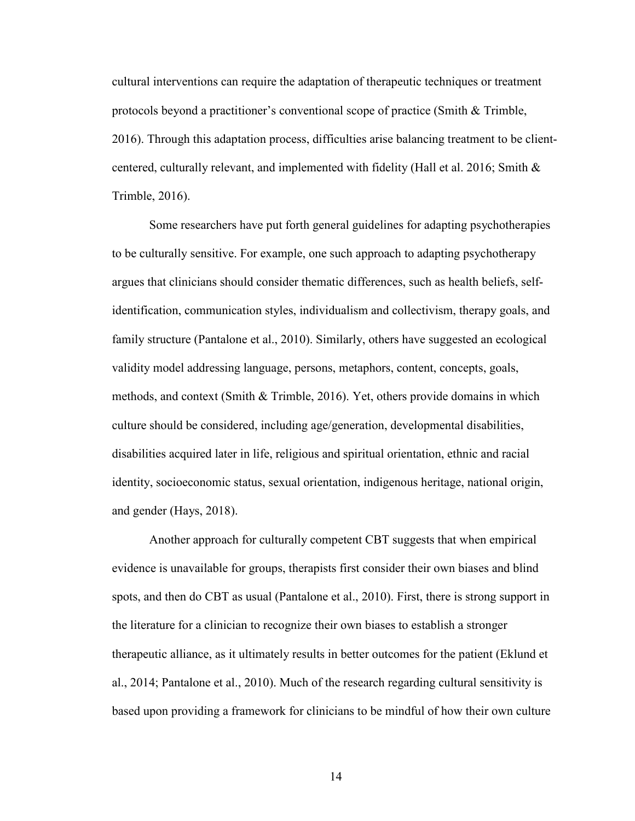cultural interventions can require the adaptation of therapeutic techniques or treatment protocols beyond a practitioner's conventional scope of practice (Smith & Trimble, 2016). Through this adaptation process, difficulties arise balancing treatment to be clientcentered, culturally relevant, and implemented with fidelity (Hall et al. 2016; Smith & Trimble, 2016).

Some researchers have put forth general guidelines for adapting psychotherapies to be culturally sensitive. For example, one such approach to adapting psychotherapy argues that clinicians should consider thematic differences, such as health beliefs, selfidentification, communication styles, individualism and collectivism, therapy goals, and family structure (Pantalone et al., 2010). Similarly, others have suggested an ecological validity model addressing language, persons, metaphors, content, concepts, goals, methods, and context (Smith & Trimble, 2016). Yet, others provide domains in which culture should be considered, including age/generation, developmental disabilities, disabilities acquired later in life, religious and spiritual orientation, ethnic and racial identity, socioeconomic status, sexual orientation, indigenous heritage, national origin, and gender (Hays, 2018).

Another approach for culturally competent CBT suggests that when empirical evidence is unavailable for groups, therapists first consider their own biases and blind spots, and then do CBT as usual (Pantalone et al., 2010). First, there is strong support in the literature for a clinician to recognize their own biases to establish a stronger therapeutic alliance, as it ultimately results in better outcomes for the patient (Eklund et al., 2014; Pantalone et al., 2010). Much of the research regarding cultural sensitivity is based upon providing a framework for clinicians to be mindful of how their own culture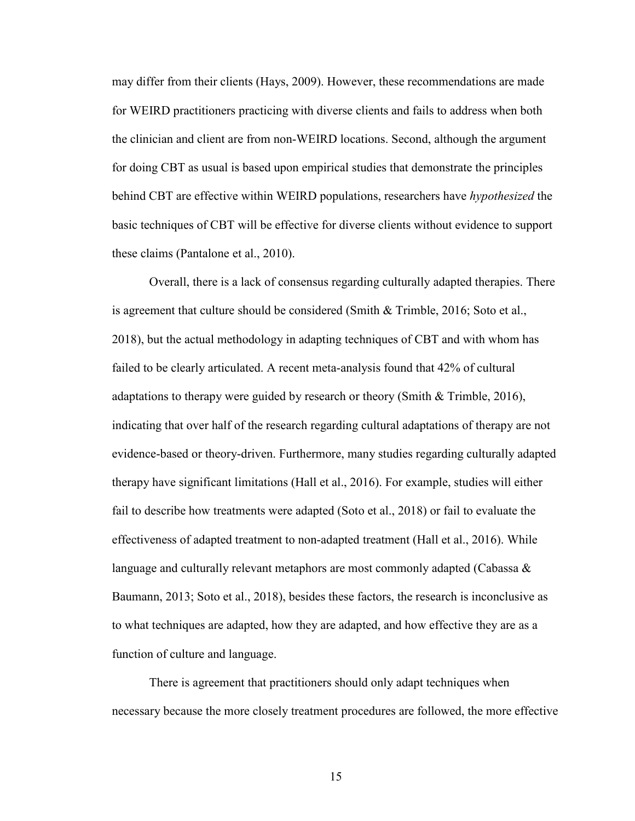may differ from their clients (Hays, 2009). However, these recommendations are made for WEIRD practitioners practicing with diverse clients and fails to address when both the clinician and client are from non-WEIRD locations. Second, although the argument for doing CBT as usual is based upon empirical studies that demonstrate the principles behind CBT are effective within WEIRD populations, researchers have *hypothesized* the basic techniques of CBT will be effective for diverse clients without evidence to support these claims (Pantalone et al., 2010).

Overall, there is a lack of consensus regarding culturally adapted therapies. There is agreement that culture should be considered (Smith & Trimble, 2016; Soto et al., 2018), but the actual methodology in adapting techniques of CBT and with whom has failed to be clearly articulated. A recent meta-analysis found that 42% of cultural adaptations to therapy were guided by research or theory (Smith  $\&$  Trimble, 2016), indicating that over half of the research regarding cultural adaptations of therapy are not evidence-based or theory-driven. Furthermore, many studies regarding culturally adapted therapy have significant limitations (Hall et al., 2016). For example, studies will either fail to describe how treatments were adapted (Soto et al., 2018) or fail to evaluate the effectiveness of adapted treatment to non-adapted treatment (Hall et al., 2016). While language and culturally relevant metaphors are most commonly adapted (Cabassa & Baumann, 2013; Soto et al., 2018), besides these factors, the research is inconclusive as to what techniques are adapted, how they are adapted, and how effective they are as a function of culture and language.

There is agreement that practitioners should only adapt techniques when necessary because the more closely treatment procedures are followed, the more effective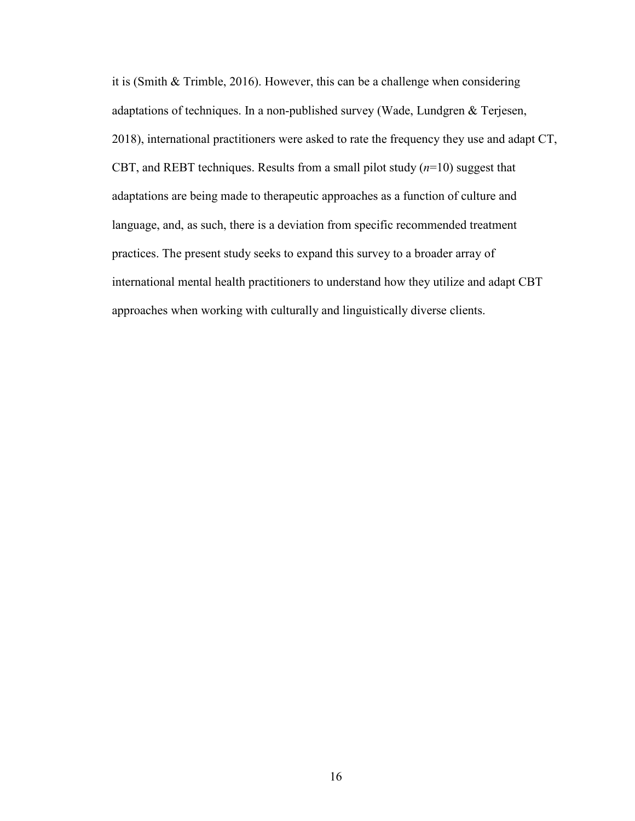it is (Smith & Trimble, 2016). However, this can be a challenge when considering adaptations of techniques. In a non-published survey (Wade, Lundgren & Terjesen, 2018), international practitioners were asked to rate the frequency they use and adapt CT, CBT, and REBT techniques. Results from a small pilot study  $(n=10)$  suggest that adaptations are being made to therapeutic approaches as a function of culture and language, and, as such, there is a deviation from specific recommended treatment practices. The present study seeks to expand this survey to a broader array of international mental health practitioners to understand how they utilize and adapt CBT approaches when working with culturally and linguistically diverse clients.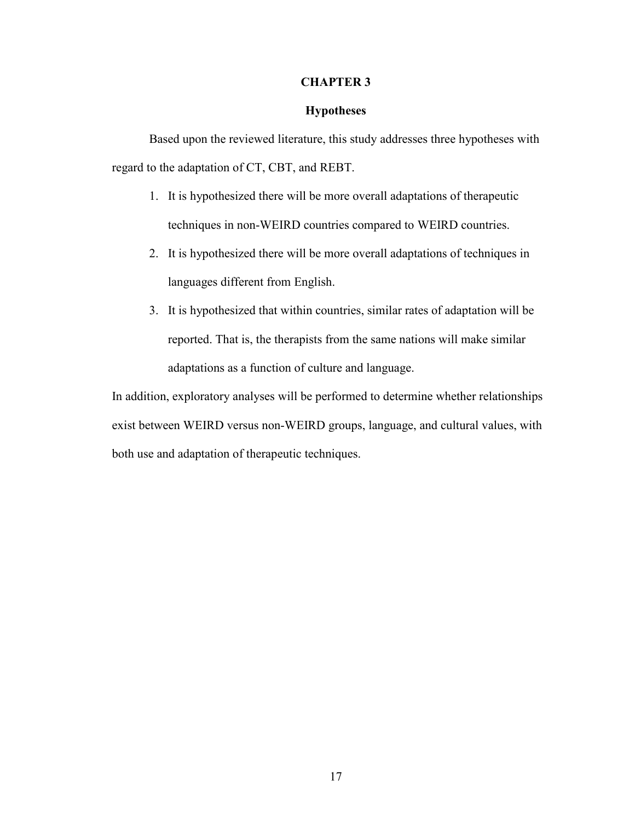#### **CHAPTER 3**

#### **Hypotheses**

Based upon the reviewed literature, this study addresses three hypotheses with regard to the adaptation of CT, CBT, and REBT.

- 1. It is hypothesized there will be more overall adaptations of therapeutic techniques in non-WEIRD countries compared to WEIRD countries.
- 2. It is hypothesized there will be more overall adaptations of techniques in languages different from English.
- 3. It is hypothesized that within countries, similar rates of adaptation will be reported. That is, the therapists from the same nations will make similar adaptations as a function of culture and language.

In addition, exploratory analyses will be performed to determine whether relationships exist between WEIRD versus non-WEIRD groups, language, and cultural values, with both use and adaptation of therapeutic techniques.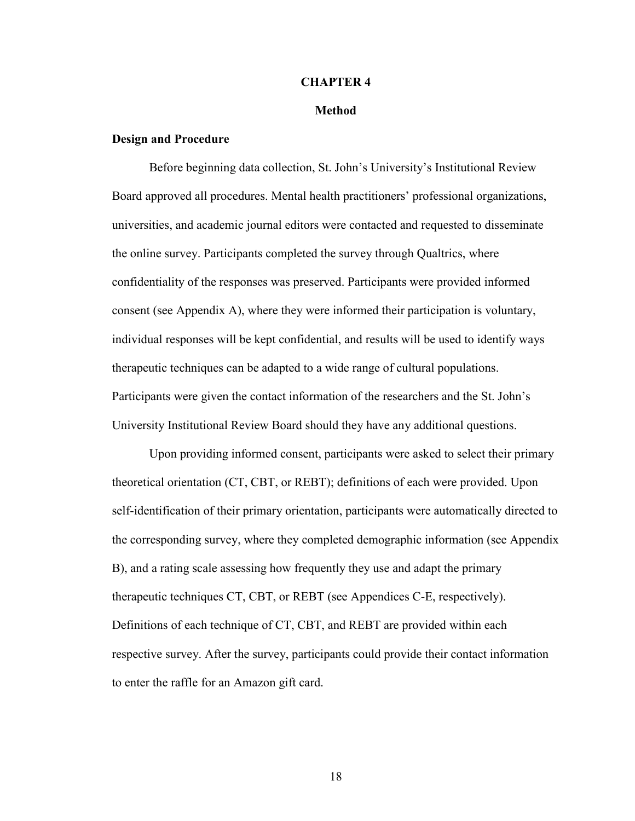#### **CHAPTER 4**

#### **Method**

#### **Design and Procedure**

Before beginning data collection, St. John's University's Institutional Review Board approved all procedures. Mental health practitioners' professional organizations, universities, and academic journal editors were contacted and requested to disseminate the online survey. Participants completed the survey through Qualtrics, where confidentiality of the responses was preserved. Participants were provided informed consent (see Appendix A), where they were informed their participation is voluntary, individual responses will be kept confidential, and results will be used to identify ways therapeutic techniques can be adapted to a wide range of cultural populations. Participants were given the contact information of the researchers and the St. John's University Institutional Review Board should they have any additional questions.

Upon providing informed consent, participants were asked to select their primary theoretical orientation (CT, CBT, or REBT); definitions of each were provided. Upon self-identification of their primary orientation, participants were automatically directed to the corresponding survey, where they completed demographic information (see Appendix B), and a rating scale assessing how frequently they use and adapt the primary therapeutic techniques CT, CBT, or REBT (see Appendices C-E, respectively). Definitions of each technique of CT, CBT, and REBT are provided within each respective survey. After the survey, participants could provide their contact information to enter the raffle for an Amazon gift card.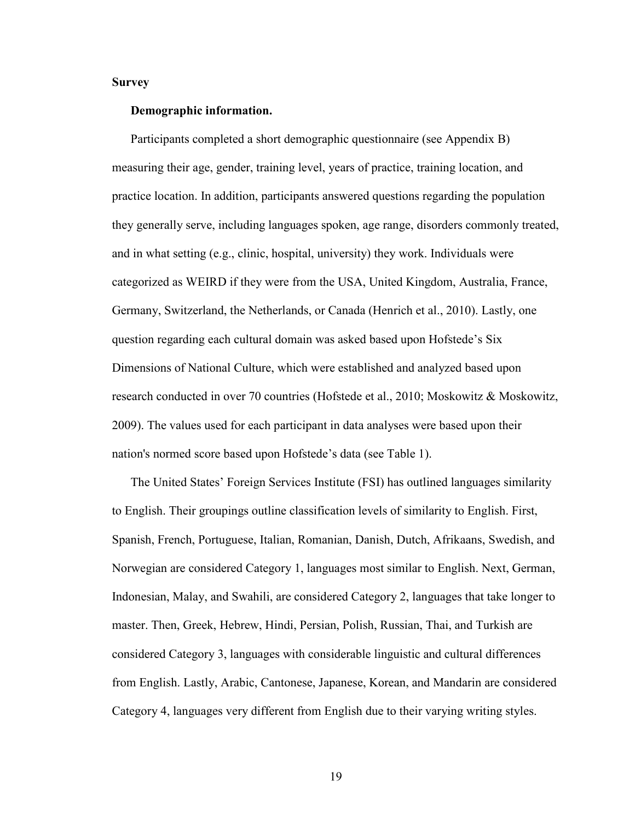#### **Survey**

#### **Demographic information.**

Participants completed a short demographic questionnaire (see Appendix B) measuring their age, gender, training level, years of practice, training location, and practice location. In addition, participants answered questions regarding the population they generally serve, including languages spoken, age range, disorders commonly treated, and in what setting (e.g., clinic, hospital, university) they work. Individuals were categorized as WEIRD if they were from the USA, United Kingdom, Australia, France, Germany, Switzerland, the Netherlands, or Canada (Henrich et al., 2010). Lastly, one question regarding each cultural domain was asked based upon Hofstede's Six Dimensions of National Culture, which were established and analyzed based upon research conducted in over 70 countries (Hofstede et al., 2010; Moskowitz & Moskowitz, 2009). The values used for each participant in data analyses were based upon their nation's normed score based upon Hofstede's data (see Table 1).

The United States' Foreign Services Institute (FSI) has outlined languages similarity to English. Their groupings outline classification levels of similarity to English. First, Spanish, French, Portuguese, Italian, Romanian, Danish, Dutch, Afrikaans, Swedish, and Norwegian are considered Category 1, languages most similar to English. Next, German, Indonesian, Malay, and Swahili, are considered Category 2, languages that take longer to master. Then, Greek, Hebrew, Hindi, Persian, Polish, Russian, Thai, and Turkish are considered Category 3, languages with considerable linguistic and cultural differences from English. Lastly, Arabic, Cantonese, Japanese, Korean, and Mandarin are considered Category 4, languages very different from English due to their varying writing styles.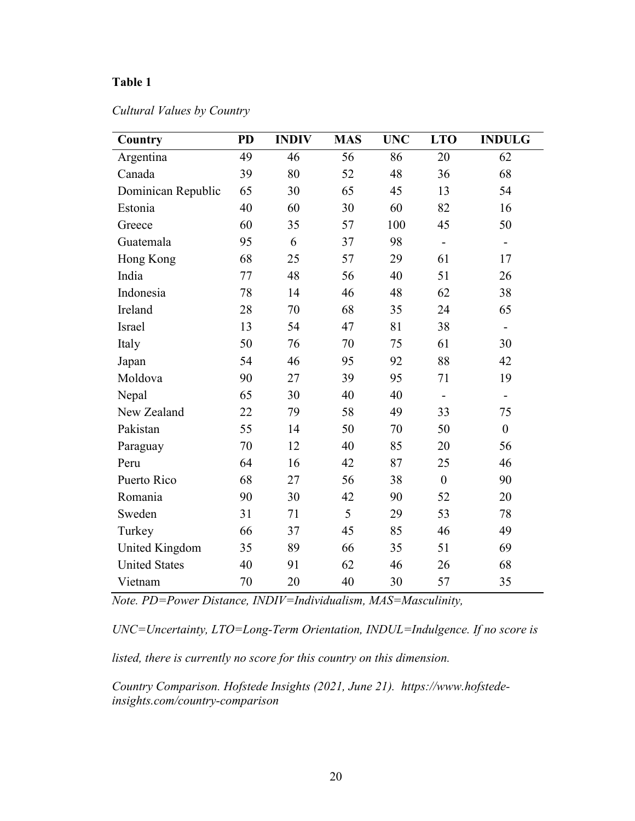### **Table 1**

## *Cultural Values by Country*

| Country              | <b>PD</b> | <b>INDIV</b> | <b>MAS</b> | <b>UNC</b> | <b>LTO</b>     | <b>INDULG</b>                |
|----------------------|-----------|--------------|------------|------------|----------------|------------------------------|
| Argentina            | 49        | 46           | 56         | 86         | 20             | 62                           |
| Canada               | 39        | 80           | 52         | 48         | 36             | 68                           |
| Dominican Republic   | 65        | 30           | 65         | 45         | 13             | 54                           |
| Estonia              | 40        | 60           | 30         | 60         | 82             | 16                           |
| Greece               | 60        | 35           | 57         | 100        | 45             | 50                           |
| Guatemala            | 95        | 6            | 37         | 98         | ÷,             |                              |
| Hong Kong            | 68        | 25           | 57         | 29         | 61             | 17                           |
| India                | 77        | 48           | 56         | 40         | 51             | 26                           |
| Indonesia            | 78        | 14           | 46         | 48         | 62             | 38                           |
| Ireland              | 28        | 70           | 68         | 35         | 24             | 65                           |
| Israel               | 13        | 54           | 47         | 81         | 38             | $\qquad \qquad \blacksquare$ |
| Italy                | 50        | 76           | 70         | 75         | 61             | 30                           |
| Japan                | 54        | 46           | 95         | 92         | 88             | 42                           |
| Moldova              | 90        | 27           | 39         | 95         | 71             | 19                           |
| Nepal                | 65        | 30           | 40         | 40         |                | $\blacksquare$               |
| New Zealand          | 22        | 79           | 58         | 49         | 33             | 75                           |
| Pakistan             | 55        | 14           | 50         | 70         | 50             | $\boldsymbol{0}$             |
| Paraguay             | 70        | 12           | 40         | 85         | 20             | 56                           |
| Peru                 | 64        | 16           | 42         | 87         | 25             | 46                           |
| Puerto Rico          | 68        | 27           | 56         | 38         | $\overline{0}$ | 90                           |
| Romania              | 90        | 30           | 42         | 90         | 52             | 20                           |
| Sweden               | 31        | 71           | 5          | 29         | 53             | 78                           |
| Turkey               | 66        | 37           | 45         | 85         | 46             | 49                           |
| United Kingdom       | 35        | 89           | 66         | 35         | 51             | 69                           |
| <b>United States</b> | 40        | 91           | 62         | 46         | 26             | 68                           |
| Vietnam              | 70        | 20           | 40         | 30         | 57             | 35                           |

*Note. PD=Power Distance, INDIV=Individualism, MAS=Masculinity,* 

*UNC=Uncertainty, LTO=Long-Term Orientation, INDUL=Indulgence. If no score is listed, there is currently no score for this country on this dimension.* 

*Country Comparison. Hofstede Insights (2021, June 21). https://www.hofstedeinsights.com/country-comparison*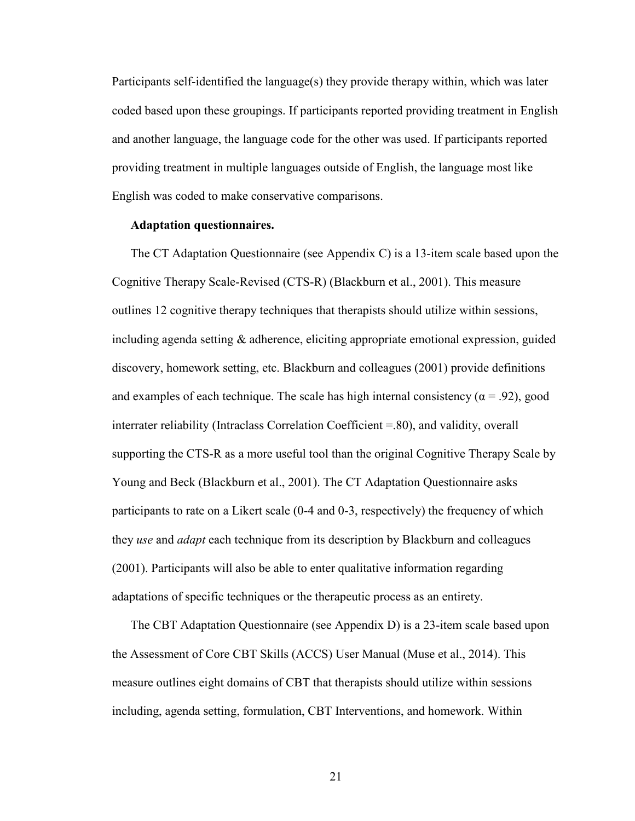Participants self-identified the language(s) they provide therapy within, which was later coded based upon these groupings. If participants reported providing treatment in English and another language, the language code for the other was used. If participants reported providing treatment in multiple languages outside of English, the language most like English was coded to make conservative comparisons.

#### **Adaptation questionnaires.**

The CT Adaptation Questionnaire (see Appendix C) is a 13-item scale based upon the Cognitive Therapy Scale-Revised (CTS-R) (Blackburn et al., 2001). This measure outlines 12 cognitive therapy techniques that therapists should utilize within sessions, including agenda setting  $\&$  adherence, eliciting appropriate emotional expression, guided discovery, homework setting, etc. Blackburn and colleagues (2001) provide definitions and examples of each technique. The scale has high internal consistency ( $\alpha$  = .92), good interrater reliability (Intraclass Correlation Coefficient =.80), and validity, overall supporting the CTS-R as a more useful tool than the original Cognitive Therapy Scale by Young and Beck (Blackburn et al., 2001). The CT Adaptation Questionnaire asks participants to rate on a Likert scale (0-4 and 0-3, respectively) the frequency of which they *use* and *adapt* each technique from its description by Blackburn and colleagues (2001). Participants will also be able to enter qualitative information regarding adaptations of specific techniques or the therapeutic process as an entirety.

The CBT Adaptation Questionnaire (see Appendix D) is a 23-item scale based upon the Assessment of Core CBT Skills (ACCS) User Manual (Muse et al., 2014). This measure outlines eight domains of CBT that therapists should utilize within sessions including, agenda setting, formulation, CBT Interventions, and homework. Within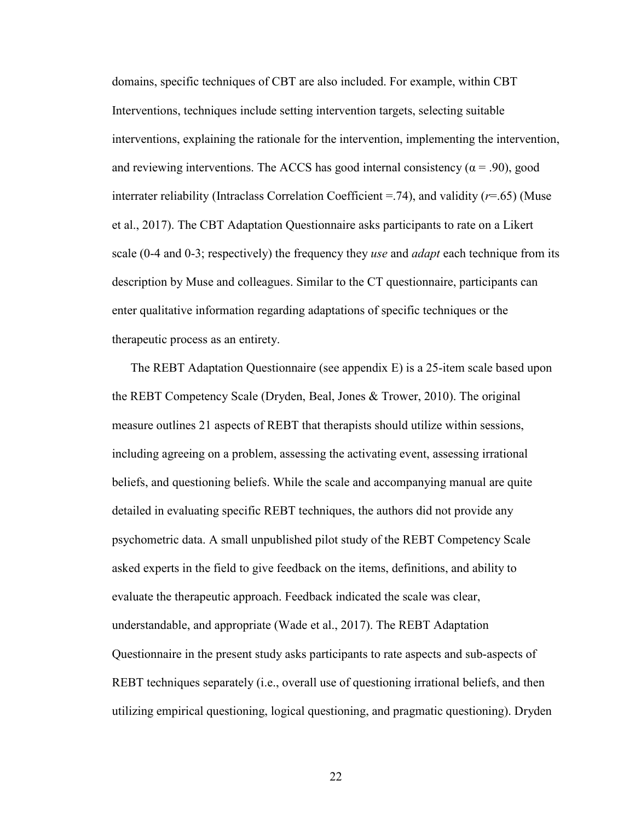domains, specific techniques of CBT are also included. For example, within CBT Interventions, techniques include setting intervention targets, selecting suitable interventions, explaining the rationale for the intervention, implementing the intervention, and reviewing interventions. The ACCS has good internal consistency ( $\alpha$  = .90), good interrater reliability (Intraclass Correlation Coefficient =.74), and validity (*r*=.65) (Muse et al., 2017). The CBT Adaptation Questionnaire asks participants to rate on a Likert scale (0-4 and 0-3; respectively) the frequency they *use* and *adapt* each technique from its description by Muse and colleagues. Similar to the CT questionnaire, participants can enter qualitative information regarding adaptations of specific techniques or the therapeutic process as an entirety.

The REBT Adaptation Questionnaire (see appendix E) is a 25-item scale based upon the REBT Competency Scale (Dryden, Beal, Jones & Trower, 2010). The original measure outlines 21 aspects of REBT that therapists should utilize within sessions, including agreeing on a problem, assessing the activating event, assessing irrational beliefs, and questioning beliefs. While the scale and accompanying manual are quite detailed in evaluating specific REBT techniques, the authors did not provide any psychometric data. A small unpublished pilot study of the REBT Competency Scale asked experts in the field to give feedback on the items, definitions, and ability to evaluate the therapeutic approach. Feedback indicated the scale was clear, understandable, and appropriate (Wade et al., 2017). The REBT Adaptation Questionnaire in the present study asks participants to rate aspects and sub-aspects of REBT techniques separately (i.e., overall use of questioning irrational beliefs, and then utilizing empirical questioning, logical questioning, and pragmatic questioning). Dryden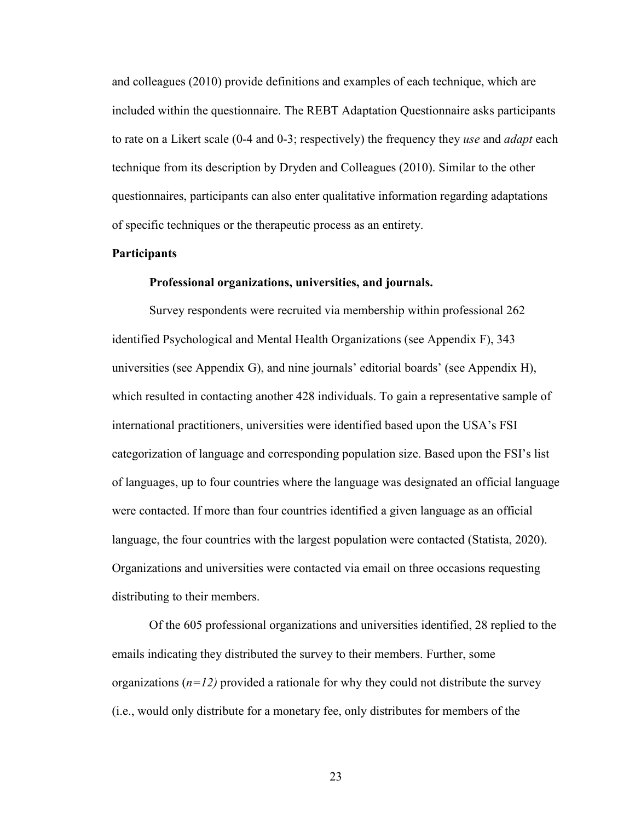and colleagues (2010) provide definitions and examples of each technique, which are included within the questionnaire. The REBT Adaptation Questionnaire asks participants to rate on a Likert scale (0-4 and 0-3; respectively) the frequency they *use* and *adapt* each technique from its description by Dryden and Colleagues (2010). Similar to the other questionnaires, participants can also enter qualitative information regarding adaptations of specific techniques or the therapeutic process as an entirety.

#### **Participants**

#### **Professional organizations, universities, and journals.**

Survey respondents were recruited via membership within professional 262 identified Psychological and Mental Health Organizations (see Appendix F), 343 universities (see Appendix G), and nine journals' editorial boards' (see Appendix H), which resulted in contacting another 428 individuals. To gain a representative sample of international practitioners, universities were identified based upon the USA's FSI categorization of language and corresponding population size. Based upon the FSI's list of languages, up to four countries where the language was designated an official language were contacted. If more than four countries identified a given language as an official language, the four countries with the largest population were contacted (Statista, 2020). Organizations and universities were contacted via email on three occasions requesting distributing to their members.

Of the 605 professional organizations and universities identified, 28 replied to the emails indicating they distributed the survey to their members. Further, some organizations  $(n=12)$  provided a rationale for why they could not distribute the survey (i.e., would only distribute for a monetary fee, only distributes for members of the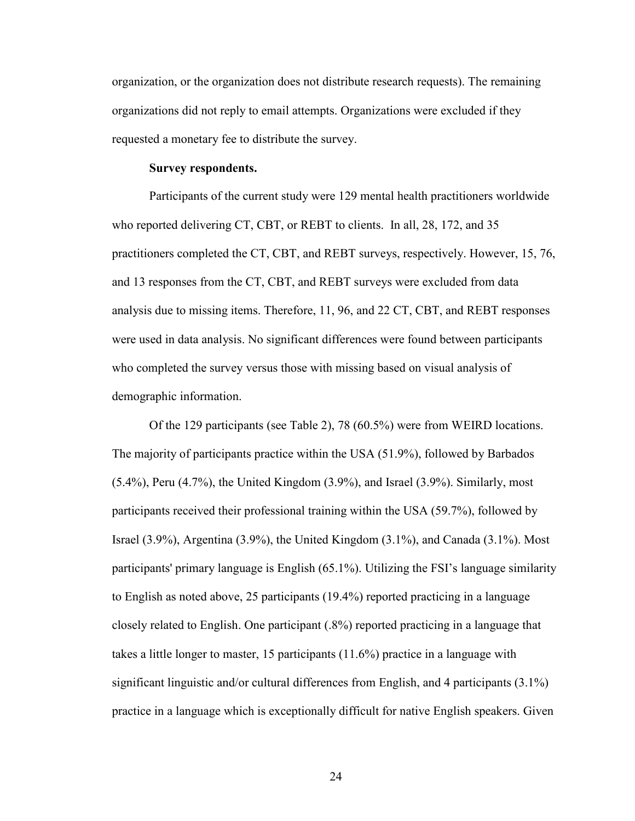organization, or the organization does not distribute research requests). The remaining organizations did not reply to email attempts. Organizations were excluded if they requested a monetary fee to distribute the survey.

#### **Survey respondents.**

Participants of the current study were 129 mental health practitioners worldwide who reported delivering CT, CBT, or REBT to clients. In all, 28, 172, and 35 practitioners completed the CT, CBT, and REBT surveys, respectively. However, 15, 76, and 13 responses from the CT, CBT, and REBT surveys were excluded from data analysis due to missing items. Therefore, 11, 96, and 22 CT, CBT, and REBT responses were used in data analysis. No significant differences were found between participants who completed the survey versus those with missing based on visual analysis of demographic information.

Of the 129 participants (see Table 2), 78 (60.5%) were from WEIRD locations. The majority of participants practice within the USA (51.9%), followed by Barbados (5.4%), Peru (4.7%), the United Kingdom (3.9%), and Israel (3.9%). Similarly, most participants received their professional training within the USA (59.7%), followed by Israel (3.9%), Argentina (3.9%), the United Kingdom (3.1%), and Canada (3.1%). Most participants' primary language is English (65.1%). Utilizing the FSI's language similarity to English as noted above, 25 participants (19.4%) reported practicing in a language closely related to English. One participant (.8%) reported practicing in a language that takes a little longer to master, 15 participants (11.6%) practice in a language with significant linguistic and/or cultural differences from English, and 4 participants (3.1%) practice in a language which is exceptionally difficult for native English speakers. Given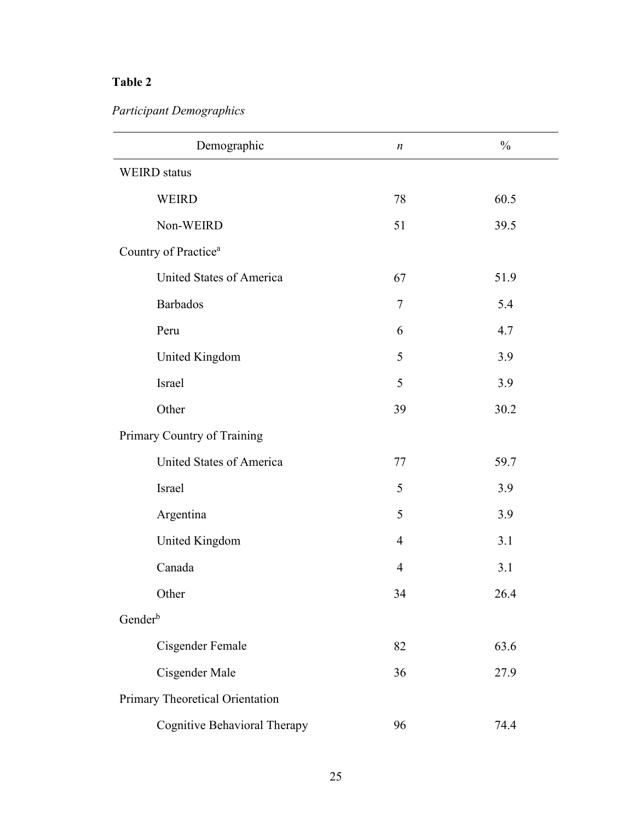## **Table 2**

*Participant Demographics* 

| Demographic                         | $\boldsymbol{n}$ | $\frac{0}{0}$ |  |  |
|-------------------------------------|------------------|---------------|--|--|
| <b>WEIRD</b> status                 |                  |               |  |  |
| <b>WEIRD</b>                        | 78               | 60.5          |  |  |
| Non-WEIRD                           | 51               | 39.5          |  |  |
| Country of Practice <sup>a</sup>    |                  |               |  |  |
| United States of America            | 67               | 51.9          |  |  |
| <b>Barbados</b>                     | $\boldsymbol{7}$ | 5.4           |  |  |
| Peru                                | 6                | 4.7           |  |  |
| United Kingdom                      | 5                | 3.9           |  |  |
| Israel                              | 5                | 3.9           |  |  |
| Other                               | 39               | 30.2          |  |  |
| Primary Country of Training         |                  |               |  |  |
| <b>United States of America</b>     | 77               | 59.7          |  |  |
| Israel                              | 5                | 3.9           |  |  |
| Argentina                           | 5                | 3.9           |  |  |
| United Kingdom                      | $\overline{4}$   | 3.1           |  |  |
| Canada                              | $\overline{4}$   | 3.1           |  |  |
| Other                               | 34               | 26.4          |  |  |
| Gender <sup>b</sup>                 |                  |               |  |  |
| Cisgender Female                    | 82               | 63.6          |  |  |
| Cisgender Male                      | 36               | 27.9          |  |  |
| Primary Theoretical Orientation     |                  |               |  |  |
| <b>Cognitive Behavioral Therapy</b> | 96               | 74.4          |  |  |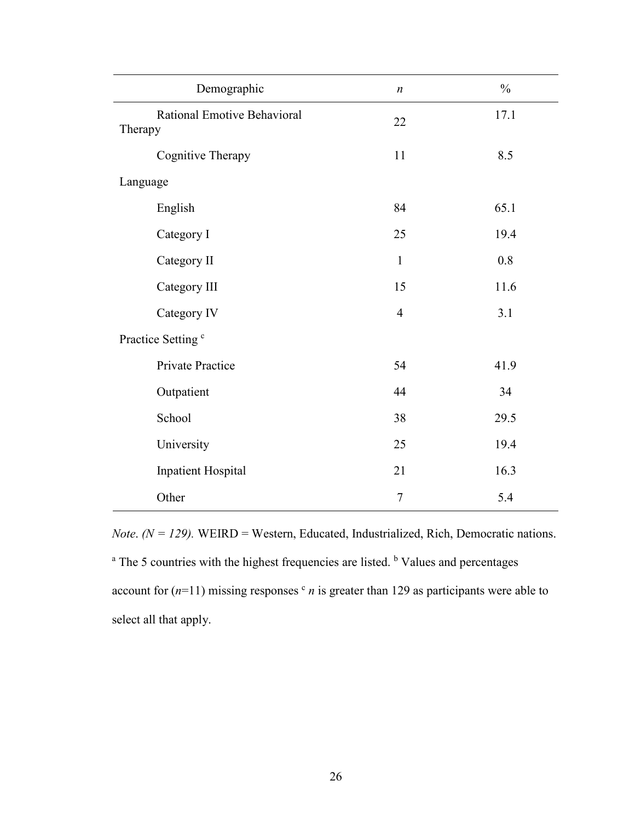| Demographic                            | $\boldsymbol{n}$ | $\frac{0}{0}$ |
|----------------------------------------|------------------|---------------|
| Rational Emotive Behavioral<br>Therapy | 22               | 17.1          |
| Cognitive Therapy                      | 11               | 8.5           |
| Language                               |                  |               |
| English                                | 84               | 65.1          |
| Category I                             | 25               | 19.4          |
| Category II                            | $\mathbf{1}$     | 0.8           |
| Category III                           | 15               | 11.6          |
| Category IV                            | $\overline{4}$   | 3.1           |
| Practice Setting <sup>c</sup>          |                  |               |
| Private Practice                       | 54               | 41.9          |
| Outpatient                             | 44               | 34            |
| School                                 | 38               | 29.5          |
| University                             | 25               | 19.4          |
| <b>Inpatient Hospital</b>              | 21               | 16.3          |
| Other                                  | $\boldsymbol{7}$ | 5.4           |

*Note.* ( $N = 129$ ). WEIRD = Western, Educated, Industrialized, Rich, Democratic nations. <sup>a</sup> The 5 countries with the highest frequencies are listed. <sup>b</sup> Values and percentages account for  $(n=11)$  missing responses  $c$  *n* is greater than 129 as participants were able to select all that apply.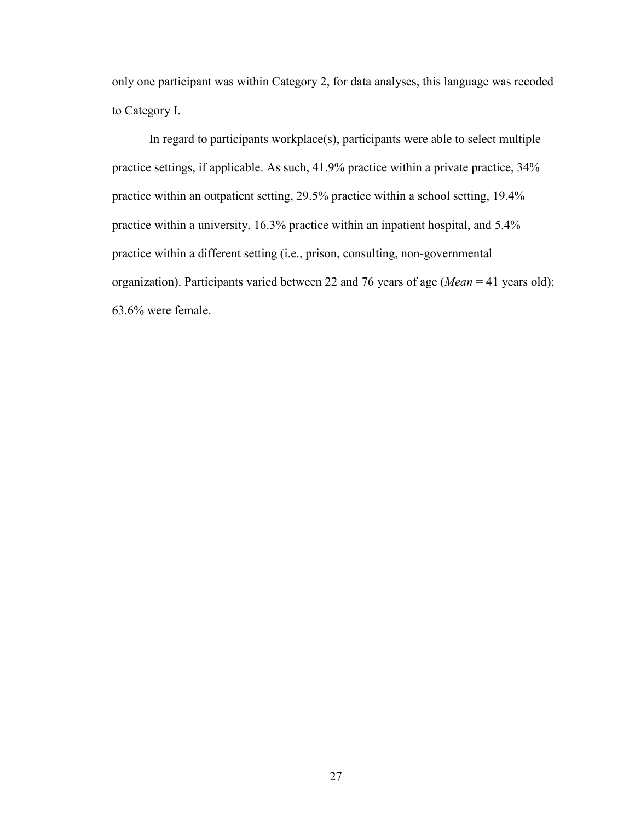only one participant was within Category 2, for data analyses, this language was recoded to Category I.

In regard to participants workplace(s), participants were able to select multiple practice settings, if applicable. As such, 41.9% practice within a private practice, 34% practice within an outpatient setting, 29.5% practice within a school setting, 19.4% practice within a university, 16.3% practice within an inpatient hospital, and 5.4% practice within a different setting (i.e., prison, consulting, non-governmental organization). Participants varied between 22 and 76 years of age (*Mean* = 41 years old); 63.6% were female.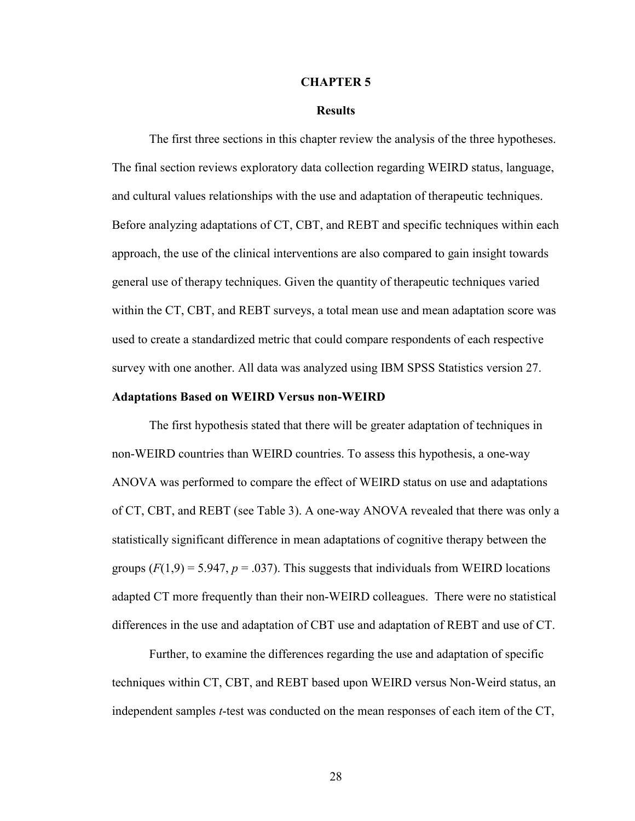#### **CHAPTER 5**

#### **Results**

The first three sections in this chapter review the analysis of the three hypotheses. The final section reviews exploratory data collection regarding WEIRD status, language, and cultural values relationships with the use and adaptation of therapeutic techniques. Before analyzing adaptations of CT, CBT, and REBT and specific techniques within each approach, the use of the clinical interventions are also compared to gain insight towards general use of therapy techniques. Given the quantity of therapeutic techniques varied within the CT, CBT, and REBT surveys, a total mean use and mean adaptation score was used to create a standardized metric that could compare respondents of each respective survey with one another. All data was analyzed using IBM SPSS Statistics version 27.

#### **Adaptations Based on WEIRD Versus non-WEIRD**

The first hypothesis stated that there will be greater adaptation of techniques in non-WEIRD countries than WEIRD countries. To assess this hypothesis, a one-way ANOVA was performed to compare the effect of WEIRD status on use and adaptations of CT, CBT, and REBT (see Table 3). A one-way ANOVA revealed that there was only a statistically significant difference in mean adaptations of cognitive therapy between the groups  $(F(1,9) = 5.947, p = .037)$ . This suggests that individuals from WEIRD locations adapted CT more frequently than their non-WEIRD colleagues. There were no statistical differences in the use and adaptation of CBT use and adaptation of REBT and use of CT.

Further, to examine the differences regarding the use and adaptation of specific techniques within CT, CBT, and REBT based upon WEIRD versus Non-Weird status, an independent samples *t*-test was conducted on the mean responses of each item of the CT,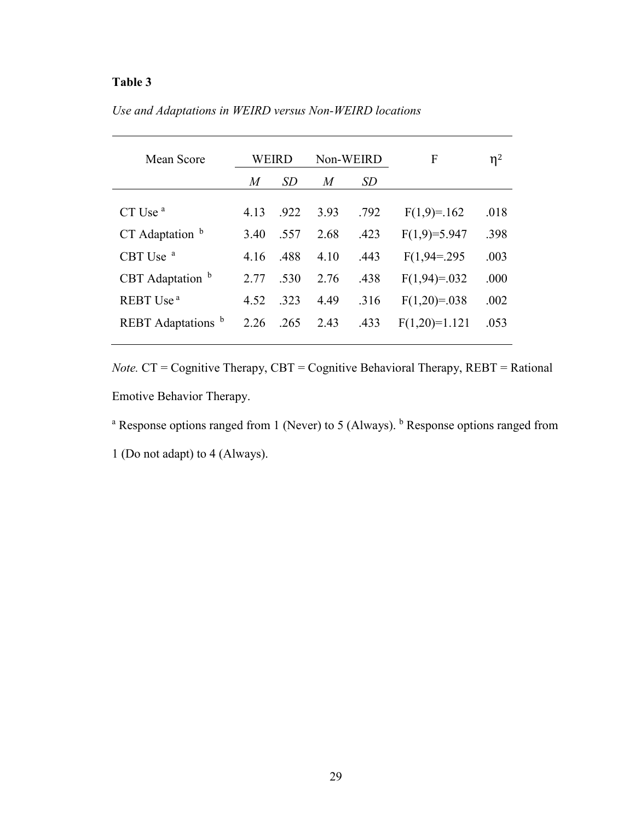| Use and Adaptations in WEIRD versus Non-WEIRD locations |  |  |
|---------------------------------------------------------|--|--|
|                                                         |  |  |

| Mean Score                  |      | WEIRD     | Non-WEIRD |      | F               | $\eta^2$ |
|-----------------------------|------|-----------|-----------|------|-----------------|----------|
|                             | M    | <i>SD</i> | M         | SD   |                 |          |
|                             |      |           |           |      |                 |          |
| CT Use <sup>a</sup>         | 4.13 | .922      | 3.93      | .792 | $F(1,9)=.162$   | .018     |
| $CT$ Adaptation $b$         | 3.40 | .557      | 2.68      | .423 | $F(1,9)=5.947$  | .398     |
| CBT Use <sup>a</sup>        | 4.16 | .488      | 4.10      | .443 | $F(1,94=295$    | .003     |
| CBT Adaptation <sup>b</sup> | 2.77 | .530      | 2.76      | .438 | $F(1,94)=0.032$ | .000     |
| REBT Use <sup>a</sup>       | 4.52 | .323      | 4.49      | .316 | $F(1,20)=0.038$ | .002     |
| REBT Adaptations b          | 2.26 | .265      | 2.43      | .433 | $F(1,20)=1.121$ | .053     |
|                             |      |           |           |      |                 |          |

*Note.* CT = Cognitive Therapy, CBT = Cognitive Behavioral Therapy, REBT = Rational Emotive Behavior Therapy.

<sup>a</sup> Response options ranged from 1 (Never) to 5 (Always). <sup>b</sup> Response options ranged from

1 (Do not adapt) to 4 (Always).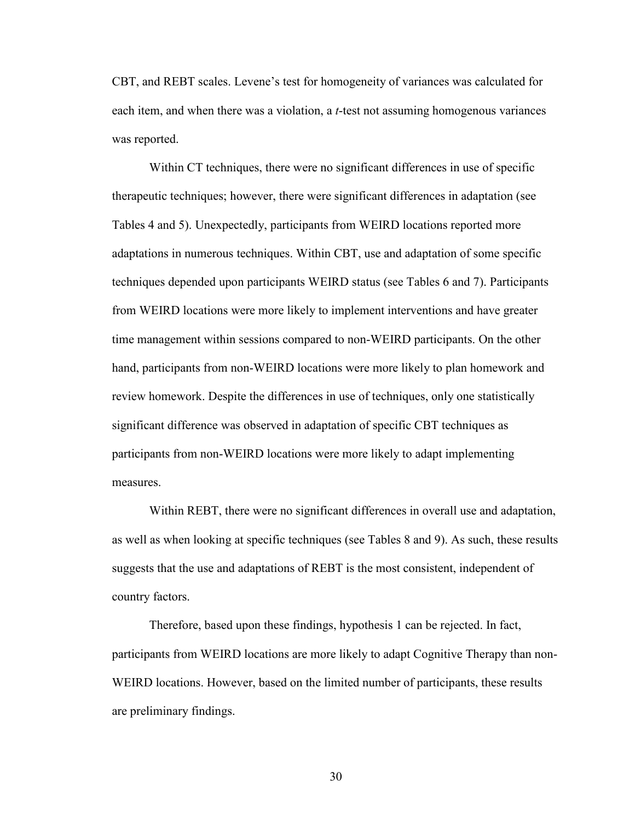CBT, and REBT scales. Levene's test for homogeneity of variances was calculated for each item, and when there was a violation, a *t*-test not assuming homogenous variances was reported.

Within CT techniques, there were no significant differences in use of specific therapeutic techniques; however, there were significant differences in adaptation (see Tables 4 and 5). Unexpectedly, participants from WEIRD locations reported more adaptations in numerous techniques. Within CBT, use and adaptation of some specific techniques depended upon participants WEIRD status (see Tables 6 and 7). Participants from WEIRD locations were more likely to implement interventions and have greater time management within sessions compared to non-WEIRD participants. On the other hand, participants from non-WEIRD locations were more likely to plan homework and review homework. Despite the differences in use of techniques, only one statistically significant difference was observed in adaptation of specific CBT techniques as participants from non-WEIRD locations were more likely to adapt implementing measures.

 Within REBT, there were no significant differences in overall use and adaptation, as well as when looking at specific techniques (see Tables 8 and 9). As such, these results suggests that the use and adaptations of REBT is the most consistent, independent of country factors.

 Therefore, based upon these findings, hypothesis 1 can be rejected. In fact, participants from WEIRD locations are more likely to adapt Cognitive Therapy than non-WEIRD locations. However, based on the limited number of participants, these results are preliminary findings.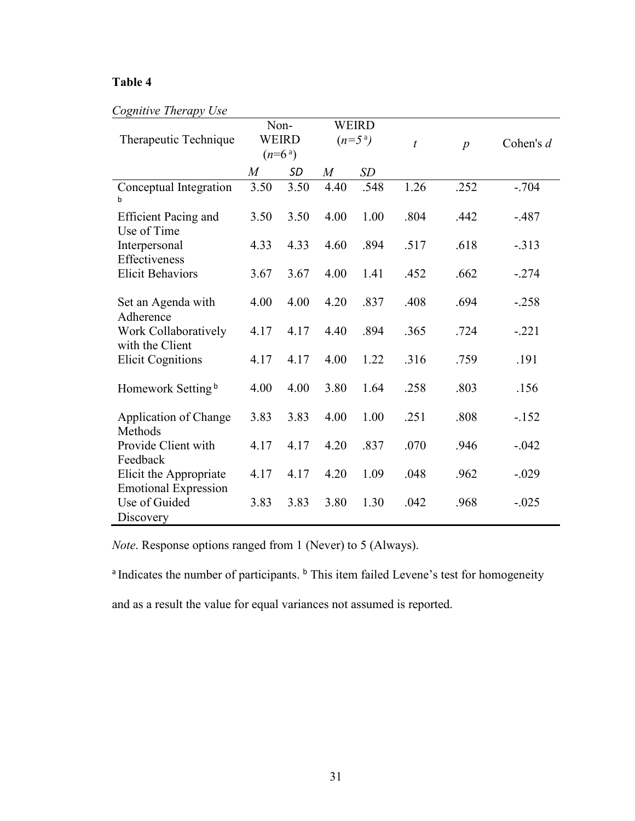| Cognitive Therapy Use |  |  |
|-----------------------|--|--|
|-----------------------|--|--|

| <b>WEIRD</b><br>Non-                                  |                        |              |                  |                        |                  |                  |             |  |
|-------------------------------------------------------|------------------------|--------------|------------------|------------------------|------------------|------------------|-------------|--|
| Therapeutic Technique                                 |                        | <b>WEIRD</b> |                  | $(n=5)$ <sup>a</sup> ) | $\boldsymbol{t}$ | $\boldsymbol{p}$ | Cohen's $d$ |  |
|                                                       | $(n=6)$ <sup>a</sup> ) |              |                  |                        |                  |                  |             |  |
|                                                       | M                      | <b>SD</b>    | $\boldsymbol{M}$ | SD                     |                  |                  |             |  |
| Conceptual Integration<br>h                           | 3.50                   | 3.50         | 4.40             | .548                   | 1.26             | .252             | $-.704$     |  |
| <b>Efficient Pacing and</b><br>Use of Time            | 3.50                   | 3.50         | 4.00             | 1.00                   | .804             | .442             | $-.487$     |  |
| Interpersonal<br>Effectiveness                        | 4.33                   | 4.33         | 4.60             | .894                   | .517             | .618             | $-.313$     |  |
| <b>Elicit Behaviors</b>                               | 3.67                   | 3.67         | 4.00             | 1.41                   | .452             | .662             | $-.274$     |  |
| Set an Agenda with<br>Adherence                       | 4.00                   | 4.00         | 4.20             | .837                   | .408             | .694             | $-.258$     |  |
| Work Collaboratively<br>with the Client               | 4.17                   | 4.17         | 4.40             | .894                   | .365             | .724             | $-.221$     |  |
| <b>Elicit Cognitions</b>                              | 4.17                   | 4.17         | 4.00             | 1.22                   | .316             | .759             | .191        |  |
| Homework Setting <sup>b</sup>                         | 4.00                   | 4.00         | 3.80             | 1.64                   | .258             | .803             | .156        |  |
| Application of Change<br>Methods                      | 3.83                   | 3.83         | 4.00             | 1.00                   | .251             | .808             | $-152$      |  |
| Provide Client with<br>Feedback                       | 4.17                   | 4.17         | 4.20             | .837                   | .070             | .946             | $-.042$     |  |
| Elicit the Appropriate<br><b>Emotional Expression</b> | 4.17                   | 4.17         | 4.20             | 1.09                   | .048             | .962             | $-.029$     |  |
| Use of Guided<br>Discovery                            | 3.83                   | 3.83         | 3.80             | 1.30                   | .042             | .968             | $-.025$     |  |

*Note*. Response options ranged from 1 (Never) to 5 (Always).

<sup>a</sup> Indicates the number of participants. <sup>b</sup> This item failed Levene's test for homogeneity

and as a result the value for equal variances not assumed is reported.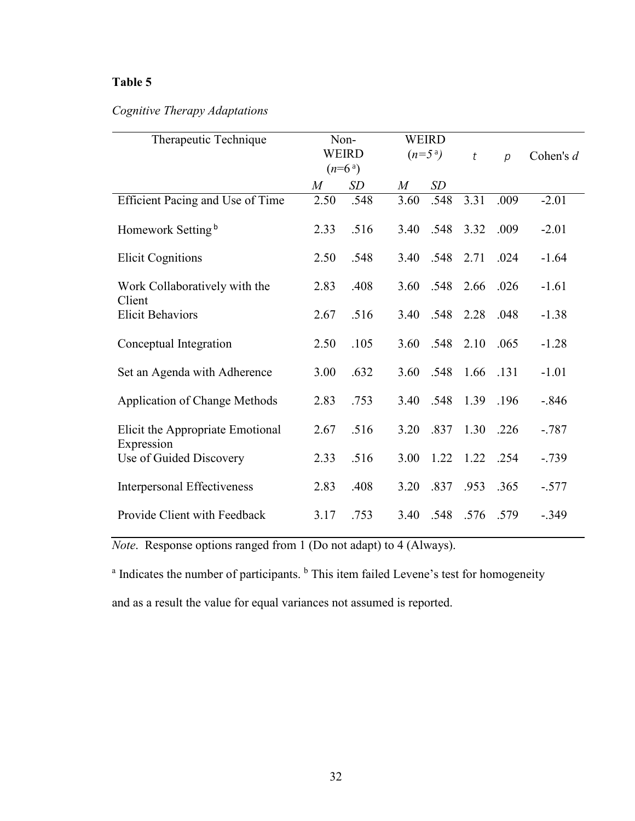### *Cognitive Therapy Adaptations*

| Therapeutic Technique                          | Non-<br><b>WEIRD</b><br>$(n=6)$ <sup>a</sup> ) |      |           | <b>WEIRD</b><br>$(n=5^a)$ |           | $\overline{p}$ | Cohen's $d$ |
|------------------------------------------------|------------------------------------------------|------|-----------|---------------------------|-----------|----------------|-------------|
|                                                | $\overline{M}$                                 | SD   | $M_{\rm}$ | SD                        |           |                |             |
| Efficient Pacing and Use of Time               | 2.50                                           | .548 | 3.60      | .548                      | 3.31      | .009           | $-2.01$     |
| Homework Setting <sup>b</sup>                  | 2.33                                           | .516 | 3.40      | .548                      | 3.32      | .009           | $-2.01$     |
| <b>Elicit Cognitions</b>                       | 2.50                                           | .548 | 3.40      | .548                      | 2.71      | .024           | $-1.64$     |
| Work Collaboratively with the<br>Client        | 2.83                                           | .408 | 3.60      | .548                      | 2.66      | .026           | $-1.61$     |
| <b>Elicit Behaviors</b>                        | 2.67                                           | .516 | 3.40      | .548                      | 2.28      | .048           | $-1.38$     |
| Conceptual Integration                         | 2.50                                           | .105 | 3.60      | .548                      | 2.10      | .065           | $-1.28$     |
| Set an Agenda with Adherence                   | 3.00                                           | .632 | 3.60      | .548                      | 1.66 .131 |                | $-1.01$     |
| <b>Application of Change Methods</b>           | 2.83                                           | .753 | 3.40      | .548                      | 1.39      | .196           | $-.846$     |
| Elicit the Appropriate Emotional<br>Expression | 2.67                                           | .516 | 3.20      | .837                      | 1.30      | .226           | $-.787$     |
| Use of Guided Discovery                        | 2.33                                           | .516 | 3.00      | 1.22                      | 1.22 .254 |                | $-.739$     |
| <b>Interpersonal Effectiveness</b>             | 2.83                                           | .408 | 3.20      | .837                      | .953      | .365           | $-.577$     |
| Provide Client with Feedback                   | 3.17                                           | .753 | 3.40      | .548                      | .576 .579 |                | $-.349$     |

*Note*. Response options ranged from 1 (Do not adapt) to 4 (Always).

<sup>a</sup> Indicates the number of participants. <sup>b</sup> This item failed Levene's test for homogeneity

and as a result the value for equal variances not assumed is reported.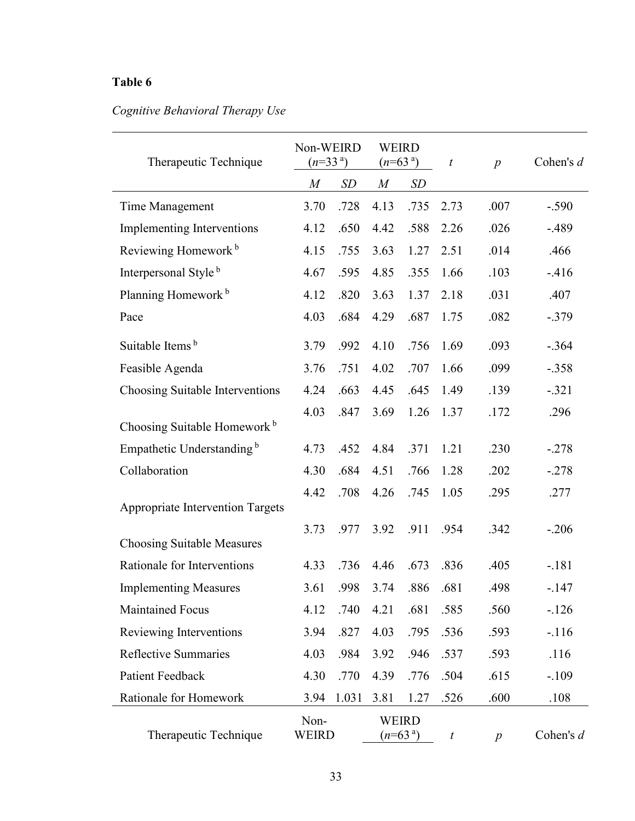# *Cognitive Behavioral Therapy Use*

| Therapeutic Technique                   | Non-WEIRD<br>$(n=33a)$ |       | <b>WEIRD</b><br>$(n=63^{\circ})$ |                                  | $\boldsymbol{t}$ | $\boldsymbol{p}$ | Cohen's d |
|-----------------------------------------|------------------------|-------|----------------------------------|----------------------------------|------------------|------------------|-----------|
|                                         | $\boldsymbol{M}$       | SD    | $\boldsymbol{M}$                 | SD                               |                  |                  |           |
| Time Management                         | 3.70                   | .728  | 4.13                             | .735                             | 2.73             | .007             | $-.590$   |
| <b>Implementing Interventions</b>       | 4.12                   | .650  | 4.42                             | .588                             | 2.26             | .026             | $-.489$   |
| Reviewing Homework <sup>b</sup>         | 4.15                   | .755  | 3.63                             | 1.27                             | 2.51             | .014             | .466      |
| Interpersonal Style <sup>b</sup>        | 4.67                   | .595  | 4.85                             | .355                             | 1.66             | .103             | $-416$    |
| Planning Homework <sup>b</sup>          | 4.12                   | .820  | 3.63                             | 1.37                             | 2.18             | .031             | .407      |
| Pace                                    | 4.03                   | .684  | 4.29                             | .687                             | 1.75             | .082             | $-.379$   |
| Suitable Items <sup>b</sup>             | 3.79                   | .992  | 4.10                             | .756                             | 1.69             | .093             | $-.364$   |
| Feasible Agenda                         | 3.76                   | .751  | 4.02                             | .707                             | 1.66             | .099             | $-.358$   |
| Choosing Suitable Interventions         | 4.24                   | .663  | 4.45                             | .645                             | 1.49             | .139             | $-.321$   |
| Choosing Suitable Homework <sup>b</sup> | 4.03                   | .847  | 3.69                             | 1.26                             | 1.37             | .172             | .296      |
| Empathetic Understanding <sup>b</sup>   | 4.73                   | .452  | 4.84                             | .371                             | 1.21             | .230             | $-.278$   |
| Collaboration                           | 4.30                   | .684  | 4.51                             | .766                             | 1.28             | .202             | $-.278$   |
| Appropriate Intervention Targets        | 4.42                   | .708  | 4.26                             | .745                             | 1.05             | .295             | .277      |
| <b>Choosing Suitable Measures</b>       | 3.73                   | .977  | 3.92                             | .911                             | .954             | .342             | $-.206$   |
| Rationale for Interventions             | 4.33                   | .736  | 4.46                             | .673                             | .836             | .405             | $-.181$   |
| <b>Implementing Measures</b>            | 3.61                   | .998  | 3.74                             | .886                             | .681             | .498             | $-.147$   |
| <b>Maintained Focus</b>                 | 4.12                   | .740  | 4.21                             | .681                             | .585             | .560             | $-126$    |
| Reviewing Interventions                 | 3.94                   | .827  | 4.03                             | .795                             | .536             | .593             | $-116$    |
| <b>Reflective Summaries</b>             | 4.03                   | .984  | 3.92                             | .946                             | .537             | .593             | .116      |
| Patient Feedback                        | 4.30                   | .770  | 4.39                             | .776                             | .504             | .615             | $-.109$   |
| Rationale for Homework                  | 3.94                   | 1.031 | 3.81                             | 1.27                             | .526             | .600             | .108      |
| Therapeutic Technique                   | Non-<br>WEIRD          |       |                                  | <b>WEIRD</b><br>$(n=63^{\circ})$ | $\boldsymbol{t}$ | $\boldsymbol{p}$ | Cohen's d |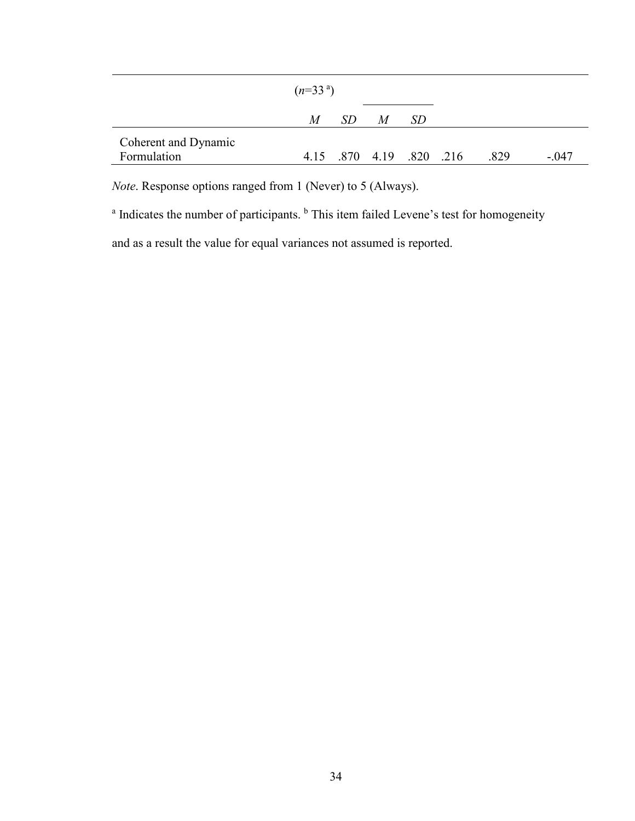| SD.<br>$\overline{M}$<br>-SD<br>M<br>Coherent and Dynamic<br>4.15 .870 4.19 .820 .216 |             | $(n=33a)$ |  |  |      |         |
|---------------------------------------------------------------------------------------|-------------|-----------|--|--|------|---------|
|                                                                                       |             |           |  |  |      |         |
|                                                                                       | Formulation |           |  |  | .829 | $-.047$ |

*Note*. Response options ranged from 1 (Never) to 5 (Always).

<sup>a</sup> Indicates the number of participants. <sup>b</sup> This item failed Levene's test for homogeneity

and as a result the value for equal variances not assumed is reported.

÷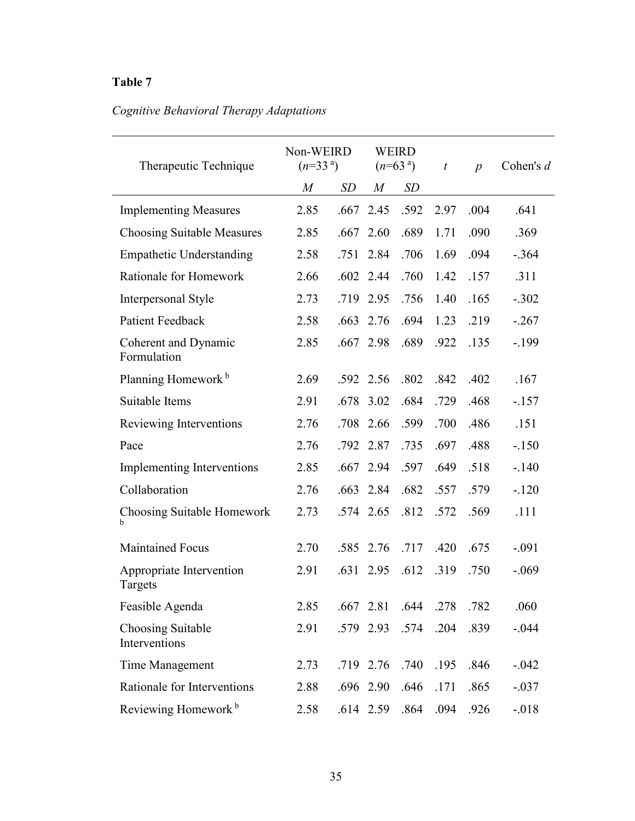# *Cognitive Behavioral Therapy Adaptations*

| Therapeutic Technique               | Non-WEIRD<br>$(n=33a)$ |      |             | <b>WEIRD</b><br>$(n=63a)$ | t    | $\boldsymbol{p}$ | Cohen's d |
|-------------------------------------|------------------------|------|-------------|---------------------------|------|------------------|-----------|
|                                     | $\boldsymbol{M}$       | SD   | M           | SD                        |      |                  |           |
| <b>Implementing Measures</b>        | 2.85                   | .667 | 2.45        | .592                      | 2.97 | .004             | .641      |
| <b>Choosing Suitable Measures</b>   | 2.85                   | .667 | 2.60        | .689                      | 1.71 | .090             | .369      |
| <b>Empathetic Understanding</b>     | 2.58                   | .751 | 2.84        | .706                      | 1.69 | .094             | $-.364$   |
| Rationale for Homework              | 2.66                   |      | $.602$ 2.44 | .760                      | 1.42 | .157             | .311      |
| Interpersonal Style                 | 2.73                   |      | .719 2.95   | .756                      | 1.40 | .165             | $-.302$   |
| <b>Patient Feedback</b>             | 2.58                   | .663 | 2.76        | .694                      | 1.23 | .219             | $-.267$   |
| Coherent and Dynamic<br>Formulation | 2.85                   |      | .667 2.98   | .689                      | .922 | .135             | $-199$    |
| Planning Homework <sup>b</sup>      | 2.69                   |      | .592 2.56   | .802                      | .842 | .402             | .167      |
| Suitable Items                      | 2.91                   | .678 | 3.02        | .684                      | .729 | .468             | $-157$    |
| Reviewing Interventions             | 2.76                   | .708 | 2.66        | .599                      | .700 | .486             | .151      |
| Pace                                | 2.76                   | .792 | 2.87        | .735                      | .697 | .488             | $-150$    |
| Implementing Interventions          | 2.85                   | .667 | 2.94        | .597                      | .649 | .518             | $-.140$   |
| Collaboration                       | 2.76                   | .663 | 2.84        | .682                      | .557 | .579             | $-.120$   |
| Choosing Suitable Homework<br>h     | 2.73                   |      | .574 2.65   | .812                      | .572 | .569             | .111      |
| <b>Maintained Focus</b>             | 2.70                   | .585 | 2.76        | .717                      | .420 | .675             | $-.091$   |
| Appropriate Intervention<br>Targets | 2.91                   | .631 | 2.95        | .612                      | .319 | .750             | $-.069$   |
| Feasible Agenda                     | 2.85                   |      | $.667$ 2.81 | .644                      | .278 | .782             | .060      |
| Choosing Suitable<br>Interventions  | 2.91                   |      | .579 2.93   | .574                      | .204 | .839             | $-.044$   |
| Time Management                     | 2.73                   |      | .719 2.76   | .740                      | .195 | .846             | $-.042$   |
| Rationale for Interventions         | 2.88                   |      | .696 2.90   | .646                      | .171 | .865             | $-.037$   |
| Reviewing Homework <sup>b</sup>     | 2.58                   |      | .614 2.59   | .864                      | .094 | .926             | $-.018$   |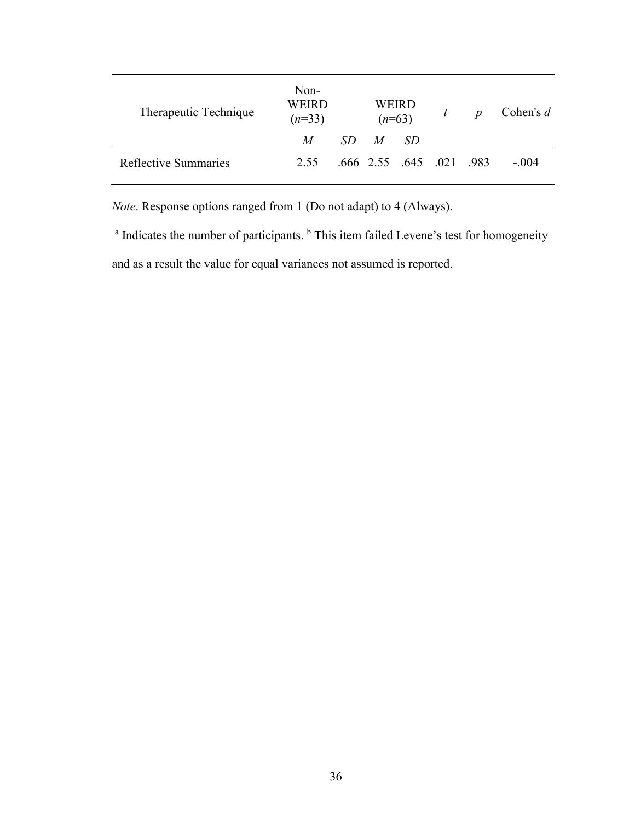| Therapeutic Technique       | Non-<br>WEIRD<br>$(n=33)$ |     |   | WEIRD<br>$(n=63)$ |                          |  |         | $\boldsymbol{p}$ | Cohen's $d$ |
|-----------------------------|---------------------------|-----|---|-------------------|--------------------------|--|---------|------------------|-------------|
|                             | M                         | SD. | M | SD.               |                          |  |         |                  |             |
| <b>Reflective Summaries</b> | 2.55                      |     |   |                   | .666 2.55 .645 .021 .983 |  | $-.004$ |                  |             |

*Note*. Response options ranged from 1 (Do not adapt) to 4 (Always).

<sup>a</sup> Indicates the number of participants. <sup>b</sup> This item failed Levene's test for homogeneity and as a result the value for equal variances not assumed is reported.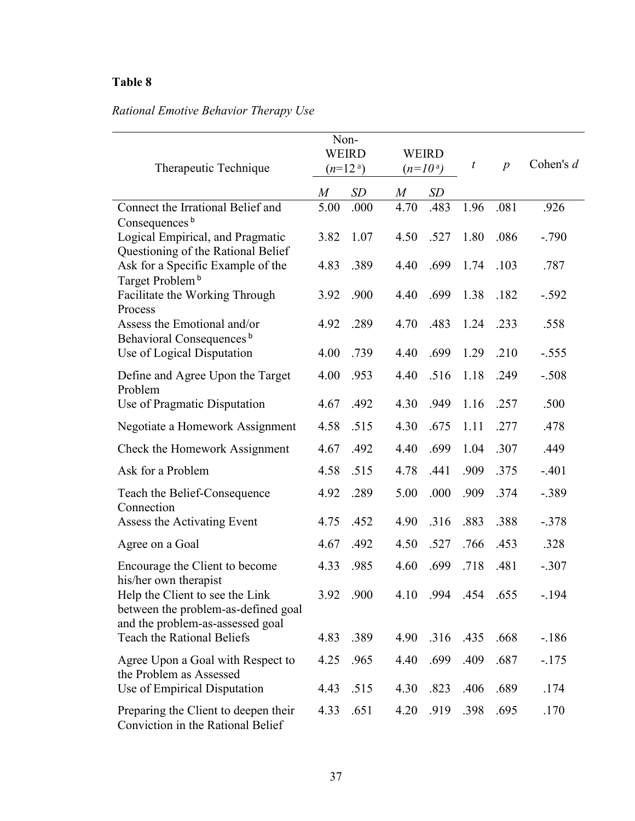# *Rational Emotive Behavior Therapy Use*

| Therapeutic Technique                                                                                      | Non-<br><b>WEIRD</b><br>$(n=12)$ <sup>a</sup> ) |              |                  | <b>WEIRD</b><br>$(n=10a)$ |              | $\overline{p}$ | Cohen's $d$    |
|------------------------------------------------------------------------------------------------------------|-------------------------------------------------|--------------|------------------|---------------------------|--------------|----------------|----------------|
|                                                                                                            | $\boldsymbol{M}$                                | SD           | $\boldsymbol{M}$ | SD                        |              |                |                |
| Connect the Irrational Belief and                                                                          | 5.00                                            | .000         | 4.70             | .483                      | 1.96         | .081           | .926           |
| Consequences b<br>Logical Empirical, and Pragmatic<br>Questioning of the Rational Belief                   | 3.82                                            | 1.07         | 4.50             | .527                      | 1.80         | .086           | $-.790$        |
| Ask for a Specific Example of the<br>Target Problem <sup>b</sup>                                           | 4.83                                            | .389         | 4.40             | .699                      | 1.74         | .103           | .787           |
| Facilitate the Working Through<br>Process                                                                  | 3.92                                            | .900         | 4.40             | .699                      | 1.38         | .182           | $-.592$        |
| Assess the Emotional and/or<br>Behavioral Consequences <sup>b</sup>                                        | 4.92                                            | .289         | 4.70             | .483                      | 1.24         | .233           | .558           |
| Use of Logical Disputation                                                                                 | 4.00                                            | .739         | 4.40             | .699                      | 1.29         | .210           | $-.555$        |
| Define and Agree Upon the Target<br>Problem                                                                | 4.00                                            | .953         | 4.40             | .516                      | 1.18         | .249           | $-.508$        |
| Use of Pragmatic Disputation                                                                               | 4.67                                            | .492         | 4.30             | .949                      | 1.16         | .257           | .500           |
| Negotiate a Homework Assignment                                                                            | 4.58                                            | .515         | 4.30             | .675                      | 1.11         | .277           | .478           |
| Check the Homework Assignment                                                                              | 4.67                                            | .492         | 4.40             | .699                      | 1.04         | .307           | .449           |
| Ask for a Problem                                                                                          | 4.58                                            | .515         | 4.78             | .441                      | .909         | .375           | $-.401$        |
| Teach the Belief-Consequence<br>Connection                                                                 | 4.92                                            | .289         | 5.00             | .000                      | .909         | .374           | $-.389$        |
| Assess the Activating Event                                                                                | 4.75                                            | .452         | 4.90             | .316                      | .883         | .388           | $-.378$        |
| Agree on a Goal                                                                                            | 4.67                                            | .492         | 4.50             | .527                      | .766         | .453           | .328           |
| Encourage the Client to become<br>his/her own therapist                                                    | 4.33                                            | .985         | 4.60             | .699                      | .718         | .481           | $-.307$        |
| Help the Client to see the Link<br>between the problem-as-defined goal<br>and the problem-as-assessed goal |                                                 | 3.92 .900    | 4.10             | .994                      | .454.655     |                | $-194$         |
| <b>Teach the Rational Beliefs</b>                                                                          | 4.83                                            | .389         | 4.90             | .316                      | .435         | .668           | $-186$         |
| Agree Upon a Goal with Respect to<br>the Problem as Assessed<br>Use of Empirical Disputation               | 4.25<br>4.43                                    | .965<br>.515 | 4.40<br>4.30     | .699<br>.823              | .409<br>.406 | .687<br>.689   | $-175$<br>.174 |
|                                                                                                            | 4.33                                            | .651         | 4.20             | .919                      | .398         | .695           | .170           |
| Preparing the Client to deepen their<br>Conviction in the Rational Belief                                  |                                                 |              |                  |                           |              |                |                |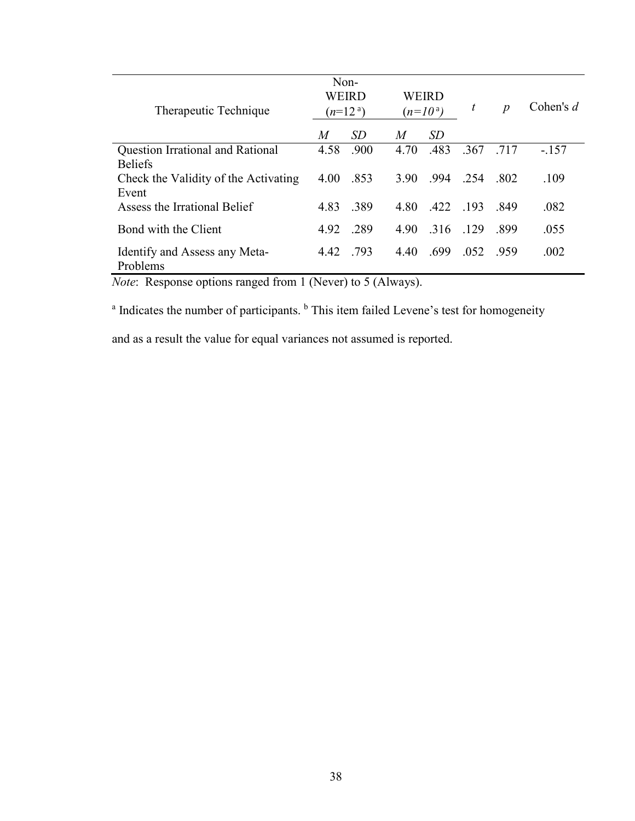| Therapeutic Technique                         | Non-<br>WEIRD<br>$(n=12a)$ |      |      | WEIRD<br>$(n=10a)$ |      | $\boldsymbol{p}$ | Cohen's $d$ |
|-----------------------------------------------|----------------------------|------|------|--------------------|------|------------------|-------------|
|                                               | M                          | SD   | M    | SD                 |      |                  |             |
| <b>Question Irrational and Rational</b>       | 4.58                       | .900 | 4.70 | .483               | .367 | .717             | $-.157$     |
| <b>Beliefs</b>                                |                            |      |      |                    |      |                  |             |
| Check the Validity of the Activating<br>Event | 4.00                       | .853 | 3.90 | .994               | .254 | -802             | .109        |
| Assess the Irrational Belief                  | 4.83                       | .389 | 4.80 | .422               | .193 | .849             | .082        |
| Bond with the Client                          | 4.92                       | .289 | 4.90 | .316               | .129 | .899             | .055        |
| Identify and Assess any Meta-<br>Problems     | 4.42                       | .793 | 4.40 | .699               | .052 | -959             | .002        |

*Note*: Response options ranged from 1 (Never) to 5 (Always).

<sup>a</sup> Indicates the number of participants. <sup>b</sup> This item failed Levene's test for homogeneity

and as a result the value for equal variances not assumed is reported.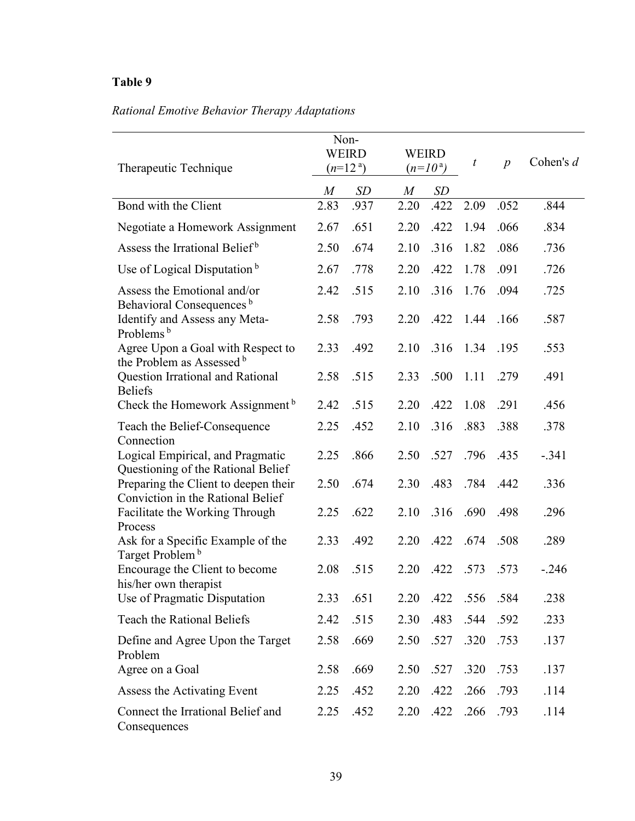# *Rational Emotive Behavior Therapy Adaptations*

| Therapeutic Technique                                                     |                  | Non-<br><b>WEIRD</b><br>$(n=12^a)$ |      | <b>WEIRD</b><br>$(n=10^{\rm a})$ | $\boldsymbol{t}$ | $\overline{p}$ | Cohen's $d$ |
|---------------------------------------------------------------------------|------------------|------------------------------------|------|----------------------------------|------------------|----------------|-------------|
|                                                                           | $\boldsymbol{M}$ | <b>SD</b>                          | M    | SD                               |                  |                |             |
| Bond with the Client                                                      | 2.83             | .937                               | 2.20 | .422                             | 2.09             | .052           | .844        |
| Negotiate a Homework Assignment                                           | 2.67             | .651                               | 2.20 | .422                             | 1.94             | .066           | .834        |
| Assess the Irrational Belief <sup>b</sup>                                 | 2.50             | .674                               | 2.10 | .316                             | 1.82             | .086           | .736        |
| Use of Logical Disputation <sup>b</sup>                                   | 2.67             | .778                               | 2.20 | .422                             | 1.78             | .091           | .726        |
| Assess the Emotional and/or<br>Behavioral Consequences <sup>b</sup>       | 2.42             | .515                               | 2.10 | .316                             | 1.76             | .094           | .725        |
| Identify and Assess any Meta-<br>Problems <sup>b</sup>                    | 2.58             | .793                               | 2.20 | .422                             | 1.44             | .166           | .587        |
| Agree Upon a Goal with Respect to<br>the Problem as Assessed b            | 2.33             | .492                               | 2.10 | .316                             | 1.34             | .195           | .553        |
| Question Irrational and Rational<br><b>Beliefs</b>                        | 2.58             | .515                               | 2.33 | .500                             | 1.11             | .279           | .491        |
| Check the Homework Assignment <sup>b</sup>                                | 2.42             | .515                               | 2.20 | .422                             | 1.08             | .291           | .456        |
| Teach the Belief-Consequence<br>Connection                                | 2.25             | .452                               | 2.10 | .316                             | .883             | .388           | .378        |
| Logical Empirical, and Pragmatic<br>Questioning of the Rational Belief    | 2.25             | .866                               | 2.50 | .527                             | .796             | .435           | $-.341$     |
| Preparing the Client to deepen their<br>Conviction in the Rational Belief | 2.50             | .674                               | 2.30 | .483                             | .784             | .442           | .336        |
| Facilitate the Working Through<br>Process                                 | 2.25             | .622                               | 2.10 | .316                             | .690             | .498           | .296        |
| Ask for a Specific Example of the<br>Target Problem <sup>b</sup>          | 2.33             | .492                               | 2.20 | .422                             | .674             | .508           | .289        |
| Encourage the Client to become<br>his/her own therapist                   | 2.08             | .515                               | 2.20 | .422                             | .573             | .573           | $-.246$     |
| Use of Pragmatic Disputation                                              | 2.33             | .651                               | 2.20 | .422                             | .556             | .584           | .238        |
| Teach the Rational Beliefs                                                | 2.42             | .515                               | 2.30 | .483                             | .544             | .592           | .233        |
| Define and Agree Upon the Target<br>Problem                               | 2.58             | .669                               | 2.50 | .527                             | .320             | .753           | .137        |
| Agree on a Goal                                                           | 2.58             | .669                               | 2.50 | .527                             | .320             | .753           | .137        |
| Assess the Activating Event                                               | 2.25             | .452                               | 2.20 | .422                             | .266             | .793           | .114        |
| Connect the Irrational Belief and<br>Consequences                         | 2.25             | .452                               | 2.20 | .422                             | .266             | .793           | .114        |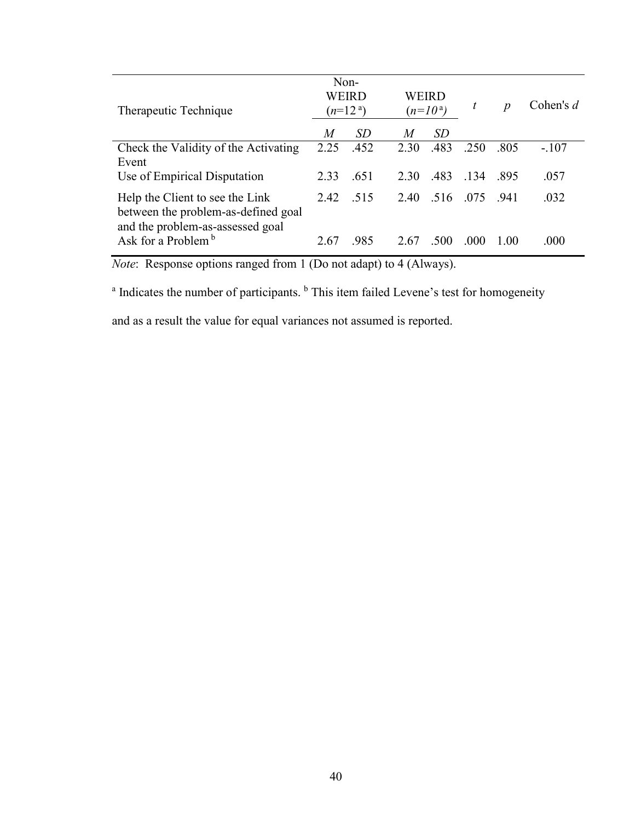| Therapeutic Technique                                                                                      |      | Non-<br>WEIRD<br>$(n=12^{\circ})$ |                | WEIRD<br>$(n=10^{\rm a})$ | t    | $\boldsymbol{p}$ | Cohen's $d$ |
|------------------------------------------------------------------------------------------------------------|------|-----------------------------------|----------------|---------------------------|------|------------------|-------------|
|                                                                                                            | M    | <i>SD</i>                         | $\overline{M}$ | SD.                       |      |                  |             |
| Check the Validity of the Activating<br>Event                                                              | 2.25 | .452                              | 2.30           | .483                      | .250 | .805             | $-.107$     |
| Use of Empirical Disputation                                                                               | 2.33 | .651                              | 2.30           | .483                      | .134 | .895             | .057        |
| Help the Client to see the Link<br>between the problem-as-defined goal<br>and the problem-as-assessed goal | 2.42 | 515                               | 2.40           | .516                      | -075 | - 941            | .032        |
| Ask for a Problem $\frac{b}{b}$                                                                            | 2.67 | .985                              | 2.67           | .500                      | .000 | 1.00             | .000        |

*Note*: Response options ranged from 1 (Do not adapt) to 4 (Always).

<sup>a</sup> Indicates the number of participants. <sup>b</sup> This item failed Levene's test for homogeneity

and as a result the value for equal variances not assumed is reported.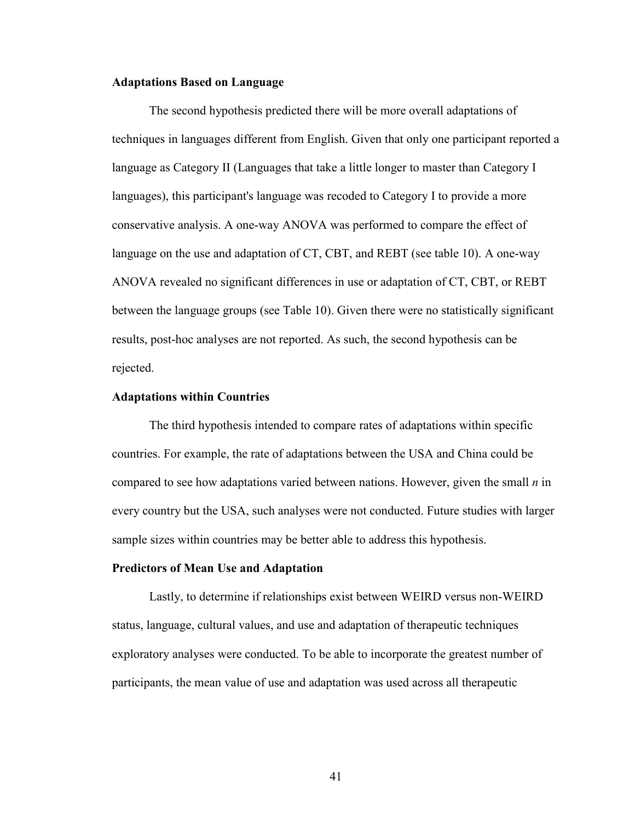### **Adaptations Based on Language**

The second hypothesis predicted there will be more overall adaptations of techniques in languages different from English. Given that only one participant reported a language as Category II (Languages that take a little longer to master than Category I languages), this participant's language was recoded to Category I to provide a more conservative analysis. A one-way ANOVA was performed to compare the effect of language on the use and adaptation of CT, CBT, and REBT (see table 10). A one-way ANOVA revealed no significant differences in use or adaptation of CT, CBT, or REBT between the language groups (see Table 10). Given there were no statistically significant results, post-hoc analyses are not reported. As such, the second hypothesis can be rejected.

#### **Adaptations within Countries**

 The third hypothesis intended to compare rates of adaptations within specific countries. For example, the rate of adaptations between the USA and China could be compared to see how adaptations varied between nations. However, given the small *n* in every country but the USA, such analyses were not conducted. Future studies with larger sample sizes within countries may be better able to address this hypothesis.

#### **Predictors of Mean Use and Adaptation**

 Lastly, to determine if relationships exist between WEIRD versus non-WEIRD status, language, cultural values, and use and adaptation of therapeutic techniques exploratory analyses were conducted. To be able to incorporate the greatest number of participants, the mean value of use and adaptation was used across all therapeutic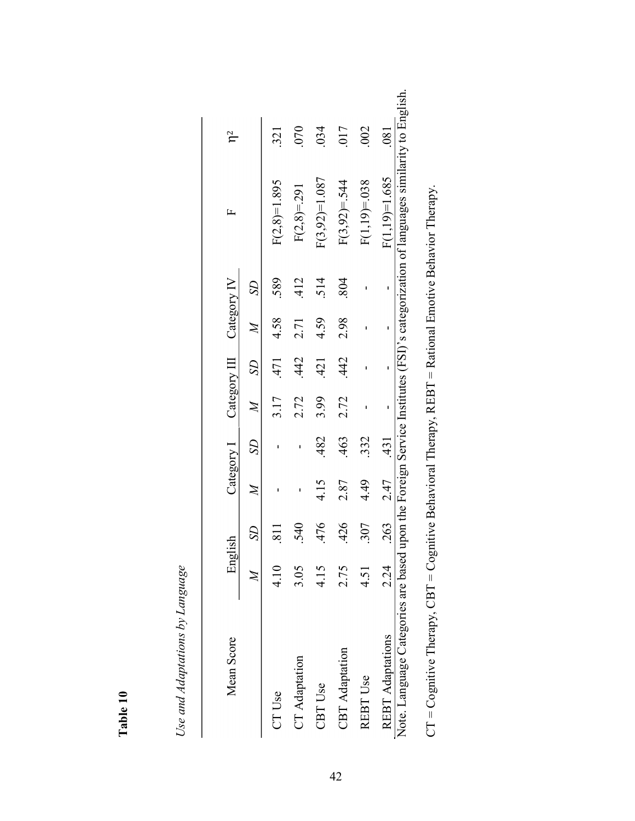| ▼      |  |
|--------|--|
|        |  |
| ∍      |  |
| π<br>┗ |  |
|        |  |

Use and Adaptations by Language *Use and Adaptations by Language* 

| Mean Score                                                                                                   | English |                |              | Category 1     |              |               | Category III Category IV |                | 匞                                                                                              | $\mathsf{h}^2$   |
|--------------------------------------------------------------------------------------------------------------|---------|----------------|--------------|----------------|--------------|---------------|--------------------------|----------------|------------------------------------------------------------------------------------------------|------------------|
|                                                                                                              |         | S <sub>2</sub> | $\mathbb{Z}$ | S <sub>2</sub> | $\cancel{z}$ | $\mathcal{S}$ | $\cancel{M}$             | S <sub>2</sub> |                                                                                                |                  |
| <b>CT Use</b>                                                                                                | 4.10    |                |              |                | 3.17         | .471          | 4.58                     | .589           | $F(2,8)=1.895$                                                                                 | 321              |
| CT Adaptation                                                                                                | 3.05    | .540           |              |                | 2.72         | 442           | 2.71                     | 412            | $F(2,8)=291$                                                                                   | 070              |
| <b>CBT</b> Use                                                                                               | 4.15    | .476           | 4.15         | 482            | 3.99         | 421           | 4.59                     | 514            | $F(3,92)=1.087$                                                                                | 034              |
| <b>CBT</b> Adaptation                                                                                        | 2.75    | .426           | 2.87         | 463            | 2.72         | .442          | 2.98                     | 804            | $F(3,92)=544$                                                                                  | 017              |
| REBT Use                                                                                                     | 4.51    | 307            | 4.49         | 332            |              |               |                          |                | $F(1,19)=0.038$                                                                                | 002              |
| <b>REBT</b> Adaptations                                                                                      | 2.24    | .263           | 2.47         | 431            |              |               |                          |                | $F(1,19)=1.685$                                                                                | $\overline{081}$ |
| Note. Language Categories are based                                                                          |         |                |              |                |              |               |                          |                | upon the Foreign Service Institutes (FSI)'s categorization of languages similarity to English. |                  |
| $CT = C$ ognitive Therapy, $CBT = C$ ognitive Behavioral Therapy, $REBT = Rational$ Emotive Behavior Therapy |         |                |              |                |              |               |                          |                |                                                                                                |                  |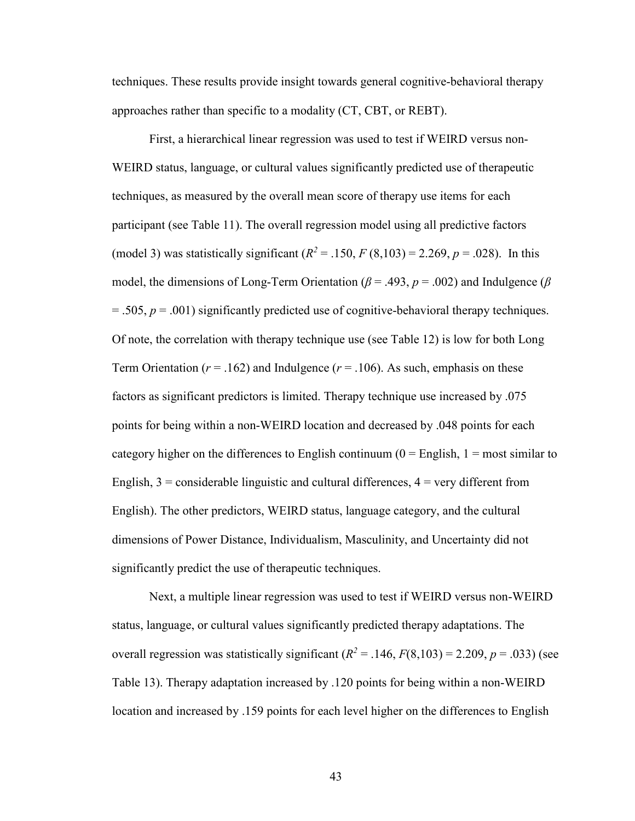techniques. These results provide insight towards general cognitive-behavioral therapy approaches rather than specific to a modality (CT, CBT, or REBT).

First, a hierarchical linear regression was used to test if WEIRD versus non-WEIRD status, language, or cultural values significantly predicted use of therapeutic techniques, as measured by the overall mean score of therapy use items for each participant (see Table 11). The overall regression model using all predictive factors (model 3) was statistically significant  $(R^2 = .150, F(8,103) = 2.269, p = .028)$ . In this model, the dimensions of Long-Term Orientation ( $\beta$  = .493,  $p$  = .002) and Indulgence ( $\beta$  $= .505, p = .001$ ) significantly predicted use of cognitive-behavioral therapy techniques. Of note, the correlation with therapy technique use (see Table 12) is low for both Long Term Orientation ( $r = .162$ ) and Indulgence ( $r = .106$ ). As such, emphasis on these factors as significant predictors is limited. Therapy technique use increased by .075 points for being within a non-WEIRD location and decreased by .048 points for each category higher on the differences to English continuum ( $0 =$  English,  $1 =$  most similar to English,  $3 =$  considerable linguistic and cultural differences,  $4 =$  very different from English). The other predictors, WEIRD status, language category, and the cultural dimensions of Power Distance, Individualism, Masculinity, and Uncertainty did not significantly predict the use of therapeutic techniques.

Next, a multiple linear regression was used to test if WEIRD versus non-WEIRD status, language, or cultural values significantly predicted therapy adaptations. The overall regression was statistically significant  $(R^2 = .146, F(8,103) = 2.209, p = .033)$  (see Table 13). Therapy adaptation increased by .120 points for being within a non-WEIRD location and increased by .159 points for each level higher on the differences to English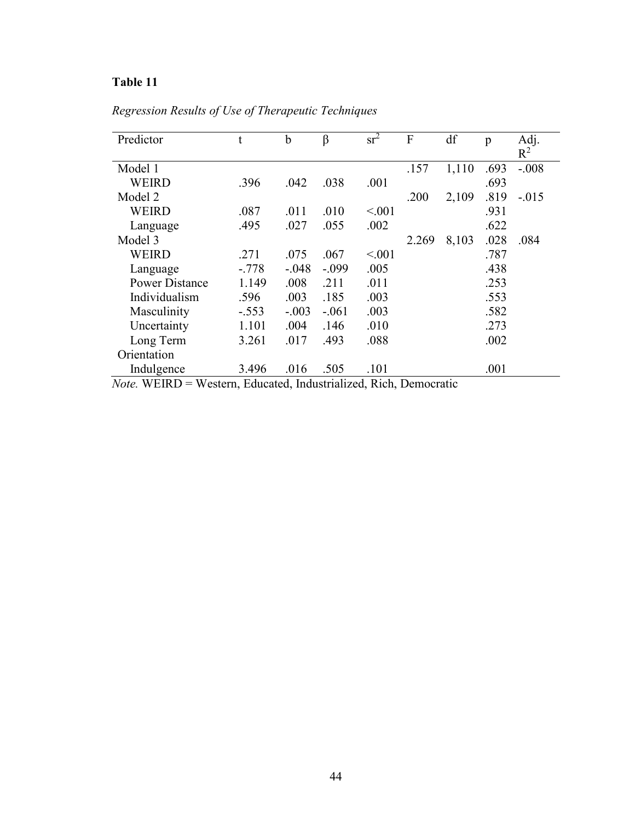| Predictor             | t       | $\mathbf b$ | β       | $sr^2$  | $\overline{F}$ | df    | p    | Adj.    |
|-----------------------|---------|-------------|---------|---------|----------------|-------|------|---------|
|                       |         |             |         |         |                |       |      | $R^2$   |
| Model 1               |         |             |         |         | .157           | 1,110 | .693 | $-.008$ |
| <b>WEIRD</b>          | .396    | .042        | .038    | .001    |                |       | .693 |         |
| Model 2               |         |             |         |         | .200           | 2,109 | .819 | $-.015$ |
| <b>WEIRD</b>          | .087    | .011        | .010    | < 0.001 |                |       | .931 |         |
| Language              | .495    | .027        | .055    | .002    |                |       | .622 |         |
| Model 3               |         |             |         |         | 2.269          | 8,103 | .028 | .084    |
| WEIRD                 | .271    | .075        | .067    | < 0.01  |                |       | .787 |         |
| Language              | $-.778$ | $-.048$     | $-.099$ | .005    |                |       | .438 |         |
| <b>Power Distance</b> | 1.149   | .008        | .211    | .011    |                |       | .253 |         |
| Individualism         | .596    | .003        | .185    | .003    |                |       | .553 |         |
| Masculinity           | $-.553$ | $-.003$     | $-.061$ | .003    |                |       | .582 |         |
| Uncertainty           | 1.101   | .004        | .146    | .010    |                |       | .273 |         |
| Long Term             | 3.261   | .017        | .493    | .088    |                |       | .002 |         |
| Orientation           |         |             |         |         |                |       |      |         |
| Indulgence            | 3.496   | .016        | .505    | .101    |                |       | .001 |         |

*Regression Results of Use of Therapeutic Techniques* 

*Note.* WEIRD = Western, Educated, Industrialized, Rich, Democratic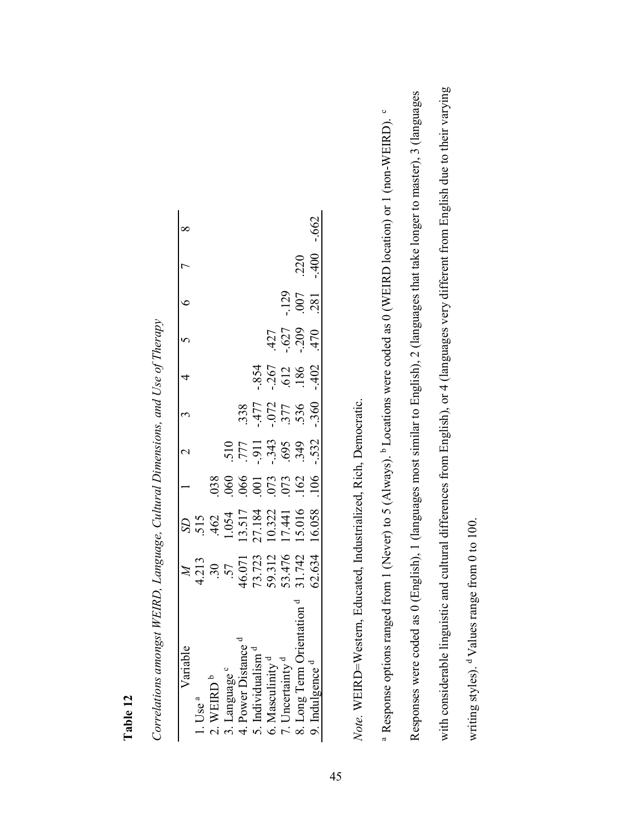| ariable                       |                                                                     |                                                                              |                                   |                                                                                                                           |                                                |                                                | 2 3 4 5 6                          |                   |        |          |
|-------------------------------|---------------------------------------------------------------------|------------------------------------------------------------------------------|-----------------------------------|---------------------------------------------------------------------------------------------------------------------------|------------------------------------------------|------------------------------------------------|------------------------------------|-------------------|--------|----------|
| $\bigcup_{a}$ se $a$          |                                                                     |                                                                              |                                   |                                                                                                                           |                                                |                                                |                                    |                   |        |          |
| VEIRD <sup>b</sup>            | 4.213<br>.30<br>.57<br>.57<br>.57.723<br>59.312<br>59.634<br>50.634 | SD<br>.515<br>.462<br>1.054<br>1.517<br>1.517<br>1.51016<br>15.016<br>15.016 |                                   |                                                                                                                           |                                                |                                                |                                    |                   |        |          |
| . Language c                  |                                                                     |                                                                              |                                   |                                                                                                                           |                                                |                                                |                                    |                   |        |          |
| Power Distance                |                                                                     |                                                                              |                                   |                                                                                                                           |                                                |                                                |                                    |                   |        |          |
| . Individualist               |                                                                     |                                                                              |                                   |                                                                                                                           |                                                |                                                |                                    |                   |        |          |
| 6. Masculinity <sup>c</sup>   |                                                                     |                                                                              | 038<br>0666<br>001 073<br>001 073 | 510<br>777 - 1957<br>689 - 1958 - 1959 - 1959 - 1959 - 1959 - 1959 - 1959 - 1959 - 1959 - 1959 - 1959 - 1959 - 1959 - 195 | $.338$<br>$.477$<br>$.072$<br>$.577$<br>$.536$ | $.854$<br>$.267$<br>$.612$<br>$.186$<br>$.192$ |                                    |                   |        |          |
| '. Uncertainty <sup>d</sup>   |                                                                     |                                                                              |                                   |                                                                                                                           |                                                |                                                |                                    |                   |        |          |
| Orientation<br>8. Long Term ( |                                                                     |                                                                              |                                   |                                                                                                                           |                                                |                                                | $427$<br>$-627$<br>$-109$<br>$470$ | $\frac{129}{007}$ | 220    |          |
| . Indulgence '                |                                                                     |                                                                              | 106                               | .532                                                                                                                      | .360                                           |                                                |                                    |                   | $-400$ | $-0.662$ |

*Correlations amongst WEIRD, Language, Cultural Dimensions, and Use of Therapy*  Correlations amongst WEIRD, Language, Cultural Dimensions, and Use of Therapy

**Table 12**

Note. WEIRD=Western, Educated, Industrialized, Rich, Democratic. *Note.* WEIRD=Western, Educated, Industrialized, Rich, Democratic.

with considerable linguistic and cultural differences from English), or 4 (languages very different from English due to their varying with considerable linguistic and cultural differences from English), or 4 (languages very different from English due to their varying Responses were coded as 0 (English), 1 (languages most similar to English), 2 (languages that take longer to master), 3 (languages Responses were coded as 0 (English), 1 (languages most similar to English), 2 (languages that take longer to master), 3 (languages  $\circ$ <sup>a</sup> Response options ranged from 1 (Never) to 5 (Always). <sup>b</sup> Locations were coded as 0 (WEIRD location) or 1 (non-WEIRD). <sup>c</sup> <sup>a</sup> Response options ranged from 1 (Never) to 5 (Always). <sup>b</sup> Locations were coded as 0 (WEIRD location) or 1 (non-WEIRD). writing styles). d Values range from 0 to 100. writing styles). <sup>d</sup>Values range from 0 to 100.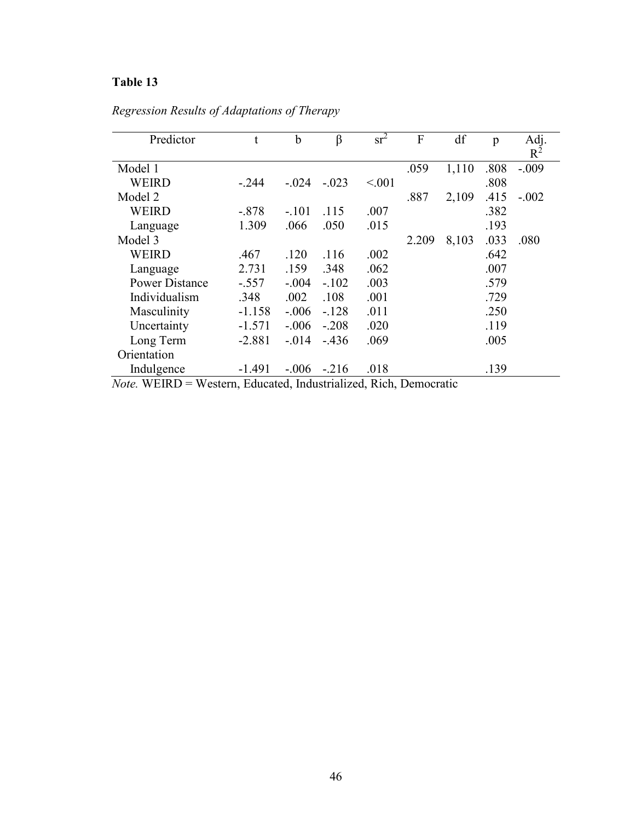| Predictor             | t        | $\mathbf b$ | β       | $sr^2$ | F     | df    | p    | Adj.    |
|-----------------------|----------|-------------|---------|--------|-------|-------|------|---------|
|                       |          |             |         |        |       |       |      | $R^2$   |
| Model 1               |          |             |         |        | .059  | 1,110 | .808 | $-.009$ |
| <b>WEIRD</b>          | $-244$   | $-.024$     | $-.023$ | < 0.01 |       |       | .808 |         |
| Model 2               |          |             |         |        | .887  | 2,109 | .415 | $-.002$ |
| WEIRD                 | $-.878$  | $-.101$     | .115    | .007   |       |       | .382 |         |
| Language              | 1.309    | .066        | .050    | .015   |       |       | .193 |         |
| Model 3               |          |             |         |        | 2.209 | 8,103 | .033 | .080    |
| WEIRD                 | .467     | .120        | .116    | .002   |       |       | .642 |         |
| Language              | 2.731    | .159        | .348    | .062   |       |       | .007 |         |
| <b>Power Distance</b> | $-.557$  | $-.004$     | $-.102$ | .003   |       |       | .579 |         |
| Individualism         | .348     | .002        | .108    | .001   |       |       | .729 |         |
| Masculinity           | $-1.158$ | $-.006$     | $-128$  | .011   |       |       | .250 |         |
| Uncertainty           | $-1.571$ | $-.006$     | $-.208$ | .020   |       |       | .119 |         |
| Long Term             | $-2.881$ | $-0.014$    | $-436$  | .069   |       |       | .005 |         |
| Orientation           |          |             |         |        |       |       |      |         |
| Indulgence            | $-1.491$ | $-.006$     | $-216$  | .018   |       |       | .139 |         |

*Regression Results of Adaptations of Therapy* 

*Note.* WEIRD = Western, Educated, Industrialized, Rich, Democratic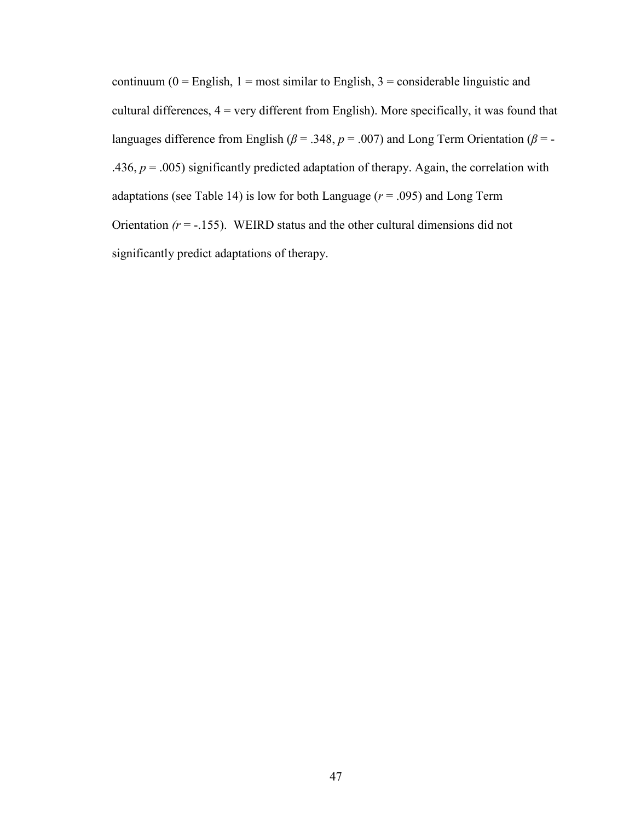continuum ( $0 =$  English,  $1 =$  most similar to English,  $3 =$  considerable linguistic and cultural differences,  $4 = \text{very different from English}$ . More specifically, it was found that languages difference from English ( $\beta$  = .348,  $p$  = .007) and Long Term Orientation ( $\beta$  = -.436,  $p = .005$ ) significantly predicted adaptation of therapy. Again, the correlation with adaptations (see Table 14) is low for both Language  $(r = .095)$  and Long Term Orientation  $(r = -.155)$ . WEIRD status and the other cultural dimensions did not significantly predict adaptations of therapy.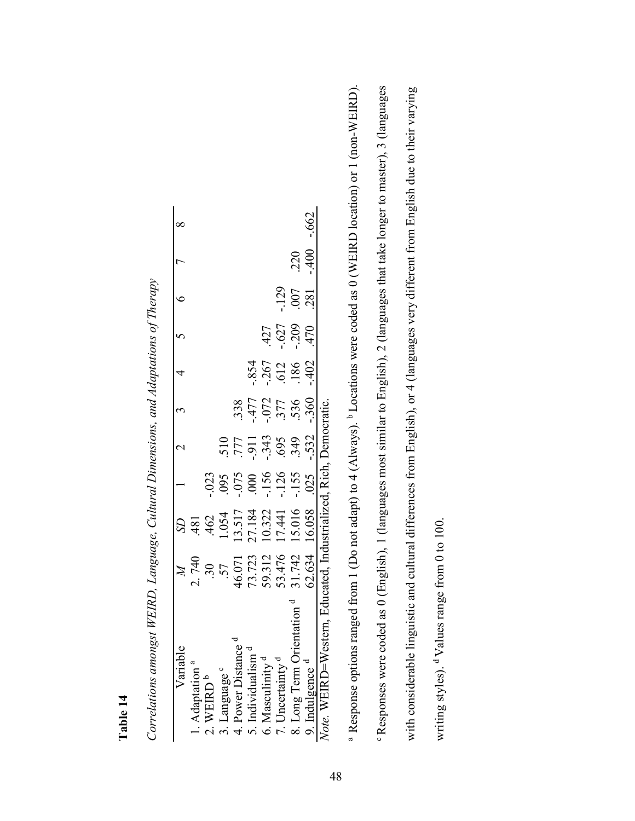| a<br>╾                     |  |
|----------------------------|--|
| ٥<br>-<br>÷<br>Ē<br>F<br>_ |  |

| l<br>i<br>֚֞                                                                                       |
|----------------------------------------------------------------------------------------------------|
| l                                                                                                  |
|                                                                                                    |
| スープ うちょう こうりょう こうこうこう                                                                              |
| $\sqrt{2}$                                                                                         |
| : הוא המנייני בי<br>$\begin{array}{c}\n\bullet \\ \bullet \\ \bullet \\ \bullet\n\end{array}$<br>Ì |
|                                                                                                    |
| <br> <br> <br> <br>$\frac{1}{2}$                                                                   |
|                                                                                                    |
| $\sim$ $\sim$ $\sim$ $\sim$ $\sim$                                                                 |
| Ì                                                                                                  |

| Variable                                       |                                                                                  |                                                                              | $\overline{\mathcal{C}}$                      | $\tilde{\mathfrak{c}}$            | 4                        | $\sim$                       | $\epsilon$       |        |          |
|------------------------------------------------|----------------------------------------------------------------------------------|------------------------------------------------------------------------------|-----------------------------------------------|-----------------------------------|--------------------------|------------------------------|------------------|--------|----------|
| Adaptation                                     |                                                                                  |                                                                              |                                               |                                   |                          |                              |                  |        |          |
| <b>VEIRD</b>                                   |                                                                                  |                                                                              |                                               |                                   |                          |                              |                  |        |          |
| anguage c                                      | SD<br>481<br>462<br>1.054<br>1.0.134<br>1.0.1441<br>1.0.16<br>1.0.058<br>1.0.058 | $-023$<br>$-055$<br>$-055$<br>$-156$<br>$-155$<br>$-155$<br>$-155$<br>$-155$ |                                               |                                   |                          |                              |                  |        |          |
| . Power Distance                               |                                                                                  |                                                                              |                                               |                                   |                          |                              |                  |        |          |
| Individualism                                  |                                                                                  |                                                                              |                                               |                                   |                          |                              |                  |        |          |
| A. Masculinity                                 |                                                                                  |                                                                              |                                               |                                   |                          |                              |                  |        |          |
| Jncertainty                                    |                                                                                  |                                                                              |                                               |                                   |                          |                              | $-129$           |        |          |
| Long Term                                      |                                                                                  |                                                                              | 510<br>1777 - 343<br>1952 - 343<br>1952 - 352 | 338<br>1477<br>172<br>177<br>1536 | 854<br>267<br>512<br>986 | $-127$<br>$-1627$<br>$-1209$ | $.007$<br>$.281$ | .220   |          |
| . Indulgence "                                 |                                                                                  |                                                                              |                                               | $-360$                            | $-402$                   | 470                          |                  | $-400$ | $-0.662$ |
| WEIRD=Western, Educated, Industrialized, Rich. |                                                                                  |                                                                              | Oemocratic                                    |                                   |                          |                              |                  |        |          |

<sup>a</sup> Response options ranged from 1 (Do not adapt) to 4 (Always). <sup>b</sup> Locations were coded as 0 (WEIRD location) or 1 (non-WEIRD). <sup>o</sup> Responses were coded as 0 (English), 1 (languages most similar to English), 2 (languages that take longer to master), 3 (languages c Responses were coded as 0 (English), 1 (languages most similar to English), 2 (languages that take longer to master), 3 (languages <sup>a</sup> Response options ranged from 1 (Do not adapt) to 4 (Always). <sup>b</sup> Locations were coded as 0 (WEIRD location) or 1 (non-WEIRD). with considerable linguistic and cultural differences from English), or 4 (languages very different from English due to their varying with considerable linguistic and cultural differences from English), or 4 (languages very different from English due to their varying writing styles). d Values range from 0 to 100. writing styles). <sup>d</sup>Values range from 0 to 100.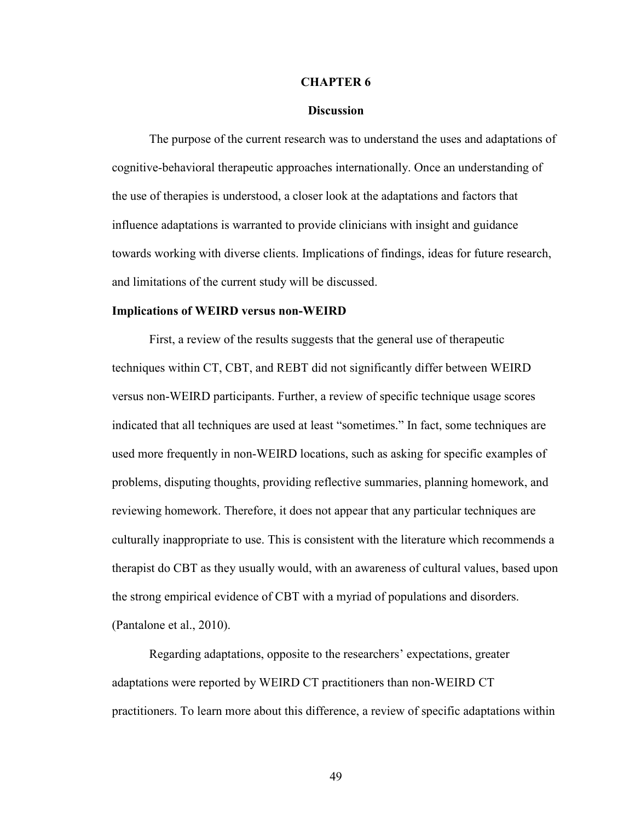#### **CHAPTER 6**

#### **Discussion**

The purpose of the current research was to understand the uses and adaptations of cognitive-behavioral therapeutic approaches internationally. Once an understanding of the use of therapies is understood, a closer look at the adaptations and factors that influence adaptations is warranted to provide clinicians with insight and guidance towards working with diverse clients. Implications of findings, ideas for future research, and limitations of the current study will be discussed.

#### **Implications of WEIRD versus non-WEIRD**

First, a review of the results suggests that the general use of therapeutic techniques within CT, CBT, and REBT did not significantly differ between WEIRD versus non-WEIRD participants. Further, a review of specific technique usage scores indicated that all techniques are used at least "sometimes." In fact, some techniques are used more frequently in non-WEIRD locations, such as asking for specific examples of problems, disputing thoughts, providing reflective summaries, planning homework, and reviewing homework. Therefore, it does not appear that any particular techniques are culturally inappropriate to use. This is consistent with the literature which recommends a therapist do CBT as they usually would, with an awareness of cultural values, based upon the strong empirical evidence of CBT with a myriad of populations and disorders. (Pantalone et al., 2010).

Regarding adaptations, opposite to the researchers' expectations, greater adaptations were reported by WEIRD CT practitioners than non-WEIRD CT practitioners. To learn more about this difference, a review of specific adaptations within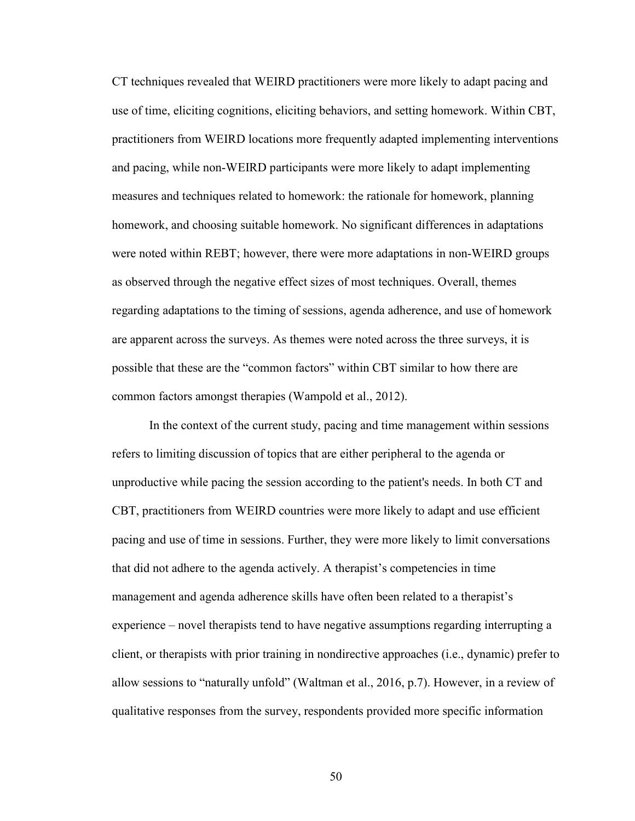CT techniques revealed that WEIRD practitioners were more likely to adapt pacing and use of time, eliciting cognitions, eliciting behaviors, and setting homework. Within CBT, practitioners from WEIRD locations more frequently adapted implementing interventions and pacing, while non-WEIRD participants were more likely to adapt implementing measures and techniques related to homework: the rationale for homework, planning homework, and choosing suitable homework. No significant differences in adaptations were noted within REBT; however, there were more adaptations in non-WEIRD groups as observed through the negative effect sizes of most techniques. Overall, themes regarding adaptations to the timing of sessions, agenda adherence, and use of homework are apparent across the surveys. As themes were noted across the three surveys, it is possible that these are the "common factors" within CBT similar to how there are common factors amongst therapies (Wampold et al., 2012).

In the context of the current study, pacing and time management within sessions refers to limiting discussion of topics that are either peripheral to the agenda or unproductive while pacing the session according to the patient's needs. In both CT and CBT, practitioners from WEIRD countries were more likely to adapt and use efficient pacing and use of time in sessions. Further, they were more likely to limit conversations that did not adhere to the agenda actively. A therapist's competencies in time management and agenda adherence skills have often been related to a therapist's experience – novel therapists tend to have negative assumptions regarding interrupting a client, or therapists with prior training in nondirective approaches (i.e., dynamic) prefer to allow sessions to "naturally unfold" (Waltman et al., 2016, p.7). However, in a review of qualitative responses from the survey, respondents provided more specific information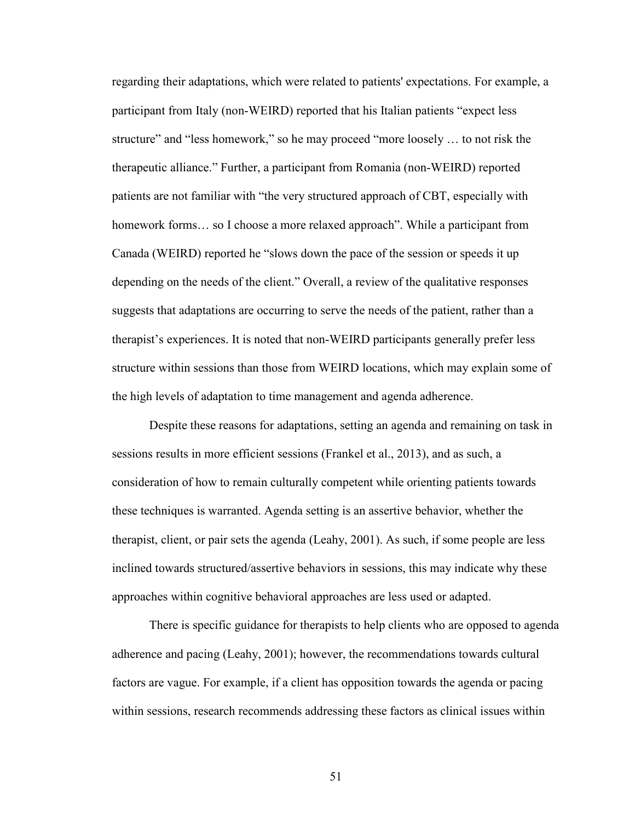regarding their adaptations, which were related to patients' expectations. For example, a participant from Italy (non-WEIRD) reported that his Italian patients "expect less structure" and "less homework," so he may proceed "more loosely … to not risk the therapeutic alliance." Further, a participant from Romania (non-WEIRD) reported patients are not familiar with "the very structured approach of CBT, especially with homework forms... so I choose a more relaxed approach". While a participant from Canada (WEIRD) reported he "slows down the pace of the session or speeds it up depending on the needs of the client." Overall, a review of the qualitative responses suggests that adaptations are occurring to serve the needs of the patient, rather than a therapist's experiences. It is noted that non-WEIRD participants generally prefer less structure within sessions than those from WEIRD locations, which may explain some of the high levels of adaptation to time management and agenda adherence.

Despite these reasons for adaptations, setting an agenda and remaining on task in sessions results in more efficient sessions (Frankel et al., 2013), and as such, a consideration of how to remain culturally competent while orienting patients towards these techniques is warranted. Agenda setting is an assertive behavior, whether the therapist, client, or pair sets the agenda (Leahy, 2001). As such, if some people are less inclined towards structured/assertive behaviors in sessions, this may indicate why these approaches within cognitive behavioral approaches are less used or adapted.

There is specific guidance for therapists to help clients who are opposed to agenda adherence and pacing (Leahy, 2001); however, the recommendations towards cultural factors are vague. For example, if a client has opposition towards the agenda or pacing within sessions, research recommends addressing these factors as clinical issues within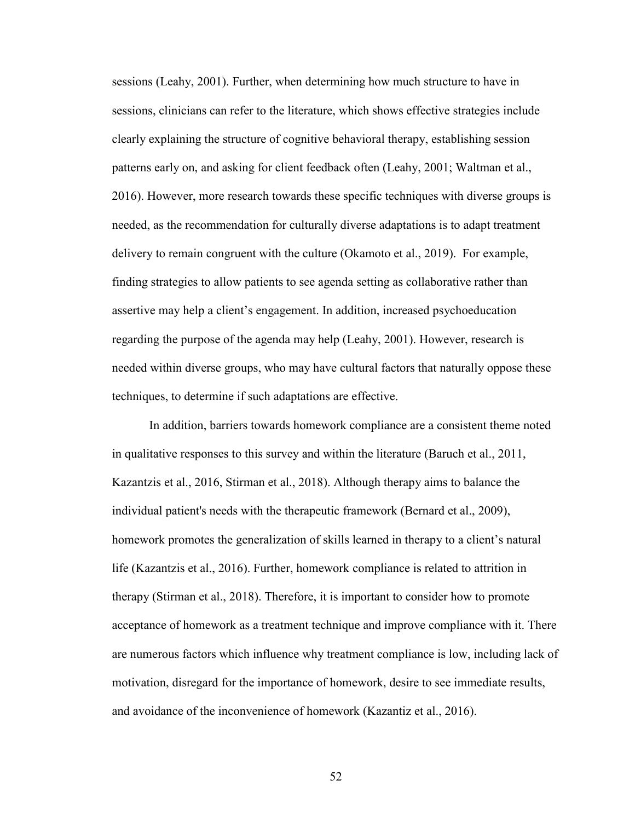sessions (Leahy, 2001). Further, when determining how much structure to have in sessions, clinicians can refer to the literature, which shows effective strategies include clearly explaining the structure of cognitive behavioral therapy, establishing session patterns early on, and asking for client feedback often (Leahy, 2001; Waltman et al., 2016). However, more research towards these specific techniques with diverse groups is needed, as the recommendation for culturally diverse adaptations is to adapt treatment delivery to remain congruent with the culture (Okamoto et al., 2019). For example, finding strategies to allow patients to see agenda setting as collaborative rather than assertive may help a client's engagement. In addition, increased psychoeducation regarding the purpose of the agenda may help (Leahy, 2001). However, research is needed within diverse groups, who may have cultural factors that naturally oppose these techniques, to determine if such adaptations are effective.

In addition, barriers towards homework compliance are a consistent theme noted in qualitative responses to this survey and within the literature (Baruch et al., 2011, Kazantzis et al., 2016, Stirman et al., 2018). Although therapy aims to balance the individual patient's needs with the therapeutic framework (Bernard et al., 2009), homework promotes the generalization of skills learned in therapy to a client's natural life (Kazantzis et al., 2016). Further, homework compliance is related to attrition in therapy (Stirman et al., 2018). Therefore, it is important to consider how to promote acceptance of homework as a treatment technique and improve compliance with it. There are numerous factors which influence why treatment compliance is low, including lack of motivation, disregard for the importance of homework, desire to see immediate results, and avoidance of the inconvenience of homework (Kazantiz et al., 2016).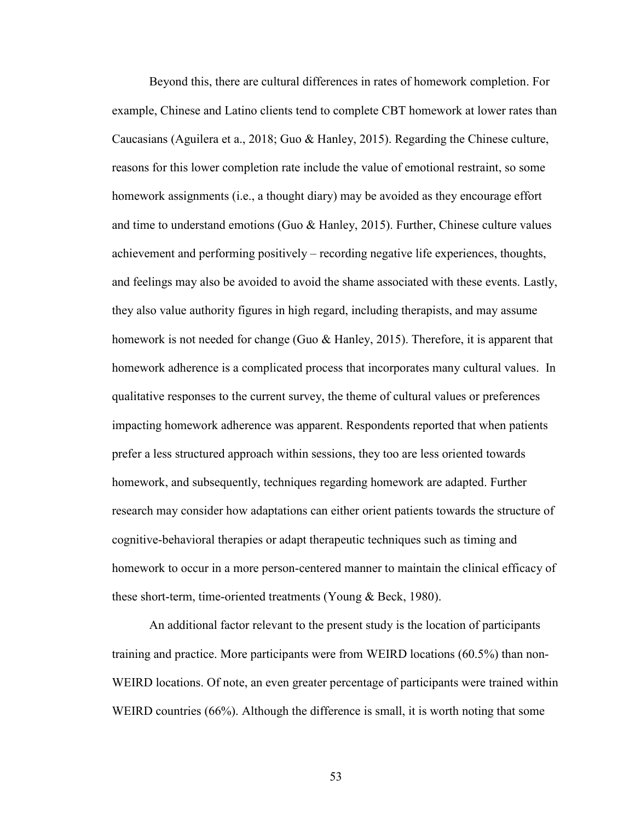Beyond this, there are cultural differences in rates of homework completion. For example, Chinese and Latino clients tend to complete CBT homework at lower rates than Caucasians (Aguilera et a., 2018; Guo & Hanley, 2015). Regarding the Chinese culture, reasons for this lower completion rate include the value of emotional restraint, so some homework assignments (i.e., a thought diary) may be avoided as they encourage effort and time to understand emotions (Guo & Hanley, 2015). Further, Chinese culture values achievement and performing positively – recording negative life experiences, thoughts, and feelings may also be avoided to avoid the shame associated with these events. Lastly, they also value authority figures in high regard, including therapists, and may assume homework is not needed for change (Guo & Hanley, 2015). Therefore, it is apparent that homework adherence is a complicated process that incorporates many cultural values. In qualitative responses to the current survey, the theme of cultural values or preferences impacting homework adherence was apparent. Respondents reported that when patients prefer a less structured approach within sessions, they too are less oriented towards homework, and subsequently, techniques regarding homework are adapted. Further research may consider how adaptations can either orient patients towards the structure of cognitive-behavioral therapies or adapt therapeutic techniques such as timing and homework to occur in a more person-centered manner to maintain the clinical efficacy of these short-term, time-oriented treatments (Young & Beck, 1980).

An additional factor relevant to the present study is the location of participants training and practice. More participants were from WEIRD locations (60.5%) than non-WEIRD locations. Of note, an even greater percentage of participants were trained within WEIRD countries (66%). Although the difference is small, it is worth noting that some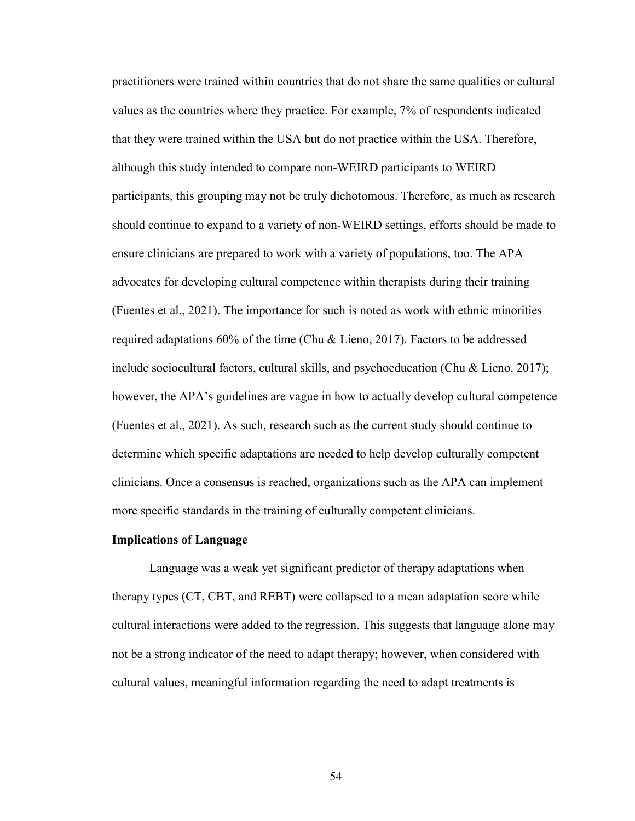practitioners were trained within countries that do not share the same qualities or cultural values as the countries where they practice. For example, 7% of respondents indicated that they were trained within the USA but do not practice within the USA. Therefore, although this study intended to compare non-WEIRD participants to WEIRD participants, this grouping may not be truly dichotomous. Therefore, as much as research should continue to expand to a variety of non-WEIRD settings, efforts should be made to ensure clinicians are prepared to work with a variety of populations, too. The APA advocates for developing cultural competence within therapists during their training (Fuentes et al., 2021). The importance for such is noted as work with ethnic minorities required adaptations 60% of the time (Chu & Lieno, 2017). Factors to be addressed include sociocultural factors, cultural skills, and psychoeducation (Chu & Lieno, 2017); however, the APA's guidelines are vague in how to actually develop cultural competence (Fuentes et al., 2021). As such, research such as the current study should continue to determine which specific adaptations are needed to help develop culturally competent clinicians. Once a consensus is reached, organizations such as the APA can implement more specific standards in the training of culturally competent clinicians.

#### **Implications of Language**

 Language was a weak yet significant predictor of therapy adaptations when therapy types (CT, CBT, and REBT) were collapsed to a mean adaptation score while cultural interactions were added to the regression. This suggests that language alone may not be a strong indicator of the need to adapt therapy; however, when considered with cultural values, meaningful information regarding the need to adapt treatments is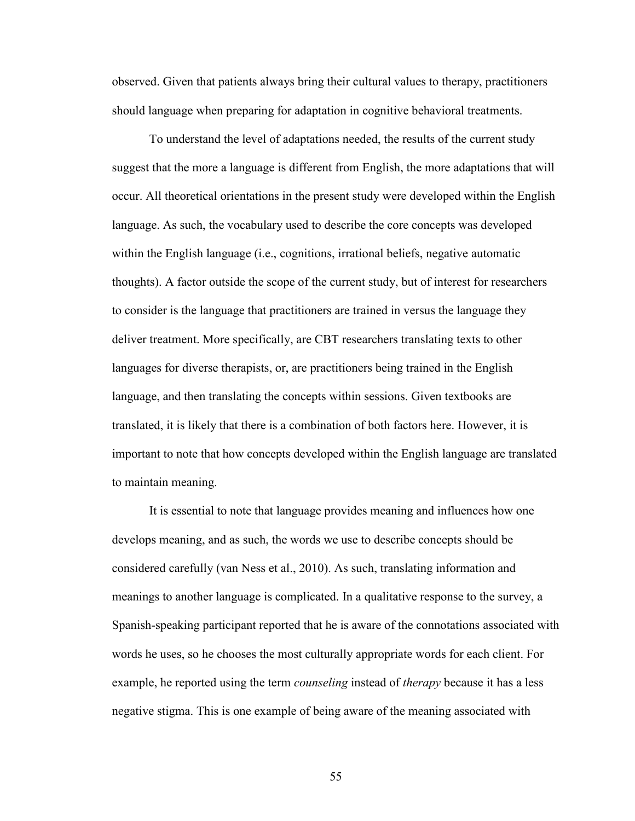observed. Given that patients always bring their cultural values to therapy, practitioners should language when preparing for adaptation in cognitive behavioral treatments.

 To understand the level of adaptations needed, the results of the current study suggest that the more a language is different from English, the more adaptations that will occur. All theoretical orientations in the present study were developed within the English language. As such, the vocabulary used to describe the core concepts was developed within the English language (i.e., cognitions, irrational beliefs, negative automatic thoughts). A factor outside the scope of the current study, but of interest for researchers to consider is the language that practitioners are trained in versus the language they deliver treatment. More specifically, are CBT researchers translating texts to other languages for diverse therapists, or, are practitioners being trained in the English language, and then translating the concepts within sessions. Given textbooks are translated, it is likely that there is a combination of both factors here. However, it is important to note that how concepts developed within the English language are translated to maintain meaning.

It is essential to note that language provides meaning and influences how one develops meaning, and as such, the words we use to describe concepts should be considered carefully (van Ness et al., 2010). As such, translating information and meanings to another language is complicated. In a qualitative response to the survey, a Spanish-speaking participant reported that he is aware of the connotations associated with words he uses, so he chooses the most culturally appropriate words for each client. For example, he reported using the term *counseling* instead of *therapy* because it has a less negative stigma. This is one example of being aware of the meaning associated with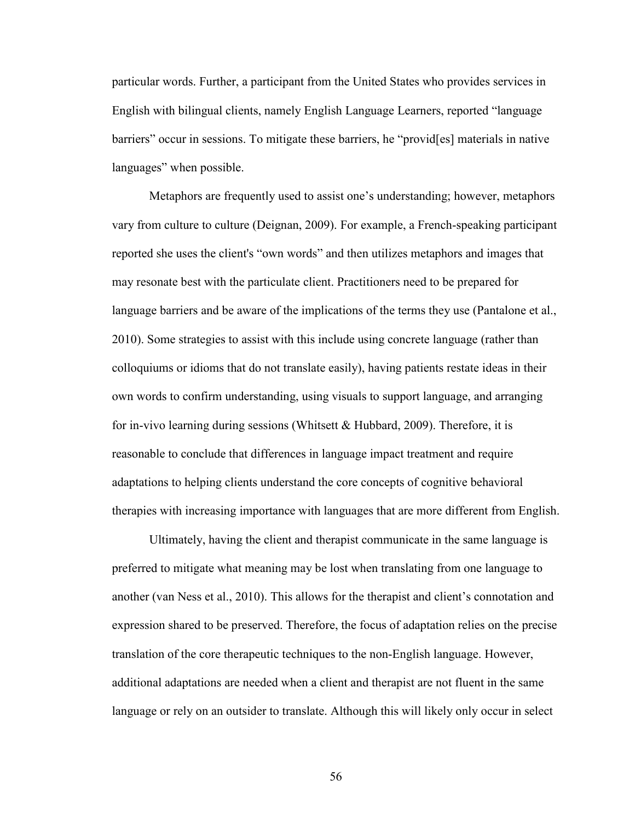particular words. Further, a participant from the United States who provides services in English with bilingual clients, namely English Language Learners, reported "language barriers" occur in sessions. To mitigate these barriers, he "provid[es] materials in native languages" when possible.

Metaphors are frequently used to assist one's understanding; however, metaphors vary from culture to culture (Deignan, 2009). For example, a French-speaking participant reported she uses the client's "own words" and then utilizes metaphors and images that may resonate best with the particulate client. Practitioners need to be prepared for language barriers and be aware of the implications of the terms they use (Pantalone et al., 2010). Some strategies to assist with this include using concrete language (rather than colloquiums or idioms that do not translate easily), having patients restate ideas in their own words to confirm understanding, using visuals to support language, and arranging for in-vivo learning during sessions (Whitsett & Hubbard, 2009). Therefore, it is reasonable to conclude that differences in language impact treatment and require adaptations to helping clients understand the core concepts of cognitive behavioral therapies with increasing importance with languages that are more different from English.

Ultimately, having the client and therapist communicate in the same language is preferred to mitigate what meaning may be lost when translating from one language to another (van Ness et al., 2010). This allows for the therapist and client's connotation and expression shared to be preserved. Therefore, the focus of adaptation relies on the precise translation of the core therapeutic techniques to the non-English language. However, additional adaptations are needed when a client and therapist are not fluent in the same language or rely on an outsider to translate. Although this will likely only occur in select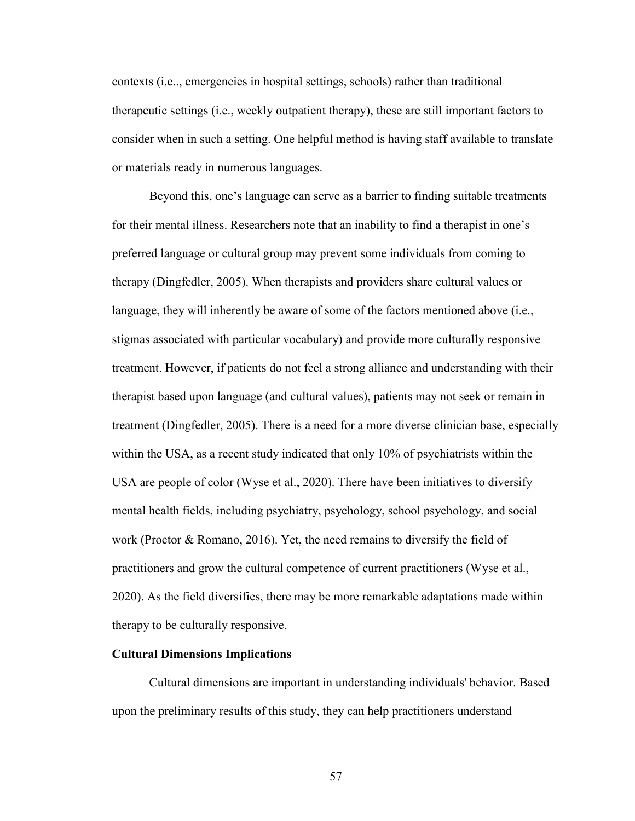contexts (i.e.., emergencies in hospital settings, schools) rather than traditional therapeutic settings (i.e., weekly outpatient therapy), these are still important factors to consider when in such a setting. One helpful method is having staff available to translate or materials ready in numerous languages.

Beyond this, one's language can serve as a barrier to finding suitable treatments for their mental illness. Researchers note that an inability to find a therapist in one's preferred language or cultural group may prevent some individuals from coming to therapy (Dingfedler, 2005). When therapists and providers share cultural values or language, they will inherently be aware of some of the factors mentioned above (i.e., stigmas associated with particular vocabulary) and provide more culturally responsive treatment. However, if patients do not feel a strong alliance and understanding with their therapist based upon language (and cultural values), patients may not seek or remain in treatment (Dingfedler, 2005). There is a need for a more diverse clinician base, especially within the USA, as a recent study indicated that only 10% of psychiatrists within the USA are people of color (Wyse et al., 2020). There have been initiatives to diversify mental health fields, including psychiatry, psychology, school psychology, and social work (Proctor & Romano, 2016). Yet, the need remains to diversify the field of practitioners and grow the cultural competence of current practitioners (Wyse et al., 2020). As the field diversifies, there may be more remarkable adaptations made within therapy to be culturally responsive.

#### **Cultural Dimensions Implications**

Cultural dimensions are important in understanding individuals' behavior. Based upon the preliminary results of this study, they can help practitioners understand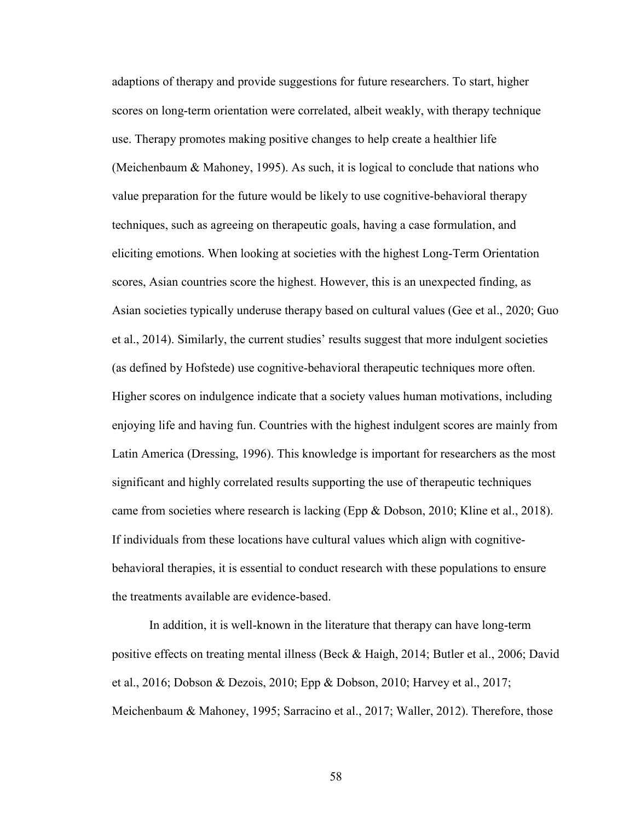adaptions of therapy and provide suggestions for future researchers. To start, higher scores on long-term orientation were correlated, albeit weakly, with therapy technique use. Therapy promotes making positive changes to help create a healthier life (Meichenbaum & Mahoney, 1995). As such, it is logical to conclude that nations who value preparation for the future would be likely to use cognitive-behavioral therapy techniques, such as agreeing on therapeutic goals, having a case formulation, and eliciting emotions. When looking at societies with the highest Long-Term Orientation scores, Asian countries score the highest. However, this is an unexpected finding, as Asian societies typically underuse therapy based on cultural values (Gee et al., 2020; Guo et al., 2014). Similarly, the current studies' results suggest that more indulgent societies (as defined by Hofstede) use cognitive-behavioral therapeutic techniques more often. Higher scores on indulgence indicate that a society values human motivations, including enjoying life and having fun. Countries with the highest indulgent scores are mainly from Latin America (Dressing, 1996). This knowledge is important for researchers as the most significant and highly correlated results supporting the use of therapeutic techniques came from societies where research is lacking (Epp & Dobson, 2010; Kline et al., 2018). If individuals from these locations have cultural values which align with cognitivebehavioral therapies, it is essential to conduct research with these populations to ensure the treatments available are evidence-based.

In addition, it is well-known in the literature that therapy can have long-term positive effects on treating mental illness (Beck & Haigh, 2014; Butler et al., 2006; David et al., 2016; Dobson & Dezois, 2010; Epp & Dobson, 2010; Harvey et al., 2017; Meichenbaum & Mahoney, 1995; Sarracino et al., 2017; Waller, 2012). Therefore, those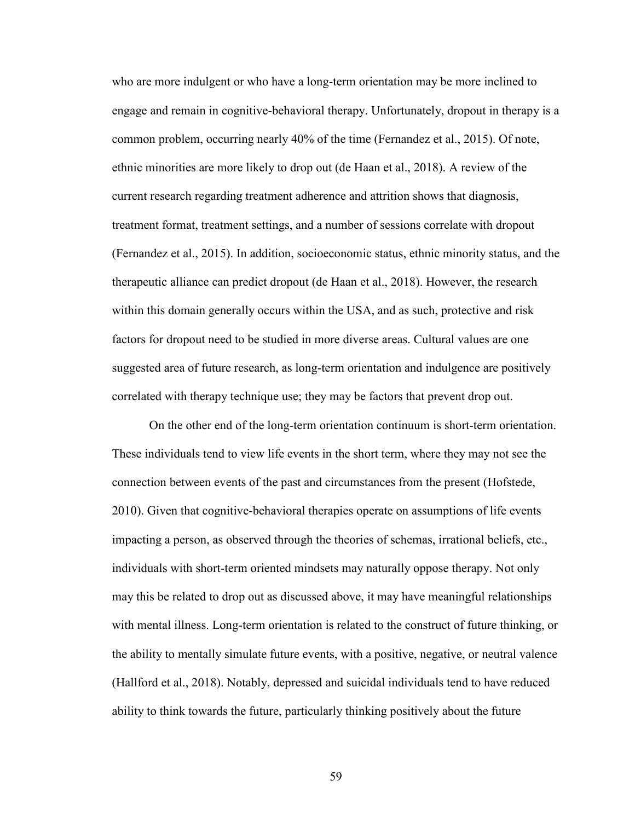who are more indulgent or who have a long-term orientation may be more inclined to engage and remain in cognitive-behavioral therapy. Unfortunately, dropout in therapy is a common problem, occurring nearly 40% of the time (Fernandez et al., 2015). Of note, ethnic minorities are more likely to drop out (de Haan et al., 2018). A review of the current research regarding treatment adherence and attrition shows that diagnosis, treatment format, treatment settings, and a number of sessions correlate with dropout (Fernandez et al., 2015). In addition, socioeconomic status, ethnic minority status, and the therapeutic alliance can predict dropout (de Haan et al., 2018). However, the research within this domain generally occurs within the USA, and as such, protective and risk factors for dropout need to be studied in more diverse areas. Cultural values are one suggested area of future research, as long-term orientation and indulgence are positively correlated with therapy technique use; they may be factors that prevent drop out.

On the other end of the long-term orientation continuum is short-term orientation. These individuals tend to view life events in the short term, where they may not see the connection between events of the past and circumstances from the present (Hofstede, 2010). Given that cognitive-behavioral therapies operate on assumptions of life events impacting a person, as observed through the theories of schemas, irrational beliefs, etc., individuals with short-term oriented mindsets may naturally oppose therapy. Not only may this be related to drop out as discussed above, it may have meaningful relationships with mental illness. Long-term orientation is related to the construct of future thinking, or the ability to mentally simulate future events, with a positive, negative, or neutral valence (Hallford et al., 2018). Notably, depressed and suicidal individuals tend to have reduced ability to think towards the future, particularly thinking positively about the future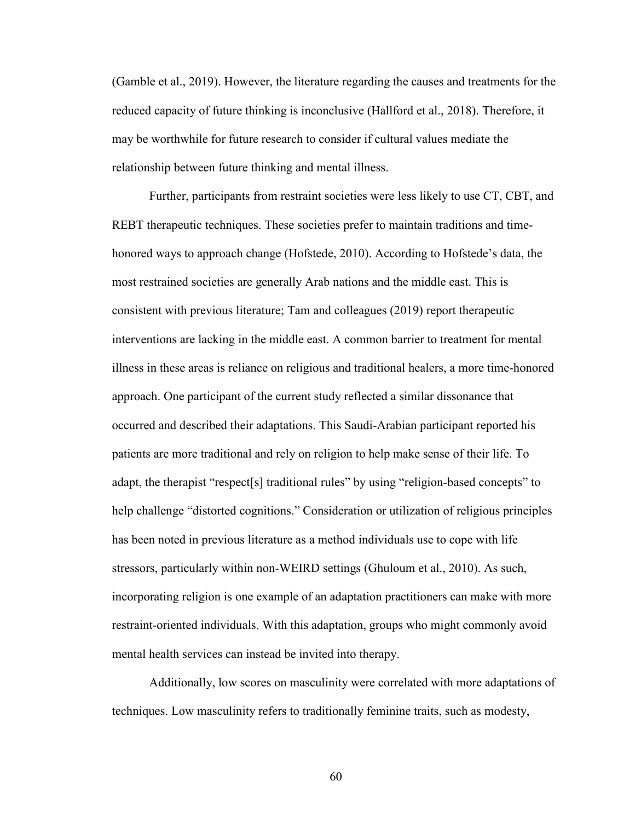(Gamble et al., 2019). However, the literature regarding the causes and treatments for the reduced capacity of future thinking is inconclusive (Hallford et al., 2018). Therefore, it may be worthwhile for future research to consider if cultural values mediate the relationship between future thinking and mental illness.

Further, participants from restraint societies were less likely to use CT, CBT, and REBT therapeutic techniques. These societies prefer to maintain traditions and timehonored ways to approach change (Hofstede, 2010). According to Hofstede's data, the most restrained societies are generally Arab nations and the middle east. This is consistent with previous literature; Tam and colleagues (2019) report therapeutic interventions are lacking in the middle east. A common barrier to treatment for mental illness in these areas is reliance on religious and traditional healers, a more time-honored approach. One participant of the current study reflected a similar dissonance that occurred and described their adaptations. This Saudi-Arabian participant reported his patients are more traditional and rely on religion to help make sense of their life. To adapt, the therapist "respect[s] traditional rules" by using "religion-based concepts" to help challenge "distorted cognitions." Consideration or utilization of religious principles has been noted in previous literature as a method individuals use to cope with life stressors, particularly within non-WEIRD settings (Ghuloum et al., 2010). As such, incorporating religion is one example of an adaptation practitioners can make with more restraint-oriented individuals. With this adaptation, groups who might commonly avoid mental health services can instead be invited into therapy.

Additionally, low scores on masculinity were correlated with more adaptations of techniques. Low masculinity refers to traditionally feminine traits, such as modesty,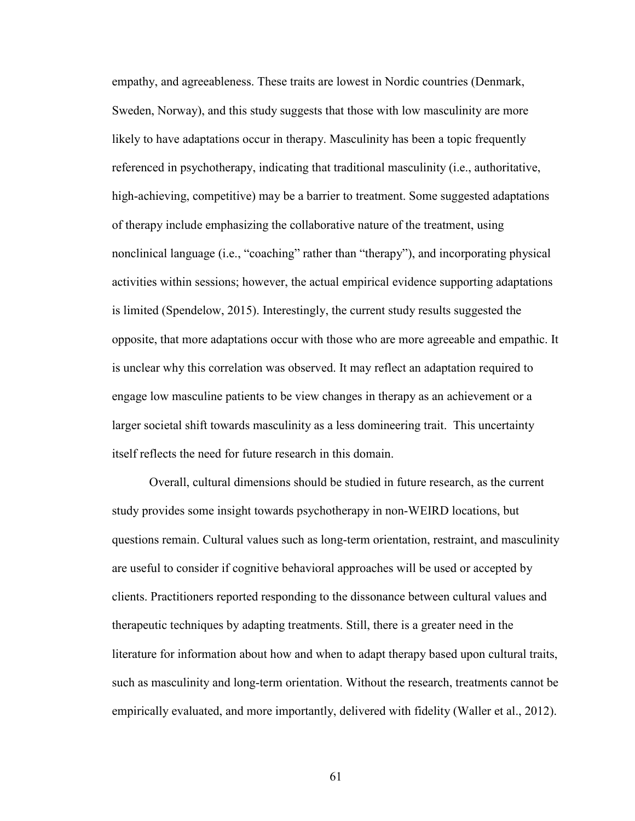empathy, and agreeableness. These traits are lowest in Nordic countries (Denmark, Sweden, Norway), and this study suggests that those with low masculinity are more likely to have adaptations occur in therapy. Masculinity has been a topic frequently referenced in psychotherapy, indicating that traditional masculinity (i.e., authoritative, high-achieving, competitive) may be a barrier to treatment. Some suggested adaptations of therapy include emphasizing the collaborative nature of the treatment, using nonclinical language (i.e., "coaching" rather than "therapy"), and incorporating physical activities within sessions; however, the actual empirical evidence supporting adaptations is limited (Spendelow, 2015). Interestingly, the current study results suggested the opposite, that more adaptations occur with those who are more agreeable and empathic. It is unclear why this correlation was observed. It may reflect an adaptation required to engage low masculine patients to be view changes in therapy as an achievement or a larger societal shift towards masculinity as a less domineering trait. This uncertainty itself reflects the need for future research in this domain.

Overall, cultural dimensions should be studied in future research, as the current study provides some insight towards psychotherapy in non-WEIRD locations, but questions remain. Cultural values such as long-term orientation, restraint, and masculinity are useful to consider if cognitive behavioral approaches will be used or accepted by clients. Practitioners reported responding to the dissonance between cultural values and therapeutic techniques by adapting treatments. Still, there is a greater need in the literature for information about how and when to adapt therapy based upon cultural traits, such as masculinity and long-term orientation. Without the research, treatments cannot be empirically evaluated, and more importantly, delivered with fidelity (Waller et al., 2012).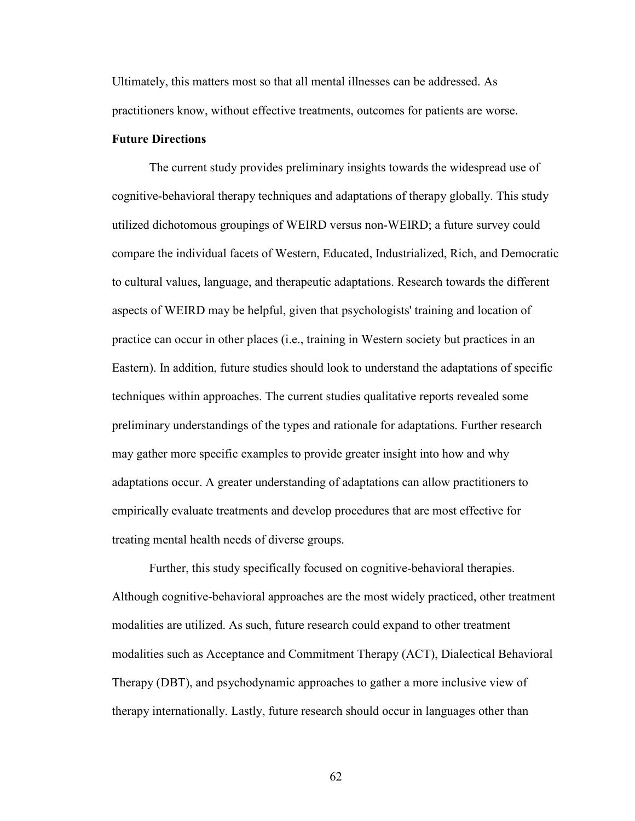Ultimately, this matters most so that all mental illnesses can be addressed. As practitioners know, without effective treatments, outcomes for patients are worse.

### **Future Directions**

The current study provides preliminary insights towards the widespread use of cognitive-behavioral therapy techniques and adaptations of therapy globally. This study utilized dichotomous groupings of WEIRD versus non-WEIRD; a future survey could compare the individual facets of Western, Educated, Industrialized, Rich, and Democratic to cultural values, language, and therapeutic adaptations. Research towards the different aspects of WEIRD may be helpful, given that psychologists' training and location of practice can occur in other places (i.e., training in Western society but practices in an Eastern). In addition, future studies should look to understand the adaptations of specific techniques within approaches. The current studies qualitative reports revealed some preliminary understandings of the types and rationale for adaptations. Further research may gather more specific examples to provide greater insight into how and why adaptations occur. A greater understanding of adaptations can allow practitioners to empirically evaluate treatments and develop procedures that are most effective for treating mental health needs of diverse groups.

Further, this study specifically focused on cognitive-behavioral therapies. Although cognitive-behavioral approaches are the most widely practiced, other treatment modalities are utilized. As such, future research could expand to other treatment modalities such as Acceptance and Commitment Therapy (ACT), Dialectical Behavioral Therapy (DBT), and psychodynamic approaches to gather a more inclusive view of therapy internationally. Lastly, future research should occur in languages other than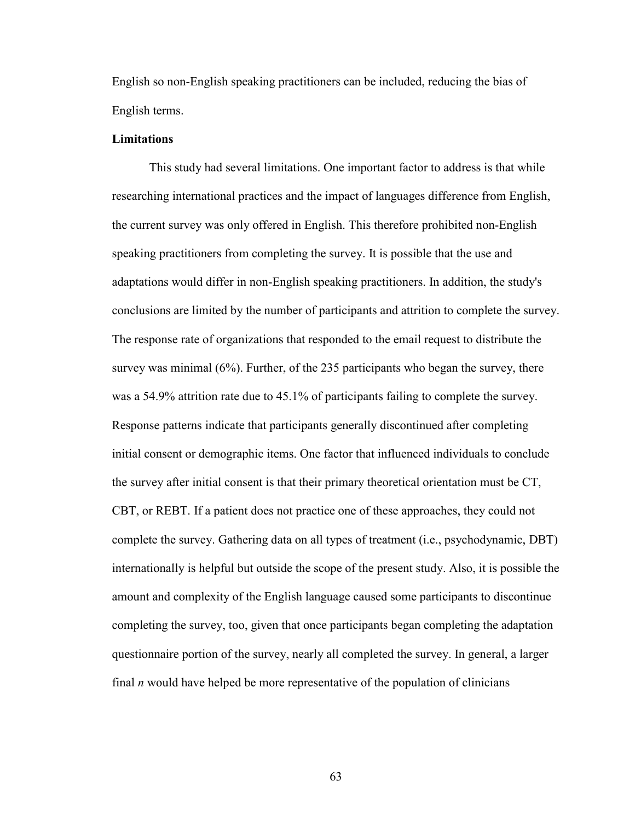English so non-English speaking practitioners can be included, reducing the bias of English terms.

### **Limitations**

 This study had several limitations. One important factor to address is that while researching international practices and the impact of languages difference from English, the current survey was only offered in English. This therefore prohibited non-English speaking practitioners from completing the survey. It is possible that the use and adaptations would differ in non-English speaking practitioners. In addition, the study's conclusions are limited by the number of participants and attrition to complete the survey. The response rate of organizations that responded to the email request to distribute the survey was minimal (6%). Further, of the 235 participants who began the survey, there was a 54.9% attrition rate due to 45.1% of participants failing to complete the survey. Response patterns indicate that participants generally discontinued after completing initial consent or demographic items. One factor that influenced individuals to conclude the survey after initial consent is that their primary theoretical orientation must be CT, CBT, or REBT. If a patient does not practice one of these approaches, they could not complete the survey. Gathering data on all types of treatment (i.e., psychodynamic, DBT) internationally is helpful but outside the scope of the present study. Also, it is possible the amount and complexity of the English language caused some participants to discontinue completing the survey, too, given that once participants began completing the adaptation questionnaire portion of the survey, nearly all completed the survey. In general, a larger final *n* would have helped be more representative of the population of clinicians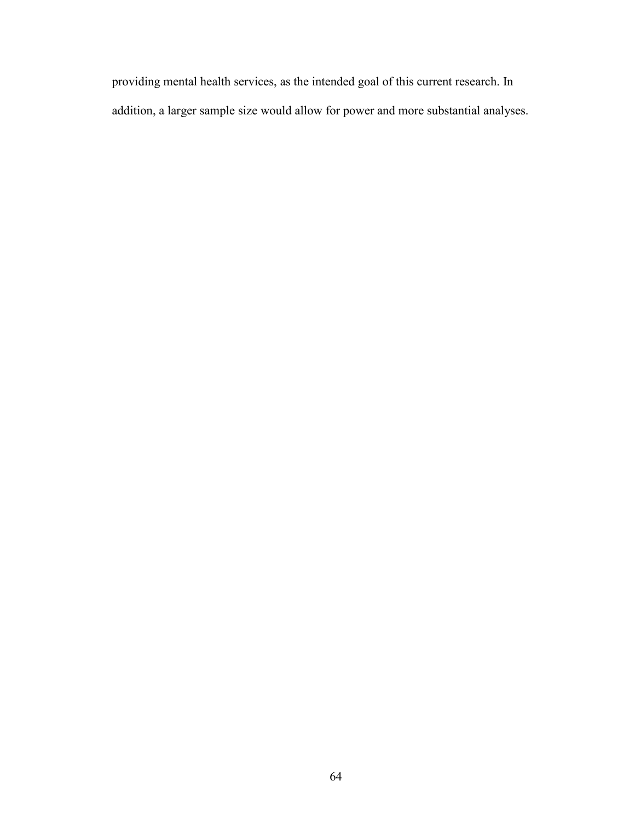providing mental health services, as the intended goal of this current research. In addition, a larger sample size would allow for power and more substantial analyses.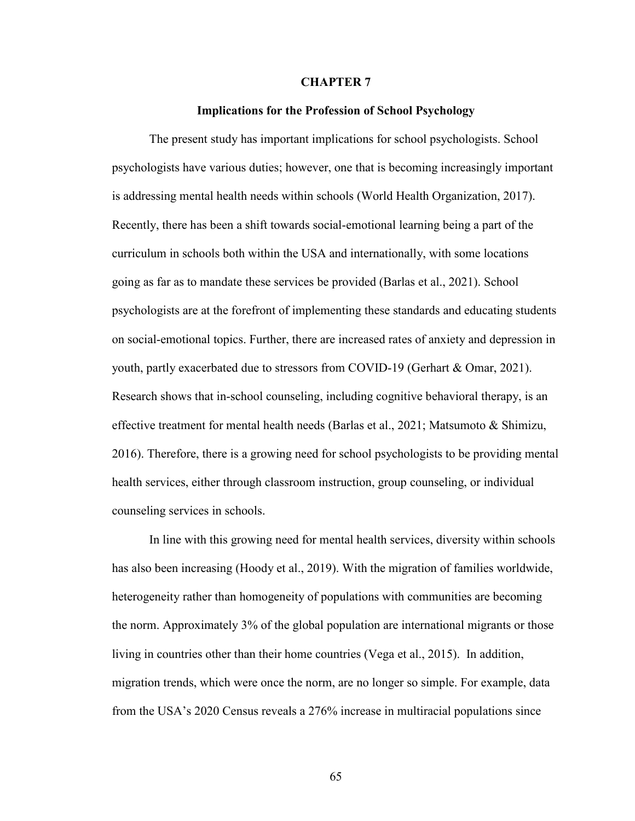#### **CHAPTER 7**

#### **Implications for the Profession of School Psychology**

 The present study has important implications for school psychologists. School psychologists have various duties; however, one that is becoming increasingly important is addressing mental health needs within schools (World Health Organization, 2017). Recently, there has been a shift towards social-emotional learning being a part of the curriculum in schools both within the USA and internationally, with some locations going as far as to mandate these services be provided (Barlas et al., 2021). School psychologists are at the forefront of implementing these standards and educating students on social-emotional topics. Further, there are increased rates of anxiety and depression in youth, partly exacerbated due to stressors from COVID-19 (Gerhart & Omar, 2021). Research shows that in-school counseling, including cognitive behavioral therapy, is an effective treatment for mental health needs (Barlas et al., 2021; Matsumoto & Shimizu, 2016). Therefore, there is a growing need for school psychologists to be providing mental health services, either through classroom instruction, group counseling, or individual counseling services in schools.

 In line with this growing need for mental health services, diversity within schools has also been increasing (Hoody et al., 2019). With the migration of families worldwide, heterogeneity rather than homogeneity of populations with communities are becoming the norm. Approximately 3% of the global population are international migrants or those living in countries other than their home countries (Vega et al., 2015). In addition, migration trends, which were once the norm, are no longer so simple. For example, data from the USA's 2020 Census reveals a 276% increase in multiracial populations since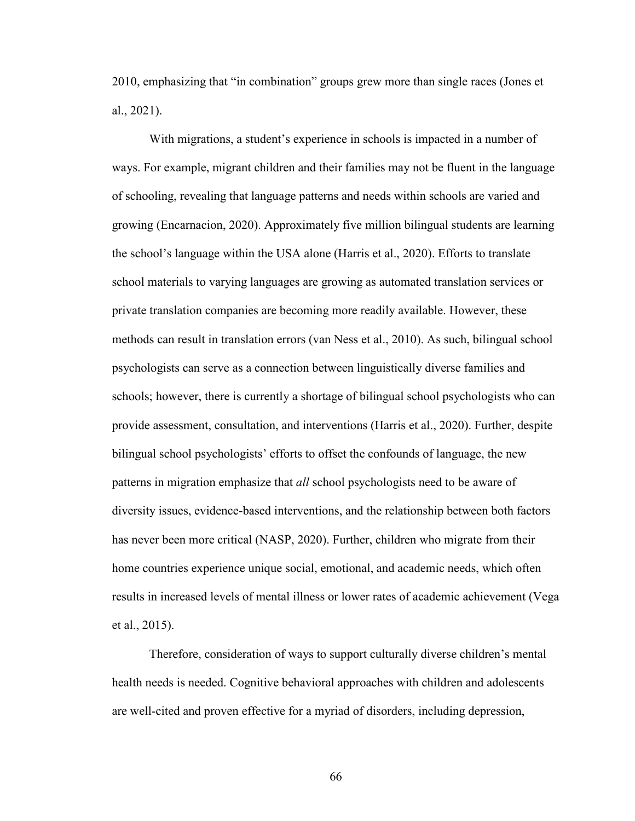2010, emphasizing that "in combination" groups grew more than single races (Jones et al., 2021).

With migrations, a student's experience in schools is impacted in a number of ways. For example, migrant children and their families may not be fluent in the language of schooling, revealing that language patterns and needs within schools are varied and growing (Encarnacion, 2020). Approximately five million bilingual students are learning the school's language within the USA alone (Harris et al., 2020). Efforts to translate school materials to varying languages are growing as automated translation services or private translation companies are becoming more readily available. However, these methods can result in translation errors (van Ness et al., 2010). As such, bilingual school psychologists can serve as a connection between linguistically diverse families and schools; however, there is currently a shortage of bilingual school psychologists who can provide assessment, consultation, and interventions (Harris et al., 2020). Further, despite bilingual school psychologists' efforts to offset the confounds of language, the new patterns in migration emphasize that *all* school psychologists need to be aware of diversity issues, evidence-based interventions, and the relationship between both factors has never been more critical (NASP, 2020). Further, children who migrate from their home countries experience unique social, emotional, and academic needs, which often results in increased levels of mental illness or lower rates of academic achievement (Vega et al., 2015).

 Therefore, consideration of ways to support culturally diverse children's mental health needs is needed. Cognitive behavioral approaches with children and adolescents are well-cited and proven effective for a myriad of disorders, including depression,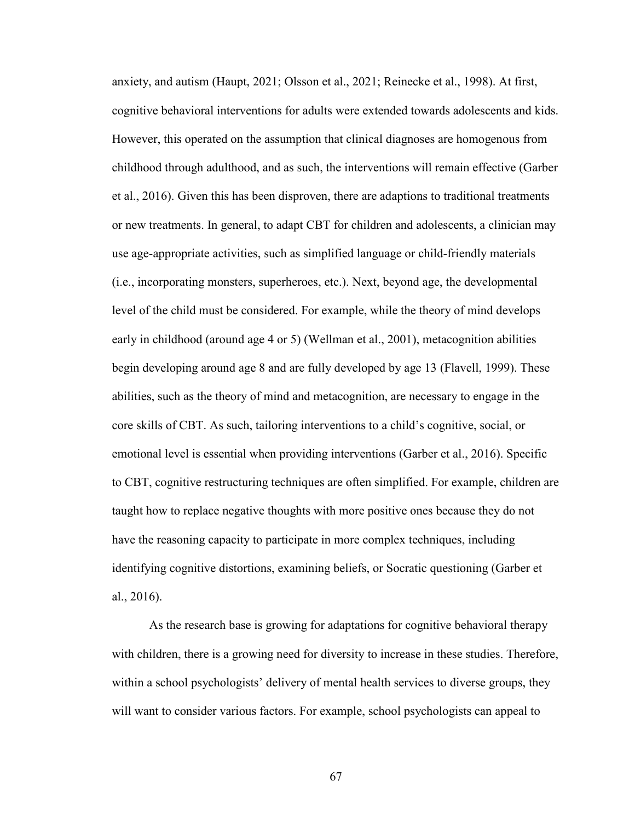anxiety, and autism (Haupt, 2021; Olsson et al., 2021; Reinecke et al., 1998). At first, cognitive behavioral interventions for adults were extended towards adolescents and kids. However, this operated on the assumption that clinical diagnoses are homogenous from childhood through adulthood, and as such, the interventions will remain effective (Garber et al., 2016). Given this has been disproven, there are adaptions to traditional treatments or new treatments. In general, to adapt CBT for children and adolescents, a clinician may use age-appropriate activities, such as simplified language or child-friendly materials (i.e., incorporating monsters, superheroes, etc.). Next, beyond age, the developmental level of the child must be considered. For example, while the theory of mind develops early in childhood (around age 4 or 5) (Wellman et al., 2001), metacognition abilities begin developing around age 8 and are fully developed by age 13 (Flavell, 1999). These abilities, such as the theory of mind and metacognition, are necessary to engage in the core skills of CBT. As such, tailoring interventions to a child's cognitive, social, or emotional level is essential when providing interventions (Garber et al., 2016). Specific to CBT, cognitive restructuring techniques are often simplified. For example, children are taught how to replace negative thoughts with more positive ones because they do not have the reasoning capacity to participate in more complex techniques, including identifying cognitive distortions, examining beliefs, or Socratic questioning (Garber et al., 2016).

As the research base is growing for adaptations for cognitive behavioral therapy with children, there is a growing need for diversity to increase in these studies. Therefore, within a school psychologists' delivery of mental health services to diverse groups, they will want to consider various factors. For example, school psychologists can appeal to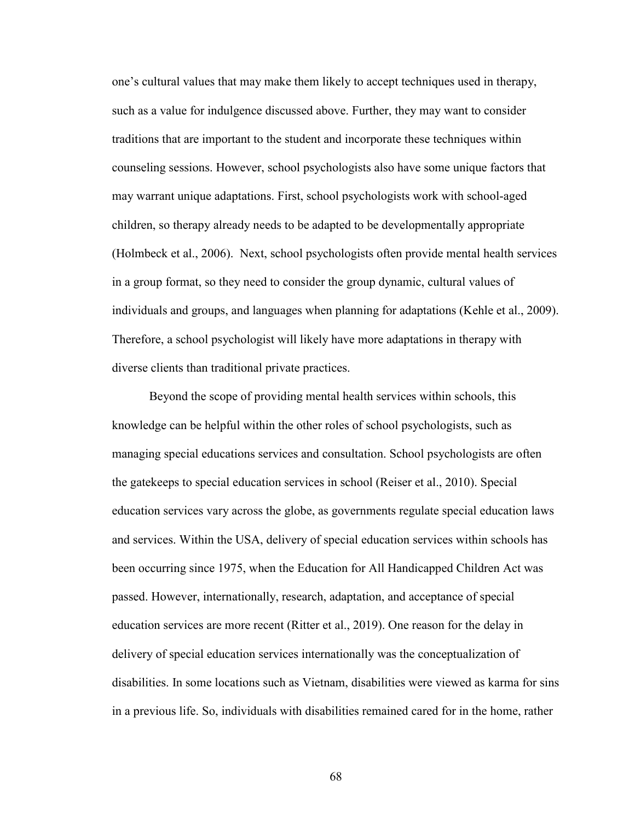one's cultural values that may make them likely to accept techniques used in therapy, such as a value for indulgence discussed above. Further, they may want to consider traditions that are important to the student and incorporate these techniques within counseling sessions. However, school psychologists also have some unique factors that may warrant unique adaptations. First, school psychologists work with school-aged children, so therapy already needs to be adapted to be developmentally appropriate (Holmbeck et al., 2006). Next, school psychologists often provide mental health services in a group format, so they need to consider the group dynamic, cultural values of individuals and groups, and languages when planning for adaptations (Kehle et al., 2009). Therefore, a school psychologist will likely have more adaptations in therapy with diverse clients than traditional private practices.

Beyond the scope of providing mental health services within schools, this knowledge can be helpful within the other roles of school psychologists, such as managing special educations services and consultation. School psychologists are often the gatekeeps to special education services in school (Reiser et al., 2010). Special education services vary across the globe, as governments regulate special education laws and services. Within the USA, delivery of special education services within schools has been occurring since 1975, when the Education for All Handicapped Children Act was passed. However, internationally, research, adaptation, and acceptance of special education services are more recent (Ritter et al., 2019). One reason for the delay in delivery of special education services internationally was the conceptualization of disabilities. In some locations such as Vietnam, disabilities were viewed as karma for sins in a previous life. So, individuals with disabilities remained cared for in the home, rather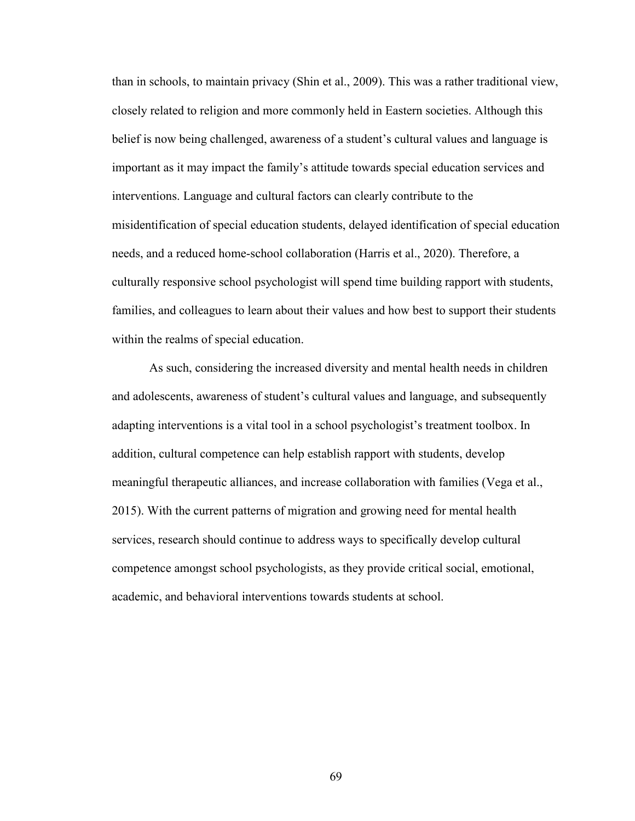than in schools, to maintain privacy (Shin et al., 2009). This was a rather traditional view, closely related to religion and more commonly held in Eastern societies. Although this belief is now being challenged, awareness of a student's cultural values and language is important as it may impact the family's attitude towards special education services and interventions. Language and cultural factors can clearly contribute to the misidentification of special education students, delayed identification of special education needs, and a reduced home-school collaboration (Harris et al., 2020). Therefore, a culturally responsive school psychologist will spend time building rapport with students, families, and colleagues to learn about their values and how best to support their students within the realms of special education.

As such, considering the increased diversity and mental health needs in children and adolescents, awareness of student's cultural values and language, and subsequently adapting interventions is a vital tool in a school psychologist's treatment toolbox. In addition, cultural competence can help establish rapport with students, develop meaningful therapeutic alliances, and increase collaboration with families (Vega et al., 2015). With the current patterns of migration and growing need for mental health services, research should continue to address ways to specifically develop cultural competence amongst school psychologists, as they provide critical social, emotional, academic, and behavioral interventions towards students at school.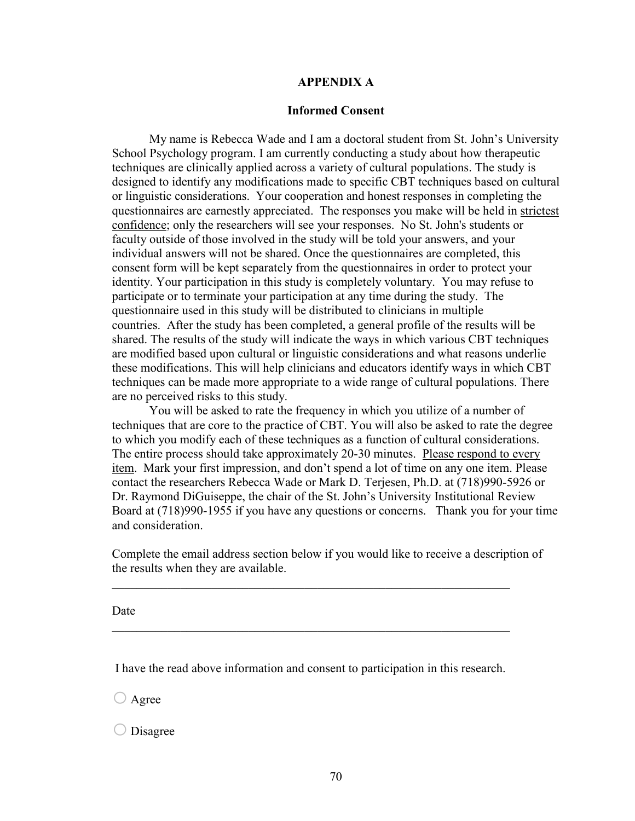#### **APPENDIX A**

#### **Informed Consent**

 My name is Rebecca Wade and I am a doctoral student from St. John's University School Psychology program. I am currently conducting a study about how therapeutic techniques are clinically applied across a variety of cultural populations. The study is designed to identify any modifications made to specific CBT techniques based on cultural or linguistic considerations. Your cooperation and honest responses in completing the questionnaires are earnestly appreciated. The responses you make will be held in strictest confidence; only the researchers will see your responses. No St. John's students or faculty outside of those involved in the study will be told your answers, and your individual answers will not be shared. Once the questionnaires are completed, this consent form will be kept separately from the questionnaires in order to protect your identity. Your participation in this study is completely voluntary. You may refuse to participate or to terminate your participation at any time during the study. The questionnaire used in this study will be distributed to clinicians in multiple countries. After the study has been completed, a general profile of the results will be shared. The results of the study will indicate the ways in which various CBT techniques are modified based upon cultural or linguistic considerations and what reasons underlie these modifications. This will help clinicians and educators identify ways in which CBT techniques can be made more appropriate to a wide range of cultural populations. There are no perceived risks to this study.

You will be asked to rate the frequency in which you utilize of a number of techniques that are core to the practice of CBT. You will also be asked to rate the degree to which you modify each of these techniques as a function of cultural considerations. The entire process should take approximately 20-30 minutes. Please respond to every item. Mark your first impression, and don't spend a lot of time on any one item. Please contact the researchers Rebecca Wade or Mark D. Terjesen, Ph.D. at (718)990-5926 or Dr. Raymond DiGuiseppe, the chair of the St. John's University Institutional Review Board at (718)990-1955 if you have any questions or concerns. Thank you for your time and consideration.

Complete the email address section below if you would like to receive a description of the results when they are available.

\_\_\_\_\_\_\_\_\_\_\_\_\_\_\_\_\_\_\_\_\_\_\_\_\_\_\_\_\_\_\_\_\_\_\_\_\_\_\_\_\_\_\_\_\_\_\_\_\_\_\_\_\_\_\_\_\_\_\_\_\_\_\_\_

\_\_\_\_\_\_\_\_\_\_\_\_\_\_\_\_\_\_\_\_\_\_\_\_\_\_\_\_\_\_\_\_\_\_\_\_\_\_\_\_\_\_\_\_\_\_\_\_\_\_\_\_\_\_\_\_\_\_\_\_\_\_\_\_

Date

I have the read above information and consent to participation in this research.

 $\bigcirc$  Agree

o Disagree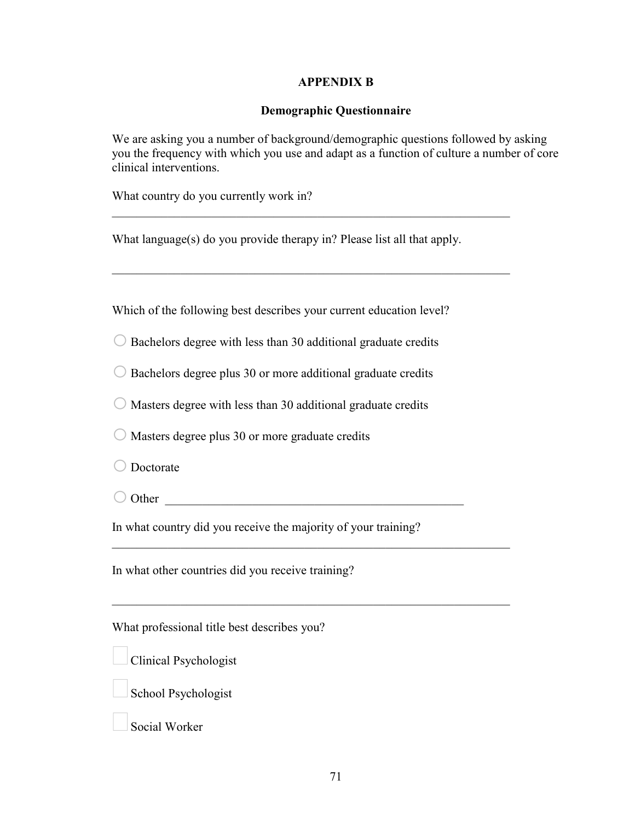#### **APPENDIX B**

#### **Demographic Questionnaire**

We are asking you a number of background/demographic questions followed by asking you the frequency with which you use and adapt as a function of culture a number of core clinical interventions.

What country do you currently work in?

What language(s) do you provide therapy in? Please list all that apply.

\_\_\_\_\_\_\_\_\_\_\_\_\_\_\_\_\_\_\_\_\_\_\_\_\_\_\_\_\_\_\_\_\_\_\_\_\_\_\_\_\_\_\_\_\_\_\_\_\_\_\_\_\_\_\_\_\_\_\_\_\_\_\_\_

\_\_\_\_\_\_\_\_\_\_\_\_\_\_\_\_\_\_\_\_\_\_\_\_\_\_\_\_\_\_\_\_\_\_\_\_\_\_\_\_\_\_\_\_\_\_\_\_\_\_\_\_\_\_\_\_\_\_\_\_\_\_\_\_

Which of the following best describes your current education level?

 $\bigcirc$  Bachelors degree with less than 30 additional graduate credits

 $\bigcirc$  Bachelors degree plus 30 or more additional graduate credits

 $\bigcirc$  Masters degree with less than 30 additional graduate credits

 $\bigcirc$  Masters degree plus 30 or more graduate credits

O Doctorate

 $\bigcirc$  Other

In what country did you receive the majority of your training?

\_\_\_\_\_\_\_\_\_\_\_\_\_\_\_\_\_\_\_\_\_\_\_\_\_\_\_\_\_\_\_\_\_\_\_\_\_\_\_\_\_\_\_\_\_\_\_\_\_\_\_\_\_\_\_\_\_\_\_\_\_\_\_\_

\_\_\_\_\_\_\_\_\_\_\_\_\_\_\_\_\_\_\_\_\_\_\_\_\_\_\_\_\_\_\_\_\_\_\_\_\_\_\_\_\_\_\_\_\_\_\_\_\_\_\_\_\_\_\_\_\_\_\_\_\_\_\_\_

In what other countries did you receive training?

What professional title best describes you?

| <b>Clinical Psychologist</b> |
|------------------------------|



Social Worker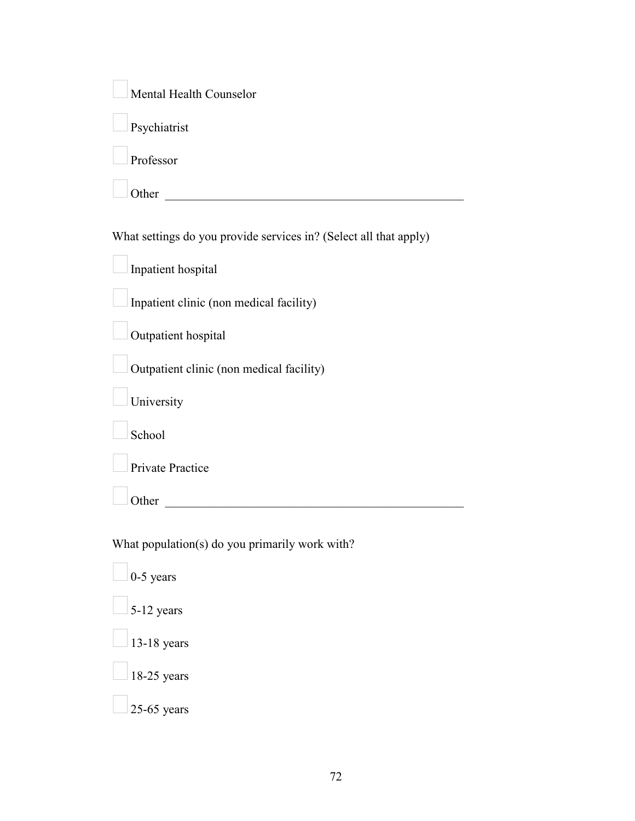| Mental Health Counselor                                           |
|-------------------------------------------------------------------|
| Psychiatrist                                                      |
| Professor                                                         |
| Other                                                             |
| What settings do you provide services in? (Select all that apply) |
| Inpatient hospital                                                |
| Inpatient clinic (non medical facility)                           |
| Outpatient hospital                                               |
| Outpatient clinic (non medical facility)                          |
| University                                                        |
| School                                                            |
| Private Practice                                                  |
| Other                                                             |
| What population(s) do you primarily work with?                    |
| $0-5$ years                                                       |
| 5-12 years                                                        |
| 13-18 years                                                       |
| 18-25 years                                                       |
| $25-65$ years                                                     |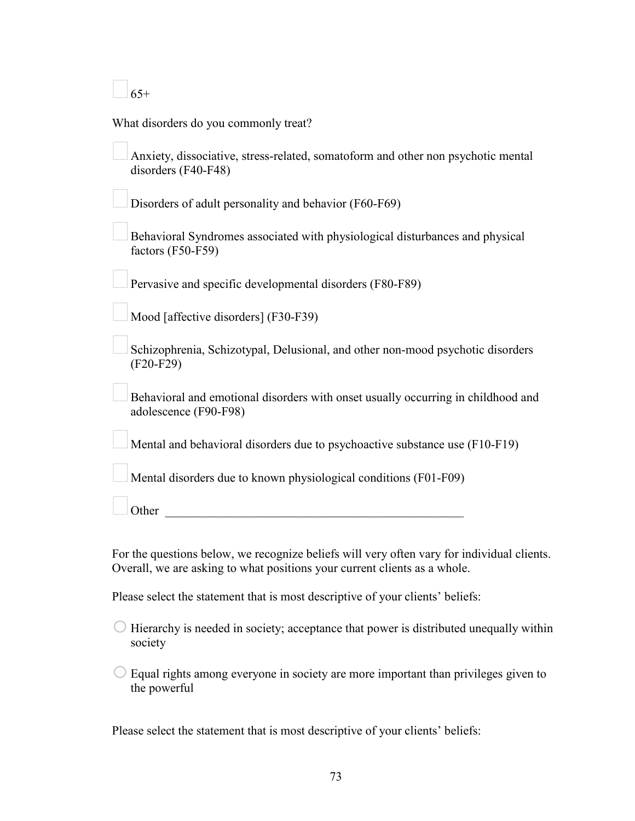$65+$ 

|  |  | What disorders do you commonly treat? |
|--|--|---------------------------------------|
|--|--|---------------------------------------|

| Anxiety, dissociative, stress-related, somatoform and other non psychotic mental |
|----------------------------------------------------------------------------------|
| disorders $(F40-F48)$                                                            |

Disorders of adult personality and behavior (F60-F69)

Behavioral Syndromes associated with physiological disturbances and physical factors (F50-F59)

Pervasive and specific developmental disorders (F80-F89)

Mood [affective disorders] (F30-F39)

Schizophrenia, Schizotypal, Delusional, and other non-mood psychotic disorders (F20-F29)

Behavioral and emotional disorders with onset usually occurring in childhood and adolescence (F90-F98)

Mental and behavioral disorders due to psychoactive substance use (F10-F19)

Mental disorders due to known physiological conditions (F01-F09)

Other  $\Box$ 

For the questions below, we recognize beliefs will very often vary for individual clients. Overall, we are asking to what positions your current clients as a whole.

Please select the statement that is most descriptive of your clients' beliefs:

 $\bigcirc$  Hierarchy is needed in society; acceptance that power is distributed unequally within society

 $\circ$  Equal rights among everyone in society are more important than privileges given to the powerful

Please select the statement that is most descriptive of your clients' beliefs: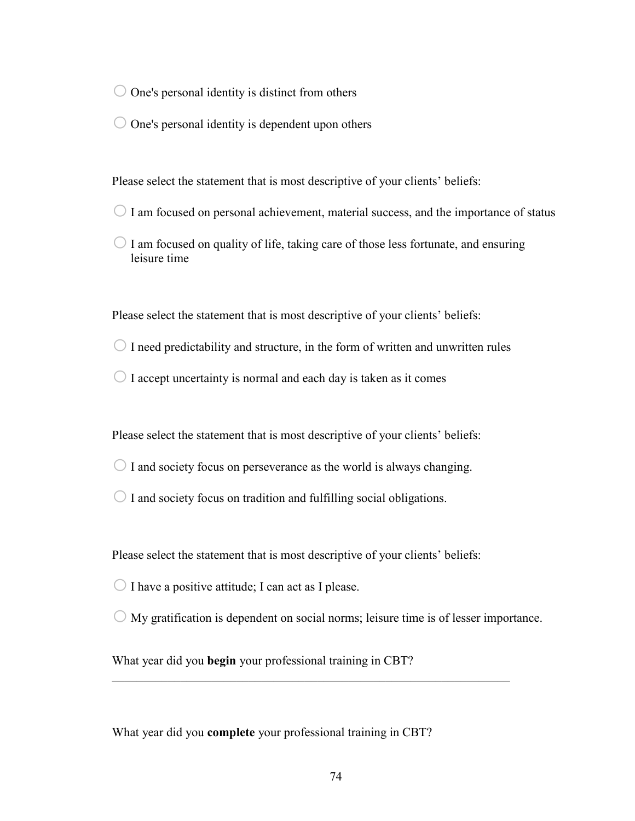$\bigcirc$  One's personal identity is distinct from others

 $\bigcirc$  One's personal identity is dependent upon others

Please select the statement that is most descriptive of your clients' beliefs:

- $\bigcirc$  I am focused on personal achievement, material success, and the importance of status
- $\bigcirc$  I am focused on quality of life, taking care of those less fortunate, and ensuring leisure time

Please select the statement that is most descriptive of your clients' beliefs:

- $\bigcirc$  I need predictability and structure, in the form of written and unwritten rules
- $\bigcirc$  I accept uncertainty is normal and each day is taken as it comes

Please select the statement that is most descriptive of your clients' beliefs:

- $\bigcirc$  I and society focus on perseverance as the world is always changing.
- $\bigcirc$  I and society focus on tradition and fulfilling social obligations.

Please select the statement that is most descriptive of your clients' beliefs:

 $\bigcirc$  I have a positive attitude; I can act as I please.

 $\bigcirc$  My gratification is dependent on social norms; leisure time is of lesser importance.

\_\_\_\_\_\_\_\_\_\_\_\_\_\_\_\_\_\_\_\_\_\_\_\_\_\_\_\_\_\_\_\_\_\_\_\_\_\_\_\_\_\_\_\_\_\_\_\_\_\_\_\_\_\_\_\_\_\_\_\_\_\_\_\_

What year did you **begin** your professional training in CBT?

What year did you **complete** your professional training in CBT?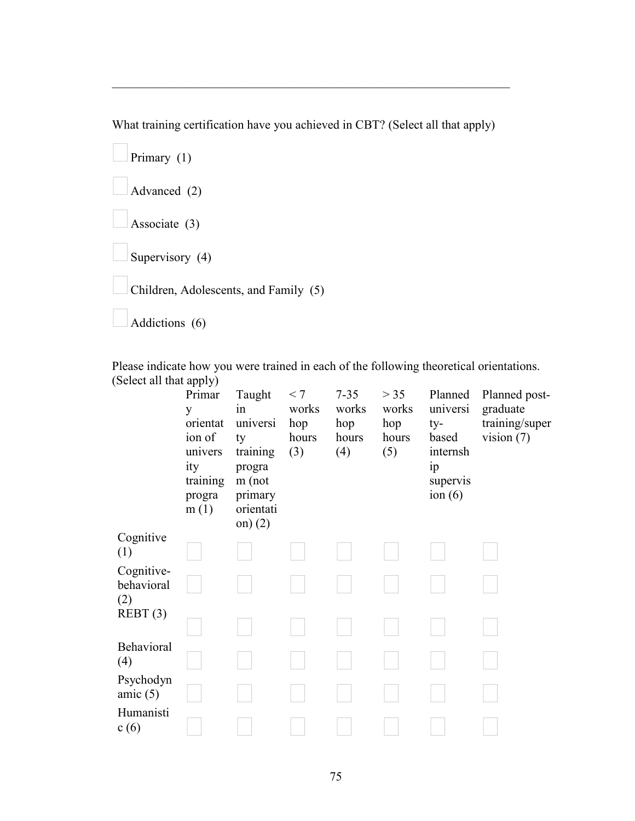What training certification have you achieved in CBT? (Select all that apply)

\_\_\_\_\_\_\_\_\_\_\_\_\_\_\_\_\_\_\_\_\_\_\_\_\_\_\_\_\_\_\_\_\_\_\_\_\_\_\_\_\_\_\_\_\_\_\_\_\_\_\_\_\_\_\_\_\_\_\_\_\_\_\_\_

| Primary $(1)$                         |
|---------------------------------------|
| Advanced (2)                          |
| Associate (3)                         |
| Supervisory (4)                       |
| Children, Adolescents, and Family (5) |
| Addictions (6)                        |

Please indicate how you were trained in each of the following theoretical orientations. (Select all that apply)

|                                 | Primar<br>y<br>orientat<br>ion of<br>univers<br>ity<br>training<br>progra<br>m(1) | Taught<br>in<br>universi<br>ty<br>training<br>progra<br>$m$ (not<br>primary<br>orientati<br>on) $(2)$ | < 7<br>works<br>hop<br>hours<br>(3) | $7 - 35$<br>works<br>hop<br>hours<br>(4) | > 35<br>works<br>hop<br>hours<br>(5) | Planned<br>universi<br>ty-<br>based<br>internsh<br>ip<br>supervis<br>ion $(6)$ | Planned post-<br>graduate<br>training/super<br>vision $(7)$ |
|---------------------------------|-----------------------------------------------------------------------------------|-------------------------------------------------------------------------------------------------------|-------------------------------------|------------------------------------------|--------------------------------------|--------------------------------------------------------------------------------|-------------------------------------------------------------|
| Cognitive<br>(1)                |                                                                                   |                                                                                                       |                                     |                                          |                                      |                                                                                |                                                             |
| Cognitive-<br>behavioral<br>(2) |                                                                                   |                                                                                                       |                                     |                                          |                                      |                                                                                |                                                             |
| REBT(3)                         |                                                                                   |                                                                                                       |                                     |                                          |                                      |                                                                                |                                                             |
| Behavioral<br>(4)               |                                                                                   |                                                                                                       |                                     |                                          |                                      |                                                                                |                                                             |
| Psychodyn<br>amic $(5)$         |                                                                                   |                                                                                                       |                                     |                                          |                                      |                                                                                |                                                             |
| Humanisti<br>c(6)               |                                                                                   |                                                                                                       |                                     |                                          |                                      |                                                                                |                                                             |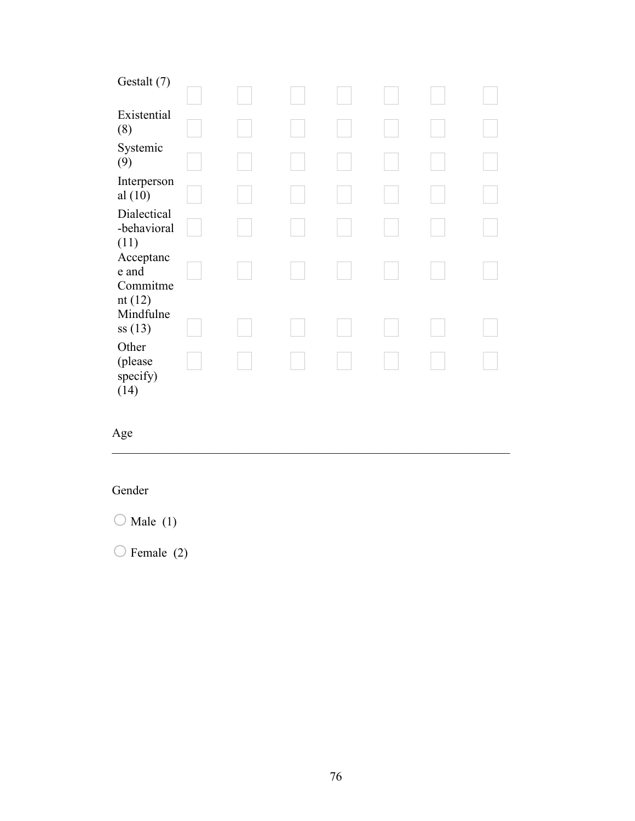| Gestalt (7)                          |  |  |  |  |
|--------------------------------------|--|--|--|--|
| Existential<br>(8)                   |  |  |  |  |
| Systemic<br>(9)                      |  |  |  |  |
| Interperson<br>al $(10)$             |  |  |  |  |
| Dialectical<br>-behavioral<br>(11)   |  |  |  |  |
| Acceptanc<br>e and<br>Commitme       |  |  |  |  |
| nt $(12)$<br>Mindfulne<br>ss(13)     |  |  |  |  |
| Other<br>(please<br>specify)<br>(14) |  |  |  |  |

\_\_\_\_\_\_\_\_\_\_\_\_\_\_\_\_\_\_\_\_\_\_\_\_\_\_\_\_\_\_\_\_\_\_\_\_\_\_\_\_\_\_\_\_\_\_\_\_\_\_\_\_\_\_\_\_\_\_\_\_\_\_\_\_

# Age

# Gender

 $\bigcirc$  Male (1)

 $\bigcirc$  Female (2)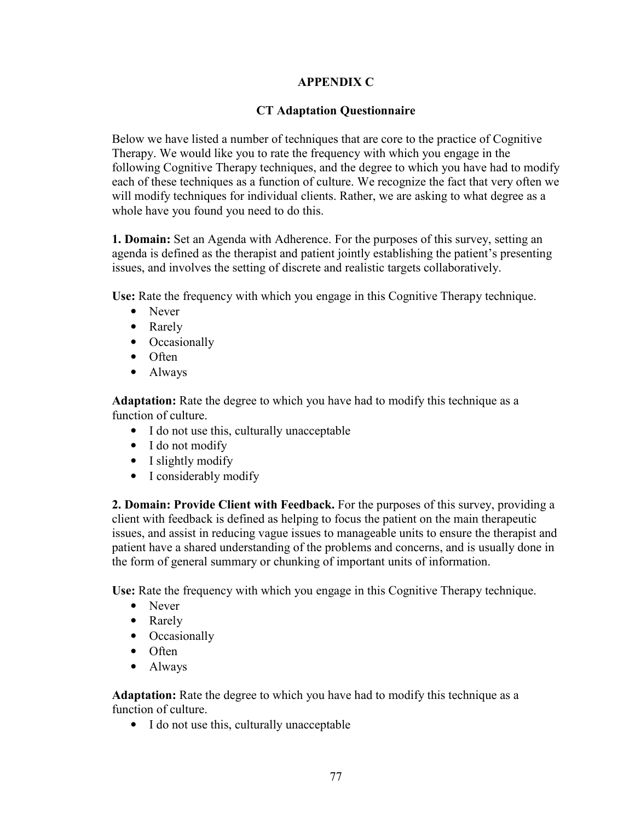#### **APPENDIX C**

#### **CT Adaptation Questionnaire**

Below we have listed a number of techniques that are core to the practice of Cognitive Therapy. We would like you to rate the frequency with which you engage in the following Cognitive Therapy techniques, and the degree to which you have had to modify each of these techniques as a function of culture. We recognize the fact that very often we will modify techniques for individual clients. Rather, we are asking to what degree as a whole have you found you need to do this.

**1. Domain:** Set an Agenda with Adherence. For the purposes of this survey, setting an agenda is defined as the therapist and patient jointly establishing the patient's presenting issues, and involves the setting of discrete and realistic targets collaboratively.

**Use:** Rate the frequency with which you engage in this Cognitive Therapy technique.

- Never
- Rarely
- Occasionally
- Often
- Always

**Adaptation:** Rate the degree to which you have had to modify this technique as a function of culture.

- I do not use this, culturally unacceptable
- I do not modify
- I slightly modify
- I considerably modify

**2. Domain: Provide Client with Feedback.** For the purposes of this survey, providing a client with feedback is defined as helping to focus the patient on the main therapeutic issues, and assist in reducing vague issues to manageable units to ensure the therapist and patient have a shared understanding of the problems and concerns, and is usually done in the form of general summary or chunking of important units of information.

**Use:** Rate the frequency with which you engage in this Cognitive Therapy technique.

- Never
- Rarely
- Occasionally
- Often
- Always

**Adaptation:** Rate the degree to which you have had to modify this technique as a function of culture.

• I do not use this, culturally unacceptable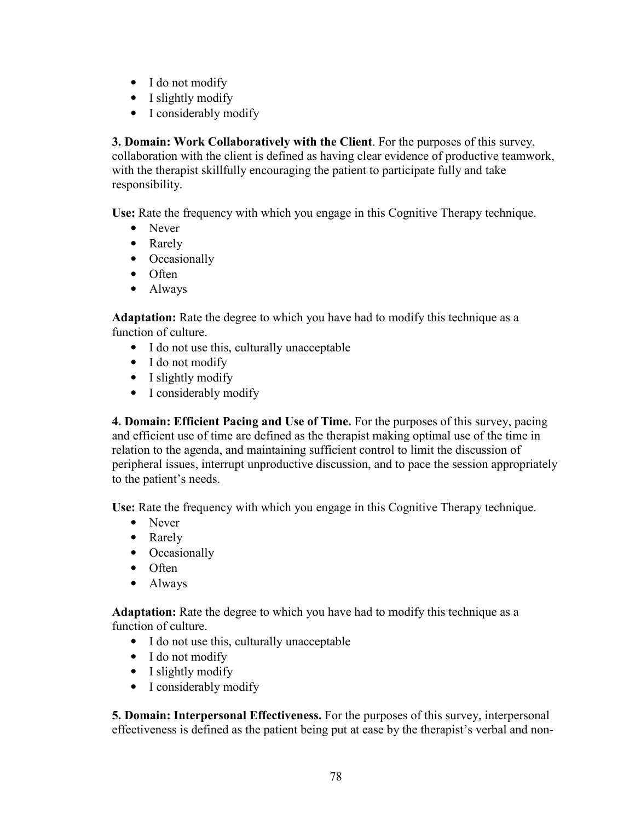- I do not modify
- I slightly modify
- I considerably modify

**3. Domain: Work Collaboratively with the Client**. For the purposes of this survey, collaboration with the client is defined as having clear evidence of productive teamwork, with the therapist skillfully encouraging the patient to participate fully and take responsibility.

**Use:** Rate the frequency with which you engage in this Cognitive Therapy technique.

- Never
- Rarely
- Occasionally
- Often
- Always

**Adaptation:** Rate the degree to which you have had to modify this technique as a function of culture.

- I do not use this, culturally unacceptable
- I do not modify
- I slightly modify
- I considerably modify

**4. Domain: Efficient Pacing and Use of Time.** For the purposes of this survey, pacing and efficient use of time are defined as the therapist making optimal use of the time in relation to the agenda, and maintaining sufficient control to limit the discussion of peripheral issues, interrupt unproductive discussion, and to pace the session appropriately to the patient's needs.

**Use:** Rate the frequency with which you engage in this Cognitive Therapy technique.

- Never
- Rarely
- Occasionally
- Often
- Always

**Adaptation:** Rate the degree to which you have had to modify this technique as a function of culture.

- I do not use this, culturally unacceptable
- I do not modify
- I slightly modify
- I considerably modify

**5. Domain: Interpersonal Effectiveness.** For the purposes of this survey, interpersonal effectiveness is defined as the patient being put at ease by the therapist's verbal and non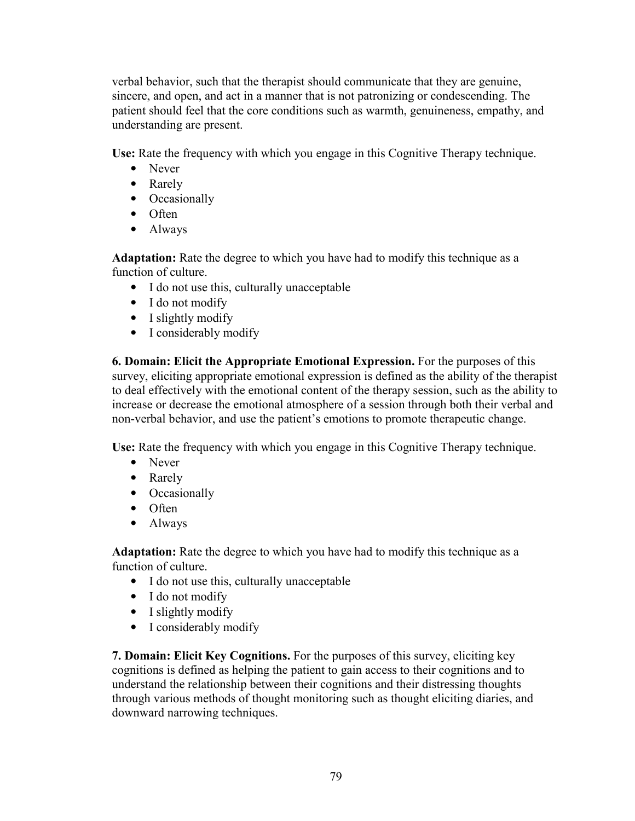verbal behavior, such that the therapist should communicate that they are genuine, sincere, and open, and act in a manner that is not patronizing or condescending. The patient should feel that the core conditions such as warmth, genuineness, empathy, and understanding are present.

**Use:** Rate the frequency with which you engage in this Cognitive Therapy technique.

- Never
- Rarely
- Occasionally
- Often
- Always

**Adaptation:** Rate the degree to which you have had to modify this technique as a function of culture.

- I do not use this, culturally unacceptable
- I do not modify
- I slightly modify
- I considerably modify

**6. Domain: Elicit the Appropriate Emotional Expression.** For the purposes of this survey, eliciting appropriate emotional expression is defined as the ability of the therapist to deal effectively with the emotional content of the therapy session, such as the ability to increase or decrease the emotional atmosphere of a session through both their verbal and non-verbal behavior, and use the patient's emotions to promote therapeutic change.

**Use:** Rate the frequency with which you engage in this Cognitive Therapy technique.

- Never
- Rarely
- Occasionally
- Often
- Always

**Adaptation:** Rate the degree to which you have had to modify this technique as a function of culture.

- I do not use this, culturally unacceptable
- I do not modify
- I slightly modify
- I considerably modify

**7. Domain: Elicit Key Cognitions.** For the purposes of this survey, eliciting key cognitions is defined as helping the patient to gain access to their cognitions and to understand the relationship between their cognitions and their distressing thoughts through various methods of thought monitoring such as thought eliciting diaries, and downward narrowing techniques.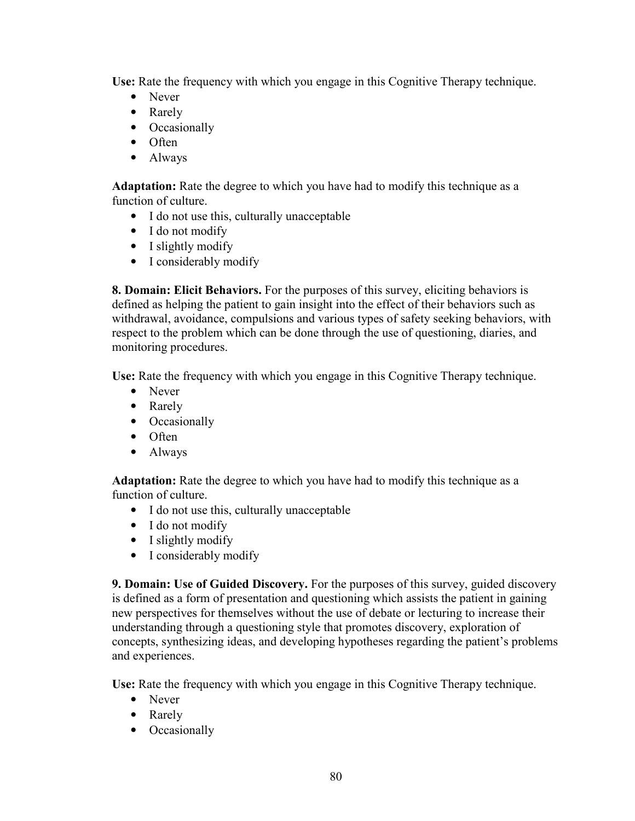**Use:** Rate the frequency with which you engage in this Cognitive Therapy technique.

- Never
- Rarely
- Occasionally
- Often
- Always

**Adaptation:** Rate the degree to which you have had to modify this technique as a function of culture.

- I do not use this, culturally unacceptable
- I do not modify
- I slightly modify
- I considerably modify

**8. Domain: Elicit Behaviors.** For the purposes of this survey, eliciting behaviors is defined as helping the patient to gain insight into the effect of their behaviors such as withdrawal, avoidance, compulsions and various types of safety seeking behaviors, with respect to the problem which can be done through the use of questioning, diaries, and monitoring procedures.

**Use:** Rate the frequency with which you engage in this Cognitive Therapy technique.

- Never
- Rarely
- Occasionally
- Often
- Always

Adaptation: Rate the degree to which you have had to modify this technique as a function of culture.

- I do not use this, culturally unacceptable
- I do not modify
- I slightly modify
- I considerably modify

**9. Domain: Use of Guided Discovery.** For the purposes of this survey, guided discovery is defined as a form of presentation and questioning which assists the patient in gaining new perspectives for themselves without the use of debate or lecturing to increase their understanding through a questioning style that promotes discovery, exploration of concepts, synthesizing ideas, and developing hypotheses regarding the patient's problems and experiences.

**Use:** Rate the frequency with which you engage in this Cognitive Therapy technique.

- Never
- Rarely
- Occasionally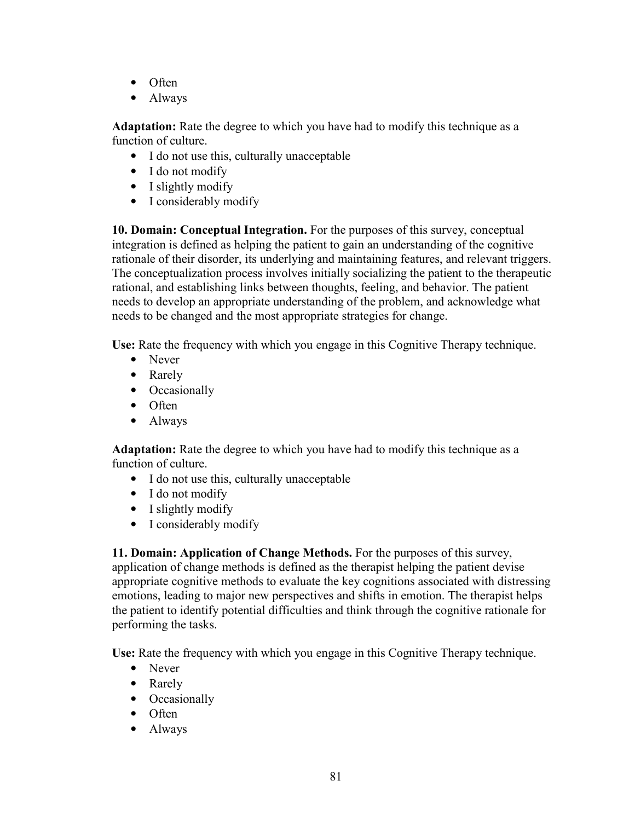- Often
- Always

**Adaptation:** Rate the degree to which you have had to modify this technique as a function of culture.

- I do not use this, culturally unacceptable
- I do not modify
- I slightly modify
- I considerably modify

**10. Domain: Conceptual Integration.** For the purposes of this survey, conceptual integration is defined as helping the patient to gain an understanding of the cognitive rationale of their disorder, its underlying and maintaining features, and relevant triggers. The conceptualization process involves initially socializing the patient to the therapeutic rational, and establishing links between thoughts, feeling, and behavior. The patient needs to develop an appropriate understanding of the problem, and acknowledge what needs to be changed and the most appropriate strategies for change.

**Use:** Rate the frequency with which you engage in this Cognitive Therapy technique.

- Never
- Rarely
- Occasionally
- Often
- Always

**Adaptation:** Rate the degree to which you have had to modify this technique as a function of culture.

- I do not use this, culturally unacceptable
- I do not modify
- I slightly modify
- I considerably modify

**11. Domain: Application of Change Methods.** For the purposes of this survey, application of change methods is defined as the therapist helping the patient devise appropriate cognitive methods to evaluate the key cognitions associated with distressing emotions, leading to major new perspectives and shifts in emotion. The therapist helps the patient to identify potential difficulties and think through the cognitive rationale for performing the tasks.

**Use:** Rate the frequency with which you engage in this Cognitive Therapy technique.

- Never
- Rarely
- Occasionally
- Often
- Always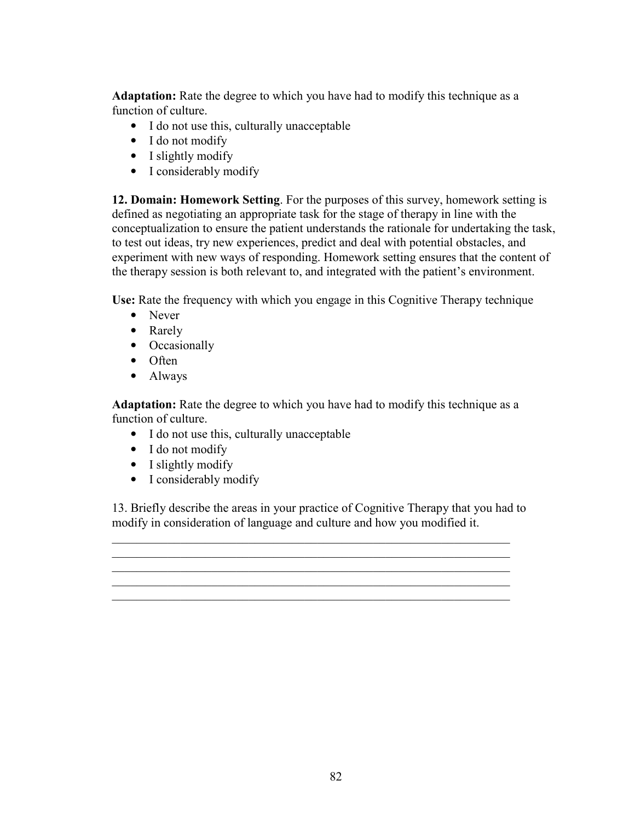**Adaptation:** Rate the degree to which you have had to modify this technique as a function of culture.

- I do not use this, culturally unacceptable
- I do not modify
- I slightly modify
- I considerably modify

**12. Domain: Homework Setting**. For the purposes of this survey, homework setting is defined as negotiating an appropriate task for the stage of therapy in line with the conceptualization to ensure the patient understands the rationale for undertaking the task, to test out ideas, try new experiences, predict and deal with potential obstacles, and experiment with new ways of responding. Homework setting ensures that the content of the therapy session is both relevant to, and integrated with the patient's environment.

**Use:** Rate the frequency with which you engage in this Cognitive Therapy technique

- Never
- Rarely
- Occasionally
- Often
- Always

**Adaptation:** Rate the degree to which you have had to modify this technique as a function of culture.

- I do not use this, culturally unacceptable
- I do not modify
- I slightly modify
- I considerably modify

13. Briefly describe the areas in your practice of Cognitive Therapy that you had to modify in consideration of language and culture and how you modified it.

\_\_\_\_\_\_\_\_\_\_\_\_\_\_\_\_\_\_\_\_\_\_\_\_\_\_\_\_\_\_\_\_\_\_\_\_\_\_\_\_\_\_\_\_\_\_\_\_\_\_\_\_\_\_\_\_\_\_\_\_\_\_\_\_ \_\_\_\_\_\_\_\_\_\_\_\_\_\_\_\_\_\_\_\_\_\_\_\_\_\_\_\_\_\_\_\_\_\_\_\_\_\_\_\_\_\_\_\_\_\_\_\_\_\_\_\_\_\_\_\_\_\_\_\_\_\_\_\_ \_\_\_\_\_\_\_\_\_\_\_\_\_\_\_\_\_\_\_\_\_\_\_\_\_\_\_\_\_\_\_\_\_\_\_\_\_\_\_\_\_\_\_\_\_\_\_\_\_\_\_\_\_\_\_\_\_\_\_\_\_\_\_\_ \_\_\_\_\_\_\_\_\_\_\_\_\_\_\_\_\_\_\_\_\_\_\_\_\_\_\_\_\_\_\_\_\_\_\_\_\_\_\_\_\_\_\_\_\_\_\_\_\_\_\_\_\_\_\_\_\_\_\_\_\_\_\_\_ \_\_\_\_\_\_\_\_\_\_\_\_\_\_\_\_\_\_\_\_\_\_\_\_\_\_\_\_\_\_\_\_\_\_\_\_\_\_\_\_\_\_\_\_\_\_\_\_\_\_\_\_\_\_\_\_\_\_\_\_\_\_\_\_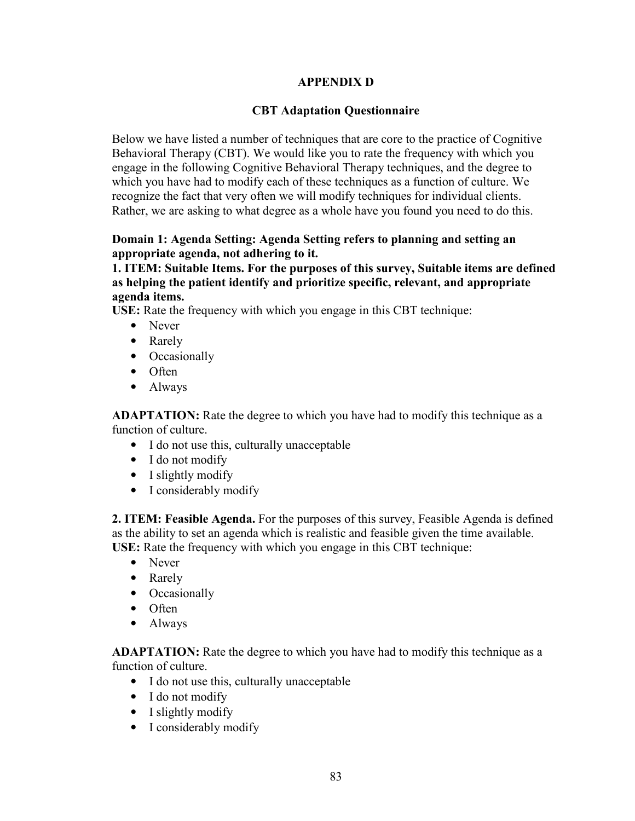#### **APPENDIX D**

#### **CBT Adaptation Questionnaire**

Below we have listed a number of techniques that are core to the practice of Cognitive Behavioral Therapy (CBT). We would like you to rate the frequency with which you engage in the following Cognitive Behavioral Therapy techniques, and the degree to which you have had to modify each of these techniques as a function of culture. We recognize the fact that very often we will modify techniques for individual clients. Rather, we are asking to what degree as a whole have you found you need to do this.

#### **Domain 1: Agenda Setting: Agenda Setting refers to planning and setting an appropriate agenda, not adhering to it.**

**1. ITEM: Suitable Items. For the purposes of this survey, Suitable items are defined as helping the patient identify and prioritize specific, relevant, and appropriate agenda items.** 

**USE:** Rate the frequency with which you engage in this CBT technique:

- Never
- Rarely
- Occasionally
- Often
- Always

**ADAPTATION:** Rate the degree to which you have had to modify this technique as a function of culture.

- I do not use this, culturally unacceptable
- I do not modify
- I slightly modify
- I considerably modify

**2. ITEM: Feasible Agenda.** For the purposes of this survey, Feasible Agenda is defined as the ability to set an agenda which is realistic and feasible given the time available. **USE:** Rate the frequency with which you engage in this CBT technique:

- Never
- Rarely
- Occasionally
- Often
- Always

- I do not use this, culturally unacceptable
- I do not modify
- I slightly modify
- I considerably modify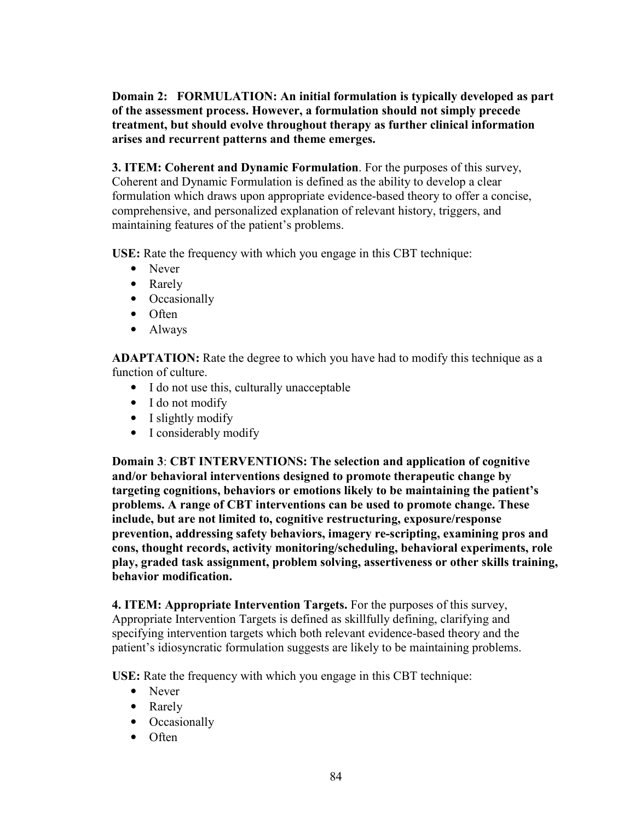**Domain 2: FORMULATION: An initial formulation is typically developed as part of the assessment process. However, a formulation should not simply precede treatment, but should evolve throughout therapy as further clinical information arises and recurrent patterns and theme emerges.** 

**3. ITEM: Coherent and Dynamic Formulation**. For the purposes of this survey, Coherent and Dynamic Formulation is defined as the ability to develop a clear formulation which draws upon appropriate evidence-based theory to offer a concise, comprehensive, and personalized explanation of relevant history, triggers, and maintaining features of the patient's problems.

**USE:** Rate the frequency with which you engage in this CBT technique:

- Never
- Rarely
- Occasionally
- Often
- Always

**ADAPTATION:** Rate the degree to which you have had to modify this technique as a function of culture.

- I do not use this, culturally unacceptable
- I do not modify
- I slightly modify
- I considerably modify

**Domain 3**: **CBT INTERVENTIONS: The selection and application of cognitive and/or behavioral interventions designed to promote therapeutic change by targeting cognitions, behaviors or emotions likely to be maintaining the patient's problems. A range of CBT interventions can be used to promote change. These include, but are not limited to, cognitive restructuring, exposure/response prevention, addressing safety behaviors, imagery re-scripting, examining pros and cons, thought records, activity monitoring/scheduling, behavioral experiments, role play, graded task assignment, problem solving, assertiveness or other skills training, behavior modification.**

**4. ITEM: Appropriate Intervention Targets.** For the purposes of this survey, Appropriate Intervention Targets is defined as skillfully defining, clarifying and specifying intervention targets which both relevant evidence-based theory and the patient's idiosyncratic formulation suggests are likely to be maintaining problems.

**USE:** Rate the frequency with which you engage in this CBT technique:

- Never
- Rarely
- Occasionally
- Often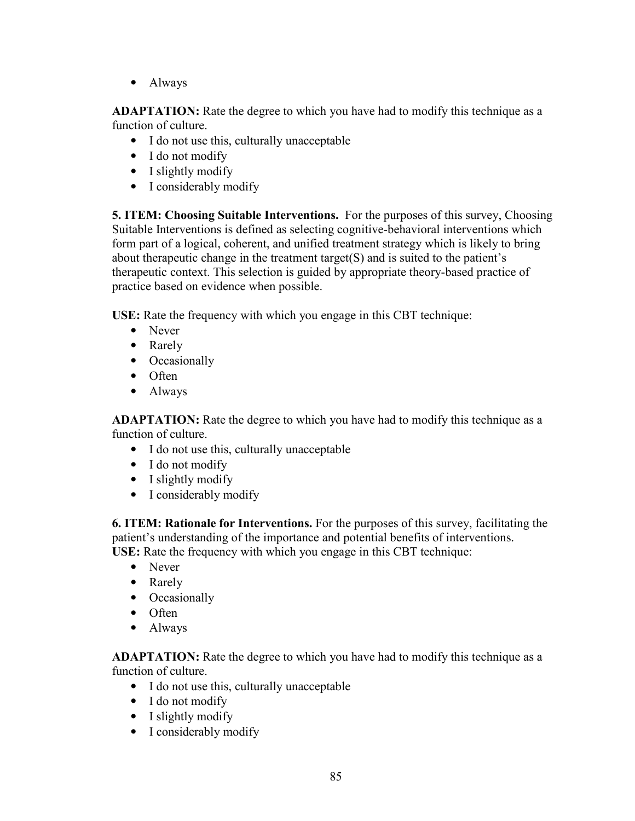• Always

**ADAPTATION:** Rate the degree to which you have had to modify this technique as a function of culture.

- I do not use this, culturally unacceptable
- I do not modify
- I slightly modify
- I considerably modify

**5. ITEM: Choosing Suitable Interventions.** For the purposes of this survey, Choosing Suitable Interventions is defined as selecting cognitive-behavioral interventions which form part of a logical, coherent, and unified treatment strategy which is likely to bring about therapeutic change in the treatment target( $S$ ) and is suited to the patient's therapeutic context. This selection is guided by appropriate theory-based practice of practice based on evidence when possible.

**USE:** Rate the frequency with which you engage in this CBT technique:

- Never
- Rarely
- Occasionally
- Often
- Always

**ADAPTATION:** Rate the degree to which you have had to modify this technique as a function of culture.

- I do not use this, culturally unacceptable
- I do not modify
- I slightly modify
- I considerably modify

**6. ITEM: Rationale for Interventions.** For the purposes of this survey, facilitating the patient's understanding of the importance and potential benefits of interventions. **USE:** Rate the frequency with which you engage in this CBT technique:

- Never
- Rarely
- Occasionally
- Often
- Always

- I do not use this, culturally unacceptable
- I do not modify
- I slightly modify
- I considerably modify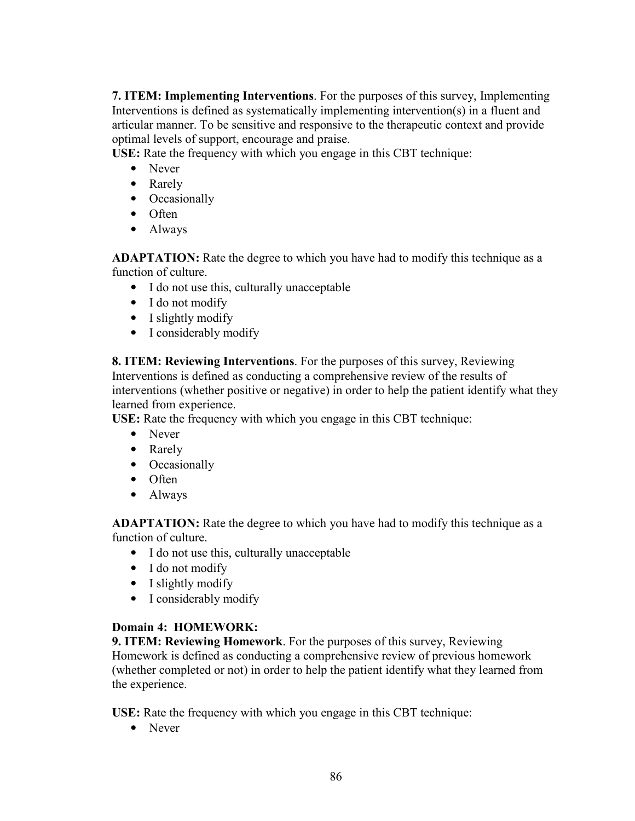**7. ITEM: Implementing Interventions**. For the purposes of this survey, Implementing Interventions is defined as systematically implementing intervention(s) in a fluent and articular manner. To be sensitive and responsive to the therapeutic context and provide optimal levels of support, encourage and praise.

**USE:** Rate the frequency with which you engage in this CBT technique:

- Never
- Rarely
- Occasionally
- Often
- Always

**ADAPTATION:** Rate the degree to which you have had to modify this technique as a function of culture.

- I do not use this, culturally unacceptable
- I do not modify
- I slightly modify
- I considerably modify

**8. ITEM: Reviewing Interventions**. For the purposes of this survey, Reviewing Interventions is defined as conducting a comprehensive review of the results of interventions (whether positive or negative) in order to help the patient identify what they learned from experience.

**USE:** Rate the frequency with which you engage in this CBT technique:

- Never
- Rarely
- Occasionally
- Often
- Always

**ADAPTATION:** Rate the degree to which you have had to modify this technique as a function of culture.

- I do not use this, culturally unacceptable
- I do not modify
- I slightly modify
- I considerably modify

## **Domain 4: HOMEWORK:**

**9. ITEM: Reviewing Homework**. For the purposes of this survey, Reviewing Homework is defined as conducting a comprehensive review of previous homework (whether completed or not) in order to help the patient identify what they learned from the experience.

**USE:** Rate the frequency with which you engage in this CBT technique:

• Never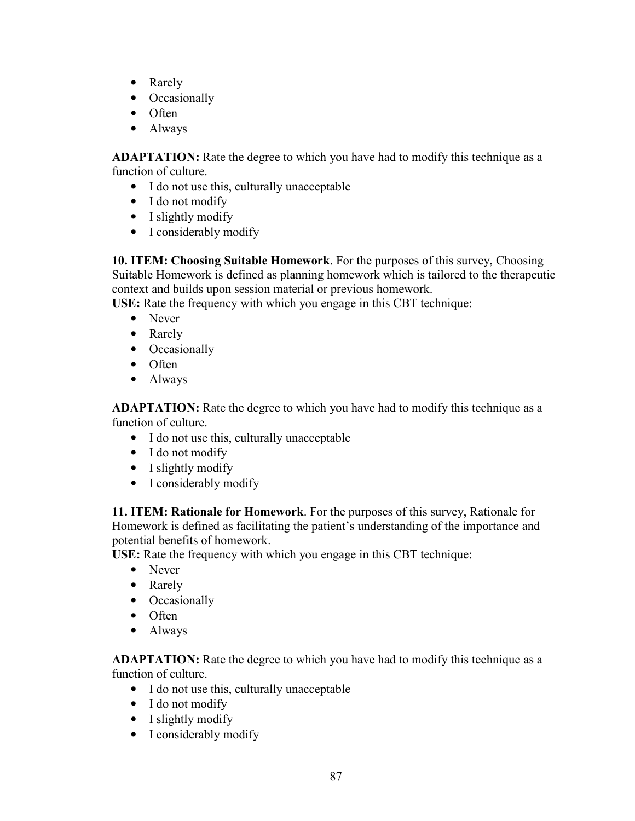- Rarely
- Occasionally
- Often
- Always

**ADAPTATION:** Rate the degree to which you have had to modify this technique as a function of culture.

- I do not use this, culturally unacceptable
- I do not modify
- I slightly modify
- I considerably modify

**10. ITEM: Choosing Suitable Homework**. For the purposes of this survey, Choosing Suitable Homework is defined as planning homework which is tailored to the therapeutic context and builds upon session material or previous homework.

**USE:** Rate the frequency with which you engage in this CBT technique:

- Never
- Rarely
- Occasionally
- Often
- Always

**ADAPTATION:** Rate the degree to which you have had to modify this technique as a function of culture.

- I do not use this, culturally unacceptable
- I do not modify
- I slightly modify
- I considerably modify

**11. ITEM: Rationale for Homework**. For the purposes of this survey, Rationale for Homework is defined as facilitating the patient's understanding of the importance and potential benefits of homework.

**USE:** Rate the frequency with which you engage in this CBT technique:

- Never
- Rarely
- Occasionally
- Often
- Always

- I do not use this, culturally unacceptable
- I do not modify
- I slightly modify
- I considerably modify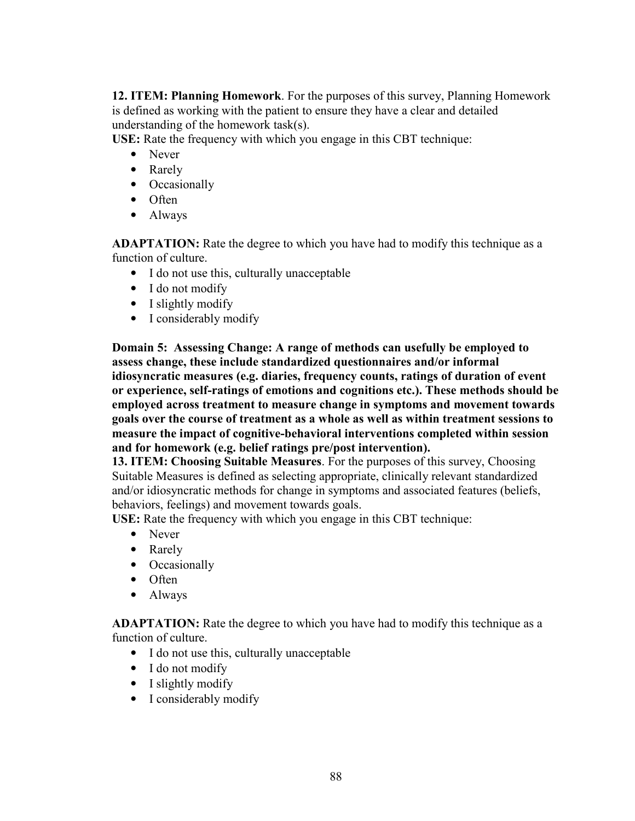**12. ITEM: Planning Homework**. For the purposes of this survey, Planning Homework is defined as working with the patient to ensure they have a clear and detailed understanding of the homework task(s).

**USE:** Rate the frequency with which you engage in this CBT technique:

- Never
- Rarely
- Occasionally
- Often
- Always

**ADAPTATION:** Rate the degree to which you have had to modify this technique as a function of culture.

- I do not use this, culturally unacceptable
- I do not modify
- I slightly modify
- I considerably modify

**Domain 5: Assessing Change: A range of methods can usefully be employed to assess change, these include standardized questionnaires and/or informal idiosyncratic measures (e.g. diaries, frequency counts, ratings of duration of event or experience, self-ratings of emotions and cognitions etc.). These methods should be employed across treatment to measure change in symptoms and movement towards goals over the course of treatment as a whole as well as within treatment sessions to measure the impact of cognitive-behavioral interventions completed within session and for homework (e.g. belief ratings pre/post intervention).**

**13. ITEM: Choosing Suitable Measures**. For the purposes of this survey, Choosing Suitable Measures is defined as selecting appropriate, clinically relevant standardized and/or idiosyncratic methods for change in symptoms and associated features (beliefs, behaviors, feelings) and movement towards goals.

**USE:** Rate the frequency with which you engage in this CBT technique:

- Never
- Rarely
- Occasionally
- Often
- Always

- I do not use this, culturally unacceptable
- I do not modify
- I slightly modify
- I considerably modify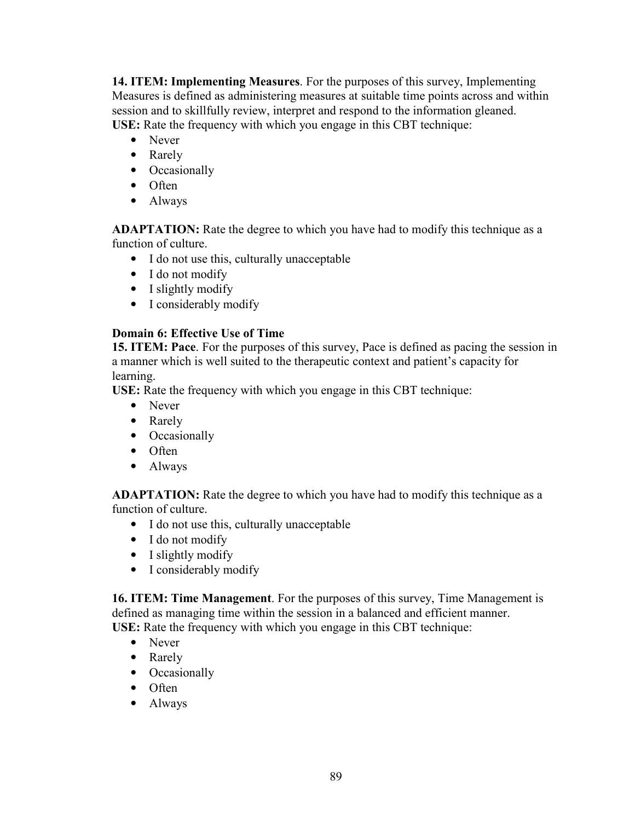**14. ITEM: Implementing Measures**. For the purposes of this survey, Implementing Measures is defined as administering measures at suitable time points across and within session and to skillfully review, interpret and respond to the information gleaned. **USE:** Rate the frequency with which you engage in this CBT technique:

- Never
- Rarely
- Occasionally
- Often
- Always

**ADAPTATION:** Rate the degree to which you have had to modify this technique as a function of culture.

- I do not use this, culturally unacceptable
- I do not modify
- I slightly modify
- I considerably modify

### **Domain 6: Effective Use of Time**

**15. ITEM: Pace**. For the purposes of this survey, Pace is defined as pacing the session in a manner which is well suited to the therapeutic context and patient's capacity for learning.

**USE:** Rate the frequency with which you engage in this CBT technique:

- Never
- Rarely
- Occasionally
- Often
- Always

**ADAPTATION:** Rate the degree to which you have had to modify this technique as a function of culture.

- I do not use this, culturally unacceptable
- I do not modify
- I slightly modify
- I considerably modify

**16. ITEM: Time Management**. For the purposes of this survey, Time Management is defined as managing time within the session in a balanced and efficient manner. **USE:** Rate the frequency with which you engage in this CBT technique:

- Never
- Rarely
- Occasionally
- Often
- Always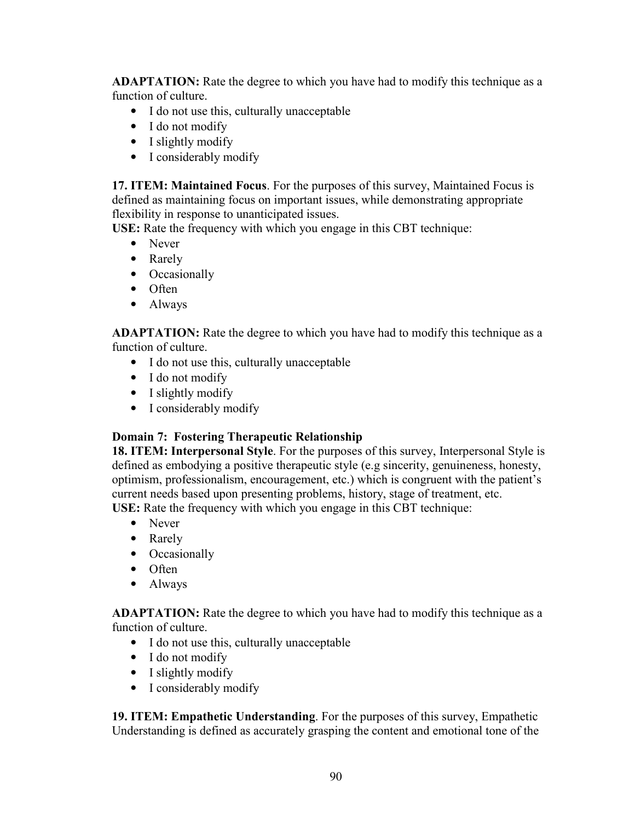**ADAPTATION:** Rate the degree to which you have had to modify this technique as a function of culture.

- I do not use this, culturally unacceptable
- I do not modify
- I slightly modify
- I considerably modify

**17. ITEM: Maintained Focus**. For the purposes of this survey, Maintained Focus is defined as maintaining focus on important issues, while demonstrating appropriate flexibility in response to unanticipated issues.

**USE:** Rate the frequency with which you engage in this CBT technique:

- Never
- Rarely
- Occasionally
- Often
- Always

**ADAPTATION:** Rate the degree to which you have had to modify this technique as a function of culture.

- I do not use this, culturally unacceptable
- I do not modify
- I slightly modify
- I considerably modify

### **Domain 7: Fostering Therapeutic Relationship**

**18. ITEM: Interpersonal Style**. For the purposes of this survey, Interpersonal Style is defined as embodying a positive therapeutic style (e.g sincerity, genuineness, honesty, optimism, professionalism, encouragement, etc.) which is congruent with the patient's current needs based upon presenting problems, history, stage of treatment, etc. **USE:** Rate the frequency with which you engage in this CBT technique:

- Never
- Rarely
- Occasionally
- Often
- Always

**ADAPTATION:** Rate the degree to which you have had to modify this technique as a function of culture.

- I do not use this, culturally unacceptable
- I do not modify
- I slightly modify
- I considerably modify

**19. ITEM: Empathetic Understanding**. For the purposes of this survey, Empathetic Understanding is defined as accurately grasping the content and emotional tone of the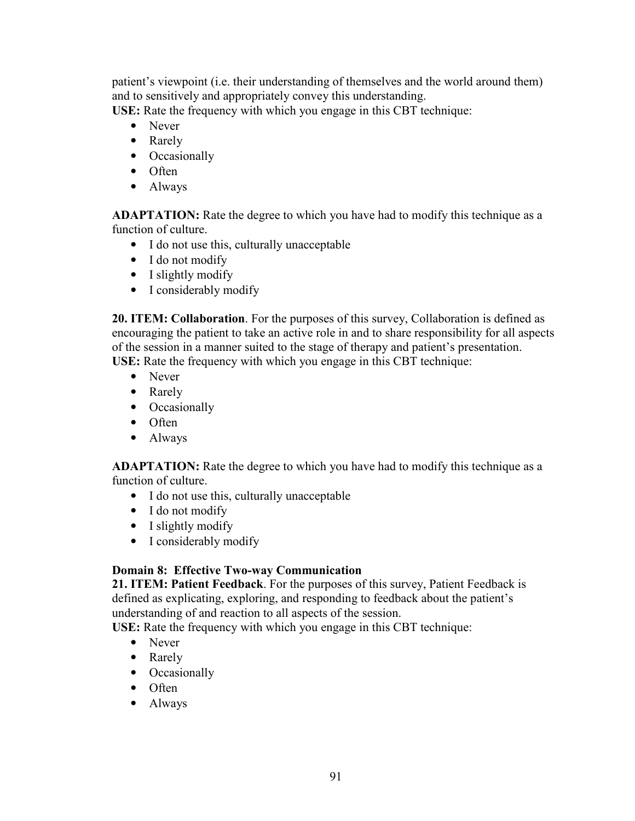patient's viewpoint (i.e. their understanding of themselves and the world around them) and to sensitively and appropriately convey this understanding.

**USE:** Rate the frequency with which you engage in this CBT technique:

- Never
- Rarely
- Occasionally
- Often
- Always

**ADAPTATION:** Rate the degree to which you have had to modify this technique as a function of culture.

- I do not use this, culturally unacceptable
- I do not modify
- I slightly modify
- I considerably modify

**20. ITEM: Collaboration**. For the purposes of this survey, Collaboration is defined as encouraging the patient to take an active role in and to share responsibility for all aspects of the session in a manner suited to the stage of therapy and patient's presentation. **USE:** Rate the frequency with which you engage in this CBT technique:

- Never
- Rarely
- Occasionally
- Often
- Always

**ADAPTATION:** Rate the degree to which you have had to modify this technique as a function of culture.

- I do not use this, culturally unacceptable
- I do not modify
- I slightly modify
- I considerably modify

## **Domain 8: Effective Two-way Communication**

**21. ITEM: Patient Feedback**. For the purposes of this survey, Patient Feedback is defined as explicating, exploring, and responding to feedback about the patient's understanding of and reaction to all aspects of the session.

**USE:** Rate the frequency with which you engage in this CBT technique:

- Never
- Rarely
- Occasionally
- Often
- Always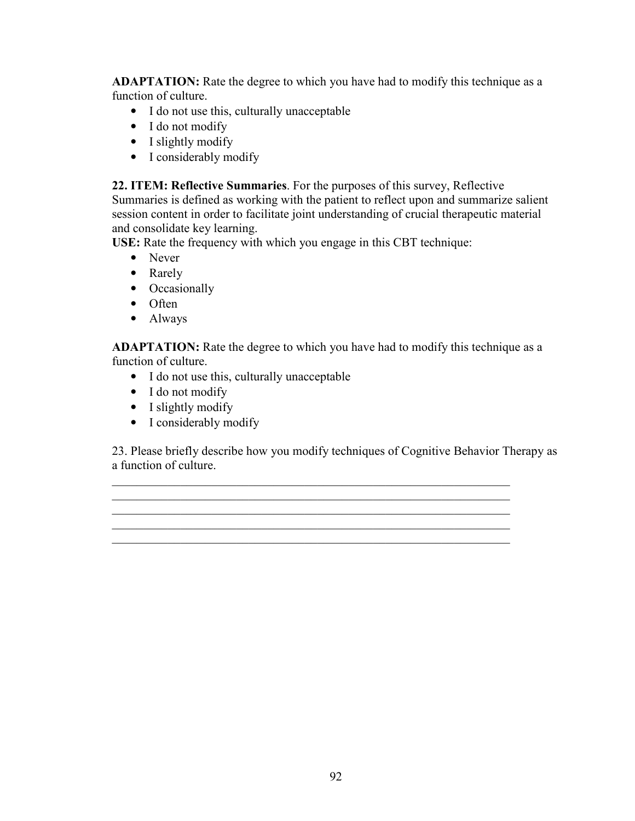**ADAPTATION:** Rate the degree to which you have had to modify this technique as a function of culture.

- I do not use this, culturally unacceptable
- I do not modify
- I slightly modify
- I considerably modify

**22. ITEM: Reflective Summaries**. For the purposes of this survey, Reflective Summaries is defined as working with the patient to reflect upon and summarize salient session content in order to facilitate joint understanding of crucial therapeutic material and consolidate key learning.

**USE:** Rate the frequency with which you engage in this CBT technique:

- Never
- Rarely
- Occasionally
- Often
- Always

**ADAPTATION:** Rate the degree to which you have had to modify this technique as a function of culture.

- I do not use this, culturally unacceptable
- I do not modify
- I slightly modify
- I considerably modify

23. Please briefly describe how you modify techniques of Cognitive Behavior Therapy as a function of culture.

\_\_\_\_\_\_\_\_\_\_\_\_\_\_\_\_\_\_\_\_\_\_\_\_\_\_\_\_\_\_\_\_\_\_\_\_\_\_\_\_\_\_\_\_\_\_\_\_\_\_\_\_\_\_\_\_\_\_\_\_\_\_\_\_ \_\_\_\_\_\_\_\_\_\_\_\_\_\_\_\_\_\_\_\_\_\_\_\_\_\_\_\_\_\_\_\_\_\_\_\_\_\_\_\_\_\_\_\_\_\_\_\_\_\_\_\_\_\_\_\_\_\_\_\_\_\_\_\_ \_\_\_\_\_\_\_\_\_\_\_\_\_\_\_\_\_\_\_\_\_\_\_\_\_\_\_\_\_\_\_\_\_\_\_\_\_\_\_\_\_\_\_\_\_\_\_\_\_\_\_\_\_\_\_\_\_\_\_\_\_\_\_\_

\_\_\_\_\_\_\_\_\_\_\_\_\_\_\_\_\_\_\_\_\_\_\_\_\_\_\_\_\_\_\_\_\_\_\_\_\_\_\_\_\_\_\_\_\_\_\_\_\_\_\_\_\_\_\_\_\_\_\_\_\_\_\_\_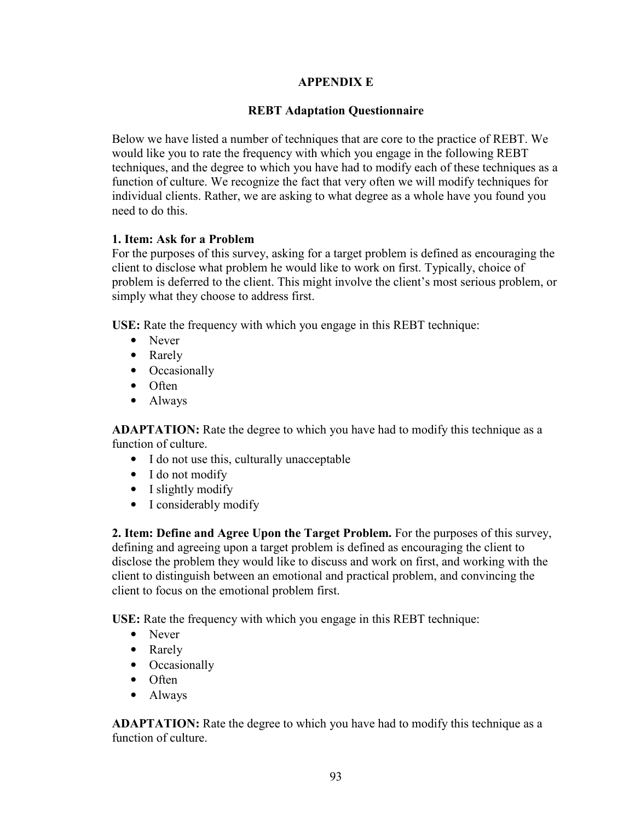#### **APPENDIX E**

#### **REBT Adaptation Questionnaire**

Below we have listed a number of techniques that are core to the practice of REBT. We would like you to rate the frequency with which you engage in the following REBT techniques, and the degree to which you have had to modify each of these techniques as a function of culture. We recognize the fact that very often we will modify techniques for individual clients. Rather, we are asking to what degree as a whole have you found you need to do this.

#### **1. Item: Ask for a Problem**

For the purposes of this survey, asking for a target problem is defined as encouraging the client to disclose what problem he would like to work on first. Typically, choice of problem is deferred to the client. This might involve the client's most serious problem, or simply what they choose to address first.

**USE:** Rate the frequency with which you engage in this REBT technique:

- Never
- Rarely
- Occasionally
- Often
- Always

**ADAPTATION:** Rate the degree to which you have had to modify this technique as a function of culture.

- I do not use this, culturally unacceptable
- I do not modify
- I slightly modify
- I considerably modify

**2. Item: Define and Agree Upon the Target Problem.** For the purposes of this survey, defining and agreeing upon a target problem is defined as encouraging the client to disclose the problem they would like to discuss and work on first, and working with the client to distinguish between an emotional and practical problem, and convincing the client to focus on the emotional problem first.

**USE:** Rate the frequency with which you engage in this REBT technique:

- Never
- Rarely
- Occasionally
- Often
- Always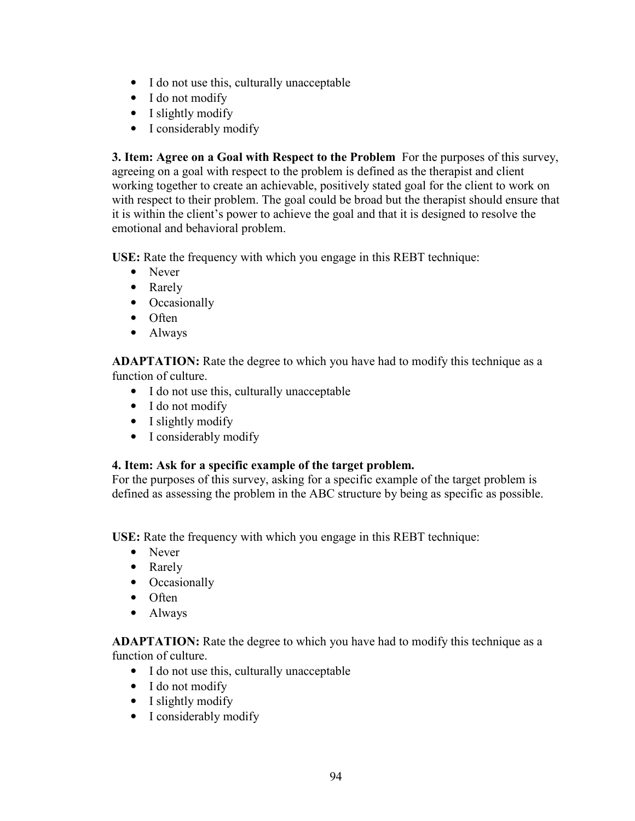- I do not use this, culturally unacceptable
- I do not modify
- I slightly modify
- I considerably modify

**3. Item: Agree on a Goal with Respect to the Problem** For the purposes of this survey, agreeing on a goal with respect to the problem is defined as the therapist and client working together to create an achievable, positively stated goal for the client to work on with respect to their problem. The goal could be broad but the therapist should ensure that it is within the client's power to achieve the goal and that it is designed to resolve the emotional and behavioral problem.

**USE:** Rate the frequency with which you engage in this REBT technique:

- Never
- Rarely
- Occasionally
- Often
- Always

**ADAPTATION:** Rate the degree to which you have had to modify this technique as a function of culture.

- I do not use this, culturally unacceptable
- I do not modify
- I slightly modify
- I considerably modify

### **4. Item: Ask for a specific example of the target problem.**

For the purposes of this survey, asking for a specific example of the target problem is defined as assessing the problem in the ABC structure by being as specific as possible.

**USE:** Rate the frequency with which you engage in this REBT technique:

- Never
- Rarely
- Occasionally
- Often
- Always

- I do not use this, culturally unacceptable
- I do not modify
- I slightly modify
- I considerably modify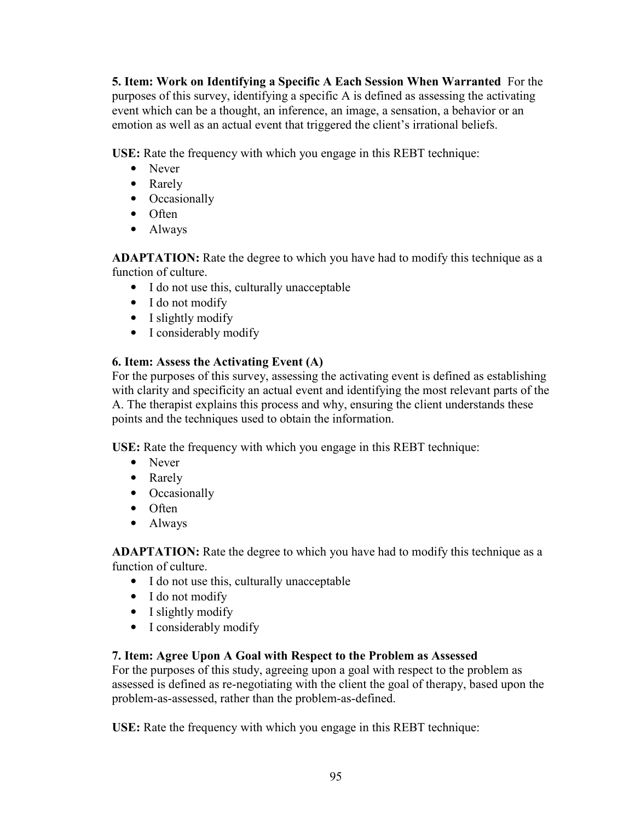**5. Item: Work on Identifying a Specific A Each Session When Warranted** For the purposes of this survey, identifying a specific A is defined as assessing the activating event which can be a thought, an inference, an image, a sensation, a behavior or an emotion as well as an actual event that triggered the client's irrational beliefs.

**USE:** Rate the frequency with which you engage in this REBT technique:

- Never
- Rarely
- Occasionally
- Often
- Always

**ADAPTATION:** Rate the degree to which you have had to modify this technique as a function of culture.

- I do not use this, culturally unacceptable
- I do not modify
- I slightly modify
- I considerably modify

## **6. Item: Assess the Activating Event (A)**

For the purposes of this survey, assessing the activating event is defined as establishing with clarity and specificity an actual event and identifying the most relevant parts of the A. The therapist explains this process and why, ensuring the client understands these points and the techniques used to obtain the information.

**USE:** Rate the frequency with which you engage in this REBT technique:

- Never
- Rarely
- Occasionally
- Often
- Always

**ADAPTATION:** Rate the degree to which you have had to modify this technique as a function of culture.

- I do not use this, culturally unacceptable
- I do not modify
- I slightly modify
- I considerably modify

## **7. Item: Agree Upon A Goal with Respect to the Problem as Assessed**

For the purposes of this study, agreeing upon a goal with respect to the problem as assessed is defined as re-negotiating with the client the goal of therapy, based upon the problem-as-assessed, rather than the problem-as-defined.

**USE:** Rate the frequency with which you engage in this REBT technique: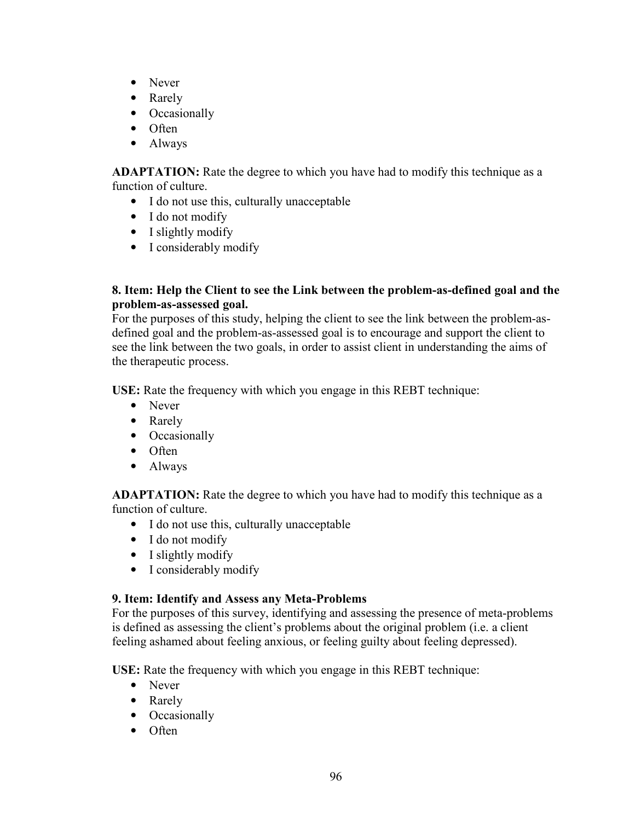- Never
- Rarely
- Occasionally
- Often
- Always

**ADAPTATION:** Rate the degree to which you have had to modify this technique as a function of culture.

- I do not use this, culturally unacceptable
- I do not modify
- I slightly modify
- I considerably modify

### **8. Item: Help the Client to see the Link between the problem-as-defined goal and the problem-as-assessed goal.**

For the purposes of this study, helping the client to see the link between the problem-asdefined goal and the problem-as-assessed goal is to encourage and support the client to see the link between the two goals, in order to assist client in understanding the aims of the therapeutic process.

**USE:** Rate the frequency with which you engage in this REBT technique:

- Never
- Rarely
- Occasionally
- Often
- Always

**ADAPTATION:** Rate the degree to which you have had to modify this technique as a function of culture.

- I do not use this, culturally unacceptable
- I do not modify
- I slightly modify
- I considerably modify

## **9. Item: Identify and Assess any Meta-Problems**

For the purposes of this survey, identifying and assessing the presence of meta-problems is defined as assessing the client's problems about the original problem (i.e. a client feeling ashamed about feeling anxious, or feeling guilty about feeling depressed).

**USE:** Rate the frequency with which you engage in this REBT technique:

- Never
- Rarely
- Occasionally
- Often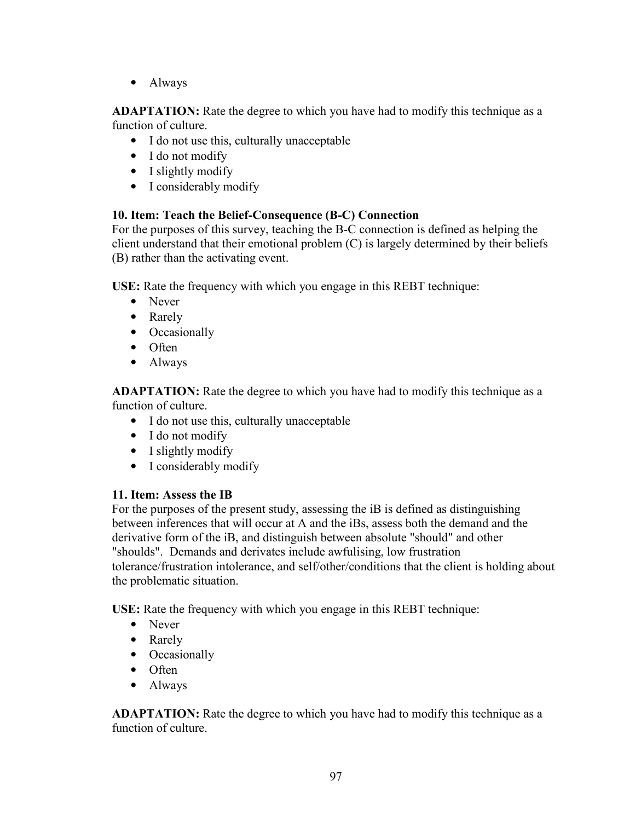• Always

**ADAPTATION:** Rate the degree to which you have had to modify this technique as a function of culture.

- I do not use this, culturally unacceptable
- I do not modify
- I slightly modify
- I considerably modify

### **10. Item: Teach the Belief-Consequence (B-C) Connection**

For the purposes of this survey, teaching the B-C connection is defined as helping the client understand that their emotional problem (C) is largely determined by their beliefs (B) rather than the activating event.

**USE:** Rate the frequency with which you engage in this REBT technique:

- Never
- Rarely
- Occasionally
- Often
- Always

**ADAPTATION:** Rate the degree to which you have had to modify this technique as a function of culture.

- I do not use this, culturally unacceptable
- I do not modify
- I slightly modify
- I considerably modify

### **11. Item: Assess the IB**

For the purposes of the present study, assessing the iB is defined as distinguishing between inferences that will occur at A and the iBs, assess both the demand and the derivative form of the iB, and distinguish between absolute "should" and other "shoulds". Demands and derivates include awfulising, low frustration tolerance/frustration intolerance, and self/other/conditions that the client is holding about the problematic situation.

**USE:** Rate the frequency with which you engage in this REBT technique:

- Never
- Rarely
- Occasionally
- Often
- Always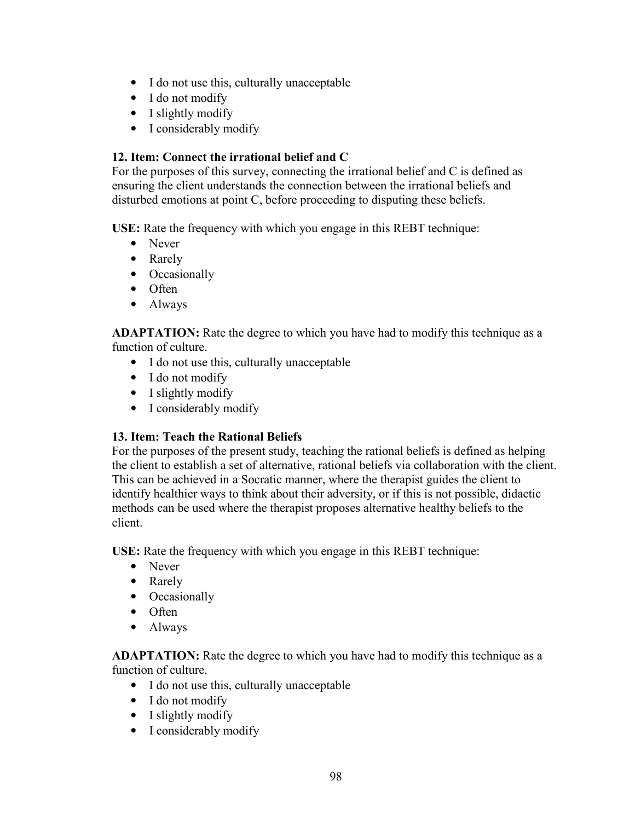- I do not use this, culturally unacceptable
- I do not modify
- I slightly modify
- I considerably modify

### **12. Item: Connect the irrational belief and C**

For the purposes of this survey, connecting the irrational belief and C is defined as ensuring the client understands the connection between the irrational beliefs and disturbed emotions at point C, before proceeding to disputing these beliefs.

**USE:** Rate the frequency with which you engage in this REBT technique:

- Never
- Rarely
- Occasionally
- Often
- Always

**ADAPTATION:** Rate the degree to which you have had to modify this technique as a function of culture.

- I do not use this, culturally unacceptable
- I do not modify
- I slightly modify
- I considerably modify

### **13. Item: Teach the Rational Beliefs**

For the purposes of the present study, teaching the rational beliefs is defined as helping the client to establish a set of alternative, rational beliefs via collaboration with the client. This can be achieved in a Socratic manner, where the therapist guides the client to identify healthier ways to think about their adversity, or if this is not possible, didactic methods can be used where the therapist proposes alternative healthy beliefs to the client.

**USE:** Rate the frequency with which you engage in this REBT technique:

- Never
- Rarely
- Occasionally
- Often
- Always

- I do not use this, culturally unacceptable
- I do not modify
- I slightly modify
- I considerably modify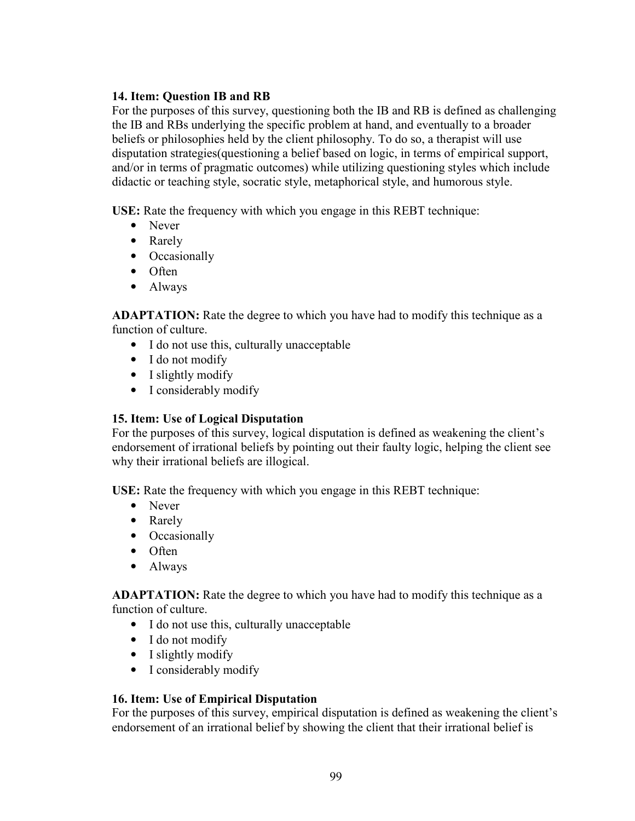### **14. Item: Question IB and RB**

For the purposes of this survey, questioning both the IB and RB is defined as challenging the IB and RBs underlying the specific problem at hand, and eventually to a broader beliefs or philosophies held by the client philosophy. To do so, a therapist will use disputation strategies(questioning a belief based on logic, in terms of empirical support, and/or in terms of pragmatic outcomes) while utilizing questioning styles which include didactic or teaching style, socratic style, metaphorical style, and humorous style.

**USE:** Rate the frequency with which you engage in this REBT technique:

- Never
- Rarely
- Occasionally
- Often
- Always

**ADAPTATION:** Rate the degree to which you have had to modify this technique as a function of culture.

- I do not use this, culturally unacceptable
- I do not modify
- I slightly modify
- I considerably modify

### **15. Item: Use of Logical Disputation**

For the purposes of this survey, logical disputation is defined as weakening the client's endorsement of irrational beliefs by pointing out their faulty logic, helping the client see why their irrational beliefs are illogical.

**USE:** Rate the frequency with which you engage in this REBT technique:

- Never
- Rarely
- Occasionally
- Often
- Always

**ADAPTATION:** Rate the degree to which you have had to modify this technique as a function of culture.

- I do not use this, culturally unacceptable
- I do not modify
- I slightly modify
- I considerably modify

### **16. Item: Use of Empirical Disputation**

For the purposes of this survey, empirical disputation is defined as weakening the client's endorsement of an irrational belief by showing the client that their irrational belief is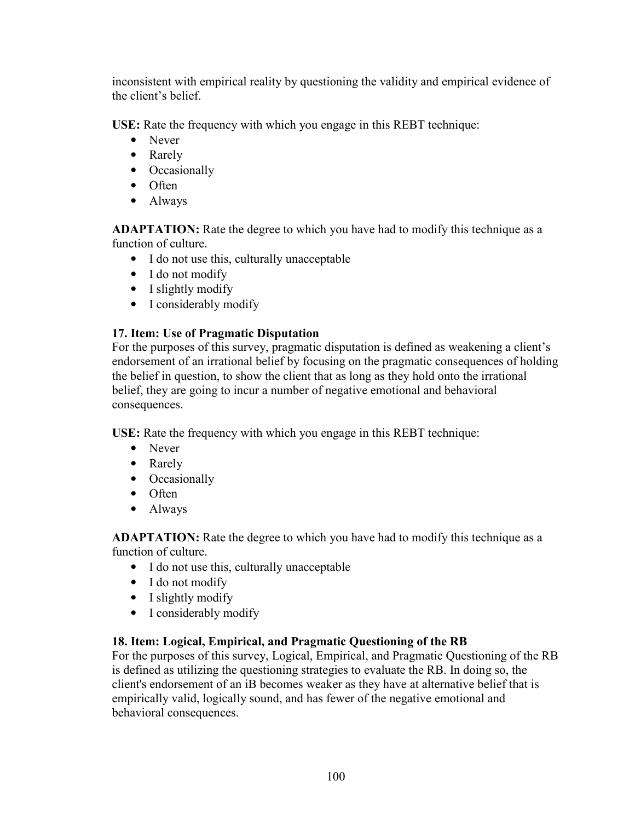inconsistent with empirical reality by questioning the validity and empirical evidence of the client's belief.

**USE:** Rate the frequency with which you engage in this REBT technique:

- Never
- Rarely
- Occasionally
- Often
- Always

**ADAPTATION:** Rate the degree to which you have had to modify this technique as a function of culture.

- I do not use this, culturally unacceptable
- I do not modify
- I slightly modify
- I considerably modify

### **17. Item: Use of Pragmatic Disputation**

For the purposes of this survey, pragmatic disputation is defined as weakening a client's endorsement of an irrational belief by focusing on the pragmatic consequences of holding the belief in question, to show the client that as long as they hold onto the irrational belief, they are going to incur a number of negative emotional and behavioral consequences.

**USE:** Rate the frequency with which you engage in this REBT technique:

- Never
- Rarely
- Occasionally
- Often
- Always

**ADAPTATION:** Rate the degree to which you have had to modify this technique as a function of culture.

- I do not use this, culturally unacceptable
- I do not modify
- I slightly modify
- I considerably modify

### **18. Item: Logical, Empirical, and Pragmatic Questioning of the RB**

For the purposes of this survey, Logical, Empirical, and Pragmatic Questioning of the RB is defined as utilizing the questioning strategies to evaluate the RB. In doing so, the client's endorsement of an iB becomes weaker as they have at alternative belief that is empirically valid, logically sound, and has fewer of the negative emotional and behavioral consequences.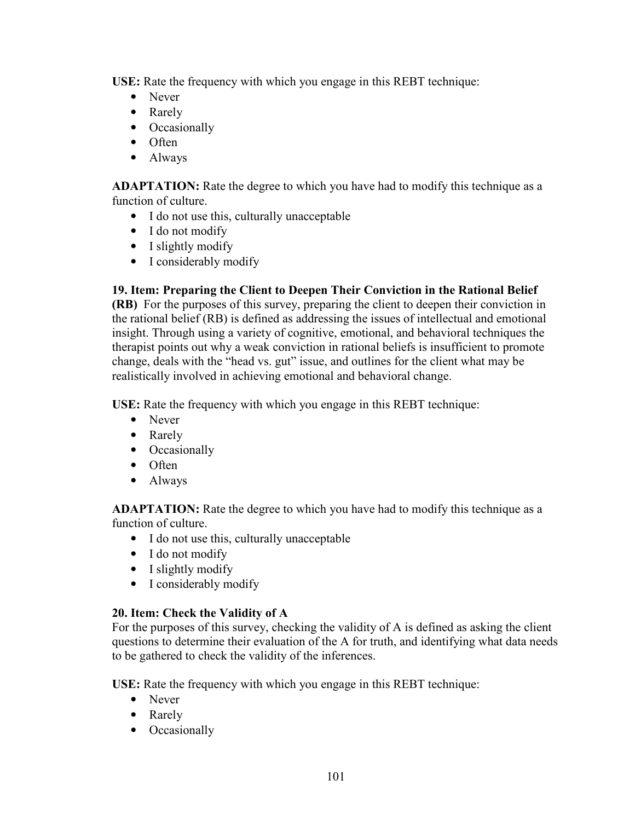**USE:** Rate the frequency with which you engage in this REBT technique:

- Never
- Rarely
- Occasionally
- Often
- Always

**ADAPTATION:** Rate the degree to which you have had to modify this technique as a function of culture.

- I do not use this, culturally unacceptable
- I do not modify
- I slightly modify
- I considerably modify

### **19. Item: Preparing the Client to Deepen Their Conviction in the Rational Belief**

**(RB)** For the purposes of this survey, preparing the client to deepen their conviction in the rational belief (RB) is defined as addressing the issues of intellectual and emotional insight. Through using a variety of cognitive, emotional, and behavioral techniques the therapist points out why a weak conviction in rational beliefs is insufficient to promote change, deals with the "head vs. gut" issue, and outlines for the client what may be realistically involved in achieving emotional and behavioral change.

**USE:** Rate the frequency with which you engage in this REBT technique:

- Never
- Rarely
- Occasionally
- Often
- Always

**ADAPTATION:** Rate the degree to which you have had to modify this technique as a function of culture.

- I do not use this, culturally unacceptable
- I do not modify
- I slightly modify
- I considerably modify

### **20. Item: Check the Validity of A**

For the purposes of this survey, checking the validity of A is defined as asking the client questions to determine their evaluation of the A for truth, and identifying what data needs to be gathered to check the validity of the inferences.

**USE:** Rate the frequency with which you engage in this REBT technique:

- Never
- Rarely
- Occasionally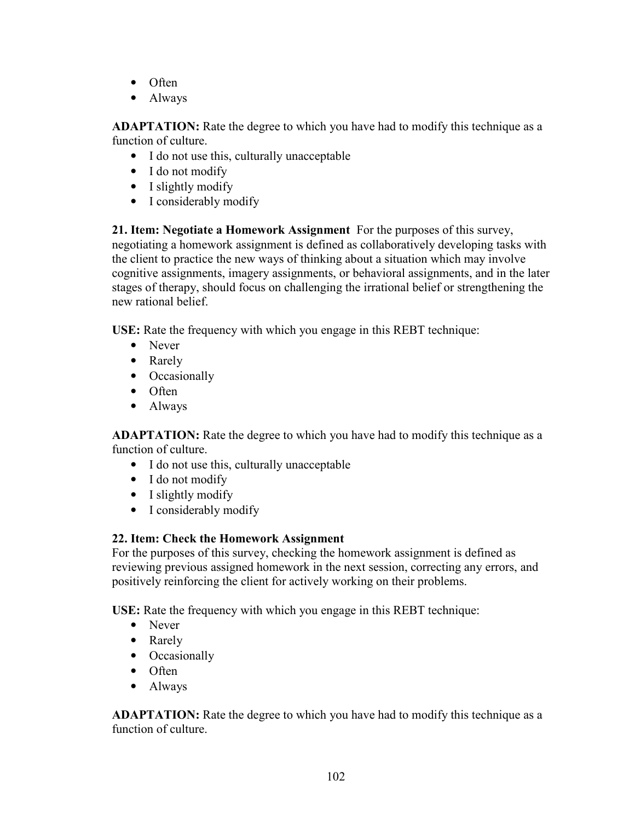- Often
- Always

**ADAPTATION:** Rate the degree to which you have had to modify this technique as a function of culture.

- I do not use this, culturally unacceptable
- I do not modify
- I slightly modify
- I considerably modify

**21. Item: Negotiate a Homework Assignment** For the purposes of this survey, negotiating a homework assignment is defined as collaboratively developing tasks with the client to practice the new ways of thinking about a situation which may involve cognitive assignments, imagery assignments, or behavioral assignments, and in the later stages of therapy, should focus on challenging the irrational belief or strengthening the new rational belief.

**USE:** Rate the frequency with which you engage in this REBT technique:

- Never
- Rarely
- Occasionally
- Often
- Always

**ADAPTATION:** Rate the degree to which you have had to modify this technique as a function of culture.

- I do not use this, culturally unacceptable
- I do not modify
- I slightly modify
- I considerably modify

# **22. Item: Check the Homework Assignment**

For the purposes of this survey, checking the homework assignment is defined as reviewing previous assigned homework in the next session, correcting any errors, and positively reinforcing the client for actively working on their problems.

**USE:** Rate the frequency with which you engage in this REBT technique:

- Never
- Rarely
- Occasionally
- Often
- Always

**ADAPTATION:** Rate the degree to which you have had to modify this technique as a function of culture.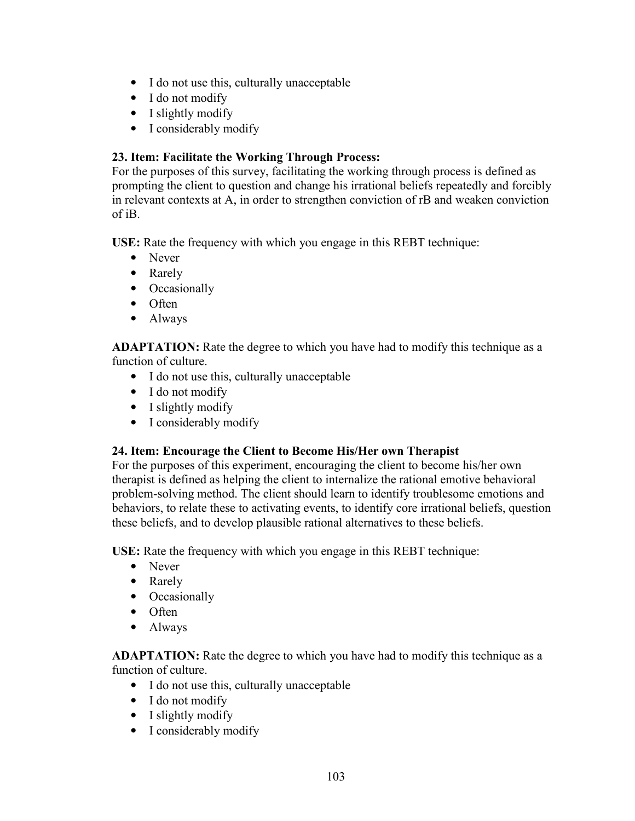- I do not use this, culturally unacceptable
- I do not modify
- I slightly modify
- I considerably modify

## **23. Item: Facilitate the Working Through Process:**

For the purposes of this survey, facilitating the working through process is defined as prompting the client to question and change his irrational beliefs repeatedly and forcibly in relevant contexts at A, in order to strengthen conviction of rB and weaken conviction of iB.

**USE:** Rate the frequency with which you engage in this REBT technique:

- Never
- Rarely
- Occasionally
- Often
- Always

**ADAPTATION:** Rate the degree to which you have had to modify this technique as a function of culture.

- I do not use this, culturally unacceptable
- I do not modify
- I slightly modify
- I considerably modify

### **24. Item: Encourage the Client to Become His/Her own Therapist**

For the purposes of this experiment, encouraging the client to become his/her own therapist is defined as helping the client to internalize the rational emotive behavioral problem-solving method. The client should learn to identify troublesome emotions and behaviors, to relate these to activating events, to identify core irrational beliefs, question these beliefs, and to develop plausible rational alternatives to these beliefs.

**USE:** Rate the frequency with which you engage in this REBT technique:

- Never
- Rarely
- Occasionally
- Often
- Always

**ADAPTATION:** Rate the degree to which you have had to modify this technique as a function of culture.

- I do not use this, culturally unacceptable
- I do not modify
- I slightly modify
- I considerably modify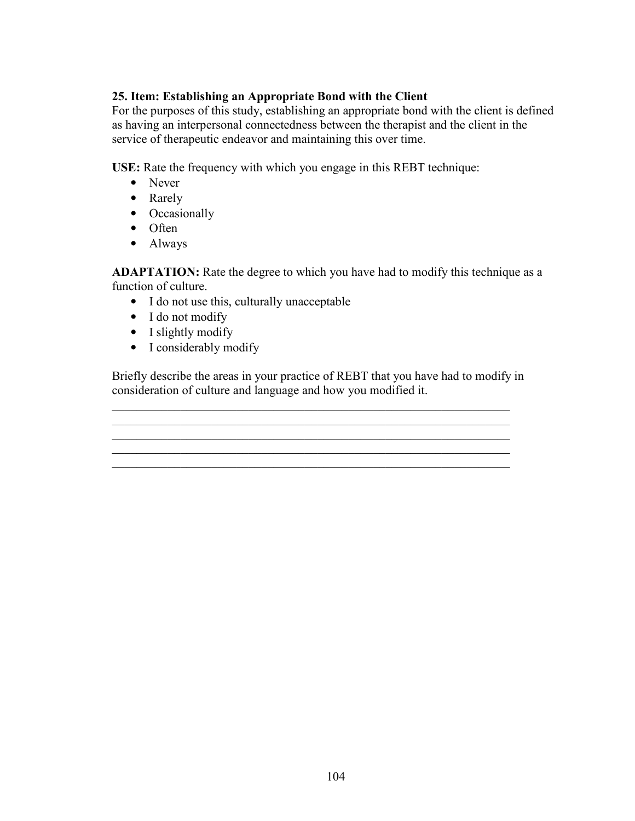## **25. Item: Establishing an Appropriate Bond with the Client**

For the purposes of this study, establishing an appropriate bond with the client is defined as having an interpersonal connectedness between the therapist and the client in the service of therapeutic endeavor and maintaining this over time.

**USE:** Rate the frequency with which you engage in this REBT technique:

- Never
- Rarely
- Occasionally
- Often
- Always

**ADAPTATION:** Rate the degree to which you have had to modify this technique as a function of culture.

- I do not use this, culturally unacceptable
- I do not modify
- I slightly modify
- I considerably modify

Briefly describe the areas in your practice of REBT that you have had to modify in consideration of culture and language and how you modified it.

\_\_\_\_\_\_\_\_\_\_\_\_\_\_\_\_\_\_\_\_\_\_\_\_\_\_\_\_\_\_\_\_\_\_\_\_\_\_\_\_\_\_\_\_\_\_\_\_\_\_\_\_\_\_\_\_\_\_\_\_\_\_\_\_

\_\_\_\_\_\_\_\_\_\_\_\_\_\_\_\_\_\_\_\_\_\_\_\_\_\_\_\_\_\_\_\_\_\_\_\_\_\_\_\_\_\_\_\_\_\_\_\_\_\_\_\_\_\_\_\_\_\_\_\_\_\_\_\_

\_\_\_\_\_\_\_\_\_\_\_\_\_\_\_\_\_\_\_\_\_\_\_\_\_\_\_\_\_\_\_\_\_\_\_\_\_\_\_\_\_\_\_\_\_\_\_\_\_\_\_\_\_\_\_\_\_\_\_\_\_\_\_\_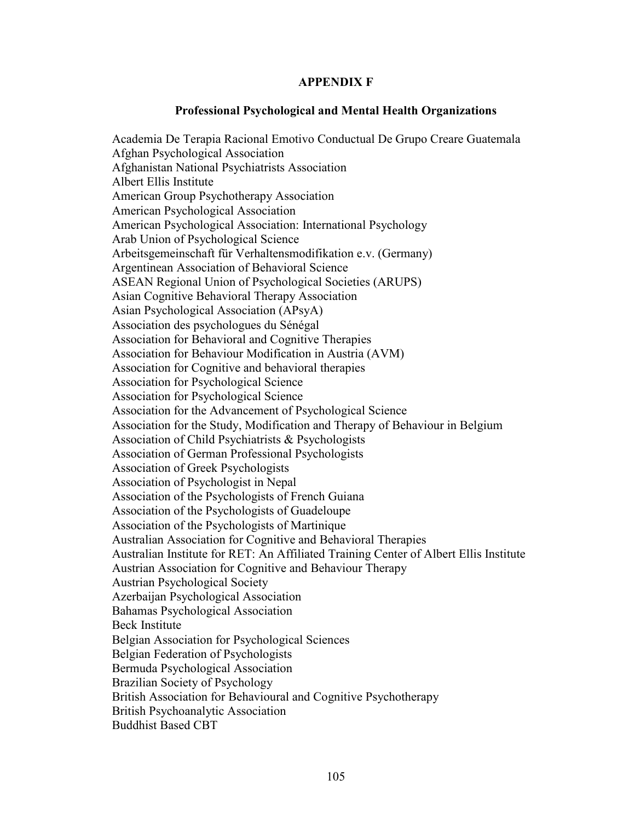### **APPENDIX F**

### **Professional Psychological and Mental Health Organizations**

Academia De Terapia Racional Emotivo Conductual De Grupo Creare Guatemala Afghan Psychological Association Afghanistan National Psychiatrists Association Albert Ellis Institute American Group Psychotherapy Association American Psychological Association American Psychological Association: International Psychology Arab Union of Psychological Science Arbeitsgemeinschaft für Verhaltensmodifikation e.v. (Germany) Argentinean Association of Behavioral Science ASEAN Regional Union of Psychological Societies (ARUPS) Asian Cognitive Behavioral Therapy Association Asian Psychological Association (APsyA) Association des psychologues du Sénégal Association for Behavioral and Cognitive Therapies Association for Behaviour Modification in Austria (AVM) Association for Cognitive and behavioral therapies Association for Psychological Science Association for Psychological Science Association for the Advancement of Psychological Science Association for the Study, Modification and Therapy of Behaviour in Belgium Association of Child Psychiatrists & Psychologists Association of German Professional Psychologists Association of Greek Psychologists Association of Psychologist in Nepal Association of the Psychologists of French Guiana Association of the Psychologists of Guadeloupe Association of the Psychologists of Martinique Australian Association for Cognitive and Behavioral Therapies Australian Institute for RET: An Affiliated Training Center of Albert Ellis Institute Austrian Association for Cognitive and Behaviour Therapy Austrian Psychological Society Azerbaijan Psychological Association Bahamas Psychological Association Beck Institute Belgian Association for Psychological Sciences Belgian Federation of Psychologists Bermuda Psychological Association Brazilian Society of Psychology British Association for Behavioural and Cognitive Psychotherapy British Psychoanalytic Association Buddhist Based CBT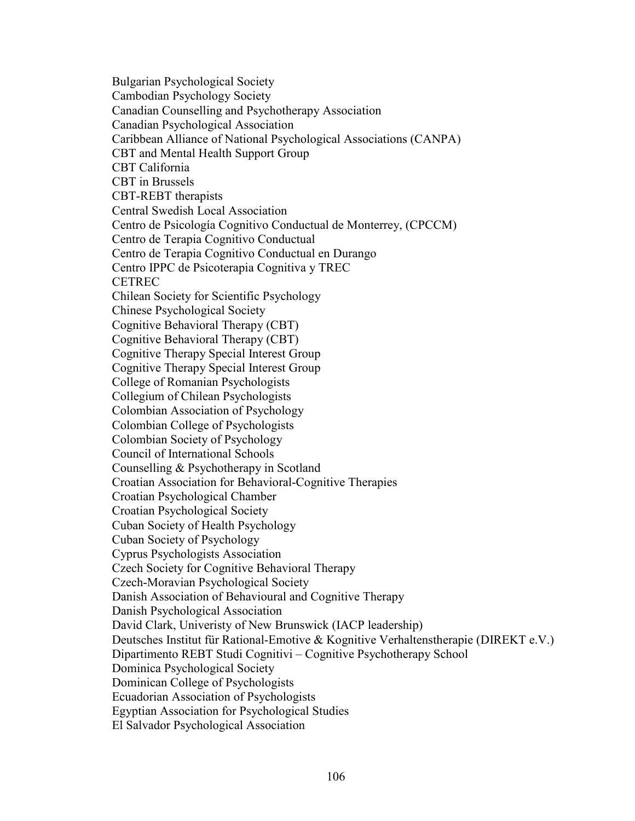Bulgarian Psychological Society Cambodian Psychology Society Canadian Counselling and Psychotherapy Association Canadian Psychological Association Caribbean Alliance of National Psychological Associations (CANPA) CBT and Mental Health Support Group CBT California CBT in Brussels CBT-REBT therapists Central Swedish Local Association Centro de Psicología Cognitivo Conductual de Monterrey, (CPCCM) Centro de Terapia Cognitivo Conductual Centro de Terapia Cognitivo Conductual en Durango Centro IPPC de Psicoterapia Cognitiva y TREC CETREC Chilean Society for Scientific Psychology Chinese Psychological Society Cognitive Behavioral Therapy (CBT) Cognitive Behavioral Therapy (CBT) Cognitive Therapy Special Interest Group Cognitive Therapy Special Interest Group College of Romanian Psychologists Collegium of Chilean Psychologists Colombian Association of Psychology Colombian College of Psychologists Colombian Society of Psychology Council of International Schools Counselling & Psychotherapy in Scotland Croatian Association for Behavioral-Cognitive Therapies Croatian Psychological Chamber Croatian Psychological Society Cuban Society of Health Psychology Cuban Society of Psychology Cyprus Psychologists Association Czech Society for Cognitive Behavioral Therapy Czech-Moravian Psychological Society Danish Association of Behavioural and Cognitive Therapy Danish Psychological Association David Clark, Univeristy of New Brunswick (IACP leadership) Deutsches Institut für Rational-Emotive & Kognitive Verhaltenstherapie (DIREKT e.V.) Dipartimento REBT Studi Cognitivi – Cognitive Psychotherapy School Dominica Psychological Society Dominican College of Psychologists Ecuadorian Association of Psychologists Egyptian Association for Psychological Studies El Salvador Psychological Association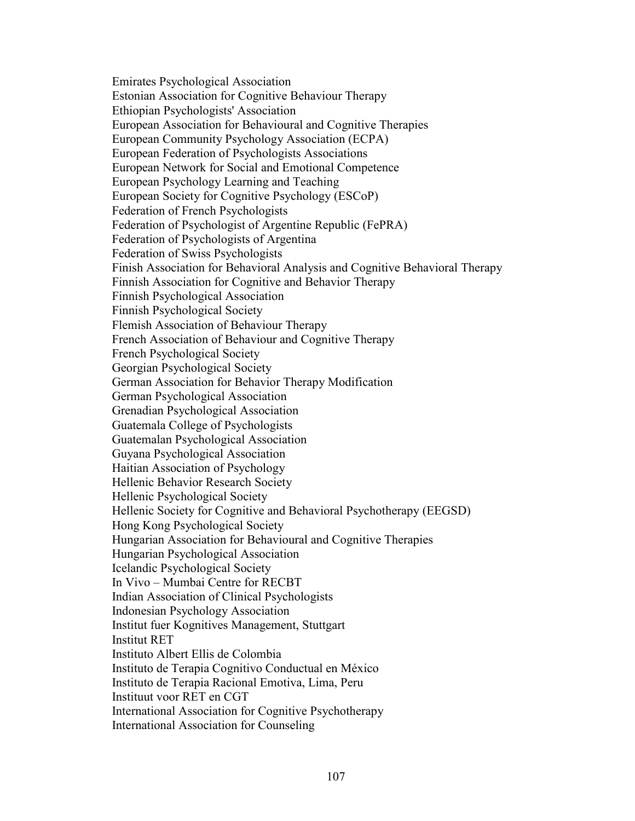Emirates Psychological Association Estonian Association for Cognitive Behaviour Therapy Ethiopian Psychologists' Association European Association for Behavioural and Cognitive Therapies European Community Psychology Association (ECPA) European Federation of Psychologists Associations European Network for Social and Emotional Competence European Psychology Learning and Teaching European Society for Cognitive Psychology (ESCoP) Federation of French Psychologists Federation of Psychologist of Argentine Republic (FePRA) Federation of Psychologists of Argentina Federation of Swiss Psychologists Finish Association for Behavioral Analysis and Cognitive Behavioral Therapy Finnish Association for Cognitive and Behavior Therapy Finnish Psychological Association Finnish Psychological Society Flemish Association of Behaviour Therapy French Association of Behaviour and Cognitive Therapy French Psychological Society Georgian Psychological Society German Association for Behavior Therapy Modification German Psychological Association Grenadian Psychological Association Guatemala College of Psychologists Guatemalan Psychological Association Guyana Psychological Association Haitian Association of Psychology Hellenic Behavior Research Society Hellenic Psychological Society Hellenic Society for Cognitive and Behavioral Psychotherapy (EEGSD) Hong Kong Psychological Society Hungarian Association for Behavioural and Cognitive Therapies Hungarian Psychological Association Icelandic Psychological Society In Vivo – Mumbai Centre for RECBT Indian Association of Clinical Psychologists Indonesian Psychology Association Institut fuer Kognitives Management, Stuttgart Institut RET Instituto Albert Ellis de Colombia Instituto de Terapia Cognitivo Conductual en México Instituto de Terapia Racional Emotiva, Lima, Peru Instituut voor RET en CGT International Association for Cognitive Psychotherapy International Association for Counseling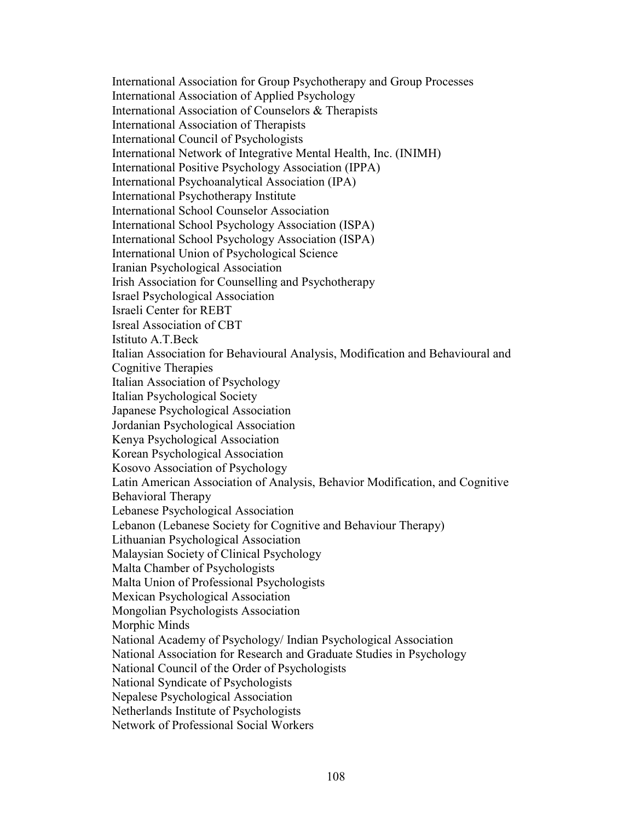International Association for Group Psychotherapy and Group Processes International Association of Applied Psychology International Association of Counselors & Therapists International Association of Therapists International Council of Psychologists International Network of Integrative Mental Health, Inc. (INIMH) International Positive Psychology Association (IPPA) International Psychoanalytical Association (IPA) International Psychotherapy Institute International School Counselor Association International School Psychology Association (ISPA) International School Psychology Association (ISPA) International Union of Psychological Science Iranian Psychological Association Irish Association for Counselling and Psychotherapy Israel Psychological Association Israeli Center for REBT Isreal Association of CBT Istituto A.T.Beck Italian Association for Behavioural Analysis, Modification and Behavioural and Cognitive Therapies Italian Association of Psychology Italian Psychological Society Japanese Psychological Association Jordanian Psychological Association Kenya Psychological Association Korean Psychological Association Kosovo Association of Psychology Latin American Association of Analysis, Behavior Modification, and Cognitive Behavioral Therapy Lebanese Psychological Association Lebanon (Lebanese Society for Cognitive and Behaviour Therapy) Lithuanian Psychological Association Malaysian Society of Clinical Psychology Malta Chamber of Psychologists Malta Union of Professional Psychologists Mexican Psychological Association Mongolian Psychologists Association Morphic Minds National Academy of Psychology/ Indian Psychological Association National Association for Research and Graduate Studies in Psychology National Council of the Order of Psychologists National Syndicate of Psychologists Nepalese Psychological Association Netherlands Institute of Psychologists Network of Professional Social Workers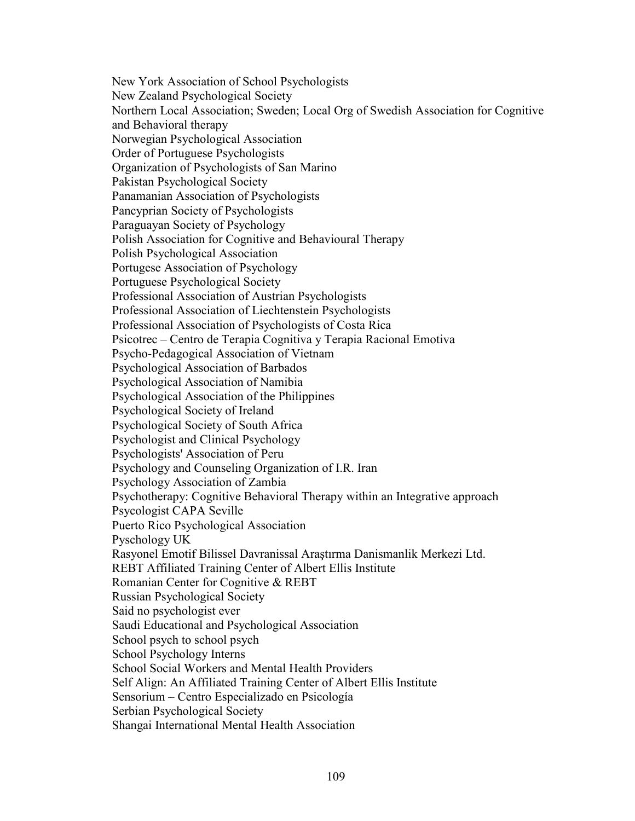New York Association of School Psychologists New Zealand Psychological Society Northern Local Association; Sweden; Local Org of Swedish Association for Cognitive and Behavioral therapy Norwegian Psychological Association Order of Portuguese Psychologists Organization of Psychologists of San Marino Pakistan Psychological Society Panamanian Association of Psychologists Pancyprian Society of Psychologists Paraguayan Society of Psychology Polish Association for Cognitive and Behavioural Therapy Polish Psychological Association Portugese Association of Psychology Portuguese Psychological Society Professional Association of Austrian Psychologists Professional Association of Liechtenstein Psychologists Professional Association of Psychologists of Costa Rica Psicotrec – Centro de Terapia Cognitiva y Terapia Racional Emotiva Psycho-Pedagogical Association of Vietnam Psychological Association of Barbados Psychological Association of Namibia Psychological Association of the Philippines Psychological Society of Ireland Psychological Society of South Africa Psychologist and Clinical Psychology Psychologists' Association of Peru Psychology and Counseling Organization of I.R. Iran Psychology Association of Zambia Psychotherapy: Cognitive Behavioral Therapy within an Integrative approach Psycologist CAPA Seville Puerto Rico Psychological Association Pyschology UK Rasyonel Emotif Bilissel Davranissal Araştırma Danismanlik Merkezi Ltd. REBT Affiliated Training Center of Albert Ellis Institute Romanian Center for Cognitive & REBT Russian Psychological Society Said no psychologist ever Saudi Educational and Psychological Association School psych to school psych School Psychology Interns School Social Workers and Mental Health Providers Self Align: An Affiliated Training Center of Albert Ellis Institute Sensorium – Centro Especializado en Psicología Serbian Psychological Society Shangai International Mental Health Association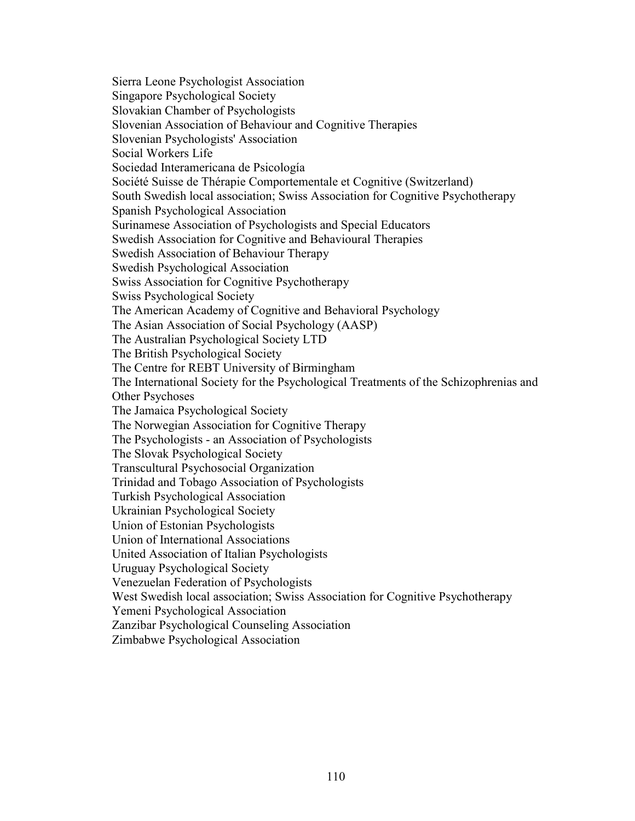Sierra Leone Psychologist Association Singapore Psychological Society Slovakian Chamber of Psychologists Slovenian Association of Behaviour and Cognitive Therapies Slovenian Psychologists' Association Social Workers Life Sociedad Interamericana de Psicología Société Suisse de Thérapie Comportementale et Cognitive (Switzerland) South Swedish local association; Swiss Association for Cognitive Psychotherapy Spanish Psychological Association Surinamese Association of Psychologists and Special Educators Swedish Association for Cognitive and Behavioural Therapies Swedish Association of Behaviour Therapy Swedish Psychological Association Swiss Association for Cognitive Psychotherapy Swiss Psychological Society The American Academy of Cognitive and Behavioral Psychology The Asian Association of Social Psychology (AASP) The Australian Psychological Society LTD The British Psychological Society The Centre for REBT University of Birmingham The International Society for the Psychological Treatments of the Schizophrenias and Other Psychoses The Jamaica Psychological Society The Norwegian Association for Cognitive Therapy The Psychologists - an Association of Psychologists The Slovak Psychological Society Transcultural Psychosocial Organization Trinidad and Tobago Association of Psychologists Turkish Psychological Association Ukrainian Psychological Society Union of Estonian Psychologists Union of International Associations United Association of Italian Psychologists Uruguay Psychological Society Venezuelan Federation of Psychologists West Swedish local association; Swiss Association for Cognitive Psychotherapy Yemeni Psychological Association Zanzibar Psychological Counseling Association Zimbabwe Psychological Association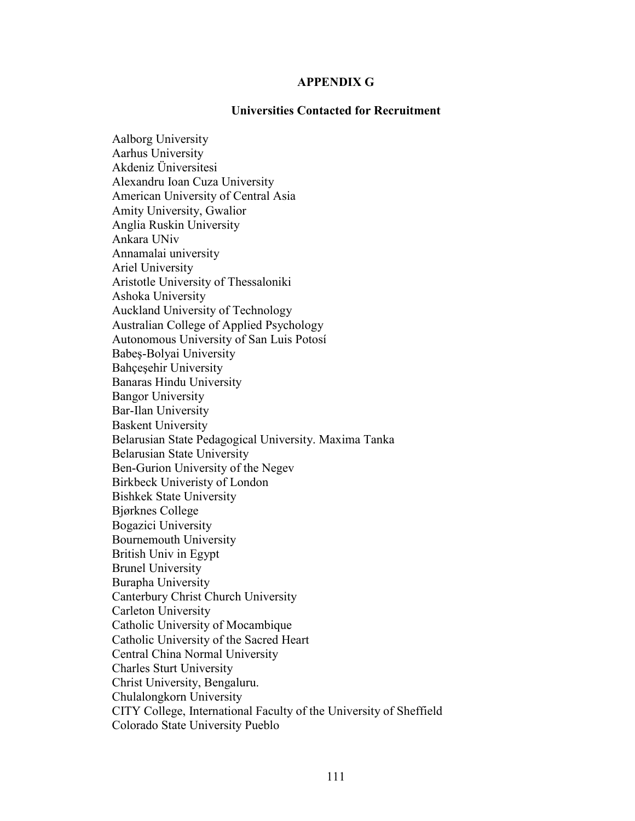#### **APPENDIX G**

#### **Universities Contacted for Recruitment**

Aalborg University Aarhus University Akdeniz Üniversitesi Alexandru Ioan Cuza University American University of Central Asia Amity University, Gwalior Anglia Ruskin University Ankara UNiv Annamalai university Ariel University Aristotle University of Thessaloniki Ashoka University Auckland University of Technology Australian College of Applied Psychology Autonomous University of San Luis Potosí Babeş-Bolyai University Bahçeşehir University Banaras Hindu University Bangor University Bar-Ilan University Baskent University Belarusian State Pedagogical University. Maxima Tanka Belarusian State University Ben-Gurion University of the Negev Birkbeck Univeristy of London Bishkek State University Bjørknes College Bogazici University Bournemouth University British Univ in Egypt Brunel University Burapha University Canterbury Christ Church University Carleton University Catholic University of Mocambique Catholic University of the Sacred Heart Central China Normal University Charles Sturt University Christ University, Bengaluru. Chulalongkorn University CITY College, International Faculty of the University of Sheffield Colorado State University Pueblo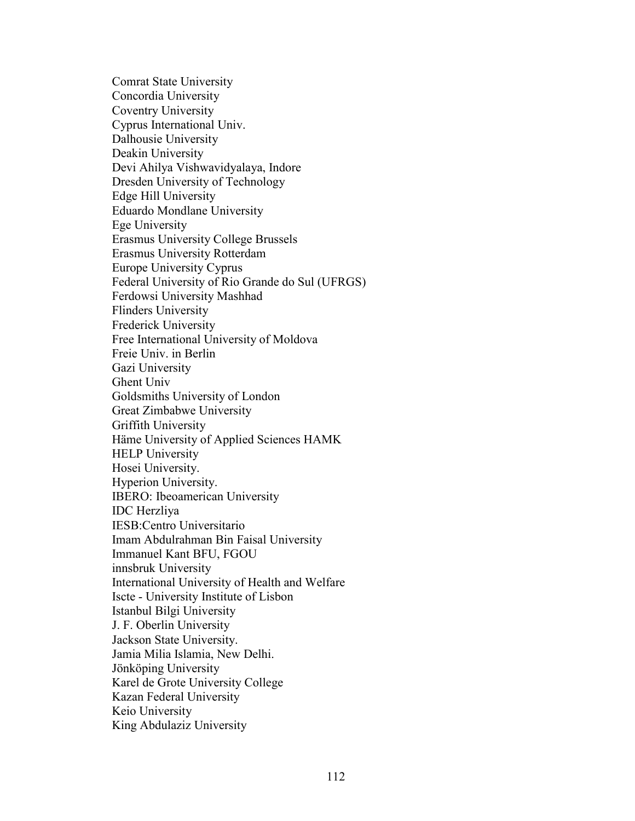Comrat State University Concordia University Coventry University Cyprus International Univ. Dalhousie University Deakin University Devi Ahilya Vishwavidyalaya, Indore Dresden University of Technology Edge Hill University Eduardo Mondlane University Ege University Erasmus University College Brussels Erasmus University Rotterdam Europe University Cyprus Federal University of Rio Grande do Sul (UFRGS) Ferdowsi University Mashhad Flinders University Frederick University Free International University of Moldova Freie Univ. in Berlin Gazi University Ghent Univ Goldsmiths University of London Great Zimbabwe University Griffith University Häme University of Applied Sciences HAMK HELP University Hosei University. Hyperion University. IBERO: Ibeoamerican University IDC Herzliya IESB:Centro Universitario Imam Abdulrahman Bin Faisal University Immanuel Kant BFU, FGOU innsbruk University International University of Health and Welfare Iscte - University Institute of Lisbon Istanbul Bilgi University J. F. Oberlin University Jackson State University. Jamia Milia Islamia, New Delhi. Jönköping University Karel de Grote University College Kazan Federal University Keio University King Abdulaziz University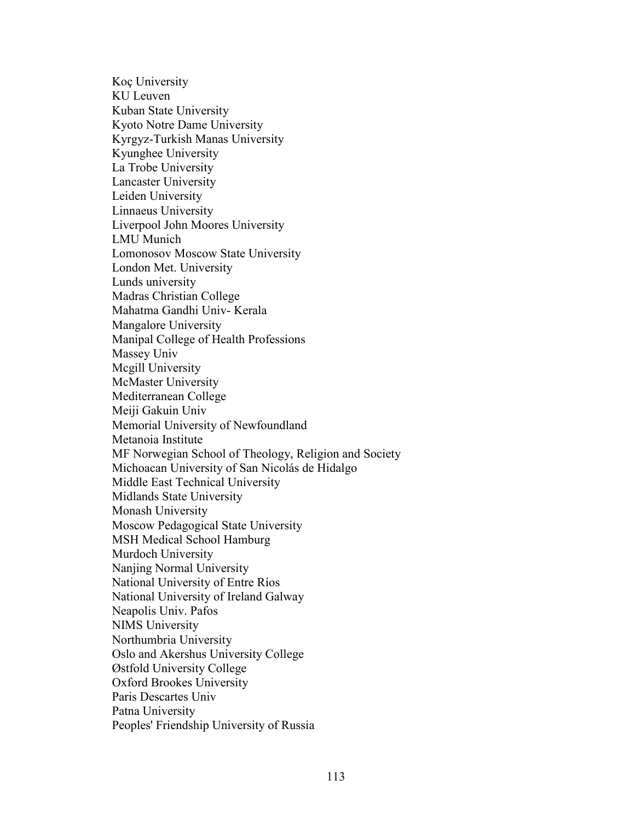Koç University KU Leuven Kuban State University Kyoto Notre Dame University Kyrgyz-Turkish Manas University Kyunghee University La Trobe University Lancaster University Leiden University Linnaeus University Liverpool John Moores University LMU Munich Lomonosov Moscow State University London Met. University Lunds university Madras Christian College Mahatma Gandhi Univ- Kerala Mangalore University Manipal College of Health Professions Massey Univ Mcgill University McMaster University Mediterranean College Meiji Gakuin Univ Memorial University of Newfoundland Metanoia Institute MF Norwegian School of Theology, Religion and Society Michoacan University of San Nicolás de Hidalgo Middle East Technical University Midlands State University Monash University Moscow Pedagogical State University MSH Medical School Hamburg Murdoch University Nanjing Normal University National University of Entre Ríos National University of Ireland Galway Neapolis Univ. Pafos NIMS University Northumbria University Oslo and Akershus University College Østfold University College Oxford Brookes University Paris Descartes Univ Patna University Peoples' Friendship University of Russia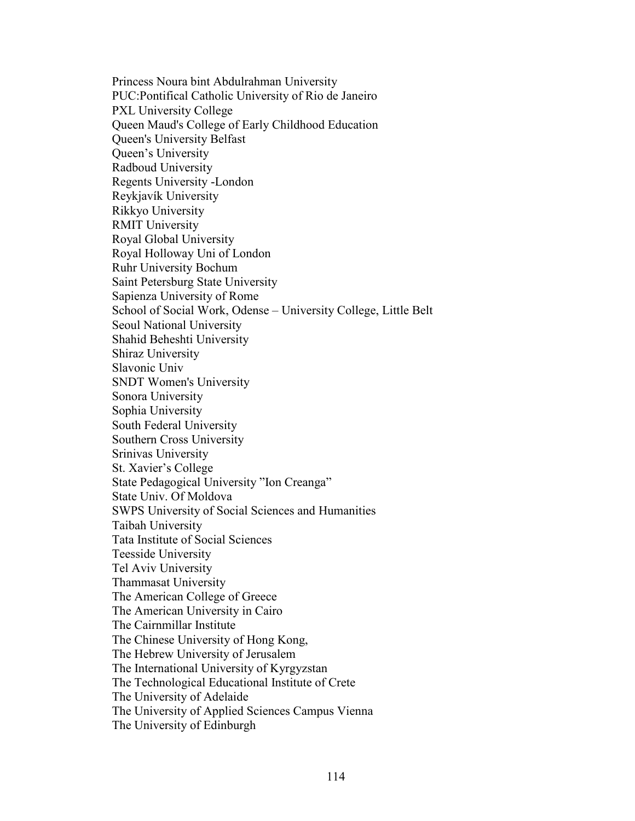Princess Noura bint Abdulrahman University PUC:Pontifical Catholic University of Rio de Janeiro PXL University College Queen Maud's College of Early Childhood Education Queen's University Belfast Queen's University Radboud University Regents University -London Reykjavík University Rikkyo University RMIT University Royal Global University Royal Holloway Uni of London Ruhr University Bochum Saint Petersburg State University Sapienza University of Rome School of Social Work, Odense – University College, Little Belt Seoul National University Shahid Beheshti University Shiraz University Slavonic Univ SNDT Women's University Sonora University Sophia University South Federal University Southern Cross University Srinivas University St. Xavier's College State Pedagogical University "Ion Creanga" State Univ. Of Moldova SWPS University of Social Sciences and Humanities Taibah University Tata Institute of Social Sciences Teesside University Tel Aviv University Thammasat University The American College of Greece The American University in Cairo The Cairnmillar Institute The Chinese University of Hong Kong, The Hebrew University of Jerusalem The International University of Kyrgyzstan The Technological Educational Institute of Crete The University of Adelaide The University of Applied Sciences Campus Vienna The University of Edinburgh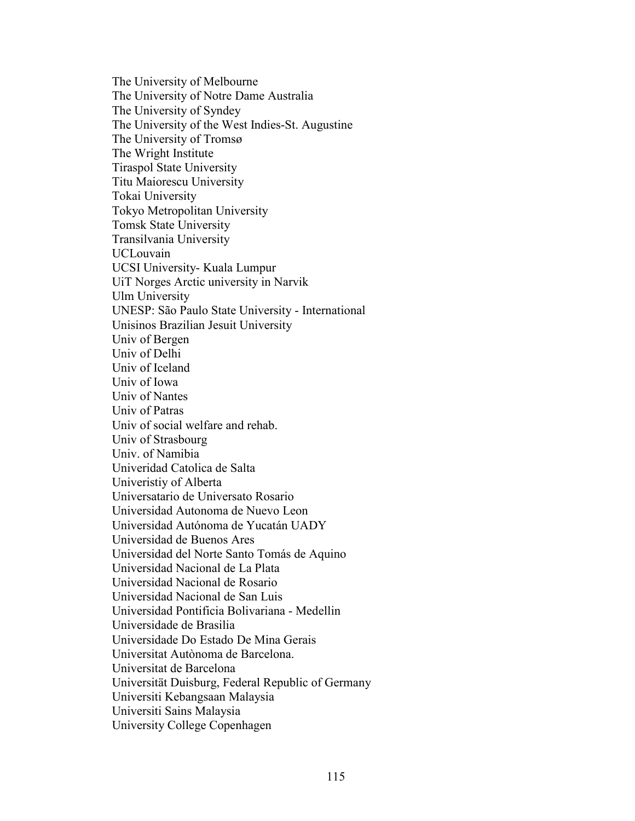The University of Melbourne The University of Notre Dame Australia The University of Syndey The University of the West Indies-St. Augustine The University of Tromsø The Wright Institute Tiraspol State University Titu Maiorescu University Tokai University Tokyo Metropolitan University Tomsk State University Transilvania University UCLouvain UCSI University- Kuala Lumpur UiT Norges Arctic university in Narvik Ulm University UNESP: São Paulo State University - International Unisinos Brazilian Jesuit University Univ of Bergen Univ of Delhi Univ of Iceland Univ of Iowa Univ of Nantes Univ of Patras Univ of social welfare and rehab. Univ of Strasbourg Univ. of Namibia Univeridad Catolica de Salta Univeristiy of Alberta Universatario de Universato Rosario Universidad Autonoma de Nuevo Leon Universidad Autónoma de Yucatán UADY Universidad de Buenos Ares Universidad del Norte Santo Tomás de Aquino Universidad Nacional de La Plata Universidad Nacional de Rosario Universidad Nacional de San Luis Universidad Pontificia Bolivariana - Medellin Universidade de Brasilia Universidade Do Estado De Mina Gerais Universitat Autònoma de Barcelona. Universitat de Barcelona Universität Duisburg, Federal Republic of Germany Universiti Kebangsaan Malaysia Universiti Sains Malaysia University College Copenhagen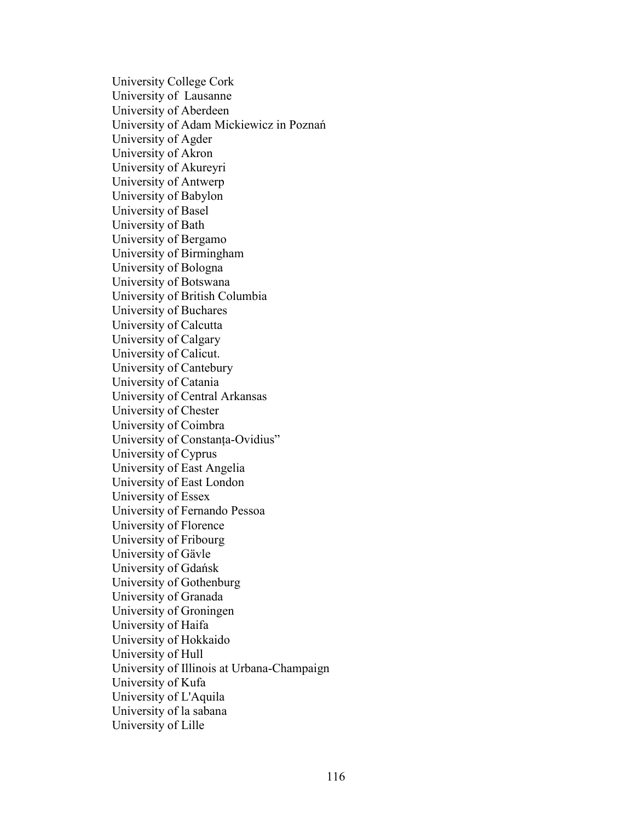University College Cork University of Lausanne University of Aberdeen University of Adam Mickiewicz in Poznań University of Agder University of Akron University of Akureyri University of Antwerp University of Babylon University of Basel University of Bath University of Bergamo University of Birmingham University of Bologna University of Botswana University of British Columbia University of Buchares University of Calcutta University of Calgary University of Calicut. University of Cantebury University of Catania University of Central Arkansas University of Chester University of Coimbra University of Constanța-Ovidius" University of Cyprus University of East Angelia University of East London University of Essex University of Fernando Pessoa University of Florence University of Fribourg University of Gävle University of Gdańsk University of Gothenburg University of Granada University of Groningen University of Haifa University of Hokkaido University of Hull University of Illinois at Urbana-Champaign University of Kufa University of L'Aquila University of la sabana University of Lille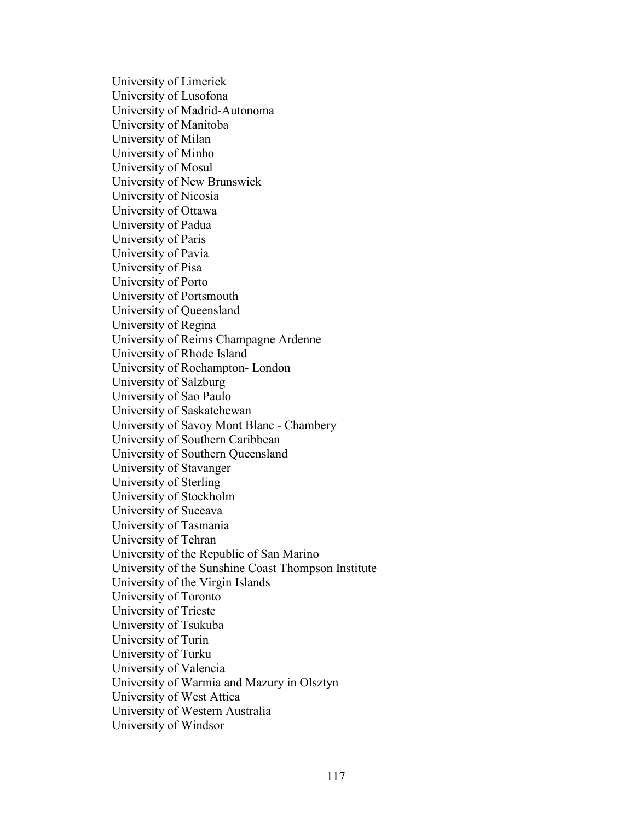University of Limerick University of Lusofona University of Madrid-Autonoma University of Manitoba University of Milan University of Minho University of Mosul University of New Brunswick University of Nicosia University of Ottawa University of Padua University of Paris University of Pavia University of Pisa University of Porto University of Portsmouth University of Queensland University of Regina University of Reims Champagne Ardenne University of Rhode Island University of Roehampton- London University of Salzburg University of Sao Paulo University of Saskatchewan University of Savoy Mont Blanc - Chambery University of Southern Caribbean University of Southern Queensland University of Stavanger University of Sterling University of Stockholm University of Suceava University of Tasmania University of Tehran University of the Republic of San Marino University of the Sunshine Coast Thompson Institute University of the Virgin Islands University of Toronto University of Trieste University of Tsukuba University of Turin University of Turku University of Valencia University of Warmia and Mazury in Olsztyn University of West Attica University of Western Australia University of Windsor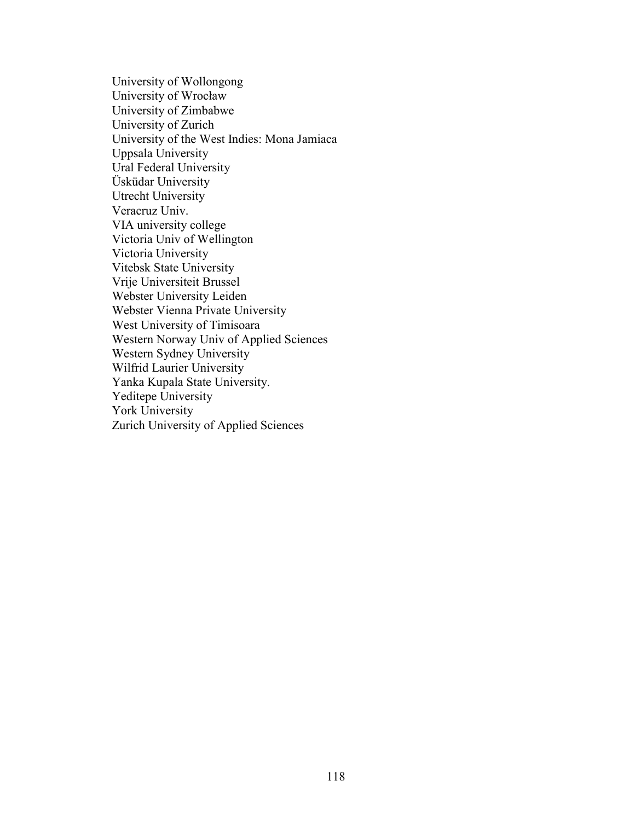University of Wollongong University of Wrocław University of Zimbabwe University of Zurich University of the West Indies: Mona Jamiaca Uppsala University Ural Federal University Üsküdar University Utrecht University Veracruz Univ. VIA university college Victoria Univ of Wellington Victoria University Vitebsk State University Vrije Universiteit Brussel Webster University Leiden Webster Vienna Private University West University of Timisoara Western Norway Univ of Applied Sciences Western Sydney University Wilfrid Laurier University Yanka Kupala State University. Yeditepe University York University Zurich University of Applied Sciences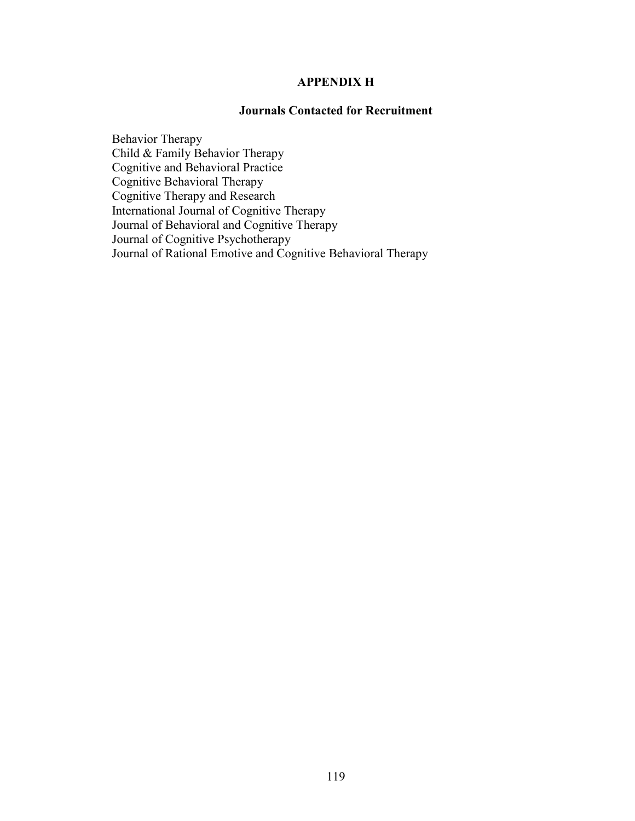### **APPENDIX H**

#### **Journals Contacted for Recruitment**

Behavior Therapy Child & Family Behavior Therapy Cognitive and Behavioral Practice Cognitive Behavioral Therapy Cognitive Therapy and Research International Journal of Cognitive Therapy Journal of Behavioral and Cognitive Therapy Journal of Cognitive Psychotherapy Journal of Rational Emotive and Cognitive Behavioral Therapy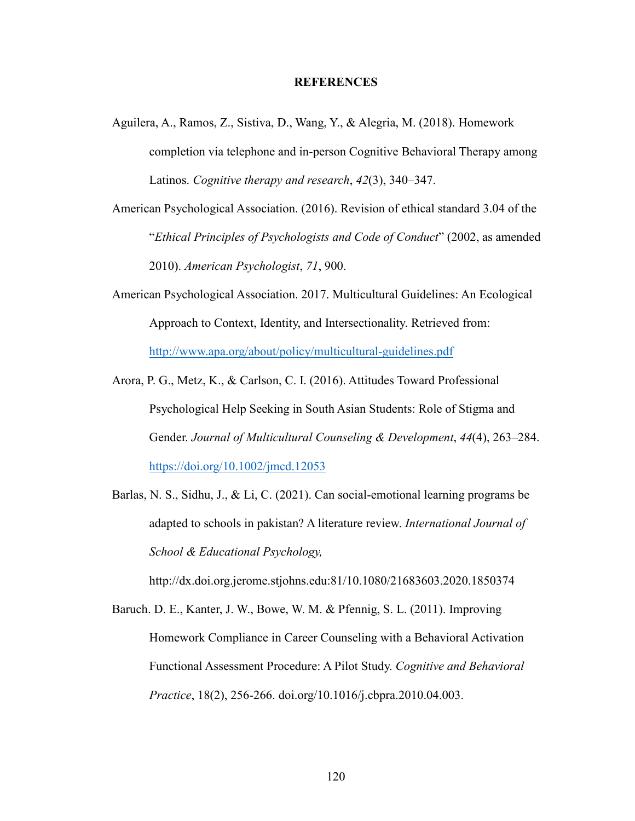#### **REFERENCES**

- Aguilera, A., Ramos, Z., Sistiva, D., Wang, Y., & Alegria, M. (2018). Homework completion via telephone and in-person Cognitive Behavioral Therapy among Latinos. *Cognitive therapy and research*, *42*(3), 340–347.
- American Psychological Association. (2016). Revision of ethical standard 3.04 of the "*Ethical Principles of Psychologists and Code of Conduct*" (2002, as amended 2010). *American Psychologist*, *71*, 900.
- American Psychological Association. 2017. Multicultural Guidelines: An Ecological Approach to Context, Identity, and Intersectionality. Retrieved from: http://www.apa.org/about/policy/multicultural-guidelines.pdf
- Arora, P. G., Metz, K., & Carlson, C. I. (2016). Attitudes Toward Professional Psychological Help Seeking in South Asian Students: Role of Stigma and Gender. *Journal of Multicultural Counseling & Development*, *44*(4), 263–284. https://doi.org/10.1002/jmcd.12053
- Barlas, N. S., Sidhu, J., & Li, C. (2021). Can social-emotional learning programs be adapted to schools in pakistan? A literature review. *International Journal of School & Educational Psychology,*

http://dx.doi.org.jerome.stjohns.edu:81/10.1080/21683603.2020.1850374

Baruch. D. E., Kanter, J. W., Bowe, W. M. & Pfennig, S. L. (2011). Improving Homework Compliance in Career Counseling with a Behavioral Activation Functional Assessment Procedure: A Pilot Study. *Cognitive and Behavioral Practice*, 18(2), 256-266. doi.org/10.1016/j.cbpra.2010.04.003.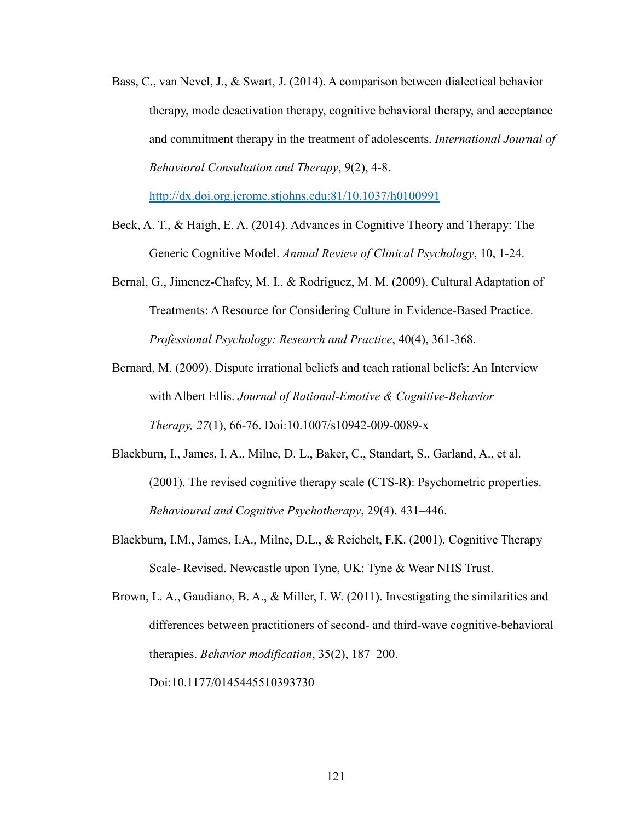Bass, C., van Nevel, J., & Swart, J. (2014). A comparison between dialectical behavior therapy, mode deactivation therapy, cognitive behavioral therapy, and acceptance and commitment therapy in the treatment of adolescents. *International Journal of Behavioral Consultation and Therapy*, 9(2), 4-8.

http://dx.doi.org.jerome.stjohns.edu:81/10.1037/h0100991

- Beck, A. T., & Haigh, E. A. (2014). Advances in Cognitive Theory and Therapy: The Generic Cognitive Model. *Annual Review of Clinical Psychology*, 10, 1-24.
- Bernal, G., Jimenez-Chafey, M. I., & Rodriguez, M. M. (2009). Cultural Adaptation of Treatments: A Resource for Considering Culture in Evidence-Based Practice. *Professional Psychology: Research and Practice*, 40(4), 361-368.
- Bernard, M. (2009). Dispute irrational beliefs and teach rational beliefs: An Interview with Albert Ellis. *Journal of Rational-Emotive & Cognitive-Behavior Therapy, 27*(1), 66-76. Doi:10.1007/s10942-009-0089-x
- Blackburn, I., James, I. A., Milne, D. L., Baker, C., Standart, S., Garland, A., et al. (2001). The revised cognitive therapy scale (CTS-R): Psychometric properties. *Behavioural and Cognitive Psychotherapy*, 29(4), 431–446.
- Blackburn, I.M., James, I.A., Milne, D.L., & Reichelt, F.K. (2001). Cognitive Therapy Scale- Revised. Newcastle upon Tyne, UK: Tyne & Wear NHS Trust.

Brown, L. A., Gaudiano, B. A., & Miller, I. W. (2011). Investigating the similarities and differences between practitioners of second- and third-wave cognitive-behavioral therapies. *Behavior modification*, 35(2), 187–200.

Doi:10.1177/0145445510393730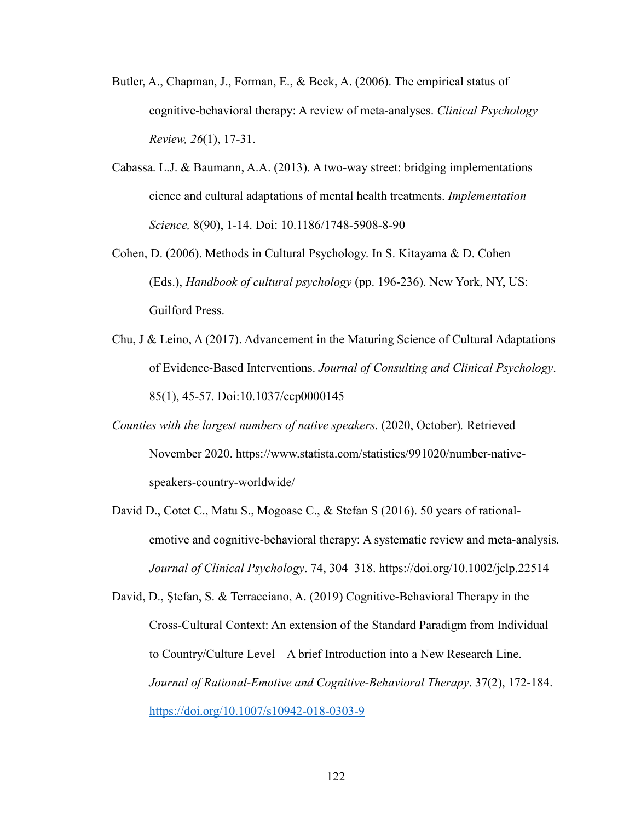- Butler, A., Chapman, J., Forman, E., & Beck, A. (2006). The empirical status of cognitive-behavioral therapy: A review of meta-analyses. *Clinical Psychology Review, 26*(1), 17-31.
- Cabassa. L.J. & Baumann, A.A. (2013). A two-way street: bridging implementations cience and cultural adaptations of mental health treatments. *Implementation Science,* 8(90), 1-14. Doi: 10.1186/1748-5908-8-90
- Cohen, D. (2006). Methods in Cultural Psychology. In S. Kitayama & D. Cohen (Eds.), *Handbook of cultural psychology* (pp. 196-236). New York, NY, US: Guilford Press.
- Chu, J & Leino, A (2017). Advancement in the Maturing Science of Cultural Adaptations of Evidence-Based Interventions. *Journal of Consulting and Clinical Psychology*. 85(1), 45-57. Doi:10.1037/ccp0000145
- *Counties with the largest numbers of native speakers*. (2020, October)*.* Retrieved November 2020. https://www.statista.com/statistics/991020/number-nativespeakers-country-worldwide/
- David D., Cotet C., Matu S., Mogoase C., & Stefan S (2016). 50 years of rationalemotive and cognitive-behavioral therapy: A systematic review and meta-analysis. *Journal of Clinical Psychology*. 74, 304–318. https://doi.org/10.1002/jclp.22514

David, D., Ştefan, S. & Terracciano, A. (2019) Cognitive-Behavioral Therapy in the Cross-Cultural Context: An extension of the Standard Paradigm from Individual to Country/Culture Level – A brief Introduction into a New Research Line. *Journal of Rational-Emotive and Cognitive-Behavioral Therapy*. 37(2), 172-184. https://doi.org/10.1007/s10942-018-0303-9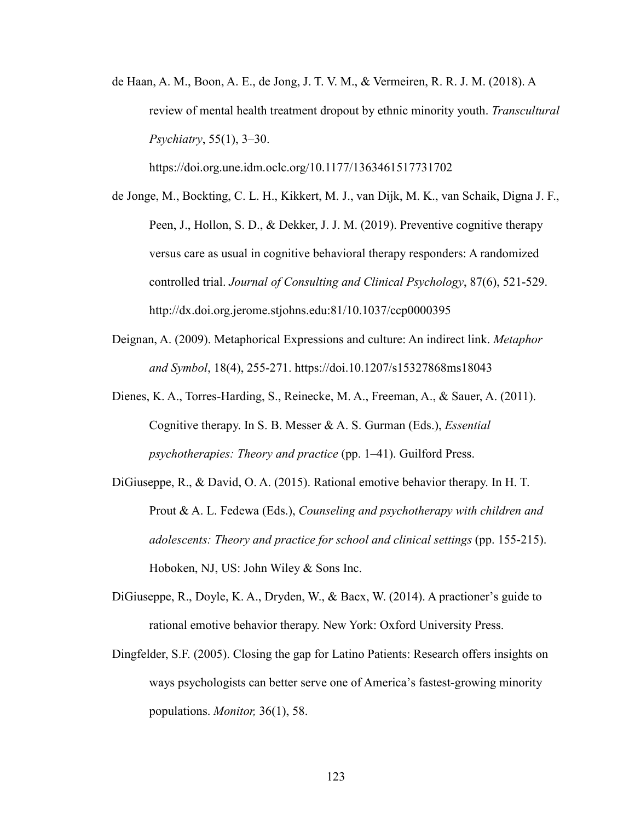de Haan, A. M., Boon, A. E., de Jong, J. T. V. M., & Vermeiren, R. R. J. M. (2018). A review of mental health treatment dropout by ethnic minority youth. *Transcultural Psychiatry*, 55(1), 3–30.

https://doi.org.une.idm.oclc.org/10.1177/1363461517731702

- de Jonge, M., Bockting, C. L. H., Kikkert, M. J., van Dijk, M. K., van Schaik, Digna J. F., Peen, J., Hollon, S. D., & Dekker, J. J. M. (2019). Preventive cognitive therapy versus care as usual in cognitive behavioral therapy responders: A randomized controlled trial. *Journal of Consulting and Clinical Psychology*, 87(6), 521-529. http://dx.doi.org.jerome.stjohns.edu:81/10.1037/ccp0000395
- Deignan, A. (2009). Metaphorical Expressions and culture: An indirect link. *Metaphor and Symbol*, 18(4), 255-271. https://doi.10.1207/s15327868ms18043
- Dienes, K. A., Torres-Harding, S., Reinecke, M. A., Freeman, A., & Sauer, A. (2011). Cognitive therapy. In S. B. Messer & A. S. Gurman (Eds.), *Essential psychotherapies: Theory and practice* (pp. 1–41). Guilford Press.
- DiGiuseppe, R., & David, O. A. (2015). Rational emotive behavior therapy. In H. T. Prout & A. L. Fedewa (Eds.), *Counseling and psychotherapy with children and adolescents: Theory and practice for school and clinical settings* (pp. 155-215). Hoboken, NJ, US: John Wiley & Sons Inc.
- DiGiuseppe, R., Doyle, K. A., Dryden, W., & Bacx, W. (2014). A practioner's guide to rational emotive behavior therapy. New York: Oxford University Press.
- Dingfelder, S.F. (2005). Closing the gap for Latino Patients: Research offers insights on ways psychologists can better serve one of America's fastest-growing minority populations. *Monitor,* 36(1), 58.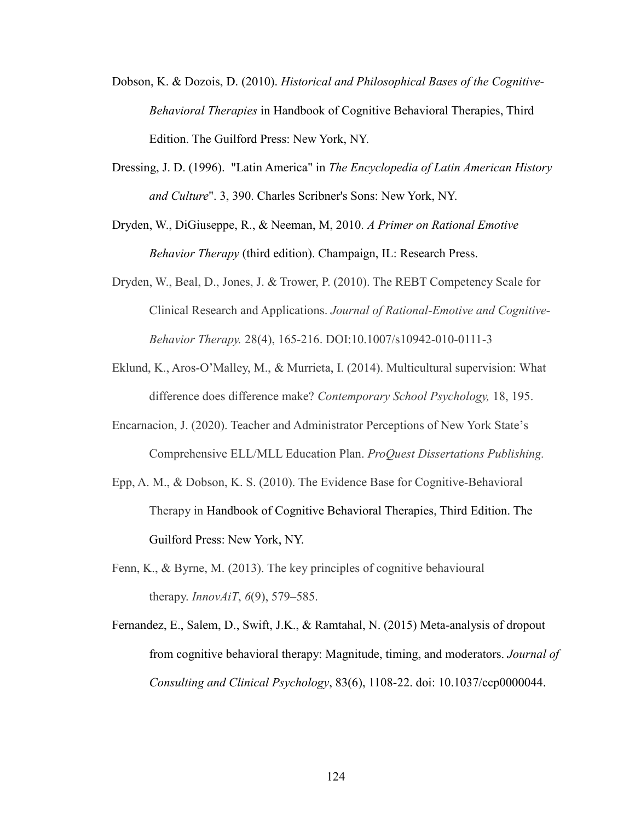- Dobson, K. & Dozois, D. (2010). *Historical and Philosophical Bases of the Cognitive-Behavioral Therapies* in Handbook of Cognitive Behavioral Therapies, Third Edition. The Guilford Press: New York, NY.
- Dressing, J. D. (1996). "Latin America" in *The Encyclopedia of Latin American History and Culture*". 3, 390. Charles Scribner's Sons: New York, NY.
- Dryden, W., DiGiuseppe, R., & Neeman, M, 2010. *A Primer on Rational Emotive Behavior Therapy* (third edition). Champaign, IL: Research Press.
- Dryden, W., Beal, D., Jones, J. & Trower, P. (2010). The REBT Competency Scale for Clinical Research and Applications. *Journal of Rational-Emotive and Cognitive-Behavior Therapy.* 28(4), 165-216. DOI:10.1007/s10942-010-0111-3
- Eklund, K., Aros-O'Malley, M., & Murrieta, I. (2014). Multicultural supervision: What difference does difference make? *Contemporary School Psychology,* 18, 195.
- Encarnacion, J. (2020). Teacher and Administrator Perceptions of New York State's Comprehensive ELL/MLL Education Plan. *ProQuest Dissertations Publishing.*
- Epp, A. M., & Dobson, K. S. (2010). The Evidence Base for Cognitive-Behavioral Therapy in Handbook of Cognitive Behavioral Therapies, Third Edition. The Guilford Press: New York, NY.
- Fenn, K., & Byrne, M. (2013). The key principles of cognitive behavioural therapy. *InnovAiT*, *6*(9), 579–585.
- Fernandez, E., Salem, D., Swift, J.K., & Ramtahal, N. (2015) Meta-analysis of dropout from cognitive behavioral therapy: Magnitude, timing, and moderators. *Journal of Consulting and Clinical Psychology*, 83(6), 1108-22. doi: 10.1037/ccp0000044.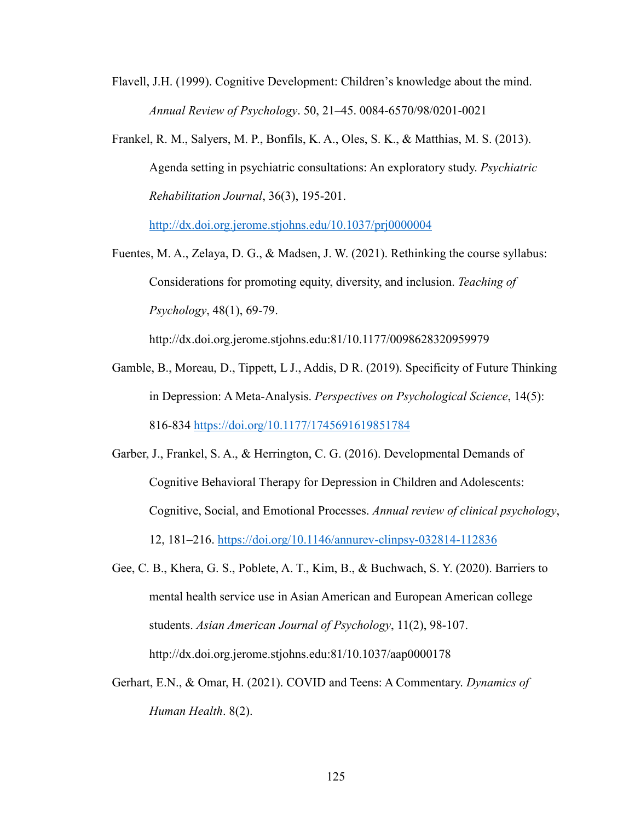Flavell, J.H. (1999). Cognitive Development: Children's knowledge about the mind. *Annual Review of Psychology*. 50, 21–45. 0084-6570/98/0201-0021

Frankel, R. M., Salyers, M. P., Bonfils, K. A., Oles, S. K., & Matthias, M. S. (2013). Agenda setting in psychiatric consultations: An exploratory study. *Psychiatric Rehabilitation Journal*, 36(3), 195-201.

http://dx.doi.org.jerome.stjohns.edu/10.1037/prj0000004

Fuentes, M. A., Zelaya, D. G., & Madsen, J. W. (2021). Rethinking the course syllabus: Considerations for promoting equity, diversity, and inclusion. *Teaching of Psychology*, 48(1), 69-79.

http://dx.doi.org.jerome.stjohns.edu:81/10.1177/0098628320959979

- Gamble, B., Moreau, D., Tippett, L J., Addis, D R. (2019). Specificity of Future Thinking in Depression: A Meta-Analysis. *Perspectives on Psychological Science*, 14(5): 816-834 https://doi.org/10.1177/1745691619851784
- Garber, J., Frankel, S. A., & Herrington, C. G. (2016). Developmental Demands of Cognitive Behavioral Therapy for Depression in Children and Adolescents: Cognitive, Social, and Emotional Processes. *Annual review of clinical psychology*, 12, 181–216. https://doi.org/10.1146/annurev-clinpsy-032814-112836
- Gee, C. B., Khera, G. S., Poblete, A. T., Kim, B., & Buchwach, S. Y. (2020). Barriers to mental health service use in Asian American and European American college students. *Asian American Journal of Psychology*, 11(2), 98-107. http://dx.doi.org.jerome.stjohns.edu:81/10.1037/aap0000178
- Gerhart, E.N., & Omar, H. (2021). COVID and Teens: A Commentary. *Dynamics of Human Health*. 8(2).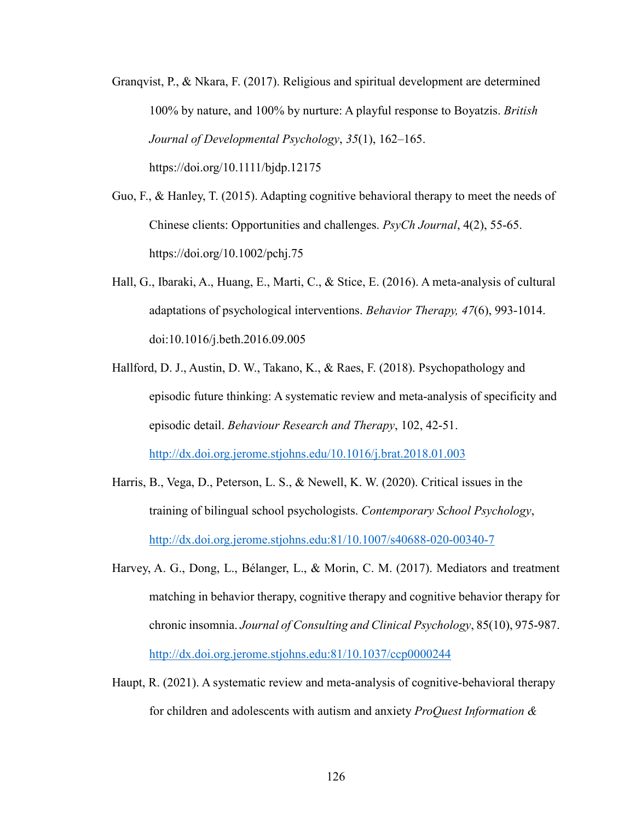- Granqvist, P., & Nkara, F. (2017). Religious and spiritual development are determined 100% by nature, and 100% by nurture: A playful response to Boyatzis. *British Journal of Developmental Psychology*, *35*(1), 162–165. https://doi.org/10.1111/bjdp.12175
- Guo, F., & Hanley, T. (2015). Adapting cognitive behavioral therapy to meet the needs of Chinese clients: Opportunities and challenges. *PsyCh Journal*, 4(2), 55-65. https://doi.org/10.1002/pchj.75
- Hall, G., Ibaraki, A., Huang, E., Marti, C., & Stice, E. (2016). A meta-analysis of cultural adaptations of psychological interventions. *Behavior Therapy, 47*(6), 993-1014. doi:10.1016/j.beth.2016.09.005
- Hallford, D. J., Austin, D. W., Takano, K., & Raes, F. (2018). Psychopathology and episodic future thinking: A systematic review and meta-analysis of specificity and episodic detail. *Behaviour Research and Therapy*, 102, 42-51. http://dx.doi.org.jerome.stjohns.edu/10.1016/j.brat.2018.01.003
- Harris, B., Vega, D., Peterson, L. S., & Newell, K. W. (2020). Critical issues in the training of bilingual school psychologists. *Contemporary School Psychology*, http://dx.doi.org.jerome.stjohns.edu:81/10.1007/s40688-020-00340-7
- Harvey, A. G., Dong, L., Bélanger, L., & Morin, C. M. (2017). Mediators and treatment matching in behavior therapy, cognitive therapy and cognitive behavior therapy for chronic insomnia. *Journal of Consulting and Clinical Psychology*, 85(10), 975-987. http://dx.doi.org.jerome.stjohns.edu:81/10.1037/ccp0000244
- Haupt, R. (2021). A systematic review and meta-analysis of cognitive-behavioral therapy for children and adolescents with autism and anxiety *ProQuest Information &*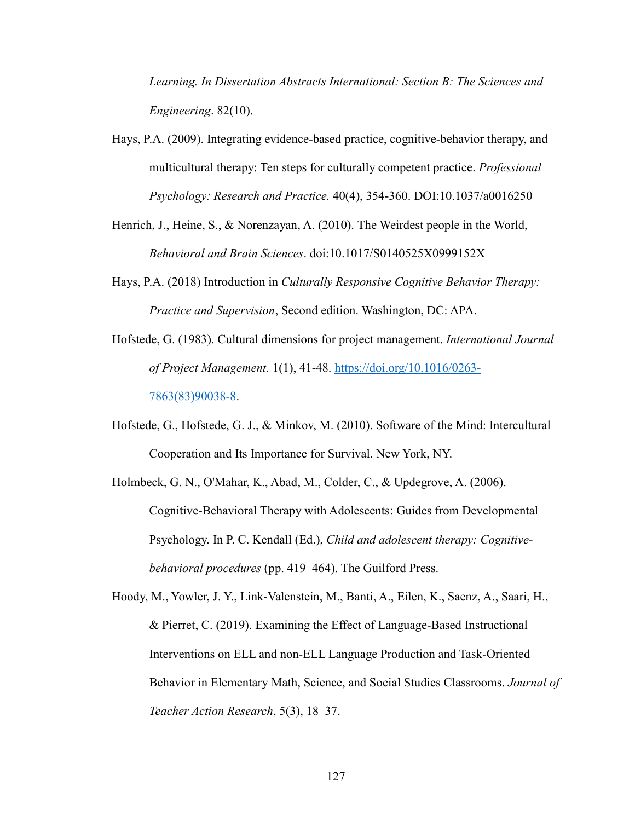*Learning. In Dissertation Abstracts International: Section B: The Sciences and Engineering*. 82(10).

- Hays, P.A. (2009). Integrating evidence-based practice, cognitive-behavior therapy, and multicultural therapy: Ten steps for culturally competent practice. *Professional Psychology: Research and Practice.* 40(4), 354-360. DOI:10.1037/a0016250
- Henrich, J., Heine, S., & Norenzayan, A. (2010). The Weirdest people in the World, *Behavioral and Brain Sciences*. doi:10.1017/S0140525X0999152X
- Hays, P.A. (2018) Introduction in *Culturally Responsive Cognitive Behavior Therapy: Practice and Supervision*, Second edition. Washington, DC: APA.
- Hofstede, G. (1983). Cultural dimensions for project management. *International Journal of Project Management.* 1(1), 41-48. https://doi.org/10.1016/0263- 7863(83)90038-8.
- Hofstede, G., Hofstede, G. J., & Minkov, M. (2010). Software of the Mind: Intercultural Cooperation and Its Importance for Survival. New York, NY.
- Holmbeck, G. N., O'Mahar, K., Abad, M., Colder, C., & Updegrove, A. (2006). Cognitive-Behavioral Therapy with Adolescents: Guides from Developmental Psychology. In P. C. Kendall (Ed.), *Child and adolescent therapy: Cognitivebehavioral procedures* (pp. 419–464). The Guilford Press.

Hoody, M., Yowler, J. Y., Link-Valenstein, M., Banti, A., Eilen, K., Saenz, A., Saari, H., & Pierret, C. (2019). Examining the Effect of Language-Based Instructional Interventions on ELL and non-ELL Language Production and Task-Oriented Behavior in Elementary Math, Science, and Social Studies Classrooms. *Journal of Teacher Action Research*, 5(3), 18–37.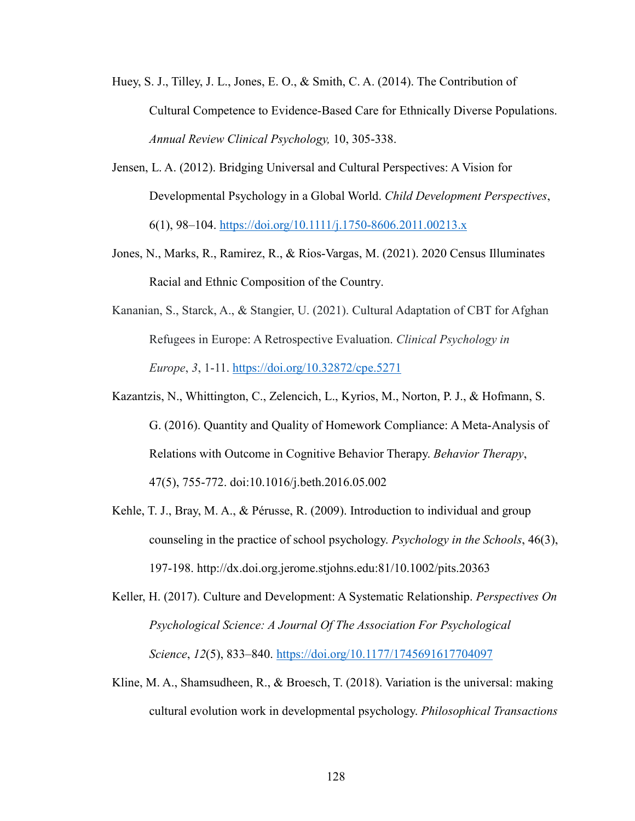- Huey, S. J., Tilley, J. L., Jones, E. O., & Smith, C. A. (2014). The Contribution of Cultural Competence to Evidence-Based Care for Ethnically Diverse Populations. *Annual Review Clinical Psychology,* 10, 305-338.
- Jensen, L. A. (2012). Bridging Universal and Cultural Perspectives: A Vision for Developmental Psychology in a Global World. *Child Development Perspectives*, 6(1), 98–104. https://doi.org/10.1111/j.1750-8606.2011.00213.x
- Jones, N., Marks, R., Ramirez, R., & Rios-Vargas, M. (2021). 2020 Census Illuminates Racial and Ethnic Composition of the Country.
- Kananian, S., Starck, A., & Stangier, U. (2021). Cultural Adaptation of CBT for Afghan Refugees in Europe: A Retrospective Evaluation. *Clinical Psychology in Europe*, *3*, 1-11. https://doi.org/10.32872/cpe.5271
- Kazantzis, N., Whittington, C., Zelencich, L., Kyrios, M., Norton, P. J., & Hofmann, S. G. (2016). Quantity and Quality of Homework Compliance: A Meta-Analysis of Relations with Outcome in Cognitive Behavior Therapy. *Behavior Therapy*, 47(5), 755-772. doi:10.1016/j.beth.2016.05.002
- Kehle, T. J., Bray, M. A., & Pérusse, R. (2009). Introduction to individual and group counseling in the practice of school psychology. *Psychology in the Schools*, 46(3), 197-198. http://dx.doi.org.jerome.stjohns.edu:81/10.1002/pits.20363
- Keller, H. (2017). Culture and Development: A Systematic Relationship. *Perspectives On Psychological Science: A Journal Of The Association For Psychological Science*, *12*(5), 833–840. https://doi.org/10.1177/1745691617704097
- Kline, M. A., Shamsudheen, R., & Broesch, T. (2018). Variation is the universal: making cultural evolution work in developmental psychology. *Philosophical Transactions*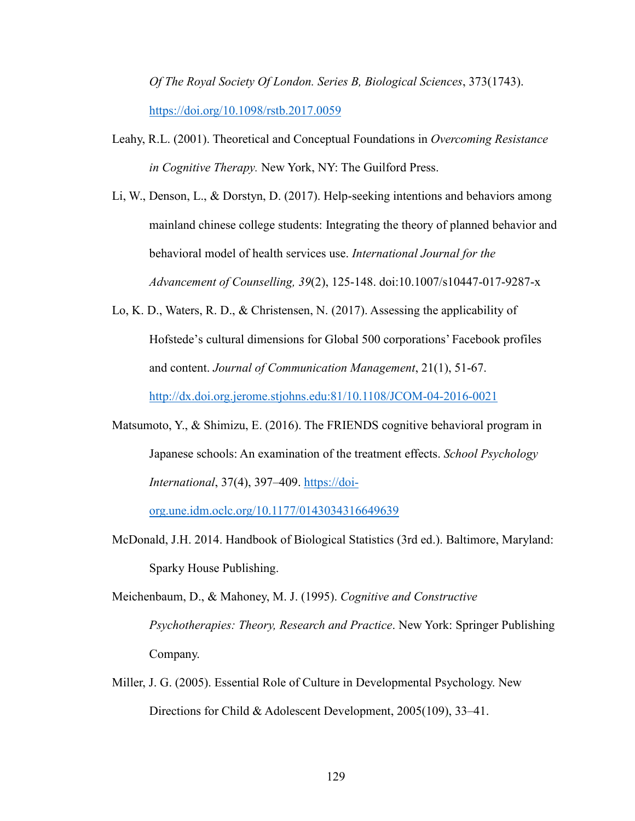*Of The Royal Society Of London. Series B, Biological Sciences*, 373(1743). https://doi.org/10.1098/rstb.2017.0059

- Leahy, R.L. (2001). Theoretical and Conceptual Foundations in *Overcoming Resistance in Cognitive Therapy.* New York, NY: The Guilford Press.
- Li, W., Denson, L., & Dorstyn, D. (2017). Help-seeking intentions and behaviors among mainland chinese college students: Integrating the theory of planned behavior and behavioral model of health services use. *International Journal for the Advancement of Counselling, 39*(2), 125-148. doi:10.1007/s10447-017-9287-x
- Lo, K. D., Waters, R. D., & Christensen, N. (2017). Assessing the applicability of Hofstede's cultural dimensions for Global 500 corporations' Facebook profiles and content. *Journal of Communication Management*, 21(1), 51-67.

http://dx.doi.org.jerome.stjohns.edu:81/10.1108/JCOM-04-2016-0021

Matsumoto, Y., & Shimizu, E. (2016). The FRIENDS cognitive behavioral program in Japanese schools: An examination of the treatment effects. *School Psychology International*, 37(4), 397–409. https://doi-

org.une.idm.oclc.org/10.1177/0143034316649639

McDonald, J.H. 2014. Handbook of Biological Statistics (3rd ed.). Baltimore, Maryland: Sparky House Publishing.

Meichenbaum, D., & Mahoney, M. J. (1995). *Cognitive and Constructive Psychotherapies: Theory, Research and Practice*. New York: Springer Publishing Company.

Miller, J. G. (2005). Essential Role of Culture in Developmental Psychology. New Directions for Child & Adolescent Development, 2005(109), 33–41.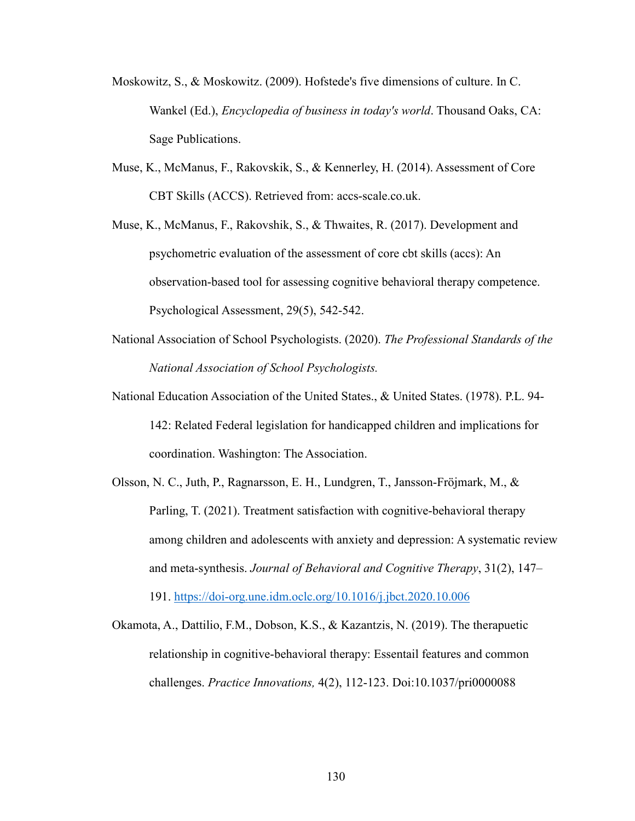- Moskowitz, S., & Moskowitz. (2009). Hofstede's five dimensions of culture. In C. Wankel (Ed.), *Encyclopedia of business in today's world*. Thousand Oaks, CA: Sage Publications.
- Muse, K., McManus, F., Rakovskik, S., & Kennerley, H. (2014). Assessment of Core CBT Skills (ACCS). Retrieved from: accs-scale.co.uk.
- Muse, K., McManus, F., Rakovshik, S., & Thwaites, R. (2017). Development and psychometric evaluation of the assessment of core cbt skills (accs): An observation-based tool for assessing cognitive behavioral therapy competence. Psychological Assessment, 29(5), 542-542.
- National Association of School Psychologists. (2020). *The Professional Standards of the National Association of School Psychologists.*
- National Education Association of the United States., & United States. (1978). P.L. 94- 142: Related Federal legislation for handicapped children and implications for coordination. Washington: The Association.
- Olsson, N. C., Juth, P., Ragnarsson, E. H., Lundgren, T., Jansson-Fröjmark, M., & Parling, T. (2021). Treatment satisfaction with cognitive-behavioral therapy among children and adolescents with anxiety and depression: A systematic review and meta-synthesis. *Journal of Behavioral and Cognitive Therapy*, 31(2), 147–

191. https://doi-org.une.idm.oclc.org/10.1016/j.jbct.2020.10.006

Okamota, A., Dattilio, F.M., Dobson, K.S., & Kazantzis, N. (2019). The therapuetic relationship in cognitive-behavioral therapy: Essentail features and common challenges. *Practice Innovations,* 4(2), 112-123. Doi:10.1037/pri0000088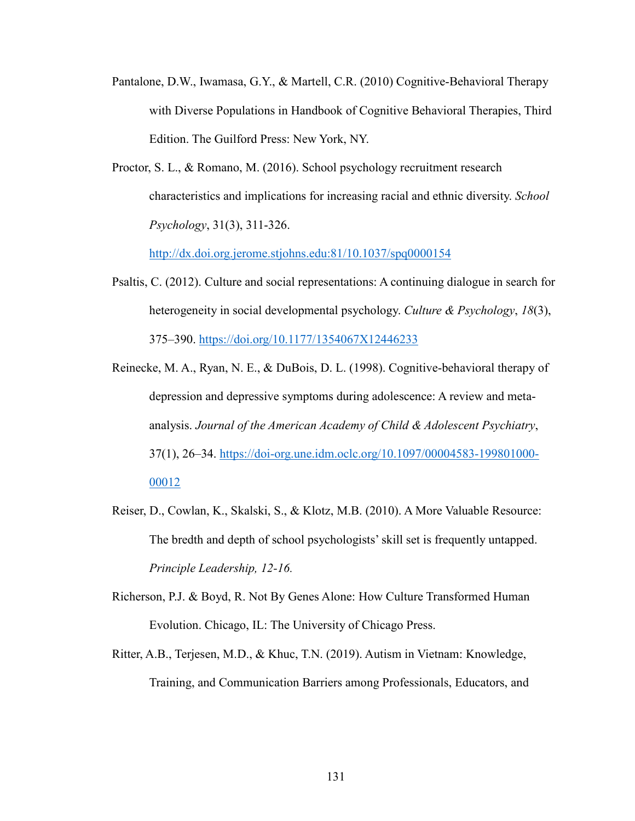- Pantalone, D.W., Iwamasa, G.Y., & Martell, C.R. (2010) Cognitive-Behavioral Therapy with Diverse Populations in Handbook of Cognitive Behavioral Therapies, Third Edition. The Guilford Press: New York, NY.
- Proctor, S. L., & Romano, M. (2016). School psychology recruitment research characteristics and implications for increasing racial and ethnic diversity. *School Psychology*, 31(3), 311-326.

http://dx.doi.org.jerome.stjohns.edu:81/10.1037/spq0000154

- Psaltis, C. (2012). Culture and social representations: A continuing dialogue in search for heterogeneity in social developmental psychology. *Culture & Psychology*, *18*(3), 375–390. https://doi.org/10.1177/1354067X12446233
- Reinecke, M. A., Ryan, N. E., & DuBois, D. L. (1998). Cognitive-behavioral therapy of depression and depressive symptoms during adolescence: A review and metaanalysis. *Journal of the American Academy of Child & Adolescent Psychiatry*, 37(1), 26–34. https://doi-org.une.idm.oclc.org/10.1097/00004583-199801000- 00012
- Reiser, D., Cowlan, K., Skalski, S., & Klotz, M.B. (2010). A More Valuable Resource: The bredth and depth of school psychologists' skill set is frequently untapped. *Principle Leadership, 12-16.*
- Richerson, P.J. & Boyd, R. Not By Genes Alone: How Culture Transformed Human Evolution. Chicago, IL: The University of Chicago Press.
- Ritter, A.B., Terjesen, M.D., & Khuc, T.N. (2019). Autism in Vietnam: Knowledge, Training, and Communication Barriers among Professionals, Educators, and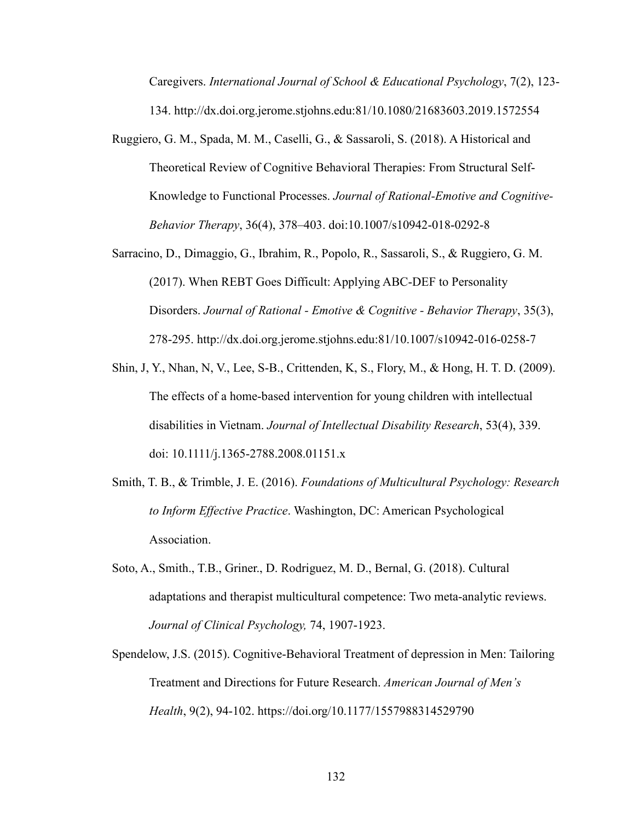Caregivers. *International Journal of School & Educational Psychology*, 7(2), 123- 134. http://dx.doi.org.jerome.stjohns.edu:81/10.1080/21683603.2019.1572554

- Ruggiero, G. M., Spada, M. M., Caselli, G., & Sassaroli, S. (2018). A Historical and Theoretical Review of Cognitive Behavioral Therapies: From Structural Self-Knowledge to Functional Processes. *Journal of Rational-Emotive and Cognitive-Behavior Therapy*, 36(4), 378–403. doi:10.1007/s10942-018-0292-8
- Sarracino, D., Dimaggio, G., Ibrahim, R., Popolo, R., Sassaroli, S., & Ruggiero, G. M. (2017). When REBT Goes Difficult: Applying ABC-DEF to Personality Disorders. *Journal of Rational - Emotive & Cognitive - Behavior Therapy*, 35(3), 278-295. http://dx.doi.org.jerome.stjohns.edu:81/10.1007/s10942-016-0258-7
- Shin, J, Y., Nhan, N, V., Lee, S-B., Crittenden, K, S., Flory, M., & Hong, H. T. D. (2009). The effects of a home-based intervention for young children with intellectual disabilities in Vietnam. *Journal of Intellectual Disability Research*, 53(4), 339. doi: 10.1111/j.1365-2788.2008.01151.x
- Smith, T. B., & Trimble, J. E. (2016). *Foundations of Multicultural Psychology: Research to Inform Effective Practice*. Washington, DC: American Psychological Association.
- Soto, A., Smith., T.B., Griner., D. Rodriguez, M. D., Bernal, G. (2018). Cultural adaptations and therapist multicultural competence: Two meta-analytic reviews. *Journal of Clinical Psychology,* 74, 1907-1923.
- Spendelow, J.S. (2015). Cognitive-Behavioral Treatment of depression in Men: Tailoring Treatment and Directions for Future Research. *American Journal of Men's Health*, 9(2), 94-102. https://doi.org/10.1177/1557988314529790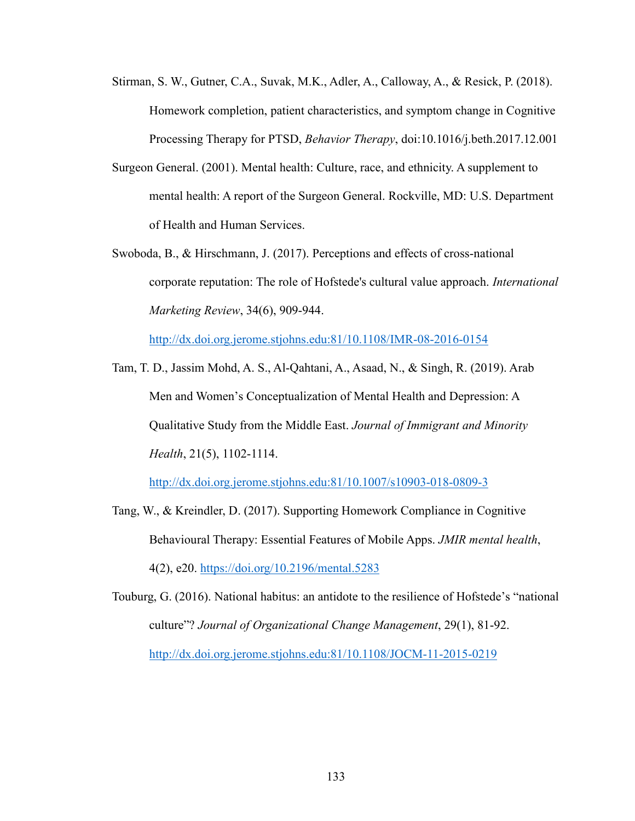- Stirman, S. W., Gutner, C.A., Suvak, M.K., Adler, A., Calloway, A., & Resick, P. (2018). Homework completion, patient characteristics, and symptom change in Cognitive Processing Therapy for PTSD, *Behavior Therapy*, doi:10.1016/j.beth.2017.12.001
- Surgeon General. (2001). Mental health: Culture, race, and ethnicity. A supplement to mental health: A report of the Surgeon General. Rockville, MD: U.S. Department of Health and Human Services.
- Swoboda, B., & Hirschmann, J. (2017). Perceptions and effects of cross-national corporate reputation: The role of Hofstede's cultural value approach. *International Marketing Review*, 34(6), 909-944.

http://dx.doi.org.jerome.stjohns.edu:81/10.1108/IMR-08-2016-0154

Tam, T. D., Jassim Mohd, A. S., Al-Qahtani, A., Asaad, N., & Singh, R. (2019). Arab Men and Women's Conceptualization of Mental Health and Depression: A Qualitative Study from the Middle East. *Journal of Immigrant and Minority Health*, 21(5), 1102-1114.

http://dx.doi.org.jerome.stjohns.edu:81/10.1007/s10903-018-0809-3

- Tang, W., & Kreindler, D. (2017). Supporting Homework Compliance in Cognitive Behavioural Therapy: Essential Features of Mobile Apps. *JMIR mental health*, 4(2), e20. https://doi.org/10.2196/mental.5283
- Touburg, G. (2016). National habitus: an antidote to the resilience of Hofstede's "national culture"? *Journal of Organizational Change Management*, 29(1), 81-92. http://dx.doi.org.jerome.stjohns.edu:81/10.1108/JOCM-11-2015-0219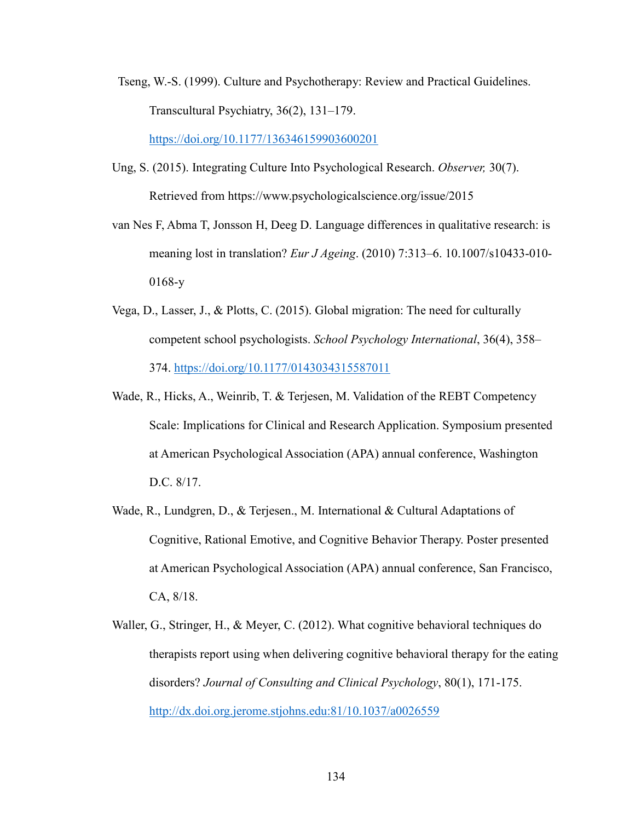Tseng, W.-S. (1999). Culture and Psychotherapy: Review and Practical Guidelines. Transcultural Psychiatry, 36(2), 131–179.

https://doi.org/10.1177/136346159903600201

- Ung, S. (2015). Integrating Culture Into Psychological Research. *Observer,* 30(7). Retrieved from https://www.psychologicalscience.org/issue/2015
- van Nes F, Abma T, Jonsson H, Deeg D. Language differences in qualitative research: is meaning lost in translation? *Eur J Ageing*. (2010) 7:313–6. 10.1007/s10433-010- 0168-y
- Vega, D., Lasser, J., & Plotts, C. (2015). Global migration: The need for culturally competent school psychologists. *School Psychology International*, 36(4), 358– 374. https://doi.org/10.1177/0143034315587011
- Wade, R., Hicks, A., Weinrib, T. & Terjesen, M. Validation of the REBT Competency Scale: Implications for Clinical and Research Application. Symposium presented at American Psychological Association (APA) annual conference, Washington D.C. 8/17.
- Wade, R., Lundgren, D., & Terjesen., M. International & Cultural Adaptations of Cognitive, Rational Emotive, and Cognitive Behavior Therapy. Poster presented at American Psychological Association (APA) annual conference, San Francisco, CA, 8/18.
- Waller, G., Stringer, H., & Meyer, C. (2012). What cognitive behavioral techniques do therapists report using when delivering cognitive behavioral therapy for the eating disorders? *Journal of Consulting and Clinical Psychology*, 80(1), 171-175. http://dx.doi.org.jerome.stjohns.edu:81/10.1037/a0026559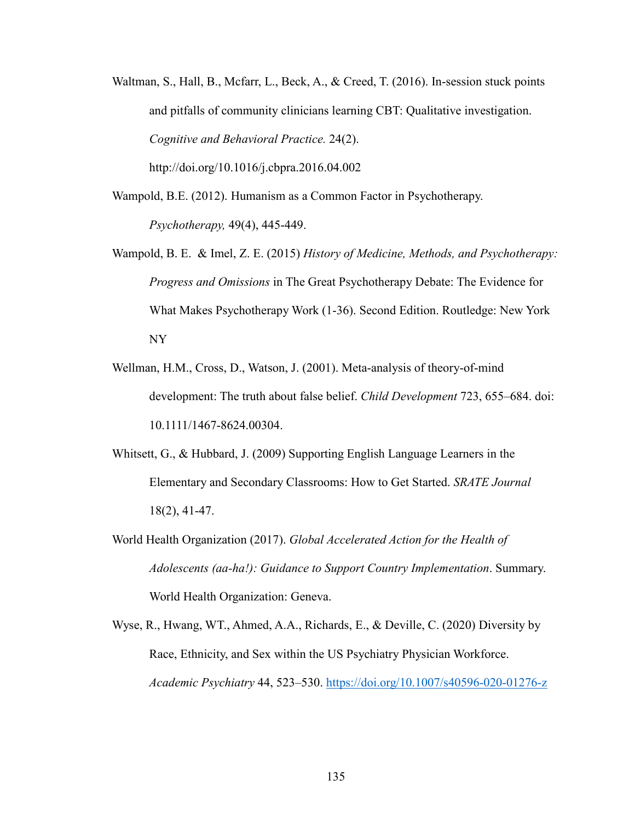Waltman, S., Hall, B., Mcfarr, L., Beck, A., & Creed, T. (2016). In-session stuck points and pitfalls of community clinicians learning CBT: Qualitative investigation. *Cognitive and Behavioral Practice.* 24(2).

http://doi.org/10.1016/j.cbpra.2016.04.002

- Wampold, B.E. (2012). Humanism as a Common Factor in Psychotherapy. *Psychotherapy,* 49(4), 445-449.
- Wampold, B. E. & Imel, Z. E. (2015) *History of Medicine, Methods, and Psychotherapy: Progress and Omissions* in The Great Psychotherapy Debate: The Evidence for What Makes Psychotherapy Work (1-36). Second Edition. Routledge: New York NY
- Wellman, H.M., Cross, D., Watson, J. (2001). Meta-analysis of theory-of-mind development: The truth about false belief. *Child Development* 723, 655–684. doi: 10.1111/1467-8624.00304.
- Whitsett, G., & Hubbard, J. (2009) Supporting English Language Learners in the Elementary and Secondary Classrooms: How to Get Started. *SRATE Journal* 18(2), 41-47.
- World Health Organization (2017). *Global Accelerated Action for the Health of Adolescents (aa-ha!): Guidance to Support Country Implementation*. Summary. World Health Organization: Geneva.
- Wyse, R., Hwang, WT., Ahmed, A.A., Richards, E., & Deville, C. (2020) Diversity by Race, Ethnicity, and Sex within the US Psychiatry Physician Workforce. *Academic Psychiatry* 44, 523–530. https://doi.org/10.1007/s40596-020-01276-z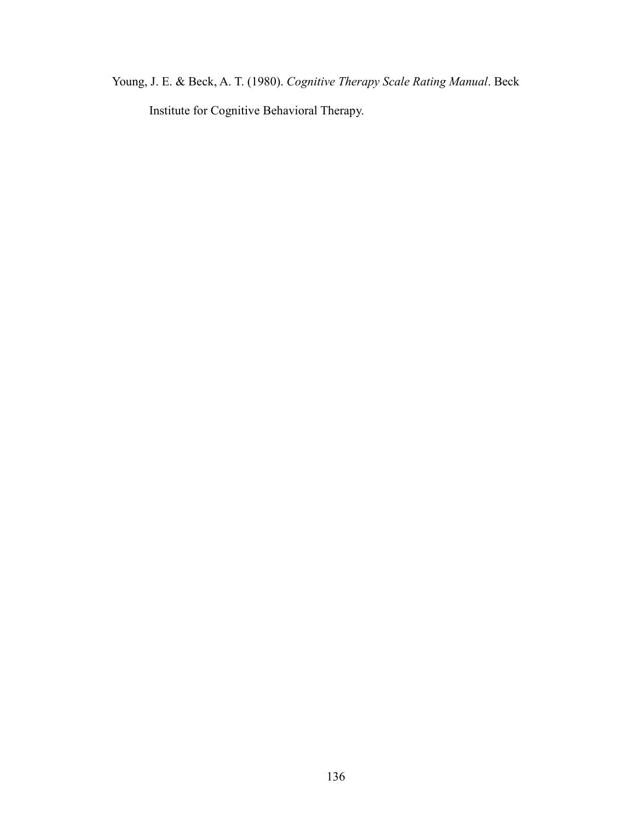Young, J. E. & Beck, A. T. (1980). *Cognitive Therapy Scale Rating Manual*. Beck Institute for Cognitive Behavioral Therapy.